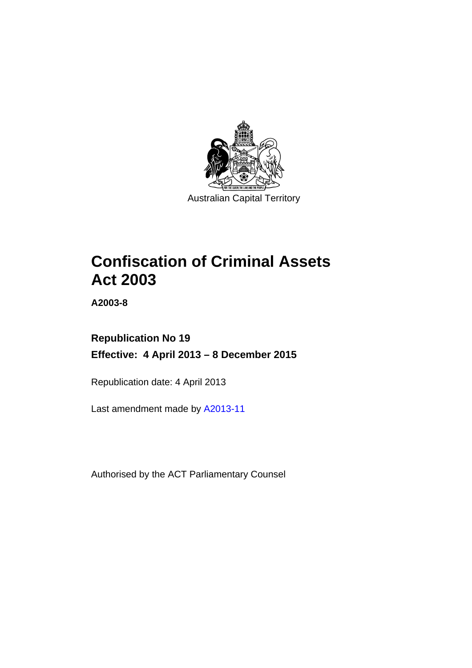

# **Confiscation of Criminal Assets Act 2003**

**A2003-8** 

# **Republication No 19 Effective: 4 April 2013 – 8 December 2015**

Republication date: 4 April 2013

Last amendment made by [A2013-11](http://www.legislation.act.gov.au/a/2013-11)

Authorised by the ACT Parliamentary Counsel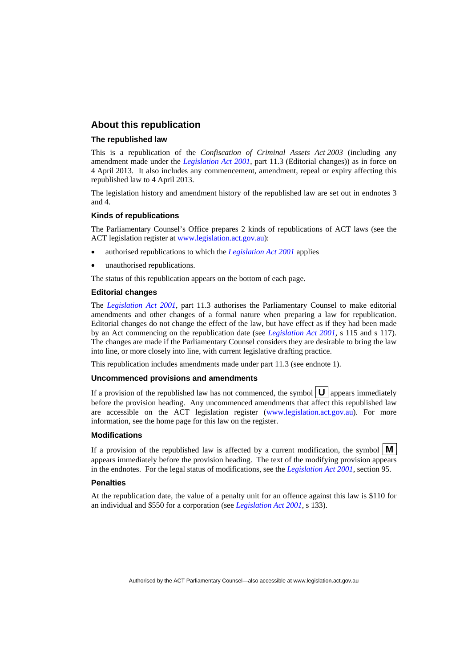## **About this republication**

### **The republished law**

This is a republication of the *Confiscation of Criminal Assets Act 2003* (including any amendment made under the *[Legislation Act 2001](http://www.legislation.act.gov.au/a/2001-14)*, part 11.3 (Editorial changes)) as in force on 4 April 2013*.* It also includes any commencement, amendment, repeal or expiry affecting this republished law to 4 April 2013.

The legislation history and amendment history of the republished law are set out in endnotes 3 and 4.

### **Kinds of republications**

The Parliamentary Counsel's Office prepares 2 kinds of republications of ACT laws (see the ACT legislation register at [www.legislation.act.gov.au](http://www.legislation.act.gov.au/)):

- authorised republications to which the *[Legislation Act 2001](http://www.legislation.act.gov.au/a/2001-14)* applies
- unauthorised republications.

The status of this republication appears on the bottom of each page.

### **Editorial changes**

The *[Legislation Act 2001](http://www.legislation.act.gov.au/a/2001-14)*, part 11.3 authorises the Parliamentary Counsel to make editorial amendments and other changes of a formal nature when preparing a law for republication. Editorial changes do not change the effect of the law, but have effect as if they had been made by an Act commencing on the republication date (see *[Legislation Act 2001](http://www.legislation.act.gov.au/a/2001-14)*, s 115 and s 117). The changes are made if the Parliamentary Counsel considers they are desirable to bring the law into line, or more closely into line, with current legislative drafting practice.

This republication includes amendments made under part 11.3 (see endnote 1).

### **Uncommenced provisions and amendments**

If a provision of the republished law has not commenced, the symbol  $\mathbf{U}$  appears immediately before the provision heading. Any uncommenced amendments that affect this republished law are accessible on the ACT legislation register [\(www.legislation.act.gov.au\)](http://www.legislation.act.gov.au/). For more information, see the home page for this law on the register.

#### **Modifications**

If a provision of the republished law is affected by a current modification, the symbol  $\mathbf{M}$ appears immediately before the provision heading. The text of the modifying provision appears in the endnotes. For the legal status of modifications, see the *[Legislation Act 2001](http://www.legislation.act.gov.au/a/2001-14)*, section 95.

#### **Penalties**

At the republication date, the value of a penalty unit for an offence against this law is \$110 for an individual and \$550 for a corporation (see *[Legislation Act 2001](http://www.legislation.act.gov.au/a/2001-14)*, s 133).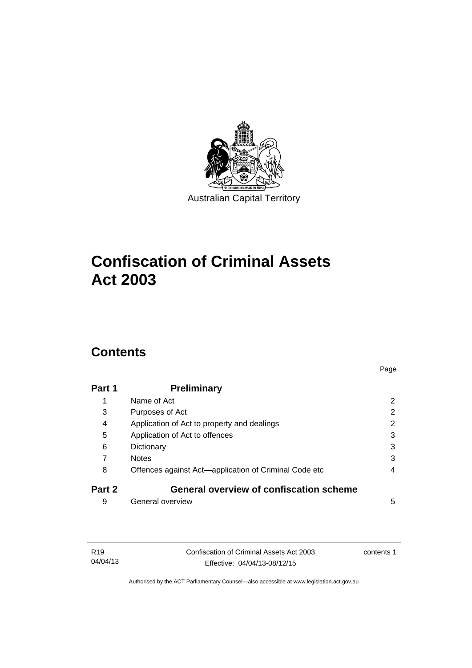

# **Confiscation of Criminal Assets Act 2003**

# **Contents**

| Part 1 | <b>Preliminary</b>                                    |   |
|--------|-------------------------------------------------------|---|
| 1      | Name of Act                                           | 2 |
| 3      | Purposes of Act                                       | 2 |
| 4      | Application of Act to property and dealings           | 2 |
| 5      | Application of Act to offences                        | 3 |
| 6      | Dictionary                                            | 3 |
| 7      | <b>Notes</b>                                          | 3 |
| 8      | Offences against Act-application of Criminal Code etc | 4 |
| Part 2 | <b>General overview of confiscation scheme</b>        |   |
| 9      | General overview                                      | 5 |

Page

| R <sub>19</sub> | Confiscation of Criminal Assets Act 2003 | contents 1 |
|-----------------|------------------------------------------|------------|
| 04/04/13        | Effective: 04/04/13-08/12/15             |            |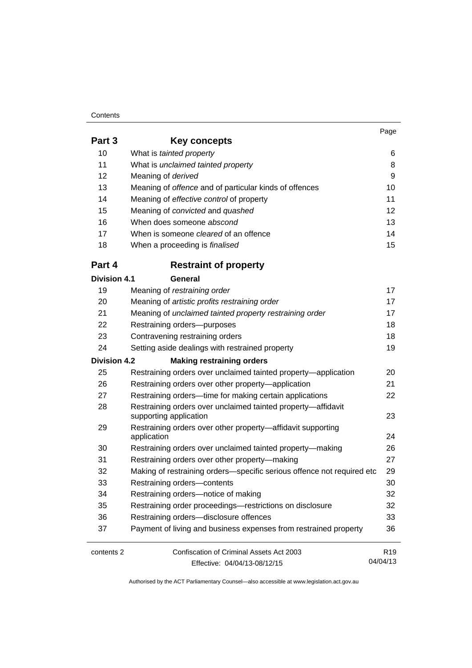#### **Contents**

04/04/13

| Part 3              | Key concepts                                                               |                 |
|---------------------|----------------------------------------------------------------------------|-----------------|
| 10                  | What is tainted property                                                   | 6               |
| 11                  | What is unclaimed tainted property                                         | 8               |
| 12                  | Meaning of derived                                                         | 9               |
| 13                  | Meaning of offence and of particular kinds of offences                     | 10              |
| 14                  | Meaning of effective control of property                                   | 11              |
| 15                  | Meaning of convicted and quashed                                           | 12              |
| 16                  | When does someone abscond                                                  | 13              |
| 17                  | When is someone <i>cleared</i> of an offence                               | 14              |
| 18                  | When a proceeding is <i>finalised</i>                                      | 15              |
| Part 4              | <b>Restraint of property</b>                                               |                 |
| <b>Division 4.1</b> | General                                                                    |                 |
| 19                  | Meaning of restraining order                                               | 17              |
| 20                  | Meaning of artistic profits restraining order                              | 17              |
| 21                  | Meaning of unclaimed tainted property restraining order                    | 17              |
| 22                  | Restraining orders-purposes                                                | 18              |
| 23                  | Contravening restraining orders                                            | 18              |
| 24                  | Setting aside dealings with restrained property                            | 19              |
| <b>Division 4.2</b> | <b>Making restraining orders</b>                                           |                 |
| 25                  | Restraining orders over unclaimed tainted property—application             | 20              |
| 26                  | Restraining orders over other property-application                         | 21              |
| 27                  | Restraining orders—time for making certain applications                    | 22              |
| 28                  | Restraining orders over unclaimed tainted property-affidavit               |                 |
|                     | supporting application                                                     | 23              |
| 29                  | Restraining orders over other property-affidavit supporting<br>application | 24              |
| 30                  | Restraining orders over unclaimed tainted property-making                  | 26              |
| 31                  | Restraining orders over other property-making                              | 27              |
| 32                  | Making of restraining orders-specific serious offence not required etc     | 29              |
| 33                  | Restraining orders-contents                                                | 30              |
| 34                  | Restraining orders-notice of making                                        | 32              |
| 35                  | Restraining order proceedings-restrictions on disclosure                   | 32              |
| 36                  | Restraining orders-disclosure offences                                     | 33              |
| 37                  | Payment of living and business expenses from restrained property           | 36              |
| contents 2          | Confiscation of Criminal Assets Act 2003                                   | R <sub>19</sub> |

Effective: 04/04/13-08/12/15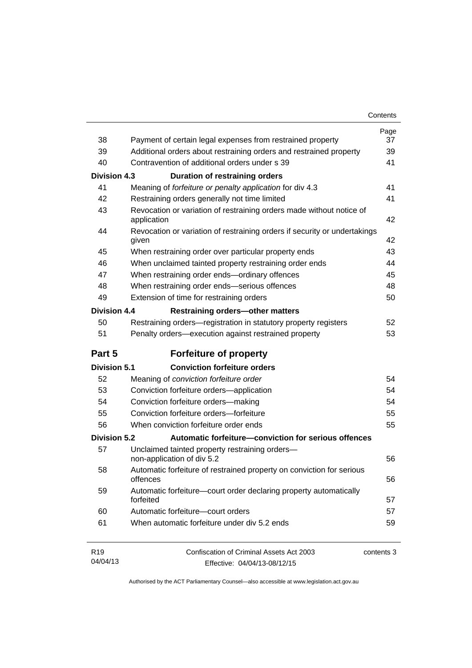| Contents |
|----------|
|----------|

| 38                  | Payment of certain legal expenses from restrained property                          | Page<br>37 |
|---------------------|-------------------------------------------------------------------------------------|------------|
| 39                  | Additional orders about restraining orders and restrained property                  | 39         |
| 40                  | Contravention of additional orders under s 39                                       | 41         |
|                     |                                                                                     |            |
| <b>Division 4.3</b> | <b>Duration of restraining orders</b>                                               |            |
| 41                  | Meaning of forfeiture or penalty application for div 4.3                            | 41         |
| 42                  | Restraining orders generally not time limited                                       | 41         |
| 43                  | Revocation or variation of restraining orders made without notice of<br>application | 42         |
| 44                  | Revocation or variation of restraining orders if security or undertakings<br>given  | 42         |
| 45                  | When restraining order over particular property ends                                | 43         |
| 46                  | When unclaimed tainted property restraining order ends                              | 44         |
| 47                  | When restraining order ends-ordinary offences                                       | 45         |
| 48                  | When restraining order ends-serious offences                                        | 48         |
| 49                  | Extension of time for restraining orders                                            | 50         |
| <b>Division 4.4</b> | <b>Restraining orders-other matters</b>                                             |            |
| 50                  | Restraining orders-registration in statutory property registers                     | 52         |
| 51                  | Penalty orders-execution against restrained property                                | 53         |
| Part 5              | <b>Forfeiture of property</b>                                                       |            |
| <b>Division 5.1</b> | <b>Conviction forfeiture orders</b>                                                 |            |
| 52                  | Meaning of conviction forfeiture order                                              | 54         |
| 53                  | Conviction forfeiture orders-application                                            | 54         |
| 54                  | Conviction forfeiture orders-making                                                 | 54         |
| 55                  | Conviction forfeiture orders-forfeiture                                             | 55         |
| 56                  | When conviction forfeiture order ends                                               | 55         |
| <b>Division 5.2</b> | Automatic forfeiture-conviction for serious offences                                |            |
| 57                  | Unclaimed tainted property restraining orders-<br>non-application of div 5.2        | 56         |
| 58                  | Automatic forfeiture of restrained property on conviction for serious<br>offences   | 56         |
| 59                  | Automatic forfeiture-court order declaring property automatically<br>forfeited      | 57         |
| 60                  | Automatic forfeiture-court orders                                                   | 57         |
| 61                  | When automatic forfeiture under div 5.2 ends                                        | 59         |
| R <sub>19</sub>     | Confiscation of Criminal Assets Act 2003                                            | contents 3 |
| 04/04/13            | Effective: 04/04/13-08/12/15                                                        |            |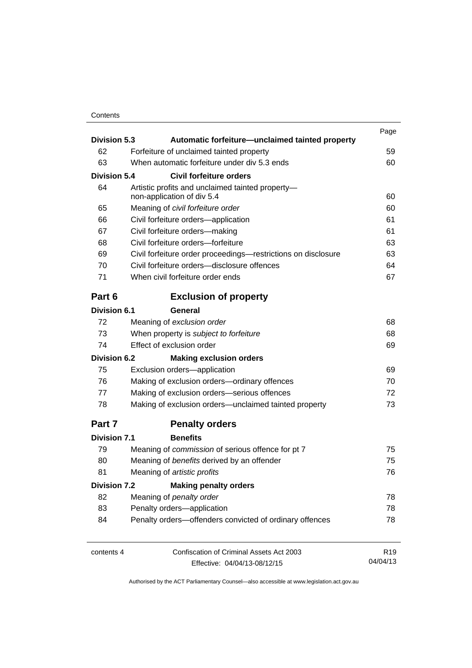## **Contents**

| <b>Division 5.3</b><br>Automatic forfeiture—unclaimed tainted property |                                                                     | Page                                                                      |                 |
|------------------------------------------------------------------------|---------------------------------------------------------------------|---------------------------------------------------------------------------|-----------------|
| 62                                                                     |                                                                     | Forfeiture of unclaimed tainted property                                  | 59              |
| 63                                                                     |                                                                     | When automatic forfeiture under div 5.3 ends                              | 60              |
| <b>Division 5.4</b>                                                    |                                                                     | Civil forfeiture orders                                                   |                 |
| 64                                                                     |                                                                     | Artistic profits and unclaimed tainted property-                          |                 |
|                                                                        |                                                                     | non-application of div 5.4                                                | 60              |
| 65                                                                     |                                                                     | Meaning of civil forfeiture order                                         | 60              |
| 66                                                                     |                                                                     | Civil forfeiture orders-application                                       | 61              |
| 67                                                                     |                                                                     | Civil forfeiture orders-making                                            | 61              |
| 68                                                                     |                                                                     | Civil forfeiture orders-forfeiture                                        | 63              |
| 69                                                                     |                                                                     | Civil forfeiture order proceedings-restrictions on disclosure             | 63              |
| 70                                                                     |                                                                     | Civil forfeiture orders-disclosure offences                               | 64              |
| 71                                                                     |                                                                     | When civil forfeiture order ends                                          | 67              |
| Part 6                                                                 |                                                                     | <b>Exclusion of property</b>                                              |                 |
| <b>Division 6.1</b>                                                    |                                                                     | General                                                                   |                 |
| 72                                                                     |                                                                     | Meaning of exclusion order                                                | 68              |
| 73                                                                     | When property is subject to forfeiture<br>Effect of exclusion order | 68                                                                        |                 |
| 74                                                                     |                                                                     | 69                                                                        |                 |
| <b>Division 6.2</b>                                                    |                                                                     | <b>Making exclusion orders</b>                                            |                 |
| 75                                                                     |                                                                     | Exclusion orders-application                                              | 69              |
| 76                                                                     |                                                                     | Making of exclusion orders-ordinary offences                              | 70              |
| 77                                                                     |                                                                     | Making of exclusion orders-serious offences                               | 72              |
| 78                                                                     | Making of exclusion orders—unclaimed tainted property               |                                                                           | 73              |
| Part 7                                                                 |                                                                     | <b>Penalty orders</b>                                                     |                 |
| <b>Division 7.1</b>                                                    |                                                                     | <b>Benefits</b>                                                           |                 |
| 79                                                                     |                                                                     | Meaning of commission of serious offence for pt 7                         | 75              |
| 80                                                                     |                                                                     | Meaning of benefits derived by an offender<br>Meaning of artistic profits | 75              |
| 81                                                                     |                                                                     |                                                                           | 76              |
| <b>Division 7.2</b>                                                    |                                                                     | <b>Making penalty orders</b>                                              |                 |
| 82                                                                     |                                                                     |                                                                           | 78              |
| 83                                                                     | Meaning of penalty order<br>Penalty orders-application              |                                                                           | 78              |
| 84                                                                     |                                                                     | Penalty orders-offenders convicted of ordinary offences                   | 78              |
| contents 4                                                             |                                                                     | Confiscation of Criminal Assets Act 2003                                  | R <sub>19</sub> |
|                                                                        |                                                                     | Effective: 04/04/13-08/12/15                                              | 04/04/13        |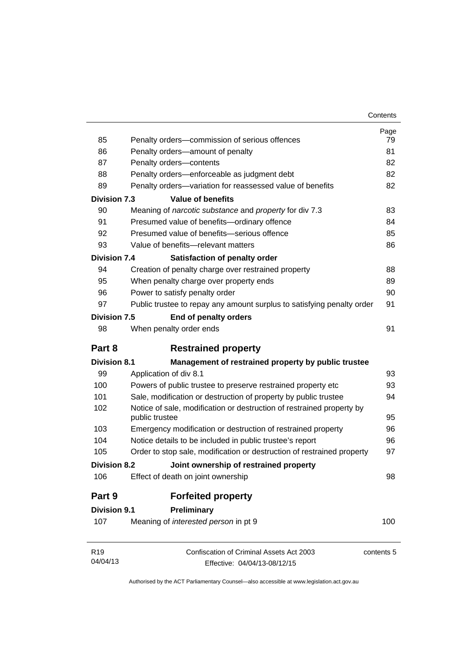| Contents |
|----------|
|----------|

| 85                          | Penalty orders-commission of serious offences                                                            | Page<br>79 |
|-----------------------------|----------------------------------------------------------------------------------------------------------|------------|
| 86                          | Penalty orders-amount of penalty                                                                         | 81         |
| 87                          | Penalty orders-contents                                                                                  | 82         |
| 88                          |                                                                                                          | 82         |
| 89                          | Penalty orders-enforceable as judgment debt<br>Penalty orders-variation for reassessed value of benefits | 82         |
|                             |                                                                                                          |            |
| <b>Division 7.3</b>         | <b>Value of benefits</b>                                                                                 |            |
| 90                          | Meaning of narcotic substance and property for div 7.3                                                   | 83         |
| 91                          | Presumed value of benefits-ordinary offence<br>Presumed value of benefits-serious offence                | 84         |
| 92                          |                                                                                                          | 85         |
| 93                          | Value of benefits-relevant matters                                                                       | 86         |
| <b>Division 7.4</b>         | Satisfaction of penalty order                                                                            |            |
| 94                          | Creation of penalty charge over restrained property                                                      | 88         |
| 95                          | When penalty charge over property ends                                                                   | 89         |
| 96                          | Power to satisfy penalty order                                                                           | 90         |
| 97                          | Public trustee to repay any amount surplus to satisfying penalty order                                   | 91         |
| <b>Division 7.5</b>         | End of penalty orders                                                                                    |            |
| 98                          | When penalty order ends                                                                                  | 91         |
| Part 8                      | <b>Restrained property</b>                                                                               |            |
| <b>Division 8.1</b>         | Management of restrained property by public trustee                                                      |            |
| 99                          | Application of div 8.1                                                                                   | 93         |
| 100                         | Powers of public trustee to preserve restrained property etc                                             | 93         |
| 101                         | Sale, modification or destruction of property by public trustee                                          | 94         |
| 102                         | Notice of sale, modification or destruction of restrained property by                                    |            |
|                             | public trustee                                                                                           | 95         |
| 103                         | Emergency modification or destruction of restrained property                                             | 96         |
| 104                         | Notice details to be included in public trustee's report                                                 | 96         |
| 105                         | Order to stop sale, modification or destruction of restrained property                                   | 97         |
| <b>Division 8.2</b>         | Joint ownership of restrained property                                                                   |            |
| 106                         | Effect of death on joint ownership                                                                       | 98         |
| Part 9                      | <b>Forfeited property</b>                                                                                |            |
| <b>Division 9.1</b>         | Preliminary                                                                                              |            |
| 107                         | Meaning of interested person in pt 9                                                                     | 100        |
| R <sub>19</sub><br>04/04/13 | Confiscation of Criminal Assets Act 2003<br>Effective: 04/04/13-08/12/15                                 | contents 5 |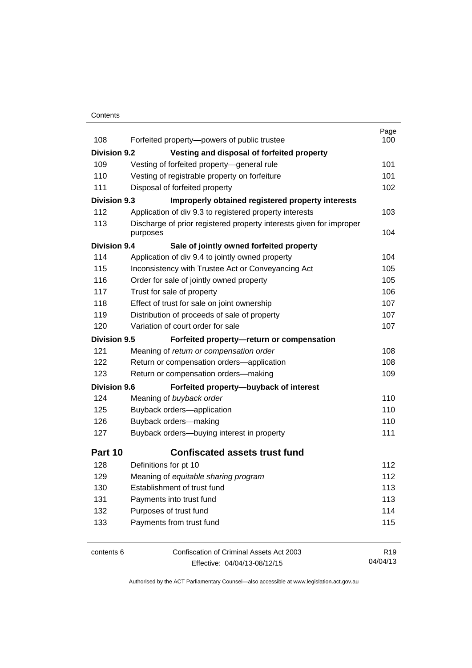### **Contents**

| 108                 | Forfeited property-powers of public trustee                         | Page<br>100     |
|---------------------|---------------------------------------------------------------------|-----------------|
| <b>Division 9.2</b> | Vesting and disposal of forfeited property                          |                 |
| 109                 | Vesting of forfeited property-general rule                          | 101             |
| 110                 | Vesting of registrable property on forfeiture                       | 101             |
| 111                 | Disposal of forfeited property                                      | 102             |
| <b>Division 9.3</b> | Improperly obtained registered property interests                   |                 |
| 112                 | Application of div 9.3 to registered property interests             | 103             |
| 113                 | Discharge of prior registered property interests given for improper |                 |
|                     | purposes                                                            | 104             |
| <b>Division 9.4</b> | Sale of jointly owned forfeited property                            |                 |
| 114                 | Application of div 9.4 to jointly owned property                    | 104             |
| 115                 | Inconsistency with Trustee Act or Conveyancing Act                  | 105             |
| 116                 | Order for sale of jointly owned property                            | 105             |
| 117                 | Trust for sale of property                                          | 106             |
| 118                 | Effect of trust for sale on joint ownership                         | 107             |
| 119                 | Distribution of proceeds of sale of property                        | 107             |
| 120                 | Variation of court order for sale                                   | 107             |
| <b>Division 9.5</b> | Forfeited property-return or compensation                           |                 |
| 121                 | Meaning of return or compensation order                             | 108             |
| 122                 | Return or compensation orders-application                           | 108             |
| 123                 | Return or compensation orders-making                                | 109             |
| <b>Division 9.6</b> | Forfeited property-buyback of interest                              |                 |
| 124                 | Meaning of buyback order                                            | 110             |
| 125                 | Buyback orders-application                                          | 110             |
| 126                 | Buyback orders-making                                               | 110             |
| 127                 | Buyback orders-buying interest in property                          | 111             |
| Part 10             | <b>Confiscated assets trust fund</b>                                |                 |
| 128                 | Definitions for pt 10                                               | 112             |
| 129                 | Meaning of equitable sharing program                                | 112             |
| 130                 | Establishment of trust fund                                         | 113             |
| 131                 | Payments into trust fund                                            | 113             |
| 132                 | Purposes of trust fund                                              | 114             |
| 133                 | Payments from trust fund                                            | 115             |
| contents 6          | Confiscation of Criminal Assets Act 2003                            | R <sub>19</sub> |

Effective: 04/04/13-08/12/15

04/04/13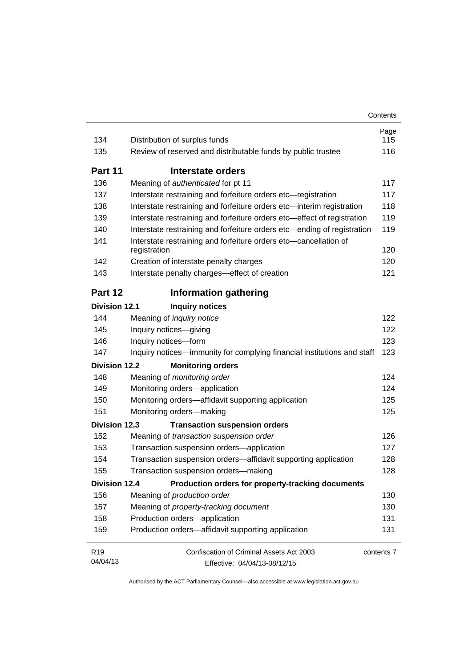| 134                  | Distribution of surplus funds                                                    | Page<br>115 |
|----------------------|----------------------------------------------------------------------------------|-------------|
| 135                  | Review of reserved and distributable funds by public trustee                     | 116         |
|                      |                                                                                  |             |
| Part 11              | Interstate orders                                                                |             |
| 136                  | Meaning of authenticated for pt 11                                               | 117         |
| 137                  | Interstate restraining and forfeiture orders etc-registration                    | 117         |
| 138                  | Interstate restraining and forfeiture orders etc-interim registration            | 118         |
| 139                  | Interstate restraining and forfeiture orders etc-effect of registration          | 119         |
| 140                  | Interstate restraining and forfeiture orders etc-ending of registration          | 119         |
| 141                  | Interstate restraining and forfeiture orders etc-cancellation of<br>registration | 120         |
| 142                  | Creation of interstate penalty charges                                           | 120         |
| 143                  | Interstate penalty charges-effect of creation                                    | 121         |
| Part 12              | <b>Information gathering</b>                                                     |             |
| <b>Division 12.1</b> | <b>Inquiry notices</b>                                                           |             |
| 144                  | Meaning of inquiry notice                                                        | 122         |
| 145                  | Inquiry notices-giving                                                           | 122         |
| 146                  | Inquiry notices-form                                                             | 123         |
| 147                  | Inquiry notices—immunity for complying financial institutions and staff          | 123         |
| Division 12.2        | <b>Monitoring orders</b>                                                         |             |
| 148                  | Meaning of monitoring order                                                      | 124         |
| 149                  | Monitoring orders-application                                                    | 124         |
| 150                  | Monitoring orders-affidavit supporting application                               | 125         |
| 151                  | Monitoring orders-making                                                         | 125         |
| <b>Division 12.3</b> | <b>Transaction suspension orders</b>                                             |             |
| 152                  | Meaning of transaction suspension order                                          | 126         |
| 153                  | Transaction suspension orders-application                                        | 127         |
| 154                  | Transaction suspension orders-affidavit supporting application                   | 128         |
| 155                  | Transaction suspension orders-making                                             | 128         |
|                      | Production orders for property-tracking documents<br><b>Division 12.4</b>        |             |
| 156                  | Meaning of production order                                                      | 130         |
| 157                  | Meaning of property-tracking document                                            | 130         |
| 158                  | Production orders-application                                                    | 131         |
| 159                  | Production orders-affidavit supporting application                               | 131         |
| R <sub>19</sub>      | Confiscation of Criminal Assets Act 2003                                         | contents 7  |
| 04/04/13             | Effective: 04/04/13-08/12/15                                                     |             |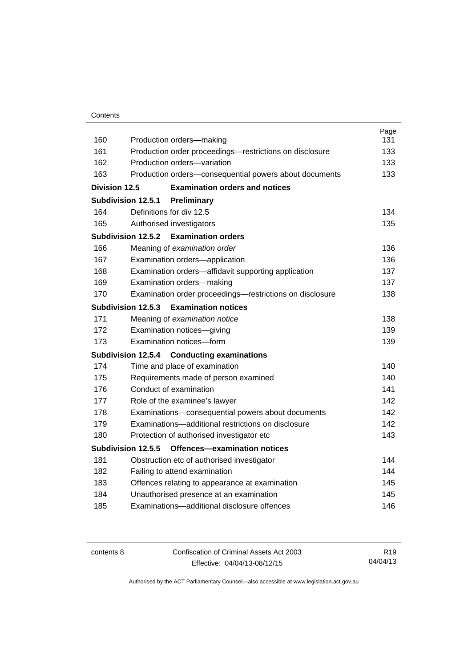|               |                                                                                        | Page       |
|---------------|----------------------------------------------------------------------------------------|------------|
| 160<br>161    | Production orders-making                                                               | 131<br>133 |
| 162           | Production order proceedings-restrictions on disclosure<br>Production orders-variation | 133        |
| 163           |                                                                                        | 133        |
|               | Production orders-consequential powers about documents                                 |            |
| Division 12.5 | <b>Examination orders and notices</b>                                                  |            |
|               | Subdivision 12.5.1<br>Preliminary                                                      |            |
| 164           | Definitions for div 12.5                                                               | 134        |
| 165           | Authorised investigators                                                               | 135        |
|               | Subdivision 12.5.2<br><b>Examination orders</b>                                        |            |
| 166           | Meaning of examination order                                                           | 136        |
| 167           | Examination orders-application                                                         | 136        |
| 168           | Examination orders-affidavit supporting application                                    | 137        |
| 169           | Examination orders-making                                                              | 137        |
| 170           | Examination order proceedings—restrictions on disclosure                               | 138        |
|               | Subdivision 12.5.3<br><b>Examination notices</b>                                       |            |
| 171           | Meaning of examination notice                                                          | 138        |
| 172           | Examination notices-giving                                                             | 139        |
| 173           | Examination notices-form                                                               | 139        |
|               | <b>Subdivision 12.5.4</b><br><b>Conducting examinations</b>                            |            |
| 174           | Time and place of examination                                                          | 140        |
| 175           | Requirements made of person examined                                                   | 140        |
| 176           | Conduct of examination                                                                 | 141        |
| 177           | Role of the examinee's lawyer                                                          | 142        |
| 178           | Examinations-consequential powers about documents                                      | 142        |
| 179           | Examinations-additional restrictions on disclosure                                     | 142        |
| 180           | Protection of authorised investigator etc                                              | 143        |
|               | Subdivision 12.5.5<br>Offences-examination notices                                     |            |
| 181           | Obstruction etc of authorised investigator                                             | 144        |
| 182           | Failing to attend examination                                                          | 144        |
| 183           | Offences relating to appearance at examination                                         | 145        |
| 184           | Unauthorised presence at an examination                                                | 145        |
| 185           | Examinations-additional disclosure offences                                            | 146        |
|               |                                                                                        |            |

contents 8 Confiscation of Criminal Assets Act 2003 Effective: 04/04/13-08/12/15

R19 04/04/13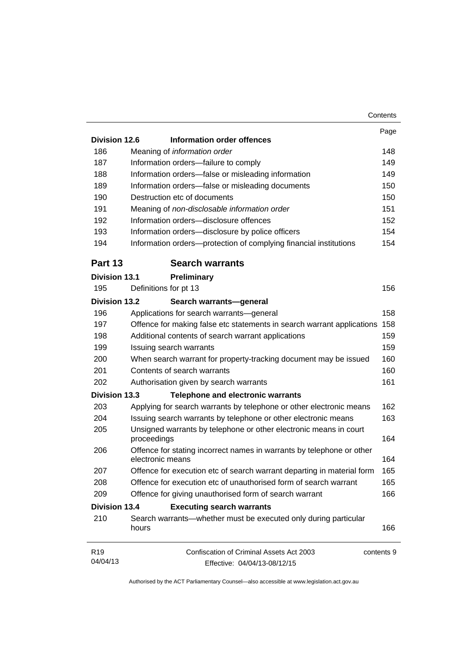|                      | Contents                                                                                  |  |
|----------------------|-------------------------------------------------------------------------------------------|--|
|                      |                                                                                           |  |
| <b>Division 12.6</b> | Information order offences                                                                |  |
| 186                  | Meaning of information order                                                              |  |
| 187                  | Information orders-failure to comply                                                      |  |
| 188                  | Information orders-false or misleading information                                        |  |
| 189                  | Information orders-false or misleading documents                                          |  |
| 190                  | Destruction etc of documents                                                              |  |
| 191                  | Meaning of non-disclosable information order                                              |  |
| 192                  | Information orders-disclosure offences                                                    |  |
| 193                  | Information orders-disclosure by police officers                                          |  |
| 194                  | Information orders-protection of complying financial institutions                         |  |
| Part 13              | <b>Search warrants</b>                                                                    |  |
| <b>Division 13.1</b> | Preliminary                                                                               |  |
| 195                  | Definitions for pt 13                                                                     |  |
| <b>Division 13.2</b> | Search warrants-general                                                                   |  |
| 196                  | Applications for search warrants-general                                                  |  |
| 197                  | Offence for making false etc statements in search warrant applications                    |  |
| 198                  | Additional contents of search warrant applications                                        |  |
| 199                  | Issuing search warrants                                                                   |  |
| 200                  | When search warrant for property-tracking document may be issued                          |  |
| 201                  | Contents of search warrants                                                               |  |
| 202                  | Authorisation given by search warrants                                                    |  |
| <b>Division 13.3</b> | <b>Telephone and electronic warrants</b>                                                  |  |
| 203                  | Applying for search warrants by telephone or other electronic means                       |  |
| 204                  | Issuing search warrants by telephone or other electronic means                            |  |
| 205                  | Unsigned warrants by telephone or other electronic means in court                         |  |
|                      | proceedings                                                                               |  |
| 206                  | Offence for stating incorrect names in warrants by telephone or other<br>electronic means |  |
| 207                  | Offence for execution etc of search warrant departing in material form                    |  |
| 208                  | Offence for execution etc of unauthorised form of search warrant                          |  |
| 209                  | Offence for giving unauthorised form of search warrant                                    |  |
| <b>Division 13.4</b> | <b>Executing search warrants</b>                                                          |  |
| 210                  | Search warrants—whether must be executed only during particular<br>hours                  |  |
| R <sub>19</sub>      | Confiscation of Criminal Assets Act 2003<br>contents 9                                    |  |
| 04/04/13             | Effective: 04/04/13-08/12/15                                                              |  |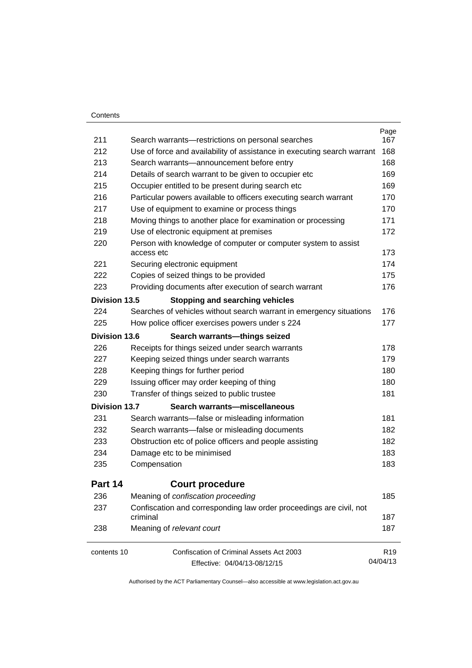### **Contents**

| 211                  | Search warrants-restrictions on personal searches                               | Page<br>167     |
|----------------------|---------------------------------------------------------------------------------|-----------------|
| 212                  | Use of force and availability of assistance in executing search warrant         | 168             |
| 213                  | Search warrants-announcement before entry                                       | 168             |
| 214                  | Details of search warrant to be given to occupier etc                           | 169             |
| 215                  | Occupier entitled to be present during search etc                               | 169             |
| 216                  | Particular powers available to officers executing search warrant                | 170             |
| 217                  | Use of equipment to examine or process things                                   | 170             |
| 218                  | Moving things to another place for examination or processing                    | 171             |
| 219                  | Use of electronic equipment at premises                                         | 172             |
| 220                  | Person with knowledge of computer or computer system to assist<br>access etc    | 173             |
| 221                  | Securing electronic equipment                                                   | 174             |
| 222                  | Copies of seized things to be provided                                          | 175             |
| 223                  | Providing documents after execution of search warrant                           | 176             |
| <b>Division 13.5</b> | <b>Stopping and searching vehicles</b>                                          |                 |
| 224                  | Searches of vehicles without search warrant in emergency situations             | 176             |
| 225                  | How police officer exercises powers under s 224                                 | 177             |
| Division 13.6        | Search warrants-things seized                                                   |                 |
| 226                  | Receipts for things seized under search warrants                                | 178             |
| 227                  | Keeping seized things under search warrants                                     | 179             |
| 228                  | Keeping things for further period                                               | 180             |
| 229                  | Issuing officer may order keeping of thing                                      | 180             |
| 230                  | Transfer of things seized to public trustee                                     | 181             |
| <b>Division 13.7</b> | Search warrants-miscellaneous                                                   |                 |
| 231                  | Search warrants-false or misleading information                                 | 181             |
| 232                  | Search warrants—false or misleading documents                                   | 182             |
| 233                  | Obstruction etc of police officers and people assisting                         | 182             |
| 234                  | Damage etc to be minimised                                                      | 183             |
| 235                  | Compensation                                                                    | 183             |
| Part 14              | <b>Court procedure</b>                                                          |                 |
| 236                  | Meaning of confiscation proceeding                                              | 185             |
| 237                  | Confiscation and corresponding law order proceedings are civil, not<br>criminal | 187             |
| 238                  | Meaning of relevant court                                                       | 187             |
| contents 10          | Confiscation of Criminal Assets Act 2003                                        | R <sub>19</sub> |
|                      | Effective: 04/04/13-08/12/15                                                    | 04/04/13        |
|                      |                                                                                 |                 |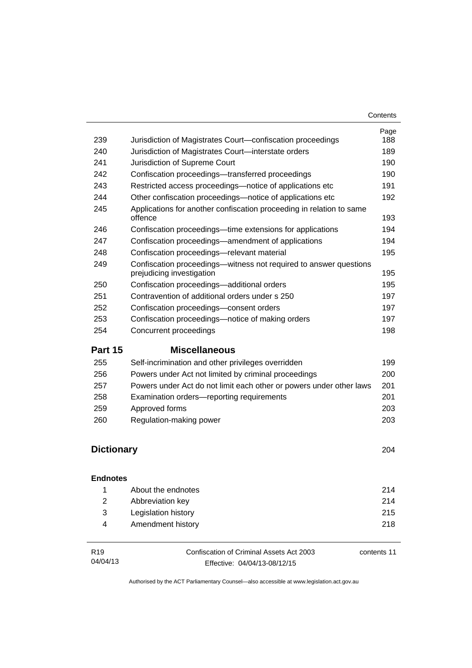| 239               | Jurisdiction of Magistrates Court-confiscation proceedings                                     | Page<br>188 |
|-------------------|------------------------------------------------------------------------------------------------|-------------|
| 240               | Jurisdiction of Magistrates Court-interstate orders                                            | 189         |
| 241               | Jurisdiction of Supreme Court                                                                  | 190         |
| 242               | Confiscation proceedings—transferred proceedings                                               | 190         |
| 243               | Restricted access proceedings—notice of applications etc                                       | 191         |
| 244               | Other confiscation proceedings-notice of applications etc                                      | 192         |
| 245               | Applications for another confiscation proceeding in relation to same<br>offence                | 193         |
| 246               | Confiscation proceedings-time extensions for applications                                      | 194         |
| 247               | Confiscation proceedings—amendment of applications                                             | 194         |
| 248               | Confiscation proceedings-relevant material                                                     | 195         |
| 249               | Confiscation proceedings—witness not required to answer questions<br>prejudicing investigation | 195         |
| 250               | Confiscation proceedings-additional orders                                                     | 195         |
| 251               | Contravention of additional orders under s 250                                                 | 197         |
| 252               | Confiscation proceedings-consent orders                                                        | 197         |
| 253               | Confiscation proceedings—notice of making orders                                               | 197         |
| 254               | Concurrent proceedings                                                                         | 198         |
| Part 15           | <b>Miscellaneous</b>                                                                           |             |
| 255               | Self-incrimination and other privileges overridden                                             | 199         |
| 256               | Powers under Act not limited by criminal proceedings                                           | 200         |
| 257               | Powers under Act do not limit each other or powers under other laws                            | 201         |
| 258               | Examination orders-reporting requirements                                                      | 201         |
| 259               | Approved forms                                                                                 | 203         |
| 260               | Regulation-making power                                                                        | 203         |
| <b>Dictionary</b> |                                                                                                | 204         |

### **[Endnotes](#page-227-0)**

|              | About the endnotes  | 214 |
|--------------|---------------------|-----|
| <sup>2</sup> | Abbreviation key    | 214 |
| -3-          | Legislation history | 215 |
| 4            | Amendment history   | 218 |
|              |                     |     |

| R <sub>19</sub> | Confiscation of Criminal Assets Act 2003 | contents 11 |
|-----------------|------------------------------------------|-------------|
| 04/04/13        | Effective: 04/04/13-08/12/15             |             |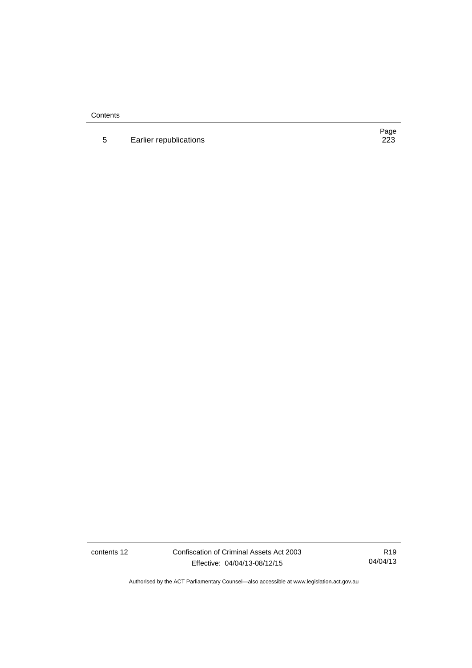**Contents** 

5 Earlier republications

Page<br>223

contents 12 Confiscation of Criminal Assets Act 2003 Effective: 04/04/13-08/12/15

R19 04/04/13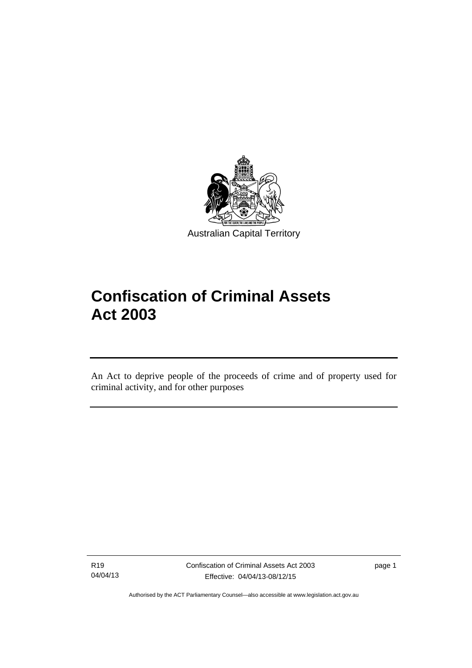

# **Confiscation of Criminal Assets Act 2003**

An Act to deprive people of the proceeds of crime and of property used for criminal activity, and for other purposes

R19 04/04/13

l

page 1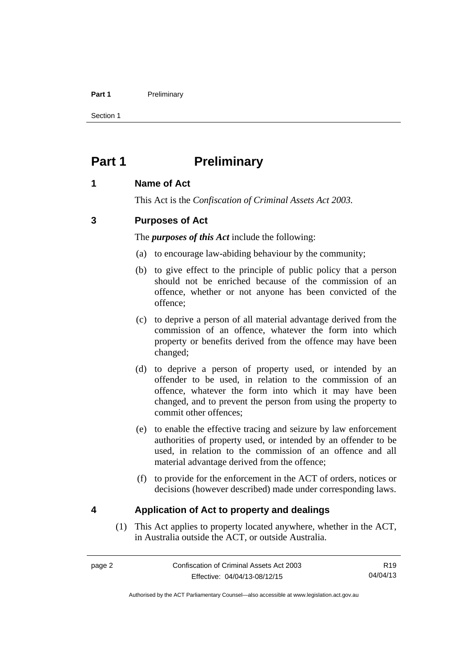### Part 1 **Preliminary**

Section 1

# <span id="page-15-0"></span>**Part 1** Preliminary

# <span id="page-15-1"></span>**1 Name of Act**

This Act is the *Confiscation of Criminal Assets Act 2003.*

# <span id="page-15-2"></span>**3 Purposes of Act**

The *purposes of this Act* include the following:

- (a) to encourage law-abiding behaviour by the community;
- (b) to give effect to the principle of public policy that a person should not be enriched because of the commission of an offence, whether or not anyone has been convicted of the offence;
- (c) to deprive a person of all material advantage derived from the commission of an offence, whatever the form into which property or benefits derived from the offence may have been changed;
- (d) to deprive a person of property used, or intended by an offender to be used, in relation to the commission of an offence, whatever the form into which it may have been changed, and to prevent the person from using the property to commit other offences;
- (e) to enable the effective tracing and seizure by law enforcement authorities of property used, or intended by an offender to be used, in relation to the commission of an offence and all material advantage derived from the offence;
- (f) to provide for the enforcement in the ACT of orders, notices or decisions (however described) made under corresponding laws.

# <span id="page-15-3"></span>**4 Application of Act to property and dealings**

(1) This Act applies to property located anywhere, whether in the ACT, in Australia outside the ACT, or outside Australia.

R19 04/04/13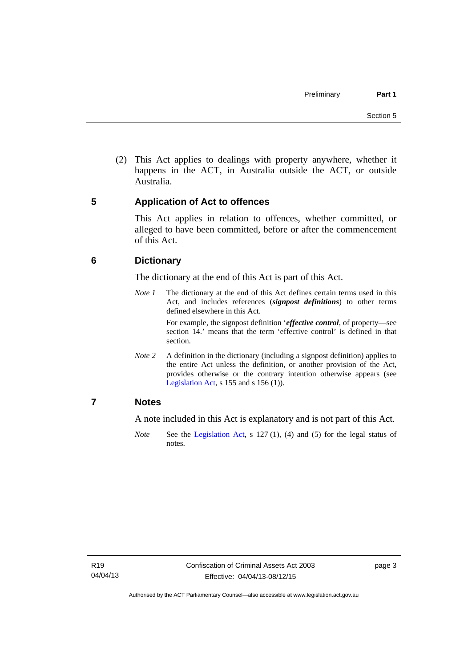(2) This Act applies to dealings with property anywhere, whether it happens in the ACT, in Australia outside the ACT, or outside Australia.

# <span id="page-16-0"></span>**5 Application of Act to offences**

This Act applies in relation to offences, whether committed, or alleged to have been committed, before or after the commencement of this Act.

# <span id="page-16-1"></span>**6 Dictionary**

The dictionary at the end of this Act is part of this Act.

*Note 1* The dictionary at the end of this Act defines certain terms used in this Act, and includes references (*signpost definitions*) to other terms defined elsewhere in this Act.

> For example, the signpost definition '*effective control*, of property—see section 14.' means that the term 'effective control' is defined in that section.

*Note* 2 A definition in the dictionary (including a signpost definition) applies to the entire Act unless the definition, or another provision of the Act, provides otherwise or the contrary intention otherwise appears (see [Legislation Act,](http://www.legislation.act.gov.au/a/2001-14)  $s$  155 and  $s$  156 (1)).

# <span id="page-16-2"></span>**7 Notes**

A note included in this Act is explanatory and is not part of this Act.

*Note* See the [Legislation Act,](http://www.legislation.act.gov.au/a/2001-14) s 127 (1), (4) and (5) for the legal status of notes.

page 3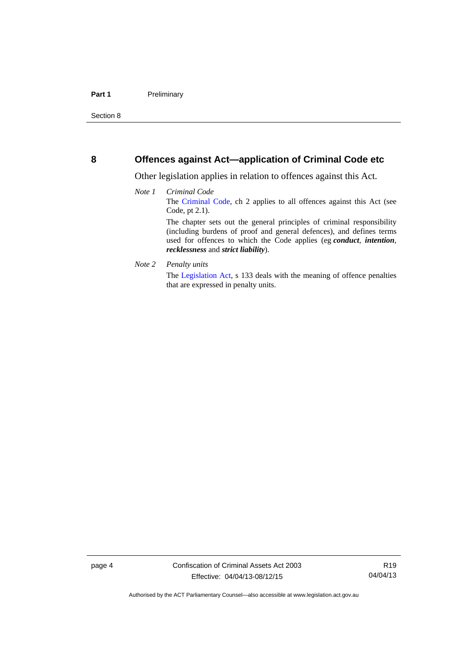## <span id="page-17-0"></span>**8 Offences against Act—application of Criminal Code etc**

Other legislation applies in relation to offences against this Act.

- *Note 1 Criminal Code* The [Criminal Code](http://www.legislation.act.gov.au/a/2002-51), ch 2 applies to all offences against this Act (see Code, pt 2.1). The chapter sets out the general principles of criminal responsibility (including burdens of proof and general defences), and defines terms used for offences to which the Code applies (eg *conduct*, *intention*, *recklessness* and *strict liability*).
- *Note 2 Penalty units*

The [Legislation Act](http://www.legislation.act.gov.au/a/2001-14), s 133 deals with the meaning of offence penalties that are expressed in penalty units.

Authorised by the ACT Parliamentary Counsel—also accessible at www.legislation.act.gov.au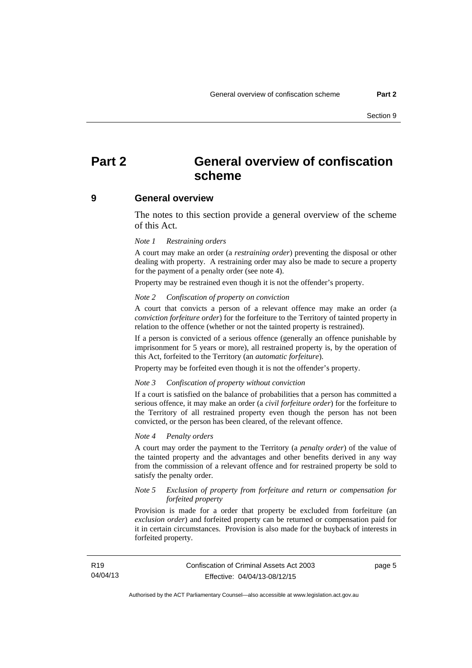# <span id="page-18-0"></span>**Part 2 General overview of confiscation scheme**

### <span id="page-18-1"></span>**9 General overview**

The notes to this section provide a general overview of the scheme of this Act.

### *Note 1 Restraining orders*

A court may make an order (a *restraining order*) preventing the disposal or other dealing with property. A restraining order may also be made to secure a property for the payment of a penalty order (see note 4).

Property may be restrained even though it is not the offender's property.

#### *Note 2 Confiscation of property on conviction*

A court that convicts a person of a relevant offence may make an order (a *conviction forfeiture order*) for the forfeiture to the Territory of tainted property in relation to the offence (whether or not the tainted property is restrained).

If a person is convicted of a serious offence (generally an offence punishable by imprisonment for 5 years or more), all restrained property is, by the operation of this Act, forfeited to the Territory (an *automatic forfeiture*).

Property may be forfeited even though it is not the offender's property.

#### *Note 3 Confiscation of property without conviction*

If a court is satisfied on the balance of probabilities that a person has committed a serious offence, it may make an order (a *civil forfeiture order*) for the forfeiture to the Territory of all restrained property even though the person has not been convicted, or the person has been cleared, of the relevant offence.

### *Note 4 Penalty orders*

A court may order the payment to the Territory (a *penalty order*) of the value of the tainted property and the advantages and other benefits derived in any way from the commission of a relevant offence and for restrained property be sold to satisfy the penalty order.

### *Note 5 Exclusion of property from forfeiture and return or compensation for forfeited property*

Provision is made for a order that property be excluded from forfeiture (an *exclusion order*) and forfeited property can be returned or compensation paid for it in certain circumstances. Provision is also made for the buyback of interests in forfeited property.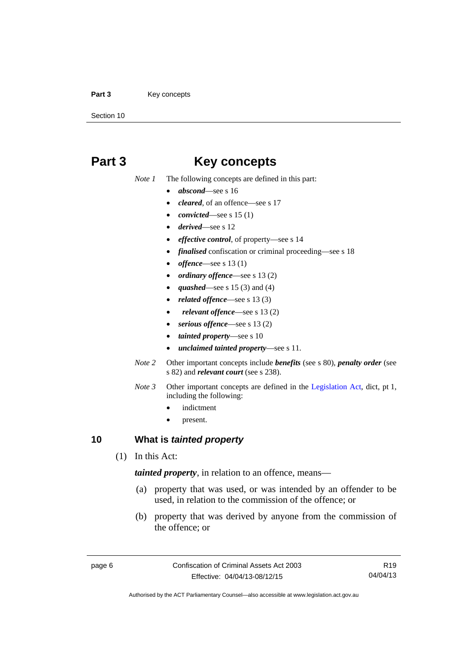### Part 3 **Key concepts**

Section 10

# <span id="page-19-0"></span>**Part 3 Key concepts**

*Note 1* The following concepts are defined in this part:

- *abscond*—see s 16
- *cleared*, of an offence—see s 17
- *convicted*—see s 15 (1)
- *derived*—see s 12
- *effective control*, of property—see s 14
- *finalised* confiscation or criminal proceeding—see s 18
- *offence*—see s 13 (1)
- *ordinary offence*—see s 13 (2)
- *quashed*—see s 15 (3) and (4)
- *related offence*—see s 13 (3)
- *relevant offence*—see s 13 (2)
- *serious offence*—see s 13 (2)
- *tainted property*—see s 10
- *unclaimed tainted property*—see s 11.
- *Note 2* Other important concepts include *benefits* (see s 80), *penalty order* (see s 82) and *relevant court* (see s 238).
- *Note 3* Other important concepts are defined in the [Legislation Act,](http://www.legislation.act.gov.au/a/2001-14) dict, pt 1, including the following:
	- indictment
	- present.

# <span id="page-19-1"></span>**10 What is** *tainted property*

(1) In this Act:

*tainted property*, in relation to an offence, means—

- (a) property that was used, or was intended by an offender to be used, in relation to the commission of the offence; or
- (b) property that was derived by anyone from the commission of the offence; or

R19 04/04/13

Authorised by the ACT Parliamentary Counsel—also accessible at www.legislation.act.gov.au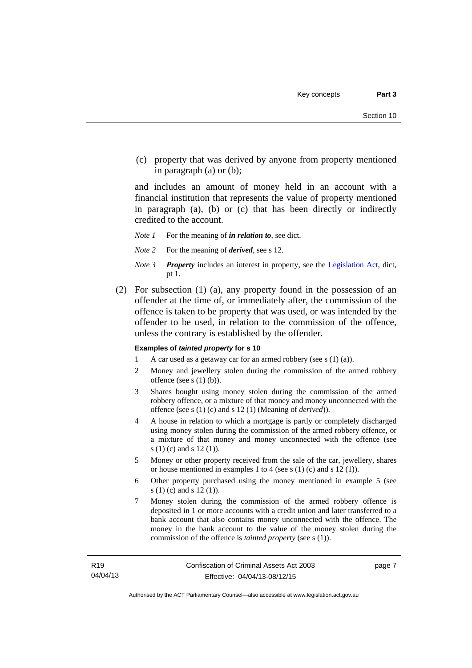(c) property that was derived by anyone from property mentioned in paragraph (a) or (b);

and includes an amount of money held in an account with a financial institution that represents the value of property mentioned in paragraph (a), (b) or (c) that has been directly or indirectly credited to the account.

- *Note 1* For the meaning of *in relation to*, see dict.
- *Note 2* For the meaning of *derived*, see s 12.
- *Note 3 Property* includes an interest in property, see the [Legislation Act,](http://www.legislation.act.gov.au/a/2001-14) dict, pt 1.
- (2) For subsection (1) (a), any property found in the possession of an offender at the time of, or immediately after, the commission of the offence is taken to be property that was used, or was intended by the offender to be used, in relation to the commission of the offence, unless the contrary is established by the offender.

### **Examples of** *tainted property* **for s 10**

- 1 A car used as a getaway car for an armed robbery (see s (1) (a)).
- 2 Money and jewellery stolen during the commission of the armed robbery offence (see s (1) (b)).
- 3 Shares bought using money stolen during the commission of the armed robbery offence, or a mixture of that money and money unconnected with the offence (see s (1) (c) and s 12 (1) (Meaning of *derived*)).
- 4 A house in relation to which a mortgage is partly or completely discharged using money stolen during the commission of the armed robbery offence, or a mixture of that money and money unconnected with the offence (see s (1) (c) and s 12 (1)).
- 5 Money or other property received from the sale of the car, jewellery, shares or house mentioned in examples 1 to 4 (see s (1) (c) and s 12 (1)).
- 6 Other property purchased using the money mentioned in example 5 (see s (1) (c) and s 12 (1)).
- 7 Money stolen during the commission of the armed robbery offence is deposited in 1 or more accounts with a credit union and later transferred to a bank account that also contains money unconnected with the offence. The money in the bank account to the value of the money stolen during the commission of the offence is *tainted property* (see s (1)).

page 7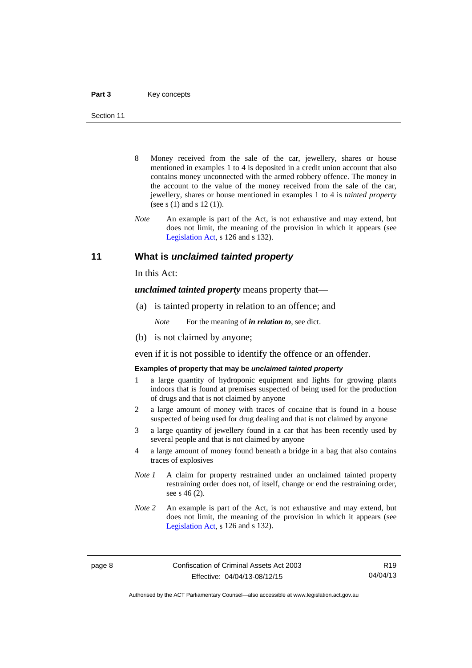- 8 Money received from the sale of the car, jewellery, shares or house mentioned in examples 1 to 4 is deposited in a credit union account that also contains money unconnected with the armed robbery offence. The money in the account to the value of the money received from the sale of the car, jewellery, shares or house mentioned in examples 1 to 4 is *tainted property* (see s (1) and s 12 (1)).
- *Note* An example is part of the Act, is not exhaustive and may extend, but does not limit, the meaning of the provision in which it appears (see [Legislation Act,](http://www.legislation.act.gov.au/a/2001-14) s 126 and s 132).

## <span id="page-21-0"></span>**11 What is** *unclaimed tainted property*

In this Act:

*unclaimed tainted property* means property that—

(a) is tainted property in relation to an offence; and

*Note* For the meaning of *in relation to*, see dict.

(b) is not claimed by anyone;

even if it is not possible to identify the offence or an offender.

### **Examples of property that may be** *unclaimed tainted property*

- 1 a large quantity of hydroponic equipment and lights for growing plants indoors that is found at premises suspected of being used for the production of drugs and that is not claimed by anyone
- 2 a large amount of money with traces of cocaine that is found in a house suspected of being used for drug dealing and that is not claimed by anyone
- 3 a large quantity of jewellery found in a car that has been recently used by several people and that is not claimed by anyone
- 4 a large amount of money found beneath a bridge in a bag that also contains traces of explosives
- *Note 1* A claim for property restrained under an unclaimed tainted property restraining order does not, of itself, change or end the restraining order, see s 46 (2).
- *Note 2* An example is part of the Act, is not exhaustive and may extend, but does not limit, the meaning of the provision in which it appears (see [Legislation Act,](http://www.legislation.act.gov.au/a/2001-14) s 126 and s 132).

R19 04/04/13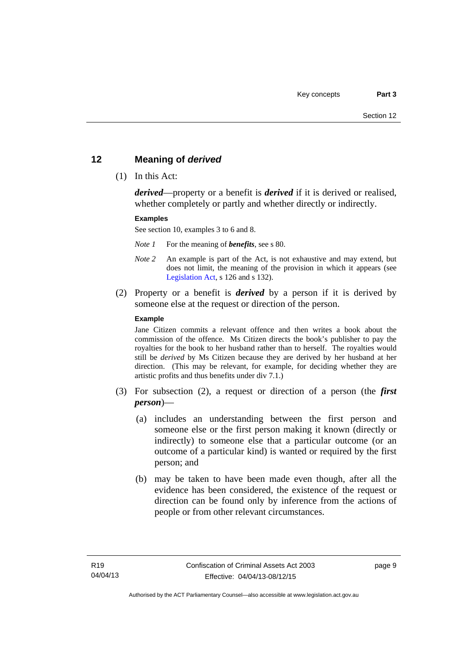# <span id="page-22-0"></span>**12 Meaning of** *derived*

(1) In this Act:

*derived*—property or a benefit is *derived* if it is derived or realised, whether completely or partly and whether directly or indirectly.

### **Examples**

See section 10, examples 3 to 6 and 8.

*Note 1* For the meaning of *benefits*, see s 80.

- *Note 2* An example is part of the Act, is not exhaustive and may extend, but does not limit, the meaning of the provision in which it appears (see [Legislation Act,](http://www.legislation.act.gov.au/a/2001-14) s 126 and s 132).
- (2) Property or a benefit is *derived* by a person if it is derived by someone else at the request or direction of the person.

### **Example**

Jane Citizen commits a relevant offence and then writes a book about the commission of the offence. Ms Citizen directs the book's publisher to pay the royalties for the book to her husband rather than to herself. The royalties would still be *derived* by Ms Citizen because they are derived by her husband at her direction. (This may be relevant, for example, for deciding whether they are artistic profits and thus benefits under div 7.1.)

- (3) For subsection (2), a request or direction of a person (the *first person*)—
	- (a) includes an understanding between the first person and someone else or the first person making it known (directly or indirectly) to someone else that a particular outcome (or an outcome of a particular kind) is wanted or required by the first person; and
	- (b) may be taken to have been made even though, after all the evidence has been considered, the existence of the request or direction can be found only by inference from the actions of people or from other relevant circumstances.

page 9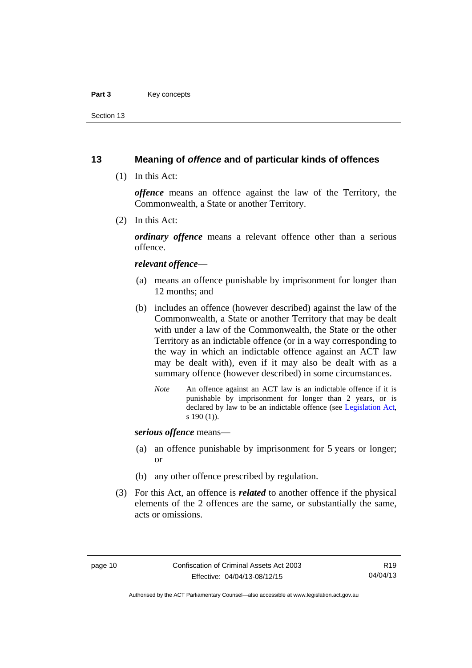### Part 3 **Key concepts**

Section 13

# <span id="page-23-0"></span>**13 Meaning of** *offence* **and of particular kinds of offences**

(1) In this Act:

*offence* means an offence against the law of the Territory, the Commonwealth, a State or another Territory.

(2) In this Act:

*ordinary offence* means a relevant offence other than a serious offence.

### *relevant offence*—

- (a) means an offence punishable by imprisonment for longer than 12 months; and
- (b) includes an offence (however described) against the law of the Commonwealth, a State or another Territory that may be dealt with under a law of the Commonwealth, the State or the other Territory as an indictable offence (or in a way corresponding to the way in which an indictable offence against an ACT law may be dealt with), even if it may also be dealt with as a summary offence (however described) in some circumstances.
	- *Note* An offence against an ACT law is an indictable offence if it is punishable by imprisonment for longer than 2 years, or is declared by law to be an indictable offence (see [Legislation Act,](http://www.legislation.act.gov.au/a/2001-14) s 190 (1)).

*serious offence* means—

- (a) an offence punishable by imprisonment for 5 years or longer; or
- (b) any other offence prescribed by regulation.
- (3) For this Act, an offence is *related* to another offence if the physical elements of the 2 offences are the same, or substantially the same, acts or omissions.

Authorised by the ACT Parliamentary Counsel—also accessible at www.legislation.act.gov.au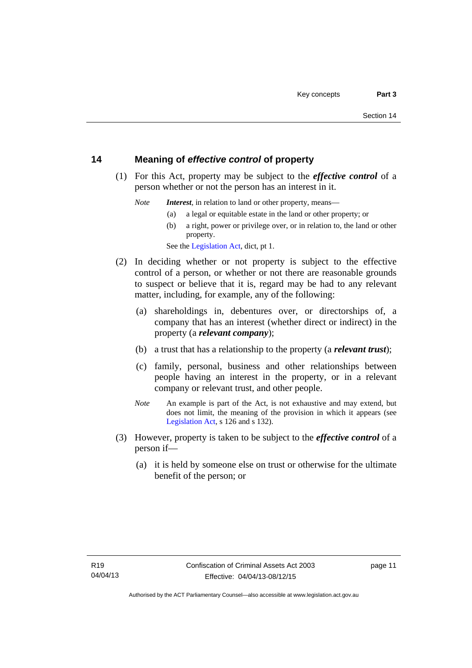# <span id="page-24-0"></span>**14 Meaning of** *effective control* **of property**

 (1) For this Act, property may be subject to the *effective control* of a person whether or not the person has an interest in it.

*Note Interest*, in relation to land or other property, means—

- (a) a legal or equitable estate in the land or other property; or
- (b) a right, power or privilege over, or in relation to, the land or other property.

See the [Legislation Act,](http://www.legislation.act.gov.au/a/2001-14) dict, pt 1.

- (2) In deciding whether or not property is subject to the effective control of a person, or whether or not there are reasonable grounds to suspect or believe that it is, regard may be had to any relevant matter, including, for example, any of the following:
	- (a) shareholdings in, debentures over, or directorships of, a company that has an interest (whether direct or indirect) in the property (a *relevant company*);
	- (b) a trust that has a relationship to the property (a *relevant trust*);
	- (c) family, personal, business and other relationships between people having an interest in the property, or in a relevant company or relevant trust, and other people.
	- *Note* An example is part of the Act, is not exhaustive and may extend, but does not limit, the meaning of the provision in which it appears (see [Legislation Act,](http://www.legislation.act.gov.au/a/2001-14) s 126 and s 132).
- (3) However, property is taken to be subject to the *effective control* of a person if—
	- (a) it is held by someone else on trust or otherwise for the ultimate benefit of the person; or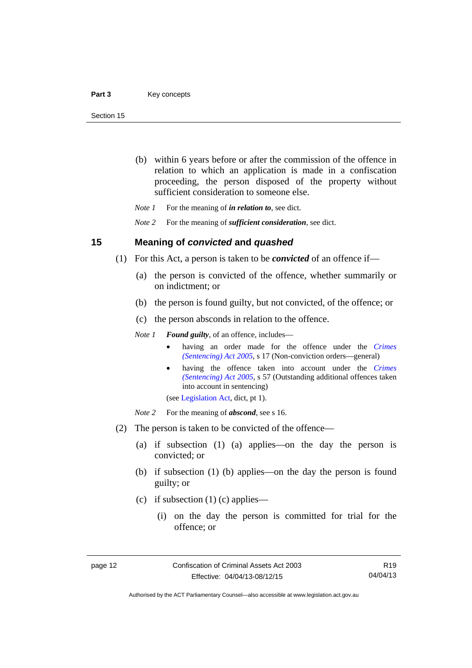- (b) within 6 years before or after the commission of the offence in relation to which an application is made in a confiscation proceeding, the person disposed of the property without sufficient consideration to someone else.
- *Note 1* For the meaning of *in relation to*, see dict.

*Note 2* For the meaning of *sufficient consideration*, see dict.

### <span id="page-25-0"></span>**15 Meaning of** *convicted* **and** *quashed*

- (1) For this Act, a person is taken to be *convicted* of an offence if—
	- (a) the person is convicted of the offence, whether summarily or on indictment; or
	- (b) the person is found guilty, but not convicted, of the offence; or
	- (c) the person absconds in relation to the offence.

*Note 1 Found guilty*, of an offence, includes—

- having an order made for the offence under the *[Crimes](http://www.legislation.act.gov.au/a/2005-58)  [\(Sentencing\) Act 2005](http://www.legislation.act.gov.au/a/2005-58)*, s 17 (Non-conviction orders—general)
- having the offence taken into account under the *[Crimes](http://www.legislation.act.gov.au/a/2005-58)  [\(Sentencing\) Act 2005](http://www.legislation.act.gov.au/a/2005-58)*, s 57 (Outstanding additional offences taken into account in sentencing)

(see [Legislation Act,](http://www.legislation.act.gov.au/a/2001-14) dict, pt 1).

*Note* 2 For the meaning of *abscond*, see s 16.

- (2) The person is taken to be convicted of the offence—
	- (a) if subsection (1) (a) applies—on the day the person is convicted; or
	- (b) if subsection (1) (b) applies—on the day the person is found guilty; or
	- (c) if subsection  $(1)$  (c) applies—
		- (i) on the day the person is committed for trial for the offence; or

R19 04/04/13

Authorised by the ACT Parliamentary Counsel—also accessible at www.legislation.act.gov.au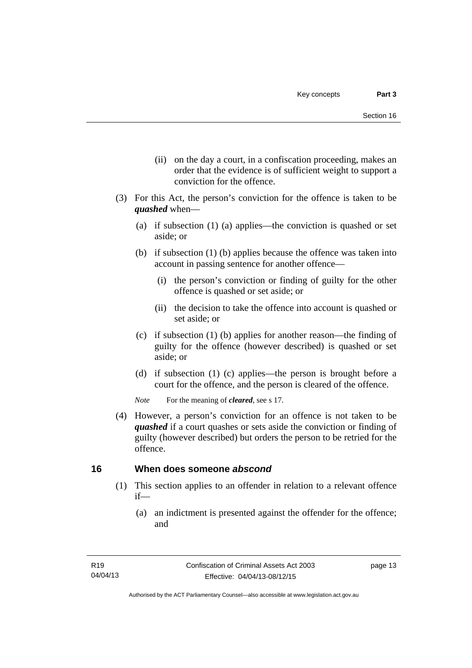- (ii) on the day a court, in a confiscation proceeding, makes an order that the evidence is of sufficient weight to support a conviction for the offence.
- (3) For this Act, the person's conviction for the offence is taken to be *quashed* when—
	- (a) if subsection (1) (a) applies—the conviction is quashed or set aside; or
	- (b) if subsection (1) (b) applies because the offence was taken into account in passing sentence for another offence—
		- (i) the person's conviction or finding of guilty for the other offence is quashed or set aside; or
		- (ii) the decision to take the offence into account is quashed or set aside; or
	- (c) if subsection (1) (b) applies for another reason—the finding of guilty for the offence (however described) is quashed or set aside; or
	- (d) if subsection (1) (c) applies—the person is brought before a court for the offence, and the person is cleared of the offence.

*Note* For the meaning of *cleared*, see s 17.

 (4) However, a person's conviction for an offence is not taken to be *quashed* if a court quashes or sets aside the conviction or finding of guilty (however described) but orders the person to be retried for the offence.

# <span id="page-26-0"></span>**16 When does someone** *abscond*

- (1) This section applies to an offender in relation to a relevant offence if—
	- (a) an indictment is presented against the offender for the offence; and

page 13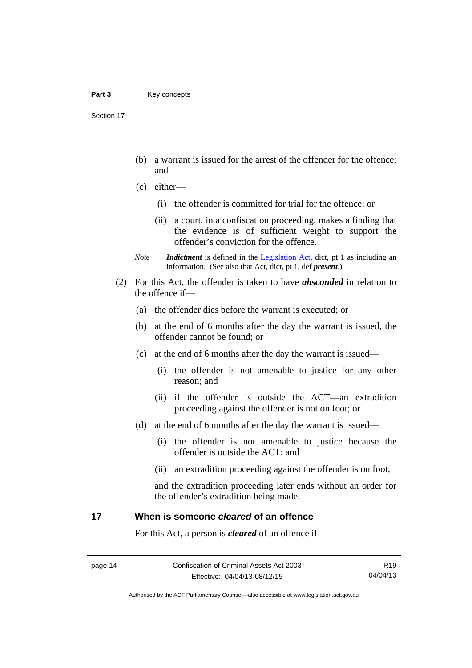Section 17

- (b) a warrant is issued for the arrest of the offender for the offence; and
- (c) either—
	- (i) the offender is committed for trial for the offence; or
	- (ii) a court, in a confiscation proceeding, makes a finding that the evidence is of sufficient weight to support the offender's conviction for the offence.
- *Note Indictment* is defined in the [Legislation Act,](http://www.legislation.act.gov.au/a/2001-14) dict, pt 1 as including an information. (See also that Act, dict, pt 1, def *present*.)
- (2) For this Act, the offender is taken to have *absconded* in relation to the offence if—
	- (a) the offender dies before the warrant is executed; or
	- (b) at the end of 6 months after the day the warrant is issued, the offender cannot be found; or
	- (c) at the end of 6 months after the day the warrant is issued—
		- (i) the offender is not amenable to justice for any other reason; and
		- (ii) if the offender is outside the ACT—an extradition proceeding against the offender is not on foot; or
	- (d) at the end of 6 months after the day the warrant is issued—
		- (i) the offender is not amenable to justice because the offender is outside the ACT; and
		- (ii) an extradition proceeding against the offender is on foot;

and the extradition proceeding later ends without an order for the offender's extradition being made.

# <span id="page-27-0"></span>**17 When is someone** *cleared* **of an offence**

For this Act, a person is *cleared* of an offence if—

R19 04/04/13

Authorised by the ACT Parliamentary Counsel—also accessible at www.legislation.act.gov.au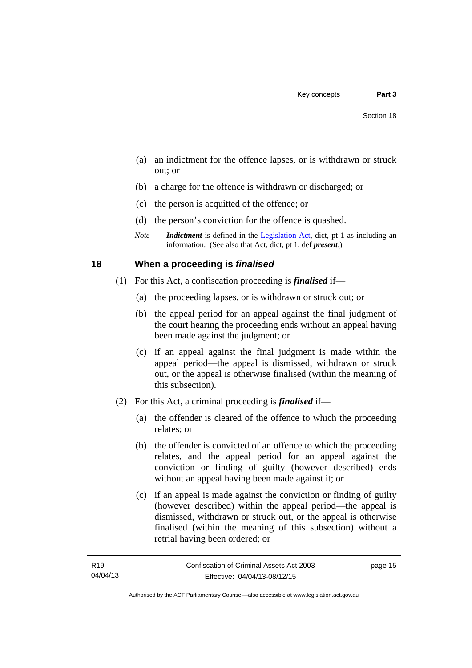- (a) an indictment for the offence lapses, or is withdrawn or struck out; or
- (b) a charge for the offence is withdrawn or discharged; or
- (c) the person is acquitted of the offence; or
- (d) the person's conviction for the offence is quashed.
- *Note Indictment* is defined in the [Legislation Act,](http://www.legislation.act.gov.au/a/2001-14) dict, pt 1 as including an information. (See also that Act, dict, pt 1, def *present*.)

# <span id="page-28-0"></span>**18 When a proceeding is** *finalised*

- (1) For this Act, a confiscation proceeding is *finalised* if—
	- (a) the proceeding lapses, or is withdrawn or struck out; or
	- (b) the appeal period for an appeal against the final judgment of the court hearing the proceeding ends without an appeal having been made against the judgment; or
	- (c) if an appeal against the final judgment is made within the appeal period—the appeal is dismissed, withdrawn or struck out, or the appeal is otherwise finalised (within the meaning of this subsection).
- (2) For this Act, a criminal proceeding is *finalised* if—
	- (a) the offender is cleared of the offence to which the proceeding relates; or
	- (b) the offender is convicted of an offence to which the proceeding relates, and the appeal period for an appeal against the conviction or finding of guilty (however described) ends without an appeal having been made against it; or
	- (c) if an appeal is made against the conviction or finding of guilty (however described) within the appeal period—the appeal is dismissed, withdrawn or struck out, or the appeal is otherwise finalised (within the meaning of this subsection) without a retrial having been ordered; or

page 15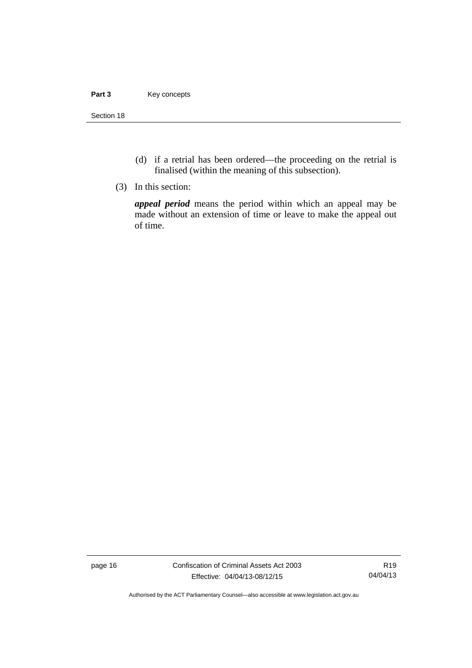### Part 3 **Key concepts**

Section 18

- (d) if a retrial has been ordered—the proceeding on the retrial is finalised (within the meaning of this subsection).
- (3) In this section:

*appeal period* means the period within which an appeal may be made without an extension of time or leave to make the appeal out of time.

page 16 Confiscation of Criminal Assets Act 2003 Effective: 04/04/13-08/12/15

R19 04/04/13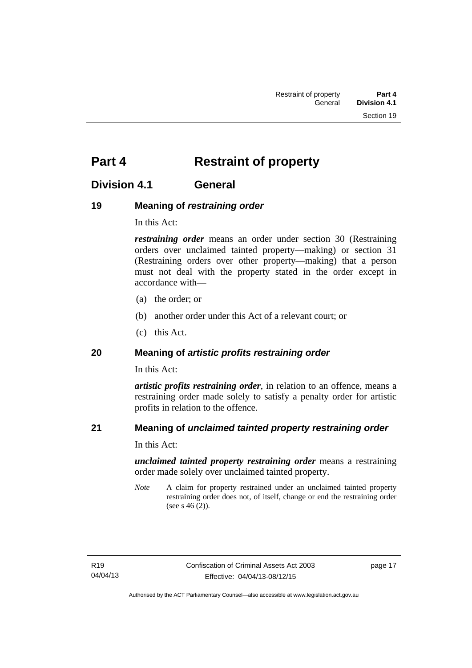# <span id="page-30-0"></span>**Part 4** Restraint of property

# <span id="page-30-1"></span>**Division 4.1 General**

# <span id="page-30-2"></span>**19 Meaning of** *restraining order*

In this Act:

*restraining order* means an order under section 30 (Restraining orders over unclaimed tainted property—making) or section 31 (Restraining orders over other property—making) that a person must not deal with the property stated in the order except in accordance with—

- (a) the order; or
- (b) another order under this Act of a relevant court; or
- (c) this Act.

# <span id="page-30-3"></span>**20 Meaning of** *artistic profits restraining order*

In this Act:

*artistic profits restraining order*, in relation to an offence, means a restraining order made solely to satisfy a penalty order for artistic profits in relation to the offence.

# <span id="page-30-4"></span>**21 Meaning of** *unclaimed tainted property restraining order*

In this Act:

*unclaimed tainted property restraining order* means a restraining order made solely over unclaimed tainted property.

*Note* A claim for property restrained under an unclaimed tainted property restraining order does not, of itself, change or end the restraining order (see s 46 (2)).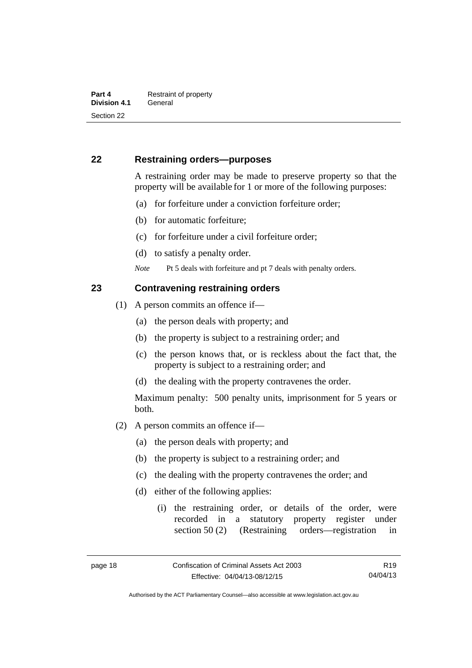# <span id="page-31-0"></span>**22 Restraining orders—purposes**

A restraining order may be made to preserve property so that the property will be available for 1 or more of the following purposes:

- (a) for forfeiture under a conviction forfeiture order;
- (b) for automatic forfeiture;
- (c) for forfeiture under a civil forfeiture order;
- (d) to satisfy a penalty order.

*Note* Pt 5 deals with forfeiture and pt 7 deals with penalty orders.

## <span id="page-31-1"></span>**23 Contravening restraining orders**

- (1) A person commits an offence if—
	- (a) the person deals with property; and
	- (b) the property is subject to a restraining order; and
	- (c) the person knows that, or is reckless about the fact that, the property is subject to a restraining order; and
	- (d) the dealing with the property contravenes the order.

Maximum penalty: 500 penalty units, imprisonment for 5 years or both.

- (2) A person commits an offence if—
	- (a) the person deals with property; and
	- (b) the property is subject to a restraining order; and
	- (c) the dealing with the property contravenes the order; and
	- (d) either of the following applies:
		- (i) the restraining order, or details of the order, were recorded in a statutory property register under section 50 (2) (Restraining orders—registration in

R19 04/04/13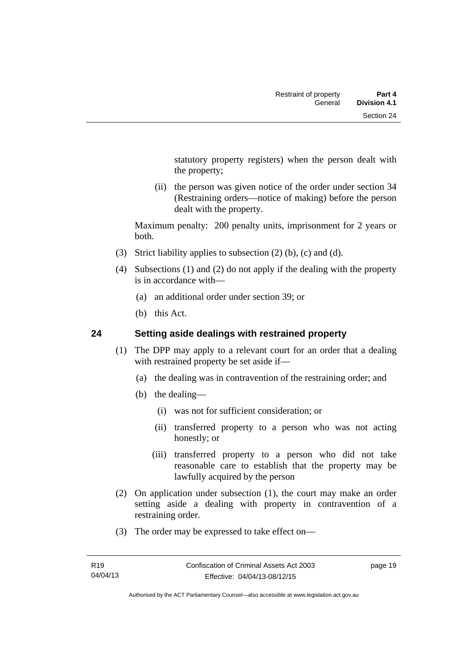statutory property registers) when the person dealt with the property;

 (ii) the person was given notice of the order under section 34 (Restraining orders—notice of making) before the person dealt with the property.

Maximum penalty: 200 penalty units, imprisonment for 2 years or both.

- (3) Strict liability applies to subsection (2) (b), (c) and (d).
- (4) Subsections (1) and (2) do not apply if the dealing with the property is in accordance with—
	- (a) an additional order under section 39; or
	- (b) this Act.

# <span id="page-32-0"></span>**24 Setting aside dealings with restrained property**

- (1) The DPP may apply to a relevant court for an order that a dealing with restrained property be set aside if—
	- (a) the dealing was in contravention of the restraining order; and
	- (b) the dealing—
		- (i) was not for sufficient consideration; or
		- (ii) transferred property to a person who was not acting honestly; or
		- (iii) transferred property to a person who did not take reasonable care to establish that the property may be lawfully acquired by the person
- (2) On application under subsection (1), the court may make an order setting aside a dealing with property in contravention of a restraining order.
- (3) The order may be expressed to take effect on—

page 19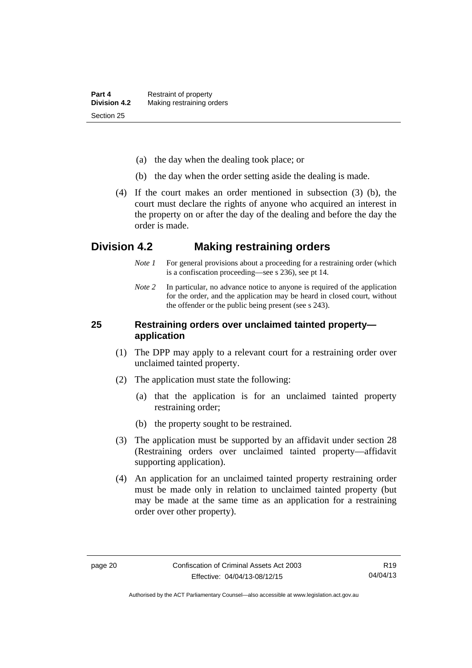- (a) the day when the dealing took place; or
- (b) the day when the order setting aside the dealing is made.
- (4) If the court makes an order mentioned in subsection (3) (b), the court must declare the rights of anyone who acquired an interest in the property on or after the day of the dealing and before the day the order is made.

# <span id="page-33-0"></span>**Division 4.2 Making restraining orders**

- *Note 1* For general provisions about a proceeding for a restraining order (which is a confiscation proceeding—see s 236), see pt 14.
- *Note* 2 In particular, no advance notice to anyone is required of the application for the order, and the application may be heard in closed court, without the offender or the public being present (see s 243).

# <span id="page-33-1"></span>**25 Restraining orders over unclaimed tainted property application**

- (1) The DPP may apply to a relevant court for a restraining order over unclaimed tainted property.
- (2) The application must state the following:
	- (a) that the application is for an unclaimed tainted property restraining order;
	- (b) the property sought to be restrained.
- (3) The application must be supported by an affidavit under section 28 (Restraining orders over unclaimed tainted property—affidavit supporting application).
- (4) An application for an unclaimed tainted property restraining order must be made only in relation to unclaimed tainted property (but may be made at the same time as an application for a restraining order over other property).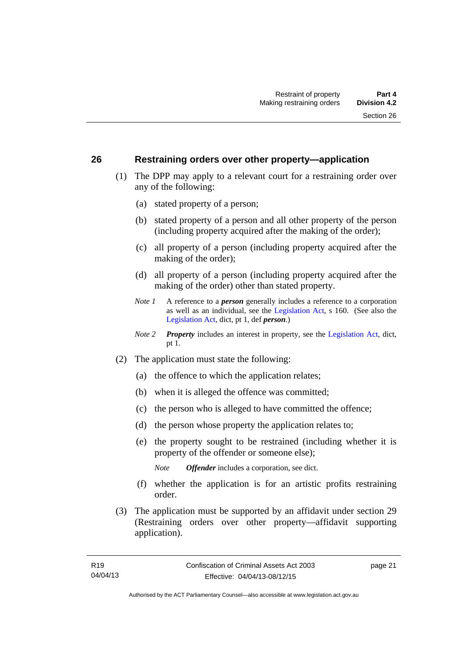## <span id="page-34-0"></span>**26 Restraining orders over other property—application**

- (1) The DPP may apply to a relevant court for a restraining order over any of the following:
	- (a) stated property of a person;
	- (b) stated property of a person and all other property of the person (including property acquired after the making of the order);
	- (c) all property of a person (including property acquired after the making of the order);
	- (d) all property of a person (including property acquired after the making of the order) other than stated property.
	- *Note 1* A reference to a *person* generally includes a reference to a corporation as well as an individual, see the [Legislation Act](http://www.legislation.act.gov.au/a/2001-14), s 160. (See also the [Legislation Act,](http://www.legislation.act.gov.au/a/2001-14) dict, pt 1, def *person*.)
	- *Note 2 Property* includes an interest in property, see the [Legislation Act,](http://www.legislation.act.gov.au/a/2001-14) dict, pt 1.
- (2) The application must state the following:
	- (a) the offence to which the application relates;
	- (b) when it is alleged the offence was committed;
	- (c) the person who is alleged to have committed the offence;
	- (d) the person whose property the application relates to;
	- (e) the property sought to be restrained (including whether it is property of the offender or someone else);

*Note Offender* includes a corporation, see dict.

- (f) whether the application is for an artistic profits restraining order.
- (3) The application must be supported by an affidavit under section 29 (Restraining orders over other property—affidavit supporting application).

page 21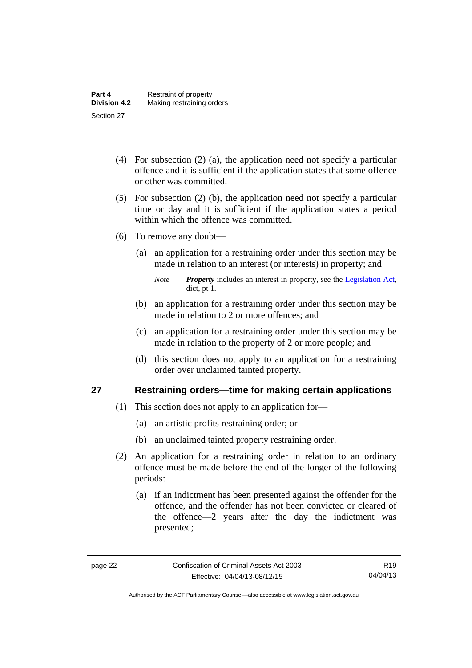- (4) For subsection (2) (a), the application need not specify a particular offence and it is sufficient if the application states that some offence or other was committed.
- (5) For subsection (2) (b), the application need not specify a particular time or day and it is sufficient if the application states a period within which the offence was committed.
- (6) To remove any doubt—
	- (a) an application for a restraining order under this section may be made in relation to an interest (or interests) in property; and
		- *Note Property* includes an interest in property, see the [Legislation Act,](http://www.legislation.act.gov.au/a/2001-14) dict, pt 1.
	- (b) an application for a restraining order under this section may be made in relation to 2 or more offences; and
	- (c) an application for a restraining order under this section may be made in relation to the property of 2 or more people; and
	- (d) this section does not apply to an application for a restraining order over unclaimed tainted property.

# <span id="page-35-0"></span>**27 Restraining orders—time for making certain applications**

- (1) This section does not apply to an application for—
	- (a) an artistic profits restraining order; or
	- (b) an unclaimed tainted property restraining order.
- (2) An application for a restraining order in relation to an ordinary offence must be made before the end of the longer of the following periods:
	- (a) if an indictment has been presented against the offender for the offence, and the offender has not been convicted or cleared of the offence—2 years after the day the indictment was presented;

Authorised by the ACT Parliamentary Counsel—also accessible at www.legislation.act.gov.au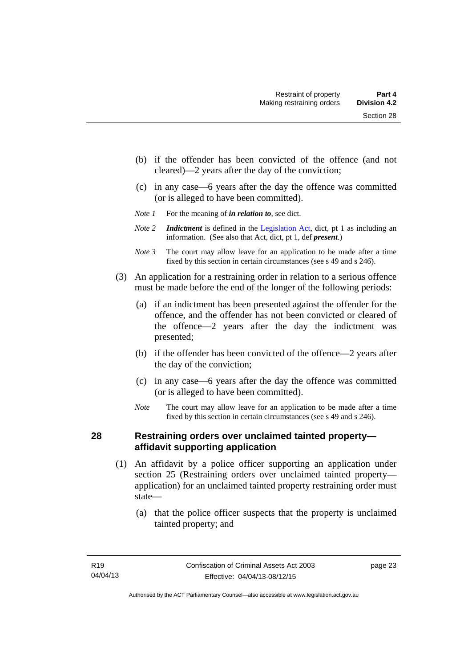- (b) if the offender has been convicted of the offence (and not cleared)—2 years after the day of the conviction;
- (c) in any case—6 years after the day the offence was committed (or is alleged to have been committed).
- *Note 1* For the meaning of *in relation to*, see dict.
- *Note 2 Indictment* is defined in the [Legislation Act,](http://www.legislation.act.gov.au/a/2001-14) dict, pt 1 as including an information. (See also that Act, dict, pt 1, def *present*.)
- *Note 3* The court may allow leave for an application to be made after a time fixed by this section in certain circumstances (see s 49 and s 246).
- (3) An application for a restraining order in relation to a serious offence must be made before the end of the longer of the following periods:
	- (a) if an indictment has been presented against the offender for the offence, and the offender has not been convicted or cleared of the offence—2 years after the day the indictment was presented;
	- (b) if the offender has been convicted of the offence—2 years after the day of the conviction;
	- (c) in any case—6 years after the day the offence was committed (or is alleged to have been committed).
	- *Note* The court may allow leave for an application to be made after a time fixed by this section in certain circumstances (see s 49 and s 246).

### **28 Restraining orders over unclaimed tainted property affidavit supporting application**

- (1) An affidavit by a police officer supporting an application under section 25 (Restraining orders over unclaimed tainted property application) for an unclaimed tainted property restraining order must state—
	- (a) that the police officer suspects that the property is unclaimed tainted property; and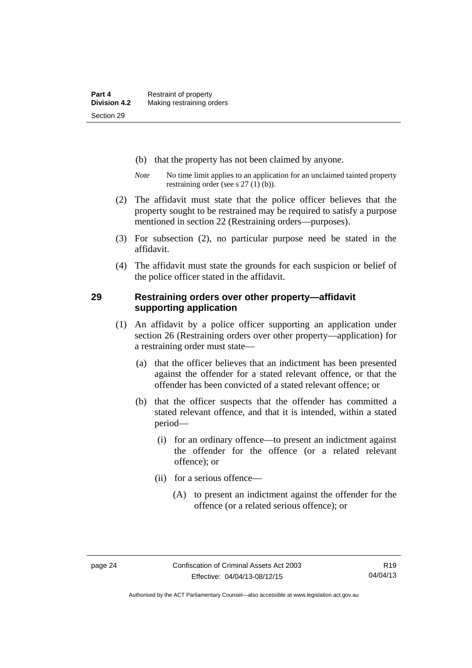- (b) that the property has not been claimed by anyone.
- *Note* No time limit applies to an application for an unclaimed tainted property restraining order (see s 27 (1) (b)).
- (2) The affidavit must state that the police officer believes that the property sought to be restrained may be required to satisfy a purpose mentioned in section 22 (Restraining orders—purposes).
- (3) For subsection (2), no particular purpose need be stated in the affidavit.
- (4) The affidavit must state the grounds for each suspicion or belief of the police officer stated in the affidavit.

### **29 Restraining orders over other property—affidavit supporting application**

- (1) An affidavit by a police officer supporting an application under section 26 (Restraining orders over other property—application) for a restraining order must state—
	- (a) that the officer believes that an indictment has been presented against the offender for a stated relevant offence, or that the offender has been convicted of a stated relevant offence; or
	- (b) that the officer suspects that the offender has committed a stated relevant offence, and that it is intended, within a stated period—
		- (i) for an ordinary offence—to present an indictment against the offender for the offence (or a related relevant offence); or
		- (ii) for a serious offence—
			- (A) to present an indictment against the offender for the offence (or a related serious offence); or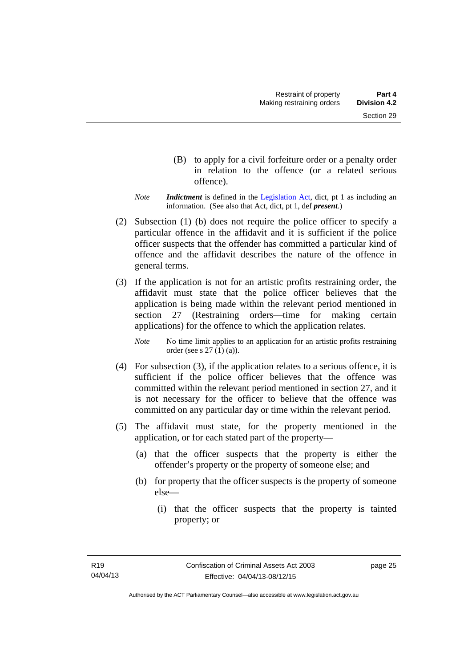- (B) to apply for a civil forfeiture order or a penalty order in relation to the offence (or a related serious offence).
- *Note Indictment* is defined in the [Legislation Act,](http://www.legislation.act.gov.au/a/2001-14) dict, pt 1 as including an information. (See also that Act, dict, pt 1, def *present*.)
- (2) Subsection (1) (b) does not require the police officer to specify a particular offence in the affidavit and it is sufficient if the police officer suspects that the offender has committed a particular kind of offence and the affidavit describes the nature of the offence in general terms.
- (3) If the application is not for an artistic profits restraining order, the affidavit must state that the police officer believes that the application is being made within the relevant period mentioned in section 27 (Restraining orders—time for making certain applications) for the offence to which the application relates.

*Note* No time limit applies to an application for an artistic profits restraining order (see s 27 (1) (a)).

- (4) For subsection (3), if the application relates to a serious offence, it is sufficient if the police officer believes that the offence was committed within the relevant period mentioned in section 27, and it is not necessary for the officer to believe that the offence was committed on any particular day or time within the relevant period.
- (5) The affidavit must state, for the property mentioned in the application, or for each stated part of the property—
	- (a) that the officer suspects that the property is either the offender's property or the property of someone else; and
	- (b) for property that the officer suspects is the property of someone else—
		- (i) that the officer suspects that the property is tainted property; or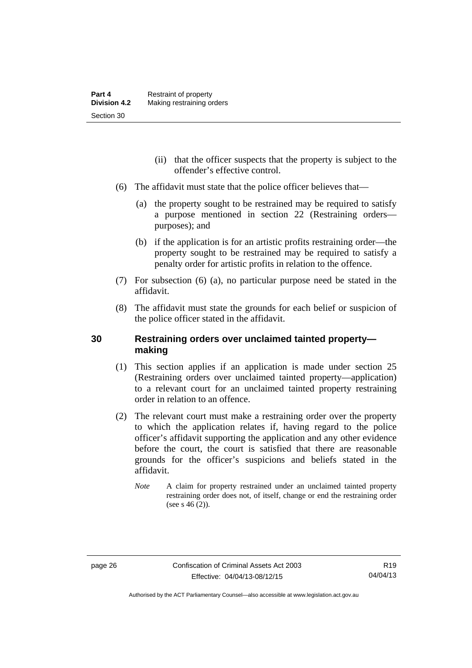- (ii) that the officer suspects that the property is subject to the offender's effective control.
- (6) The affidavit must state that the police officer believes that—
	- (a) the property sought to be restrained may be required to satisfy a purpose mentioned in section 22 (Restraining orders purposes); and
	- (b) if the application is for an artistic profits restraining order—the property sought to be restrained may be required to satisfy a penalty order for artistic profits in relation to the offence.
- (7) For subsection (6) (a), no particular purpose need be stated in the affidavit.
- (8) The affidavit must state the grounds for each belief or suspicion of the police officer stated in the affidavit.

# **30 Restraining orders over unclaimed tainted property making**

- (1) This section applies if an application is made under section 25 (Restraining orders over unclaimed tainted property—application) to a relevant court for an unclaimed tainted property restraining order in relation to an offence.
- (2) The relevant court must make a restraining order over the property to which the application relates if, having regard to the police officer's affidavit supporting the application and any other evidence before the court, the court is satisfied that there are reasonable grounds for the officer's suspicions and beliefs stated in the affidavit.
	- *Note* A claim for property restrained under an unclaimed tainted property restraining order does not, of itself, change or end the restraining order (see s  $46(2)$ ).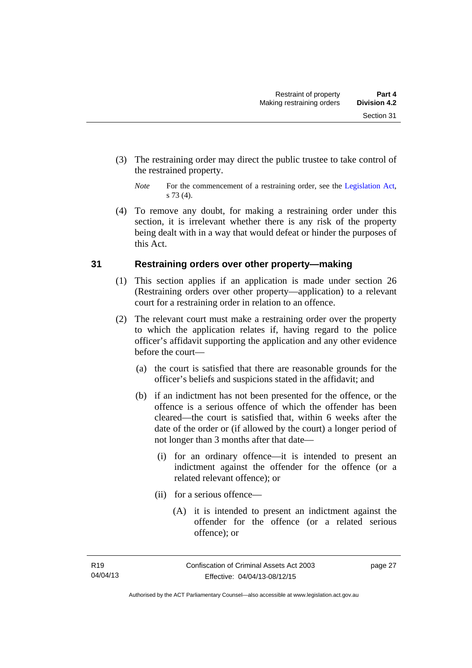(3) The restraining order may direct the public trustee to take control of the restrained property.

 (4) To remove any doubt, for making a restraining order under this section, it is irrelevant whether there is any risk of the property being dealt with in a way that would defeat or hinder the purposes of this Act.

# **31 Restraining orders over other property—making**

- (1) This section applies if an application is made under section 26 (Restraining orders over other property—application) to a relevant court for a restraining order in relation to an offence.
- (2) The relevant court must make a restraining order over the property to which the application relates if, having regard to the police officer's affidavit supporting the application and any other evidence before the court—
	- (a) the court is satisfied that there are reasonable grounds for the officer's beliefs and suspicions stated in the affidavit; and
	- (b) if an indictment has not been presented for the offence, or the offence is a serious offence of which the offender has been cleared—the court is satisfied that, within 6 weeks after the date of the order or (if allowed by the court) a longer period of not longer than 3 months after that date—
		- (i) for an ordinary offence—it is intended to present an indictment against the offender for the offence (or a related relevant offence); or
		- (ii) for a serious offence—
			- (A) it is intended to present an indictment against the offender for the offence (or a related serious offence); or

*Note* For the commencement of a restraining order, see the [Legislation Act,](http://www.legislation.act.gov.au/a/2001-14) s 73 (4).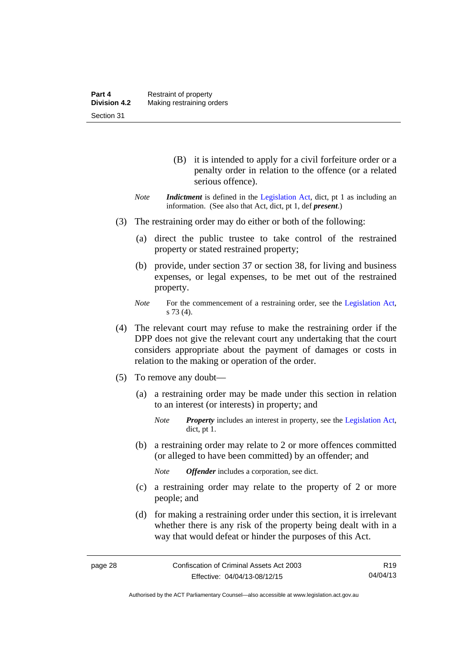- (B) it is intended to apply for a civil forfeiture order or a penalty order in relation to the offence (or a related serious offence).
- *Note Indictment* is defined in the [Legislation Act,](http://www.legislation.act.gov.au/a/2001-14) dict, pt 1 as including an information. (See also that Act, dict, pt 1, def *present*.)
- (3) The restraining order may do either or both of the following:
	- (a) direct the public trustee to take control of the restrained property or stated restrained property;
	- (b) provide, under section 37 or section 38, for living and business expenses, or legal expenses, to be met out of the restrained property.
	- *Note* For the commencement of a restraining order, see the [Legislation Act,](http://www.legislation.act.gov.au/a/2001-14) s 73 (4).
- (4) The relevant court may refuse to make the restraining order if the DPP does not give the relevant court any undertaking that the court considers appropriate about the payment of damages or costs in relation to the making or operation of the order.
- (5) To remove any doubt—
	- (a) a restraining order may be made under this section in relation to an interest (or interests) in property; and
		- *Note Property* includes an interest in property, see the [Legislation Act,](http://www.legislation.act.gov.au/a/2001-14) dict, pt 1.
	- (b) a restraining order may relate to 2 or more offences committed (or alleged to have been committed) by an offender; and

*Note Offender* includes a corporation, see dict.

- (c) a restraining order may relate to the property of 2 or more people; and
- (d) for making a restraining order under this section, it is irrelevant whether there is any risk of the property being dealt with in a way that would defeat or hinder the purposes of this Act.

R19 04/04/13

Authorised by the ACT Parliamentary Counsel—also accessible at www.legislation.act.gov.au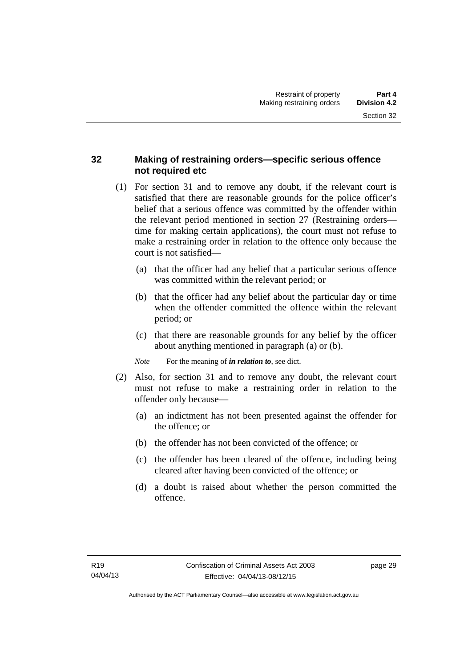# **32 Making of restraining orders—specific serious offence not required etc**

- (1) For section 31 and to remove any doubt, if the relevant court is satisfied that there are reasonable grounds for the police officer's belief that a serious offence was committed by the offender within the relevant period mentioned in section 27 (Restraining orders time for making certain applications), the court must not refuse to make a restraining order in relation to the offence only because the court is not satisfied—
	- (a) that the officer had any belief that a particular serious offence was committed within the relevant period; or
	- (b) that the officer had any belief about the particular day or time when the offender committed the offence within the relevant period; or
	- (c) that there are reasonable grounds for any belief by the officer about anything mentioned in paragraph (a) or (b).

*Note* For the meaning of *in relation to*, see dict.

- (2) Also, for section 31 and to remove any doubt, the relevant court must not refuse to make a restraining order in relation to the offender only because—
	- (a) an indictment has not been presented against the offender for the offence; or
	- (b) the offender has not been convicted of the offence; or
	- (c) the offender has been cleared of the offence, including being cleared after having been convicted of the offence; or
	- (d) a doubt is raised about whether the person committed the offence.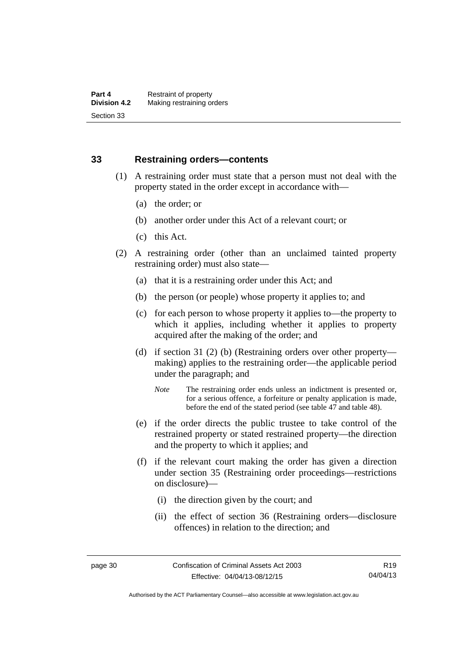## **33 Restraining orders—contents**

- (1) A restraining order must state that a person must not deal with the property stated in the order except in accordance with—
	- (a) the order; or
	- (b) another order under this Act of a relevant court; or
	- (c) this Act.
- (2) A restraining order (other than an unclaimed tainted property restraining order) must also state—
	- (a) that it is a restraining order under this Act; and
	- (b) the person (or people) whose property it applies to; and
	- (c) for each person to whose property it applies to—the property to which it applies, including whether it applies to property acquired after the making of the order; and
	- (d) if section 31 (2) (b) (Restraining orders over other property making) applies to the restraining order—the applicable period under the paragraph; and
		- *Note* The restraining order ends unless an indictment is presented or, for a serious offence, a forfeiture or penalty application is made, before the end of the stated period (see table 47 and table 48).
	- (e) if the order directs the public trustee to take control of the restrained property or stated restrained property—the direction and the property to which it applies; and
	- (f) if the relevant court making the order has given a direction under section 35 (Restraining order proceedings—restrictions on disclosure)—
		- (i) the direction given by the court; and
		- (ii) the effect of section 36 (Restraining orders—disclosure offences) in relation to the direction; and

Authorised by the ACT Parliamentary Counsel—also accessible at www.legislation.act.gov.au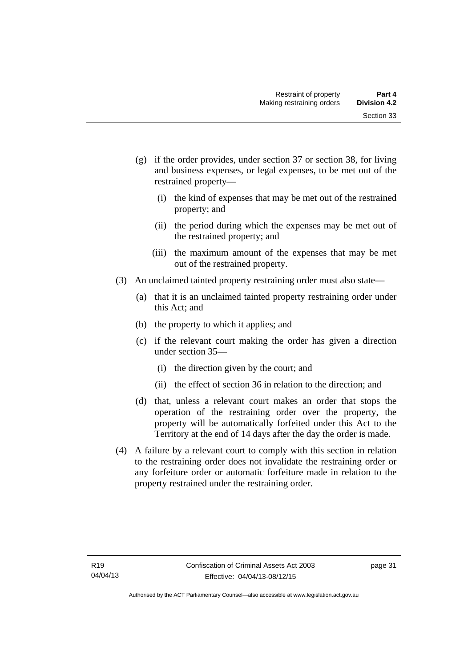- (g) if the order provides, under section 37 or section 38, for living and business expenses, or legal expenses, to be met out of the restrained property—
	- (i) the kind of expenses that may be met out of the restrained property; and
	- (ii) the period during which the expenses may be met out of the restrained property; and
	- (iii) the maximum amount of the expenses that may be met out of the restrained property.
- (3) An unclaimed tainted property restraining order must also state—
	- (a) that it is an unclaimed tainted property restraining order under this Act; and
	- (b) the property to which it applies; and
	- (c) if the relevant court making the order has given a direction under section 35—
		- (i) the direction given by the court; and
		- (ii) the effect of section 36 in relation to the direction; and
	- (d) that, unless a relevant court makes an order that stops the operation of the restraining order over the property, the property will be automatically forfeited under this Act to the Territory at the end of 14 days after the day the order is made.
- (4) A failure by a relevant court to comply with this section in relation to the restraining order does not invalidate the restraining order or any forfeiture order or automatic forfeiture made in relation to the property restrained under the restraining order.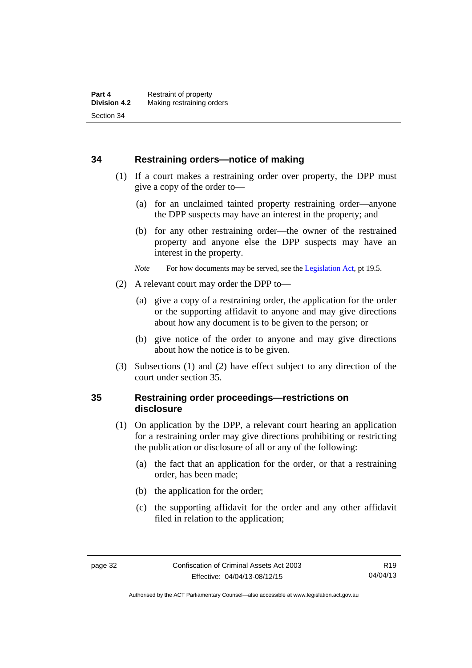### **34 Restraining orders—notice of making**

- (1) If a court makes a restraining order over property, the DPP must give a copy of the order to—
	- (a) for an unclaimed tainted property restraining order—anyone the DPP suspects may have an interest in the property; and
	- (b) for any other restraining order—the owner of the restrained property and anyone else the DPP suspects may have an interest in the property.
	- *Note* For how documents may be served, see the [Legislation Act,](http://www.legislation.act.gov.au/a/2001-14) pt 19.5.
- (2) A relevant court may order the DPP to—
	- (a) give a copy of a restraining order, the application for the order or the supporting affidavit to anyone and may give directions about how any document is to be given to the person; or
	- (b) give notice of the order to anyone and may give directions about how the notice is to be given.
- (3) Subsections (1) and (2) have effect subject to any direction of the court under section 35.

# **35 Restraining order proceedings—restrictions on disclosure**

- (1) On application by the DPP, a relevant court hearing an application for a restraining order may give directions prohibiting or restricting the publication or disclosure of all or any of the following:
	- (a) the fact that an application for the order, or that a restraining order, has been made;
	- (b) the application for the order;
	- (c) the supporting affidavit for the order and any other affidavit filed in relation to the application;

Authorised by the ACT Parliamentary Counsel—also accessible at www.legislation.act.gov.au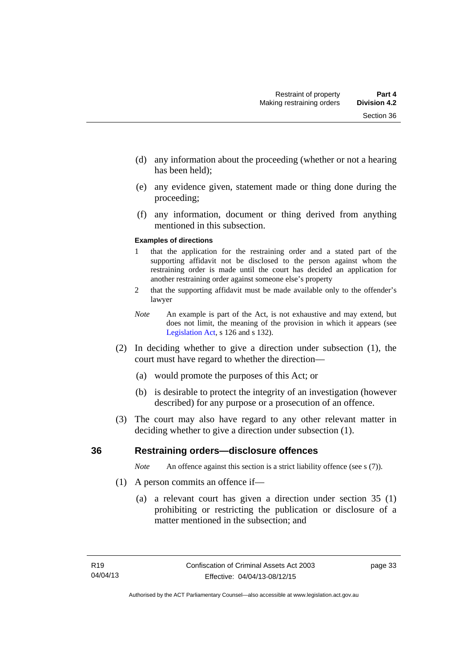- (d) any information about the proceeding (whether or not a hearing has been held);
- (e) any evidence given, statement made or thing done during the proceeding;
- (f) any information, document or thing derived from anything mentioned in this subsection.

#### **Examples of directions**

- 1 that the application for the restraining order and a stated part of the supporting affidavit not be disclosed to the person against whom the restraining order is made until the court has decided an application for another restraining order against someone else's property
- 2 that the supporting affidavit must be made available only to the offender's lawyer
- *Note* An example is part of the Act, is not exhaustive and may extend, but does not limit, the meaning of the provision in which it appears (see [Legislation Act,](http://www.legislation.act.gov.au/a/2001-14) s 126 and s 132).
- (2) In deciding whether to give a direction under subsection (1), the court must have regard to whether the direction—
	- (a) would promote the purposes of this Act; or
	- (b) is desirable to protect the integrity of an investigation (however described) for any purpose or a prosecution of an offence.
- (3) The court may also have regard to any other relevant matter in deciding whether to give a direction under subsection (1).

### **36 Restraining orders—disclosure offences**

*Note* An offence against this section is a strict liability offence (see s (7)).

- (1) A person commits an offence if—
	- (a) a relevant court has given a direction under section 35 (1) prohibiting or restricting the publication or disclosure of a matter mentioned in the subsection; and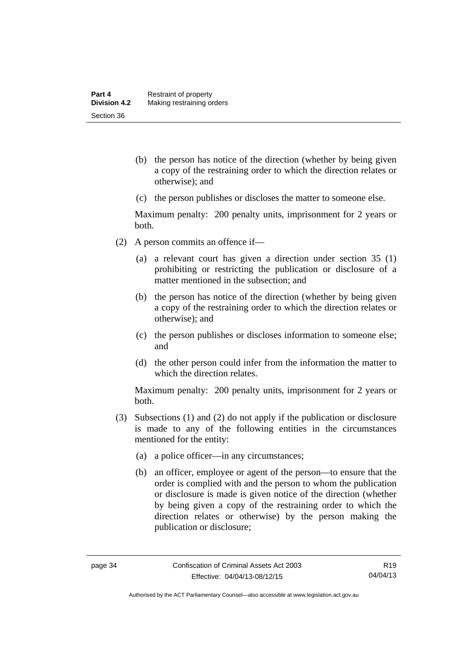- (b) the person has notice of the direction (whether by being given a copy of the restraining order to which the direction relates or otherwise); and
- (c) the person publishes or discloses the matter to someone else.

Maximum penalty: 200 penalty units, imprisonment for 2 years or both.

- (2) A person commits an offence if—
	- (a) a relevant court has given a direction under section 35 (1) prohibiting or restricting the publication or disclosure of a matter mentioned in the subsection; and
	- (b) the person has notice of the direction (whether by being given a copy of the restraining order to which the direction relates or otherwise); and
	- (c) the person publishes or discloses information to someone else; and
	- (d) the other person could infer from the information the matter to which the direction relates.

Maximum penalty: 200 penalty units, imprisonment for 2 years or both.

- (3) Subsections (1) and (2) do not apply if the publication or disclosure is made to any of the following entities in the circumstances mentioned for the entity:
	- (a) a police officer—in any circumstances;
	- (b) an officer, employee or agent of the person—to ensure that the order is complied with and the person to whom the publication or disclosure is made is given notice of the direction (whether by being given a copy of the restraining order to which the direction relates or otherwise) by the person making the publication or disclosure;

Authorised by the ACT Parliamentary Counsel—also accessible at www.legislation.act.gov.au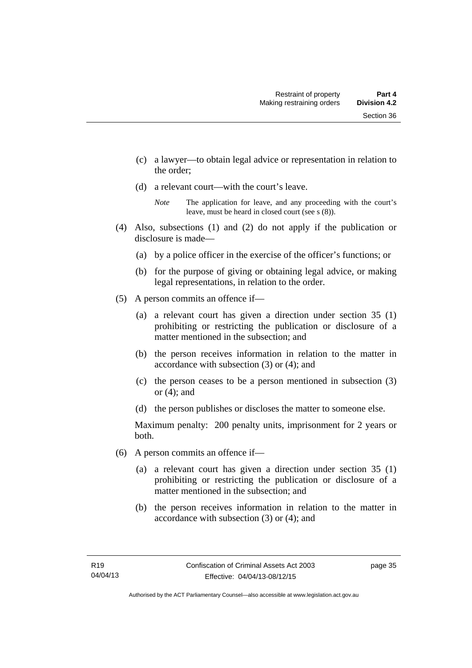- (c) a lawyer—to obtain legal advice or representation in relation to the order;
- (d) a relevant court—with the court's leave.

- (4) Also, subsections (1) and (2) do not apply if the publication or disclosure is made—
	- (a) by a police officer in the exercise of the officer's functions; or
	- (b) for the purpose of giving or obtaining legal advice, or making legal representations, in relation to the order.
- (5) A person commits an offence if—
	- (a) a relevant court has given a direction under section 35 (1) prohibiting or restricting the publication or disclosure of a matter mentioned in the subsection; and
	- (b) the person receives information in relation to the matter in accordance with subsection (3) or (4); and
	- (c) the person ceases to be a person mentioned in subsection (3) or (4); and
	- (d) the person publishes or discloses the matter to someone else.

Maximum penalty: 200 penalty units, imprisonment for 2 years or both.

- (6) A person commits an offence if—
	- (a) a relevant court has given a direction under section 35 (1) prohibiting or restricting the publication or disclosure of a matter mentioned in the subsection; and
	- (b) the person receives information in relation to the matter in accordance with subsection (3) or (4); and

*Note* The application for leave, and any proceeding with the court's leave, must be heard in closed court (see s (8)).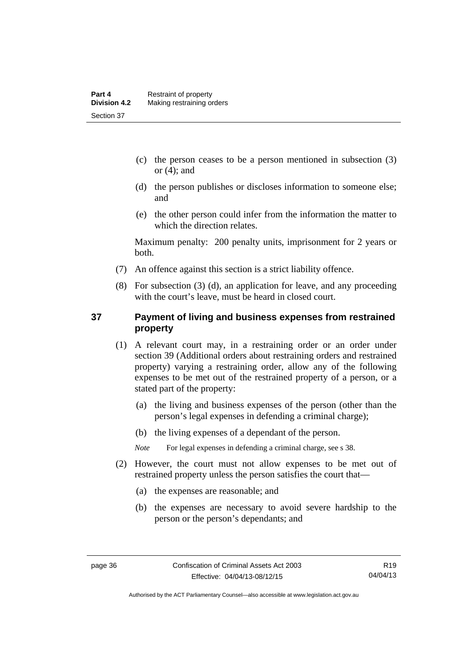- (c) the person ceases to be a person mentioned in subsection (3) or  $(4)$ ; and
- (d) the person publishes or discloses information to someone else; and
- (e) the other person could infer from the information the matter to which the direction relates.

Maximum penalty: 200 penalty units, imprisonment for 2 years or both.

- (7) An offence against this section is a strict liability offence.
- (8) For subsection (3) (d), an application for leave, and any proceeding with the court's leave, must be heard in closed court.

# **37 Payment of living and business expenses from restrained property**

- (1) A relevant court may, in a restraining order or an order under section 39 (Additional orders about restraining orders and restrained property) varying a restraining order, allow any of the following expenses to be met out of the restrained property of a person, or a stated part of the property:
	- (a) the living and business expenses of the person (other than the person's legal expenses in defending a criminal charge);
	- (b) the living expenses of a dependant of the person.

*Note* For legal expenses in defending a criminal charge, see s 38.

- (2) However, the court must not allow expenses to be met out of restrained property unless the person satisfies the court that—
	- (a) the expenses are reasonable; and
	- (b) the expenses are necessary to avoid severe hardship to the person or the person's dependants; and

Authorised by the ACT Parliamentary Counsel—also accessible at www.legislation.act.gov.au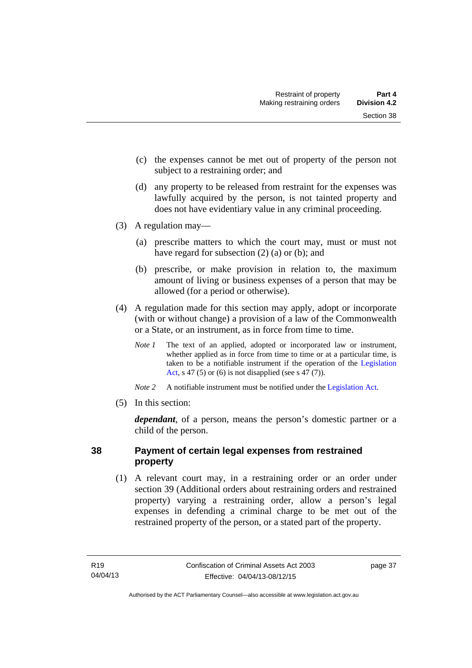- (c) the expenses cannot be met out of property of the person not subject to a restraining order; and
- (d) any property to be released from restraint for the expenses was lawfully acquired by the person, is not tainted property and does not have evidentiary value in any criminal proceeding.
- (3) A regulation may—
	- (a) prescribe matters to which the court may, must or must not have regard for subsection (2) (a) or (b); and
	- (b) prescribe, or make provision in relation to, the maximum amount of living or business expenses of a person that may be allowed (for a period or otherwise).
- (4) A regulation made for this section may apply, adopt or incorporate (with or without change) a provision of a law of the Commonwealth or a State, or an instrument, as in force from time to time.
	- *Note 1* The text of an applied, adopted or incorporated law or instrument, whether applied as in force from time to time or at a particular time, is taken to be a notifiable instrument if the operation of the [Legislation](http://www.legislation.act.gov.au/a/2001-14)  [Act](http://www.legislation.act.gov.au/a/2001-14), s 47 (5) or (6) is not disapplied (see s 47 (7)).
	- *Note 2* A notifiable instrument must be notified under the [Legislation Act](http://www.legislation.act.gov.au/a/2001-14).
- (5) In this section:

*dependant*, of a person, means the person's domestic partner or a child of the person.

# **38 Payment of certain legal expenses from restrained property**

 (1) A relevant court may, in a restraining order or an order under section 39 (Additional orders about restraining orders and restrained property) varying a restraining order, allow a person's legal expenses in defending a criminal charge to be met out of the restrained property of the person, or a stated part of the property.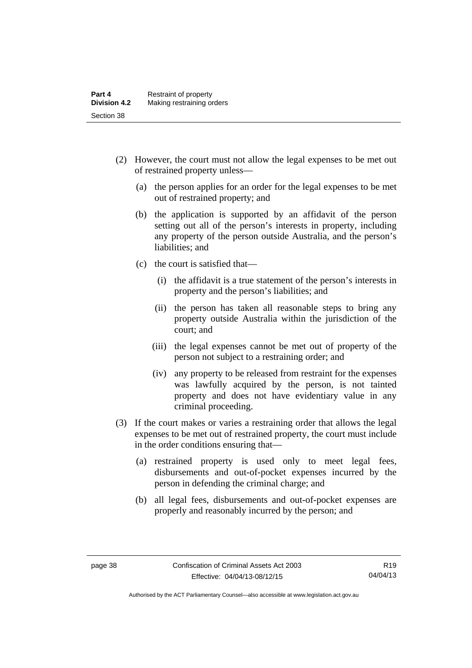- (2) However, the court must not allow the legal expenses to be met out of restrained property unless—
	- (a) the person applies for an order for the legal expenses to be met out of restrained property; and
	- (b) the application is supported by an affidavit of the person setting out all of the person's interests in property, including any property of the person outside Australia, and the person's liabilities; and
	- (c) the court is satisfied that—
		- (i) the affidavit is a true statement of the person's interests in property and the person's liabilities; and
		- (ii) the person has taken all reasonable steps to bring any property outside Australia within the jurisdiction of the court; and
		- (iii) the legal expenses cannot be met out of property of the person not subject to a restraining order; and
		- (iv) any property to be released from restraint for the expenses was lawfully acquired by the person, is not tainted property and does not have evidentiary value in any criminal proceeding.
- (3) If the court makes or varies a restraining order that allows the legal expenses to be met out of restrained property, the court must include in the order conditions ensuring that—
	- (a) restrained property is used only to meet legal fees, disbursements and out-of-pocket expenses incurred by the person in defending the criminal charge; and
	- (b) all legal fees, disbursements and out-of-pocket expenses are properly and reasonably incurred by the person; and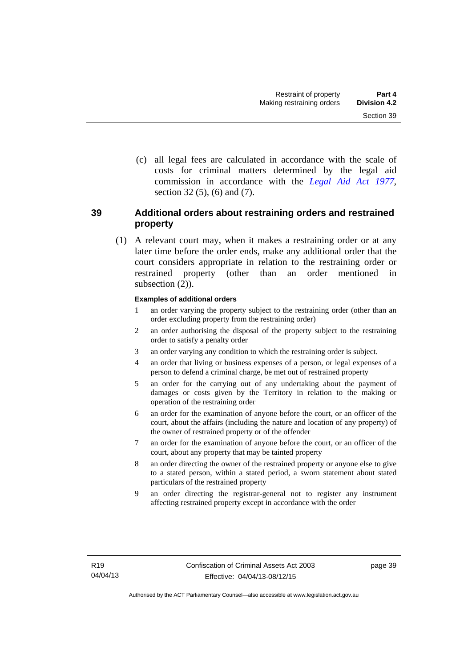(c) all legal fees are calculated in accordance with the scale of costs for criminal matters determined by the legal aid commission in accordance with the *[Legal Aid Act 1977](http://www.legislation.act.gov.au/a/1977-31)*, section 32 (5), (6) and (7).

# **39 Additional orders about restraining orders and restrained property**

 (1) A relevant court may, when it makes a restraining order or at any later time before the order ends, make any additional order that the court considers appropriate in relation to the restraining order or restrained property (other than an order mentioned in subsection  $(2)$ ).

#### **Examples of additional orders**

- 1 an order varying the property subject to the restraining order (other than an order excluding property from the restraining order)
- 2 an order authorising the disposal of the property subject to the restraining order to satisfy a penalty order
- 3 an order varying any condition to which the restraining order is subject.
- 4 an order that living or business expenses of a person, or legal expenses of a person to defend a criminal charge, be met out of restrained property
- 5 an order for the carrying out of any undertaking about the payment of damages or costs given by the Territory in relation to the making or operation of the restraining order
- 6 an order for the examination of anyone before the court, or an officer of the court, about the affairs (including the nature and location of any property) of the owner of restrained property or of the offender
- 7 an order for the examination of anyone before the court, or an officer of the court, about any property that may be tainted property
- 8 an order directing the owner of the restrained property or anyone else to give to a stated person, within a stated period, a sworn statement about stated particulars of the restrained property
- 9 an order directing the registrar-general not to register any instrument affecting restrained property except in accordance with the order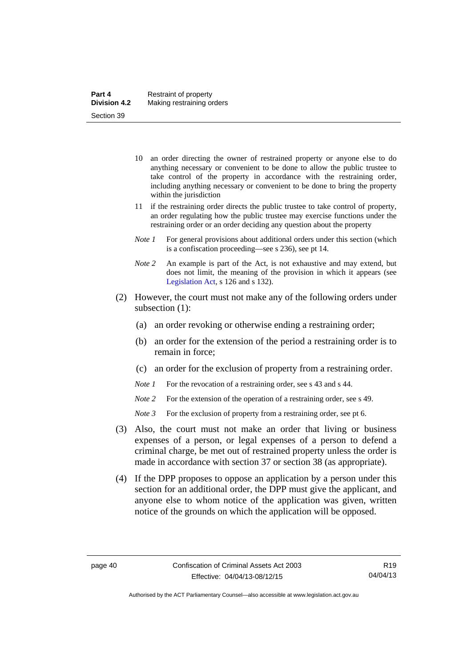- 10 an order directing the owner of restrained property or anyone else to do anything necessary or convenient to be done to allow the public trustee to take control of the property in accordance with the restraining order, including anything necessary or convenient to be done to bring the property within the jurisdiction
- 11 if the restraining order directs the public trustee to take control of property, an order regulating how the public trustee may exercise functions under the restraining order or an order deciding any question about the property
- *Note 1* For general provisions about additional orders under this section (which is a confiscation proceeding—see s 236), see pt 14.
- *Note 2* An example is part of the Act, is not exhaustive and may extend, but does not limit, the meaning of the provision in which it appears (see [Legislation Act,](http://www.legislation.act.gov.au/a/2001-14) s 126 and s 132).
- (2) However, the court must not make any of the following orders under subsection (1):
	- (a) an order revoking or otherwise ending a restraining order;
	- (b) an order for the extension of the period a restraining order is to remain in force;
	- (c) an order for the exclusion of property from a restraining order.
	- *Note 1* For the revocation of a restraining order, see s 43 and s 44.
	- *Note* 2 For the extension of the operation of a restraining order, see s 49.
	- *Note 3* For the exclusion of property from a restraining order, see pt 6.
- (3) Also, the court must not make an order that living or business expenses of a person, or legal expenses of a person to defend a criminal charge, be met out of restrained property unless the order is made in accordance with section 37 or section 38 (as appropriate).
- (4) If the DPP proposes to oppose an application by a person under this section for an additional order, the DPP must give the applicant, and anyone else to whom notice of the application was given, written notice of the grounds on which the application will be opposed.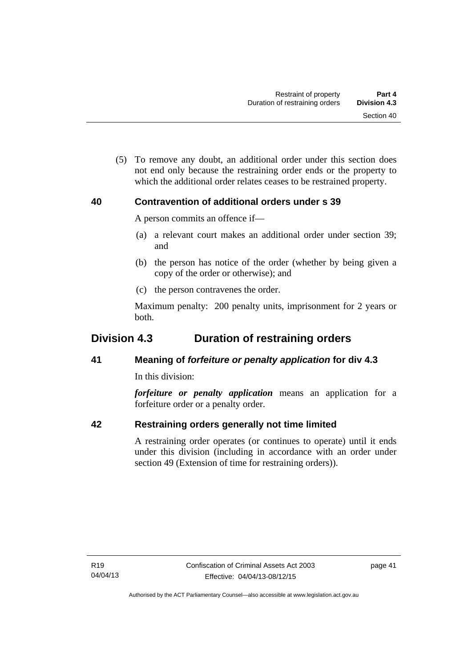(5) To remove any doubt, an additional order under this section does not end only because the restraining order ends or the property to which the additional order relates ceases to be restrained property.

# **40 Contravention of additional orders under s 39**

A person commits an offence if—

- (a) a relevant court makes an additional order under section 39; and
- (b) the person has notice of the order (whether by being given a copy of the order or otherwise); and
- (c) the person contravenes the order.

Maximum penalty: 200 penalty units, imprisonment for 2 years or both.

# **Division 4.3 Duration of restraining orders**

# **41 Meaning of** *forfeiture or penalty application* **for div 4.3**

In this division:

*forfeiture or penalty application* means an application for a forfeiture order or a penalty order.

# **42 Restraining orders generally not time limited**

A restraining order operates (or continues to operate) until it ends under this division (including in accordance with an order under section 49 (Extension of time for restraining orders)).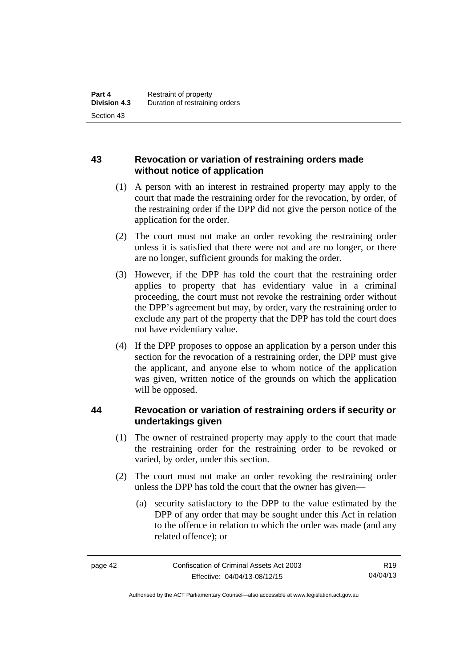# **43 Revocation or variation of restraining orders made without notice of application**

- (1) A person with an interest in restrained property may apply to the court that made the restraining order for the revocation, by order, of the restraining order if the DPP did not give the person notice of the application for the order.
- (2) The court must not make an order revoking the restraining order unless it is satisfied that there were not and are no longer, or there are no longer, sufficient grounds for making the order.
- (3) However, if the DPP has told the court that the restraining order applies to property that has evidentiary value in a criminal proceeding, the court must not revoke the restraining order without the DPP's agreement but may, by order, vary the restraining order to exclude any part of the property that the DPP has told the court does not have evidentiary value.
- (4) If the DPP proposes to oppose an application by a person under this section for the revocation of a restraining order, the DPP must give the applicant, and anyone else to whom notice of the application was given, written notice of the grounds on which the application will be opposed.

# **44 Revocation or variation of restraining orders if security or undertakings given**

- (1) The owner of restrained property may apply to the court that made the restraining order for the restraining order to be revoked or varied, by order, under this section.
- (2) The court must not make an order revoking the restraining order unless the DPP has told the court that the owner has given—
	- (a) security satisfactory to the DPP to the value estimated by the DPP of any order that may be sought under this Act in relation to the offence in relation to which the order was made (and any related offence); or

Authorised by the ACT Parliamentary Counsel—also accessible at www.legislation.act.gov.au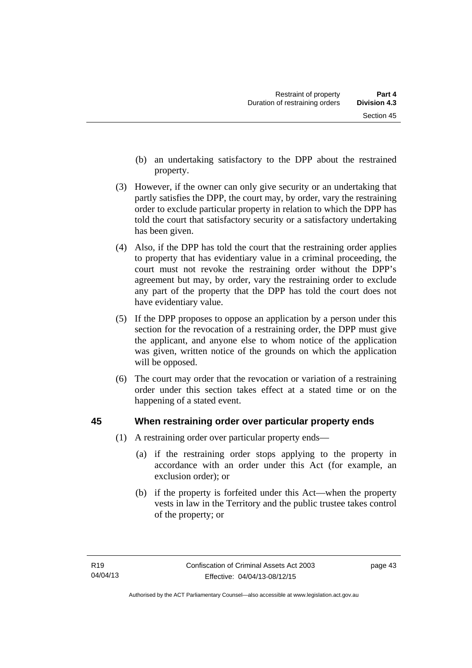- (b) an undertaking satisfactory to the DPP about the restrained property.
- (3) However, if the owner can only give security or an undertaking that partly satisfies the DPP, the court may, by order, vary the restraining order to exclude particular property in relation to which the DPP has told the court that satisfactory security or a satisfactory undertaking has been given.
- (4) Also, if the DPP has told the court that the restraining order applies to property that has evidentiary value in a criminal proceeding, the court must not revoke the restraining order without the DPP's agreement but may, by order, vary the restraining order to exclude any part of the property that the DPP has told the court does not have evidentiary value.
- (5) If the DPP proposes to oppose an application by a person under this section for the revocation of a restraining order, the DPP must give the applicant, and anyone else to whom notice of the application was given, written notice of the grounds on which the application will be opposed.
- (6) The court may order that the revocation or variation of a restraining order under this section takes effect at a stated time or on the happening of a stated event.

# **45 When restraining order over particular property ends**

- (1) A restraining order over particular property ends—
	- (a) if the restraining order stops applying to the property in accordance with an order under this Act (for example, an exclusion order); or
	- (b) if the property is forfeited under this Act—when the property vests in law in the Territory and the public trustee takes control of the property; or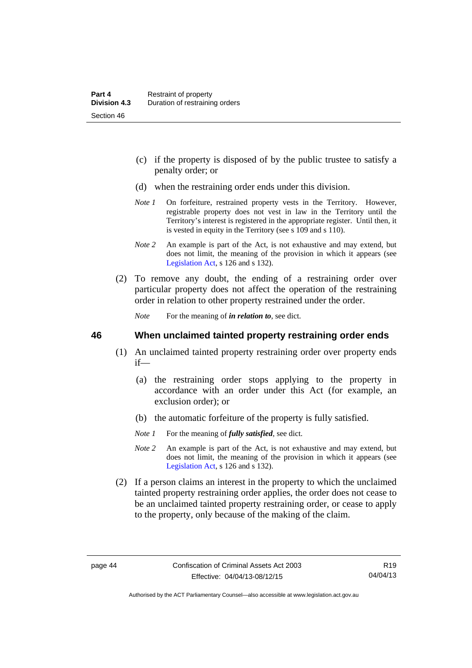- (c) if the property is disposed of by the public trustee to satisfy a penalty order; or
- (d) when the restraining order ends under this division.
- *Note 1* On forfeiture, restrained property vests in the Territory. However, registrable property does not vest in law in the Territory until the Territory's interest is registered in the appropriate register. Until then, it is vested in equity in the Territory (see s 109 and s 110).
- *Note 2* An example is part of the Act, is not exhaustive and may extend, but does not limit, the meaning of the provision in which it appears (see [Legislation Act,](http://www.legislation.act.gov.au/a/2001-14) s 126 and s 132).
- (2) To remove any doubt, the ending of a restraining order over particular property does not affect the operation of the restraining order in relation to other property restrained under the order.

*Note* For the meaning of *in relation to*, see dict.

#### **46 When unclaimed tainted property restraining order ends**

- (1) An unclaimed tainted property restraining order over property ends if—
	- (a) the restraining order stops applying to the property in accordance with an order under this Act (for example, an exclusion order); or
	- (b) the automatic forfeiture of the property is fully satisfied.
	- *Note 1* For the meaning of *fully satisfied*, see dict.
	- *Note 2* An example is part of the Act, is not exhaustive and may extend, but does not limit, the meaning of the provision in which it appears (see [Legislation Act,](http://www.legislation.act.gov.au/a/2001-14) s 126 and s 132).
- (2) If a person claims an interest in the property to which the unclaimed tainted property restraining order applies, the order does not cease to be an unclaimed tainted property restraining order, or cease to apply to the property, only because of the making of the claim.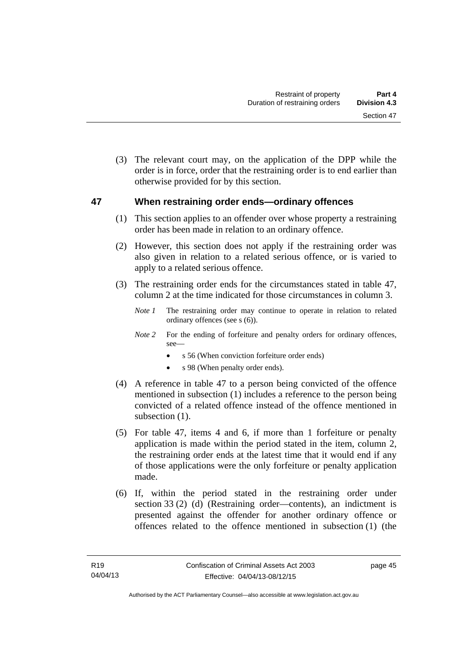(3) The relevant court may, on the application of the DPP while the order is in force, order that the restraining order is to end earlier than otherwise provided for by this section.

## **47 When restraining order ends—ordinary offences**

- (1) This section applies to an offender over whose property a restraining order has been made in relation to an ordinary offence.
- (2) However, this section does not apply if the restraining order was also given in relation to a related serious offence, or is varied to apply to a related serious offence.
- (3) The restraining order ends for the circumstances stated in table 47, column 2 at the time indicated for those circumstances in column 3.
	- *Note 1* The restraining order may continue to operate in relation to related ordinary offences (see s (6)).
	- *Note* 2 For the ending of forfeiture and penalty orders for ordinary offences, see
		- s 56 (When conviction forfeiture order ends)
		- s 98 (When penalty order ends).
- (4) A reference in table 47 to a person being convicted of the offence mentioned in subsection (1) includes a reference to the person being convicted of a related offence instead of the offence mentioned in subsection  $(1)$ .
- (5) For table 47, items 4 and 6, if more than 1 forfeiture or penalty application is made within the period stated in the item, column 2, the restraining order ends at the latest time that it would end if any of those applications were the only forfeiture or penalty application made.
- (6) If, within the period stated in the restraining order under section 33 (2) (d) (Restraining order—contents), an indictment is presented against the offender for another ordinary offence or offences related to the offence mentioned in subsection (1) (the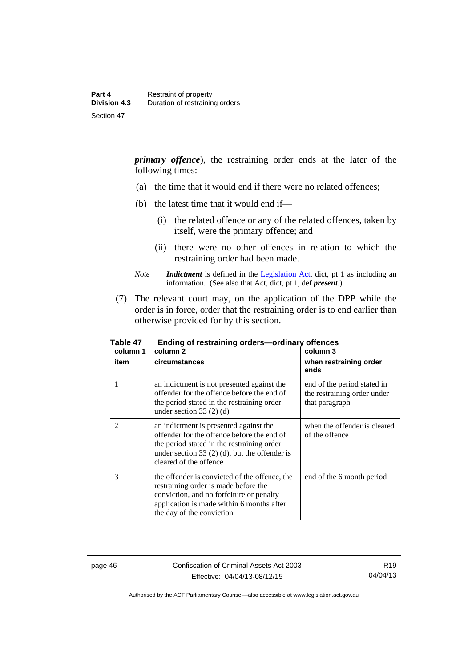*primary offence*), the restraining order ends at the later of the following times:

- (a) the time that it would end if there were no related offences;
- (b) the latest time that it would end if—
	- (i) the related offence or any of the related offences, taken by itself, were the primary offence; and
	- (ii) there were no other offences in relation to which the restraining order had been made.
- *Note Indictment* is defined in the [Legislation Act,](http://www.legislation.act.gov.au/a/2001-14) dict, pt 1 as including an information. (See also that Act, dict, pt 1, def *present*.)
- (7) The relevant court may, on the application of the DPP while the order is in force, order that the restraining order is to end earlier than otherwise provided for by this section.

| column 1<br>item | column 2<br>circumstances                                                                                                                                                                                       | column 3<br>when restraining order<br>ends                                   |
|------------------|-----------------------------------------------------------------------------------------------------------------------------------------------------------------------------------------------------------------|------------------------------------------------------------------------------|
| 1                | an indictment is not presented against the<br>offender for the offence before the end of<br>the period stated in the restraining order<br>under section 33 $(2)$ $(d)$                                          | end of the period stated in<br>the restraining order under<br>that paragraph |
| $\overline{2}$   | an indictment is presented against the<br>offender for the offence before the end of<br>the period stated in the restraining order<br>under section 33 $(2)$ (d), but the offender is<br>cleared of the offence | when the offender is cleared<br>of the offence                               |
| 3                | the offender is convicted of the offence, the<br>restraining order is made before the<br>conviction, and no forfeiture or penalty<br>application is made within 6 months after<br>the day of the conviction     | end of the 6 month period                                                    |

**Table 47 Ending of restraining orders—ordinary offences** 

page 46 Confiscation of Criminal Assets Act 2003 Effective: 04/04/13-08/12/15

Authorised by the ACT Parliamentary Counsel—also accessible at www.legislation.act.gov.au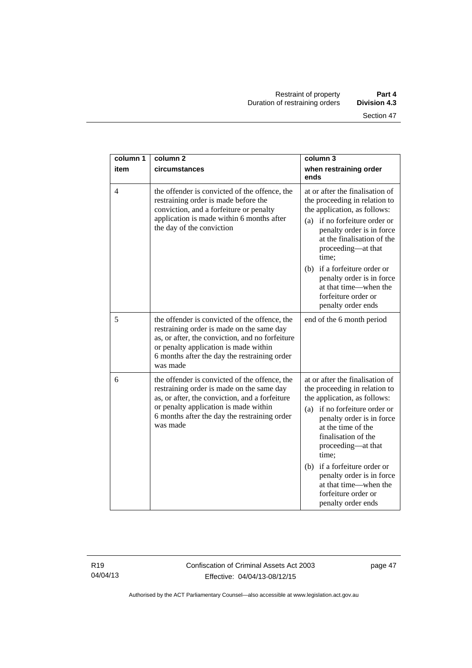| column 1       | column <sub>2</sub>                                                                                                                                                                                                                                | column 3                                                                                                                                                                                                                                                                                                                                                                      |
|----------------|----------------------------------------------------------------------------------------------------------------------------------------------------------------------------------------------------------------------------------------------------|-------------------------------------------------------------------------------------------------------------------------------------------------------------------------------------------------------------------------------------------------------------------------------------------------------------------------------------------------------------------------------|
| item           | circumstances                                                                                                                                                                                                                                      | when restraining order<br>ends                                                                                                                                                                                                                                                                                                                                                |
| $\overline{4}$ | the offender is convicted of the offence, the<br>restraining order is made before the<br>conviction, and a forfeiture or penalty<br>application is made within 6 months after<br>the day of the conviction                                         | at or after the finalisation of<br>the proceeding in relation to<br>the application, as follows:<br>if no forfeiture order or<br>(a)<br>penalty order is in force<br>at the finalisation of the<br>proceeding—at that<br>time:                                                                                                                                                |
|                |                                                                                                                                                                                                                                                    | if a forfeiture order or<br>(b)<br>penalty order is in force<br>at that time—when the<br>forfeiture order or<br>penalty order ends                                                                                                                                                                                                                                            |
| 5              | the offender is convicted of the offence, the<br>restraining order is made on the same day<br>as, or after, the conviction, and no forfeiture<br>or penalty application is made within<br>6 months after the day the restraining order<br>was made | end of the 6 month period                                                                                                                                                                                                                                                                                                                                                     |
| 6              | the offender is convicted of the offence, the<br>restraining order is made on the same day<br>as, or after, the conviction, and a forfeiture<br>or penalty application is made within<br>6 months after the day the restraining order<br>was made  | at or after the finalisation of<br>the proceeding in relation to<br>the application, as follows:<br>(a) if no forfeiture order or<br>penalty order is in force<br>at the time of the<br>finalisation of the<br>proceeding-at that<br>time;<br>(b) if a forfeiture order or<br>penalty order is in force<br>at that time—when the<br>forfeiture order or<br>penalty order ends |

R19 04/04/13

Confiscation of Criminal Assets Act 2003 Effective: 04/04/13-08/12/15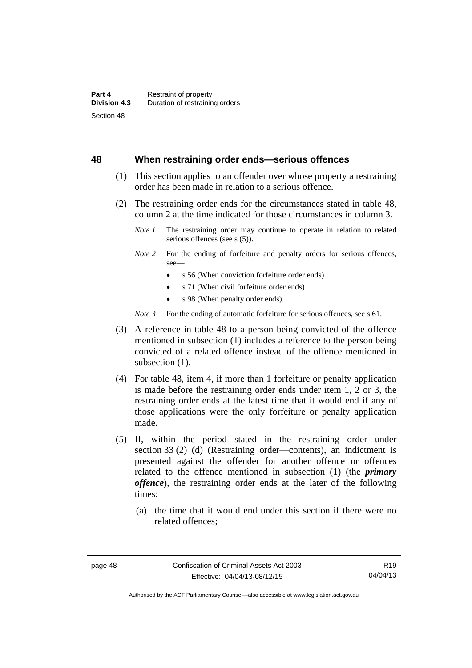#### **48 When restraining order ends—serious offences**

- (1) This section applies to an offender over whose property a restraining order has been made in relation to a serious offence.
- (2) The restraining order ends for the circumstances stated in table 48, column 2 at the time indicated for those circumstances in column 3.
	- *Note 1* The restraining order may continue to operate in relation to related serious offences (see s (5)).
	- *Note* 2 For the ending of forfeiture and penalty orders for serious offences, see—
		- s 56 (When conviction forfeiture order ends)
		- s 71 (When civil forfeiture order ends)
		- s 98 (When penalty order ends).

*Note 3* For the ending of automatic forfeiture for serious offences, see s 61.

- (3) A reference in table 48 to a person being convicted of the offence mentioned in subsection (1) includes a reference to the person being convicted of a related offence instead of the offence mentioned in subsection  $(1)$ .
- (4) For table 48, item 4, if more than 1 forfeiture or penalty application is made before the restraining order ends under item 1, 2 or 3, the restraining order ends at the latest time that it would end if any of those applications were the only forfeiture or penalty application made.
- (5) If, within the period stated in the restraining order under section 33 (2) (d) (Restraining order—contents), an indictment is presented against the offender for another offence or offences related to the offence mentioned in subsection (1) (the *primary offence*), the restraining order ends at the later of the following times:
	- (a) the time that it would end under this section if there were no related offences;

Authorised by the ACT Parliamentary Counsel—also accessible at www.legislation.act.gov.au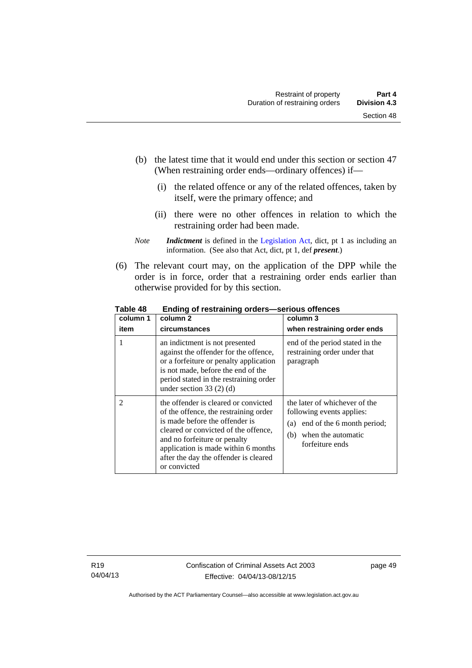- (b) the latest time that it would end under this section or section 47 (When restraining order ends—ordinary offences) if—
	- (i) the related offence or any of the related offences, taken by itself, were the primary offence; and
	- (ii) there were no other offences in relation to which the restraining order had been made.
- *Note Indictment* is defined in the [Legislation Act,](http://www.legislation.act.gov.au/a/2001-14) dict, pt 1 as including an information. (See also that Act, dict, pt 1, def *present*.)
- (6) The relevant court may, on the application of the DPP while the order is in force, order that a restraining order ends earlier than otherwise provided for by this section.

| column 1       | column 2                                                                                                                                                                                                                                                                                | column 3                                                                                                                                        |
|----------------|-----------------------------------------------------------------------------------------------------------------------------------------------------------------------------------------------------------------------------------------------------------------------------------------|-------------------------------------------------------------------------------------------------------------------------------------------------|
| item           | circumstances                                                                                                                                                                                                                                                                           | when restraining order ends                                                                                                                     |
|                | an indictment is not presented<br>against the offender for the offence,<br>or a forfeiture or penalty application<br>is not made, before the end of the<br>period stated in the restraining order<br>under section $33(2)(d)$                                                           | end of the period stated in the<br>restraining order under that<br>paragraph                                                                    |
| $\overline{2}$ | the offender is cleared or convicted<br>of the offence, the restraining order<br>is made before the offender is<br>cleared or convicted of the offence,<br>and no forfeiture or penalty<br>application is made within 6 months<br>after the day the offender is cleared<br>or convicted | the later of whichever of the<br>following events applies:<br>end of the 6 month period;<br>(a)<br>when the automatic<br>(b)<br>forfeiture ends |

**Table 48 Ending of restraining orders—serious offences**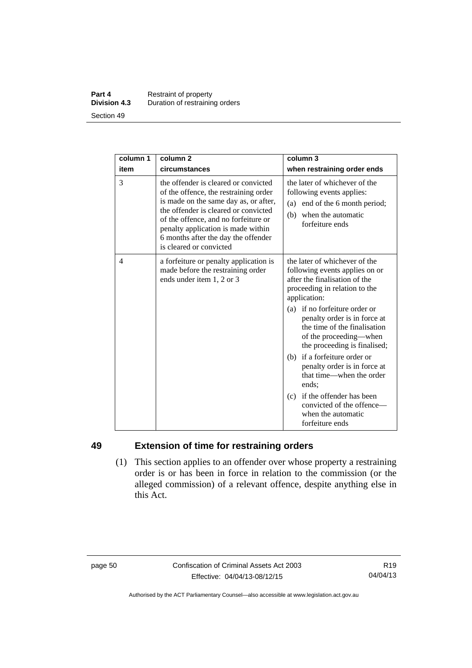#### **Part 4 Restraint of property**<br>**Division 4.3** Duration of restraining **Division 4.3** Duration of restraining orders Section 49

| column 1 | column <sub>2</sub>                                                                                                                                                                                                                                                                                            | column 3                                                                                                                                                                                                                                                                                                                                                                                                                                                                       |
|----------|----------------------------------------------------------------------------------------------------------------------------------------------------------------------------------------------------------------------------------------------------------------------------------------------------------------|--------------------------------------------------------------------------------------------------------------------------------------------------------------------------------------------------------------------------------------------------------------------------------------------------------------------------------------------------------------------------------------------------------------------------------------------------------------------------------|
| item     | circumstances                                                                                                                                                                                                                                                                                                  | when restraining order ends                                                                                                                                                                                                                                                                                                                                                                                                                                                    |
| 3        | the offender is cleared or convicted<br>of the offence, the restraining order<br>is made on the same day as, or after,<br>the offender is cleared or convicted<br>of the offence, and no forfeiture or<br>penalty application is made within<br>6 months after the day the offender<br>is cleared or convicted | the later of whichever of the<br>following events applies:<br>(a) end of the 6 month period;<br>when the automatic<br>(b)<br>forfeiture ends                                                                                                                                                                                                                                                                                                                                   |
| 4        | a forfeiture or penalty application is<br>made before the restraining order<br>ends under item 1, 2 or 3                                                                                                                                                                                                       | the later of whichever of the<br>following events applies on or<br>after the finalisation of the<br>proceeding in relation to the<br>application:<br>(a) if no forfeiture order or<br>penalty order is in force at<br>the time of the finalisation<br>of the proceeding-when<br>the proceeding is finalised;<br>(b) if a forfeiture order or<br>penalty order is in force at<br>that time—when the order<br>ends:<br>(c) if the offender has been<br>convicted of the offence- |

# **49 Extension of time for restraining orders**

 (1) This section applies to an offender over whose property a restraining order is or has been in force in relation to the commission (or the alleged commission) of a relevant offence, despite anything else in this Act.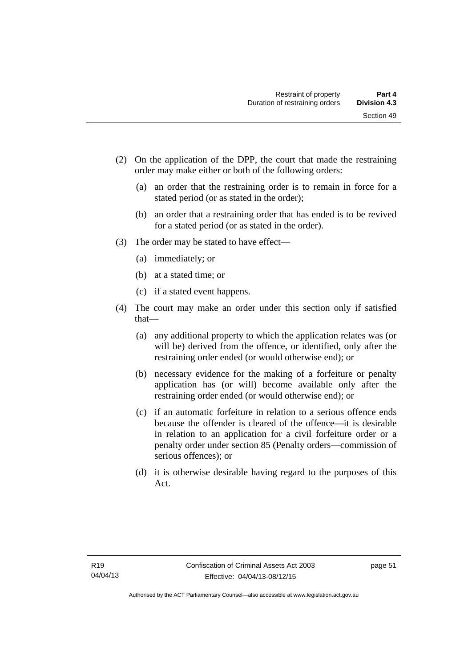- (2) On the application of the DPP, the court that made the restraining order may make either or both of the following orders:
	- (a) an order that the restraining order is to remain in force for a stated period (or as stated in the order);
	- (b) an order that a restraining order that has ended is to be revived for a stated period (or as stated in the order).
- (3) The order may be stated to have effect—
	- (a) immediately; or
	- (b) at a stated time; or
	- (c) if a stated event happens.
- (4) The court may make an order under this section only if satisfied that—
	- (a) any additional property to which the application relates was (or will be) derived from the offence, or identified, only after the restraining order ended (or would otherwise end); or
	- (b) necessary evidence for the making of a forfeiture or penalty application has (or will) become available only after the restraining order ended (or would otherwise end); or
	- (c) if an automatic forfeiture in relation to a serious offence ends because the offender is cleared of the offence—it is desirable in relation to an application for a civil forfeiture order or a penalty order under section 85 (Penalty orders—commission of serious offences); or
	- (d) it is otherwise desirable having regard to the purposes of this Act.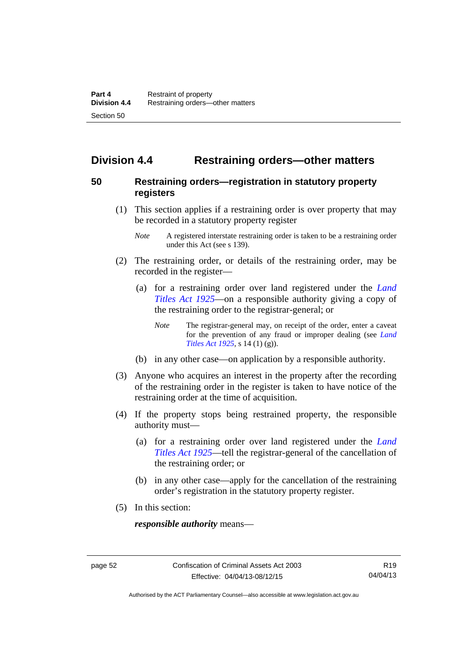# **Division 4.4 Restraining orders—other matters**

## **50 Restraining orders—registration in statutory property registers**

- (1) This section applies if a restraining order is over property that may be recorded in a statutory property register
	- *Note* A registered interstate restraining order is taken to be a restraining order under this Act (see s 139).
- (2) The restraining order, or details of the restraining order, may be recorded in the register—
	- (a) for a restraining order over land registered under the *[Land](http://www.legislation.act.gov.au/a/1925-1)  [Titles Act 1925](http://www.legislation.act.gov.au/a/1925-1)*—on a responsible authority giving a copy of the restraining order to the registrar-general; or
		- *Note* The registrar-general may, on receipt of the order, enter a caveat for the prevention of any fraud or improper dealing (see *[Land](http://www.legislation.act.gov.au/a/1925-1/default.asp)  [Titles Act 1925](http://www.legislation.act.gov.au/a/1925-1/default.asp)*, s 14 (1) (g)).
	- (b) in any other case—on application by a responsible authority.
- (3) Anyone who acquires an interest in the property after the recording of the restraining order in the register is taken to have notice of the restraining order at the time of acquisition.
- (4) If the property stops being restrained property, the responsible authority must—
	- (a) for a restraining order over land registered under the *[Land](http://www.legislation.act.gov.au/a/1925-1)  [Titles Act 1925](http://www.legislation.act.gov.au/a/1925-1)*—tell the registrar-general of the cancellation of the restraining order; or
	- (b) in any other case—apply for the cancellation of the restraining order's registration in the statutory property register.
- (5) In this section:

*responsible authority* means—

Authorised by the ACT Parliamentary Counsel—also accessible at www.legislation.act.gov.au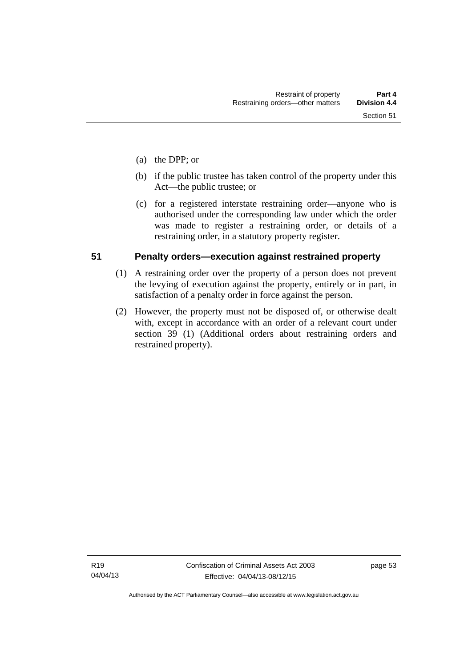- (a) the DPP; or
- (b) if the public trustee has taken control of the property under this Act—the public trustee; or
- (c) for a registered interstate restraining order—anyone who is authorised under the corresponding law under which the order was made to register a restraining order, or details of a restraining order, in a statutory property register.

## **51 Penalty orders—execution against restrained property**

- (1) A restraining order over the property of a person does not prevent the levying of execution against the property, entirely or in part, in satisfaction of a penalty order in force against the person.
- (2) However, the property must not be disposed of, or otherwise dealt with, except in accordance with an order of a relevant court under section 39 (1) (Additional orders about restraining orders and restrained property).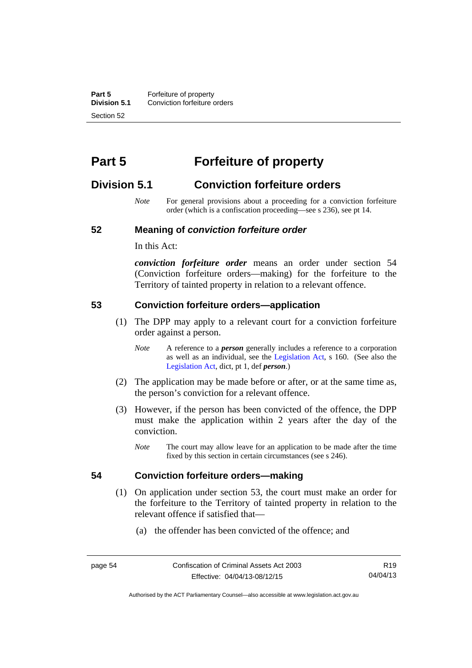**Part 5 Forfeiture of property**<br>**Division 5.1** Conviction forfeiture of **Division 5.1** Conviction forfeiture orders Section 52

# **Part 5 Forfeiture of property**

# **Division 5.1 Conviction forfeiture orders**

*Note* For general provisions about a proceeding for a conviction forfeiture order (which is a confiscation proceeding—see s 236), see pt 14.

#### **52 Meaning of** *conviction forfeiture order*

In this Act:

*conviction forfeiture order* means an order under section 54 (Conviction forfeiture orders—making) for the forfeiture to the Territory of tainted property in relation to a relevant offence.

#### **53 Conviction forfeiture orders—application**

- (1) The DPP may apply to a relevant court for a conviction forfeiture order against a person.
	- *Note* A reference to a *person* generally includes a reference to a corporation as well as an individual, see the [Legislation Act](http://www.legislation.act.gov.au/a/2001-14), s 160. (See also the [Legislation Act,](http://www.legislation.act.gov.au/a/2001-14) dict, pt 1, def *person*.)
- (2) The application may be made before or after, or at the same time as, the person's conviction for a relevant offence.
- (3) However, if the person has been convicted of the offence, the DPP must make the application within 2 years after the day of the conviction.
	- *Note* The court may allow leave for an application to be made after the time fixed by this section in certain circumstances (see s 246).

#### **54 Conviction forfeiture orders—making**

- (1) On application under section 53, the court must make an order for the forfeiture to the Territory of tainted property in relation to the relevant offence if satisfied that—
	- (a) the offender has been convicted of the offence; and

Authorised by the ACT Parliamentary Counsel—also accessible at www.legislation.act.gov.au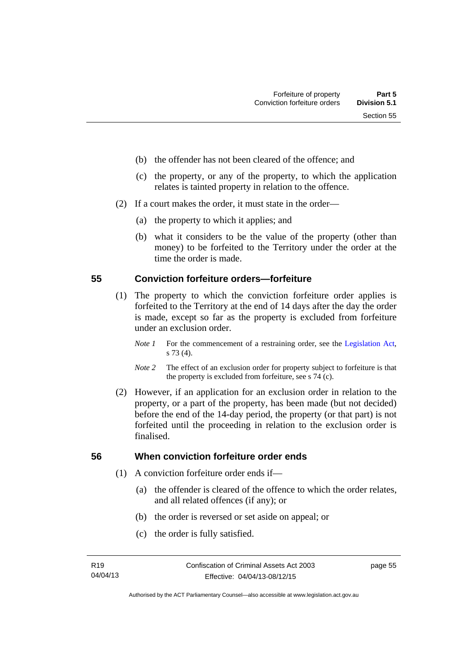- (b) the offender has not been cleared of the offence; and
- (c) the property, or any of the property, to which the application relates is tainted property in relation to the offence.
- (2) If a court makes the order, it must state in the order—
	- (a) the property to which it applies; and
	- (b) what it considers to be the value of the property (other than money) to be forfeited to the Territory under the order at the time the order is made.

### **55 Conviction forfeiture orders—forfeiture**

- (1) The property to which the conviction forfeiture order applies is forfeited to the Territory at the end of 14 days after the day the order is made, except so far as the property is excluded from forfeiture under an exclusion order.
	- *Note 1* For the commencement of a restraining order, see the [Legislation Act,](http://www.legislation.act.gov.au/a/2001-14) s 73 (4).
	- *Note 2* The effect of an exclusion order for property subject to forfeiture is that the property is excluded from forfeiture, see s 74 (c).
- (2) However, if an application for an exclusion order in relation to the property, or a part of the property, has been made (but not decided) before the end of the 14-day period, the property (or that part) is not forfeited until the proceeding in relation to the exclusion order is finalised.

# **56 When conviction forfeiture order ends**

- (1) A conviction forfeiture order ends if—
	- (a) the offender is cleared of the offence to which the order relates, and all related offences (if any); or
	- (b) the order is reversed or set aside on appeal; or
	- (c) the order is fully satisfied.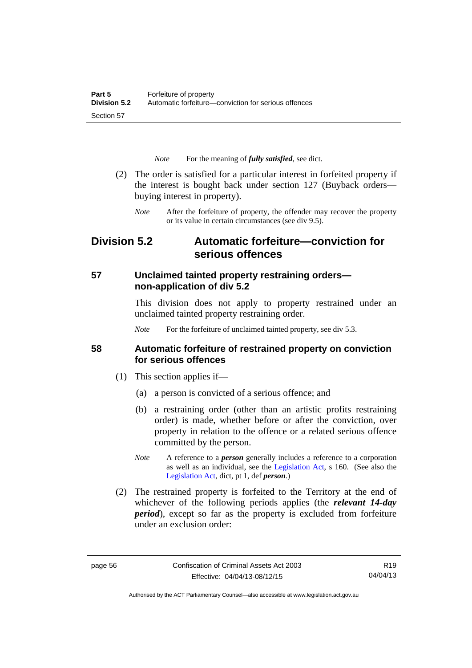*Note* For the meaning of *fully satisfied*, see dict.

- (2) The order is satisfied for a particular interest in forfeited property if the interest is bought back under section 127 (Buyback orders buying interest in property).
	- *Note* After the forfeiture of property, the offender may recover the property or its value in certain circumstances (see div 9.5).

# **Division 5.2 Automatic forfeiture—conviction for serious offences**

# **57 Unclaimed tainted property restraining orders non-application of div 5.2**

This division does not apply to property restrained under an unclaimed tainted property restraining order.

*Note* For the forfeiture of unclaimed tainted property, see div 5.3.

### **58 Automatic forfeiture of restrained property on conviction for serious offences**

- (1) This section applies if—
	- (a) a person is convicted of a serious offence; and
	- (b) a restraining order (other than an artistic profits restraining order) is made, whether before or after the conviction, over property in relation to the offence or a related serious offence committed by the person.
	- *Note* A reference to a *person* generally includes a reference to a corporation as well as an individual, see the [Legislation Act](http://www.legislation.act.gov.au/a/2001-14), s 160. (See also the [Legislation Act,](http://www.legislation.act.gov.au/a/2001-14) dict, pt 1, def *person*.)
- (2) The restrained property is forfeited to the Territory at the end of whichever of the following periods applies (the *relevant 14-day period*), except so far as the property is excluded from forfeiture under an exclusion order:

R19 04/04/13

Authorised by the ACT Parliamentary Counsel—also accessible at www.legislation.act.gov.au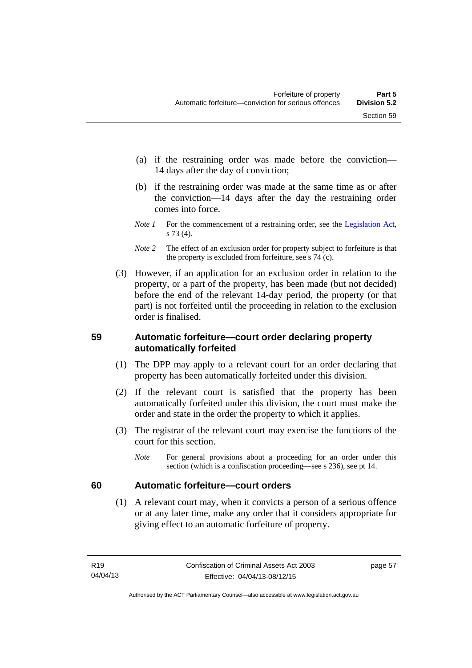- (a) if the restraining order was made before the conviction— 14 days after the day of conviction;
- (b) if the restraining order was made at the same time as or after the conviction—14 days after the day the restraining order comes into force.
- *Note 1* For the commencement of a restraining order, see the [Legislation Act,](http://www.legislation.act.gov.au/a/2001-14) s 73 (4).
- *Note* 2 The effect of an exclusion order for property subject to forfeiture is that the property is excluded from forfeiture, see s 74 (c).
- (3) However, if an application for an exclusion order in relation to the property, or a part of the property, has been made (but not decided) before the end of the relevant 14-day period, the property (or that part) is not forfeited until the proceeding in relation to the exclusion order is finalised.

# **59 Automatic forfeiture—court order declaring property automatically forfeited**

- (1) The DPP may apply to a relevant court for an order declaring that property has been automatically forfeited under this division.
- (2) If the relevant court is satisfied that the property has been automatically forfeited under this division, the court must make the order and state in the order the property to which it applies.
- (3) The registrar of the relevant court may exercise the functions of the court for this section.
	- *Note* For general provisions about a proceeding for an order under this section (which is a confiscation proceeding—see s 236), see pt 14.

# **60 Automatic forfeiture—court orders**

 (1) A relevant court may, when it convicts a person of a serious offence or at any later time, make any order that it considers appropriate for giving effect to an automatic forfeiture of property.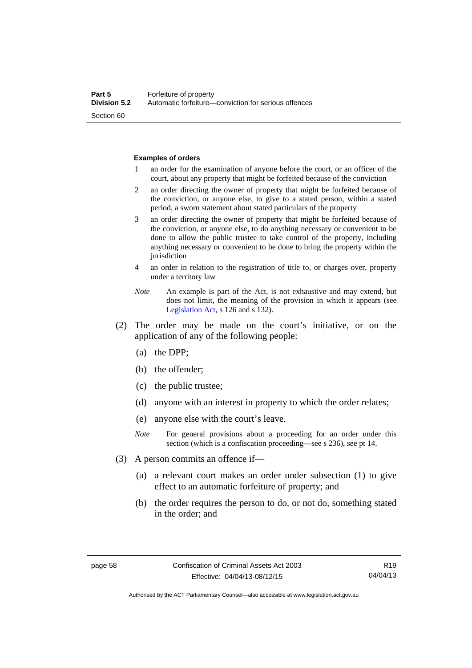#### **Examples of orders**

- 1 an order for the examination of anyone before the court, or an officer of the court, about any property that might be forfeited because of the conviction
- 2 an order directing the owner of property that might be forfeited because of the conviction, or anyone else, to give to a stated person, within a stated period, a sworn statement about stated particulars of the property
- 3 an order directing the owner of property that might be forfeited because of the conviction, or anyone else, to do anything necessary or convenient to be done to allow the public trustee to take control of the property, including anything necessary or convenient to be done to bring the property within the jurisdiction
- 4 an order in relation to the registration of title to, or charges over, property under a territory law
- *Note* An example is part of the Act, is not exhaustive and may extend, but does not limit, the meaning of the provision in which it appears (see [Legislation Act,](http://www.legislation.act.gov.au/a/2001-14) s 126 and s 132).
- (2) The order may be made on the court's initiative, or on the application of any of the following people:
	- (a) the DPP;
	- (b) the offender;
	- (c) the public trustee;
	- (d) anyone with an interest in property to which the order relates;
	- (e) anyone else with the court's leave.
	- *Note* For general provisions about a proceeding for an order under this section (which is a confiscation proceeding—see s 236), see pt 14.
- (3) A person commits an offence if—
	- (a) a relevant court makes an order under subsection (1) to give effect to an automatic forfeiture of property; and
	- (b) the order requires the person to do, or not do, something stated in the order; and

R19 04/04/13

Authorised by the ACT Parliamentary Counsel—also accessible at www.legislation.act.gov.au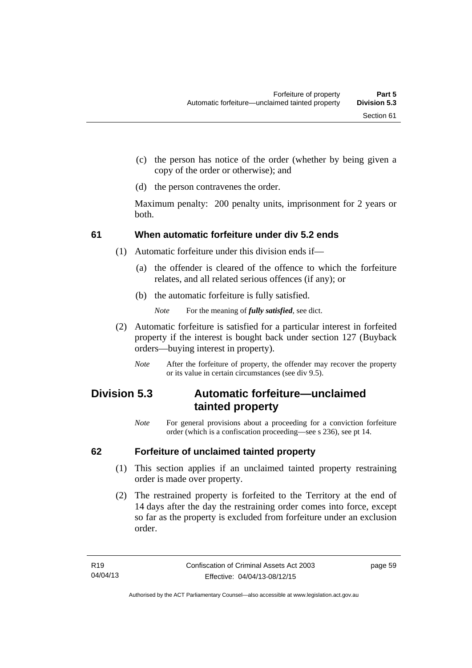- (c) the person has notice of the order (whether by being given a copy of the order or otherwise); and
- (d) the person contravenes the order.

Maximum penalty: 200 penalty units, imprisonment for 2 years or both.

## **61 When automatic forfeiture under div 5.2 ends**

- (1) Automatic forfeiture under this division ends if—
	- (a) the offender is cleared of the offence to which the forfeiture relates, and all related serious offences (if any); or
	- (b) the automatic forfeiture is fully satisfied.

*Note* For the meaning of *fully satisfied*, see dict.

- (2) Automatic forfeiture is satisfied for a particular interest in forfeited property if the interest is bought back under section 127 (Buyback orders—buying interest in property).
	- *Note* After the forfeiture of property, the offender may recover the property or its value in certain circumstances (see div 9.5).

# **Division 5.3 Automatic forfeiture—unclaimed tainted property**

*Note* For general provisions about a proceeding for a conviction forfeiture order (which is a confiscation proceeding—see s 236), see pt 14.

## **62 Forfeiture of unclaimed tainted property**

- (1) This section applies if an unclaimed tainted property restraining order is made over property.
- (2) The restrained property is forfeited to the Territory at the end of 14 days after the day the restraining order comes into force, except so far as the property is excluded from forfeiture under an exclusion order.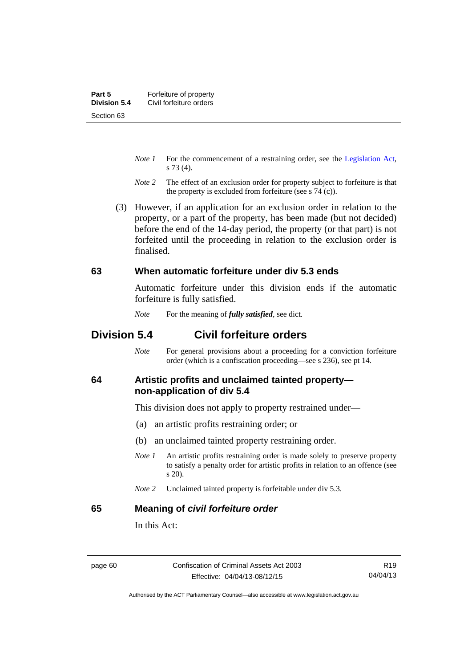- *Note 1* For the commencement of a restraining order, see the [Legislation Act,](http://www.legislation.act.gov.au/a/2001-14) s 73 (4).
- *Note 2* The effect of an exclusion order for property subject to forfeiture is that the property is excluded from forfeiture (see s 74 (c)).
- (3) However, if an application for an exclusion order in relation to the property, or a part of the property, has been made (but not decided) before the end of the 14-day period, the property (or that part) is not forfeited until the proceeding in relation to the exclusion order is finalised.

#### **63 When automatic forfeiture under div 5.3 ends**

Automatic forfeiture under this division ends if the automatic forfeiture is fully satisfied.

*Note* For the meaning of *fully satisfied*, see dict.

## **Division 5.4 Civil forfeiture orders**

*Note* For general provisions about a proceeding for a conviction forfeiture order (which is a confiscation proceeding—see s 236), see pt 14.

#### **64 Artistic profits and unclaimed tainted property non-application of div 5.4**

This division does not apply to property restrained under—

- (a) an artistic profits restraining order; or
- (b) an unclaimed tainted property restraining order.
- *Note 1* An artistic profits restraining order is made solely to preserve property to satisfy a penalty order for artistic profits in relation to an offence (see s 20).
- *Note 2* Unclaimed tainted property is forfeitable under div 5.3.

#### **65 Meaning of** *civil forfeiture order*

In this Act: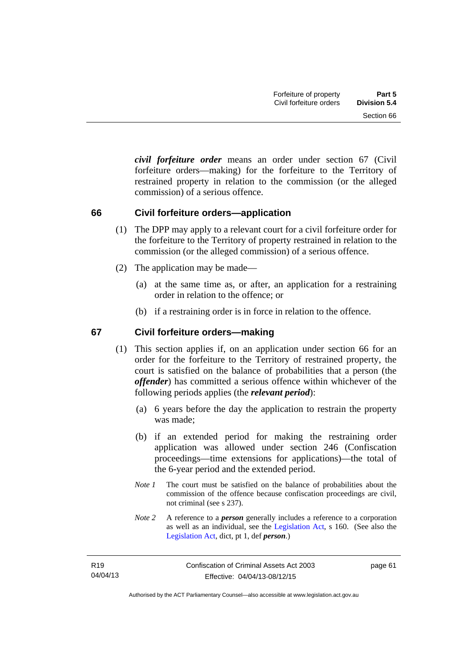*civil forfeiture order* means an order under section 67 (Civil forfeiture orders—making) for the forfeiture to the Territory of restrained property in relation to the commission (or the alleged commission) of a serious offence.

#### **66 Civil forfeiture orders—application**

- (1) The DPP may apply to a relevant court for a civil forfeiture order for the forfeiture to the Territory of property restrained in relation to the commission (or the alleged commission) of a serious offence.
- (2) The application may be made—
	- (a) at the same time as, or after, an application for a restraining order in relation to the offence; or
	- (b) if a restraining order is in force in relation to the offence.

#### **67 Civil forfeiture orders—making**

- (1) This section applies if, on an application under section 66 for an order for the forfeiture to the Territory of restrained property, the court is satisfied on the balance of probabilities that a person (the *offender*) has committed a serious offence within whichever of the following periods applies (the *relevant period*):
	- (a) 6 years before the day the application to restrain the property was made;
	- (b) if an extended period for making the restraining order application was allowed under section 246 (Confiscation proceedings—time extensions for applications)—the total of the 6-year period and the extended period.
	- *Note 1* The court must be satisfied on the balance of probabilities about the commission of the offence because confiscation proceedings are civil, not criminal (see s 237).
	- *Note 2* A reference to a *person* generally includes a reference to a corporation as well as an individual, see the [Legislation Act](http://www.legislation.act.gov.au/a/2001-14), s 160. (See also the [Legislation Act,](http://www.legislation.act.gov.au/a/2001-14) dict, pt 1, def *person*.)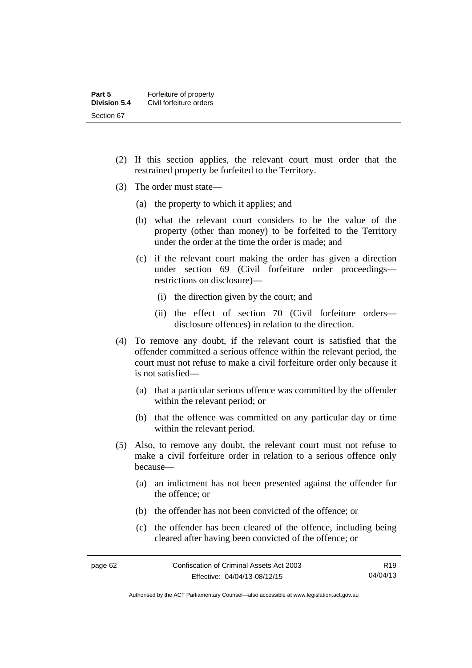- (2) If this section applies, the relevant court must order that the restrained property be forfeited to the Territory.
- (3) The order must state—
	- (a) the property to which it applies; and
	- (b) what the relevant court considers to be the value of the property (other than money) to be forfeited to the Territory under the order at the time the order is made; and
	- (c) if the relevant court making the order has given a direction under section 69 (Civil forfeiture order proceedings restrictions on disclosure)—
		- (i) the direction given by the court; and
		- (ii) the effect of section 70 (Civil forfeiture orders disclosure offences) in relation to the direction.
- (4) To remove any doubt, if the relevant court is satisfied that the offender committed a serious offence within the relevant period, the court must not refuse to make a civil forfeiture order only because it is not satisfied—
	- (a) that a particular serious offence was committed by the offender within the relevant period; or
	- (b) that the offence was committed on any particular day or time within the relevant period.
- (5) Also, to remove any doubt, the relevant court must not refuse to make a civil forfeiture order in relation to a serious offence only because—
	- (a) an indictment has not been presented against the offender for the offence; or
	- (b) the offender has not been convicted of the offence; or
	- (c) the offender has been cleared of the offence, including being cleared after having been convicted of the offence; or

Authorised by the ACT Parliamentary Counsel—also accessible at www.legislation.act.gov.au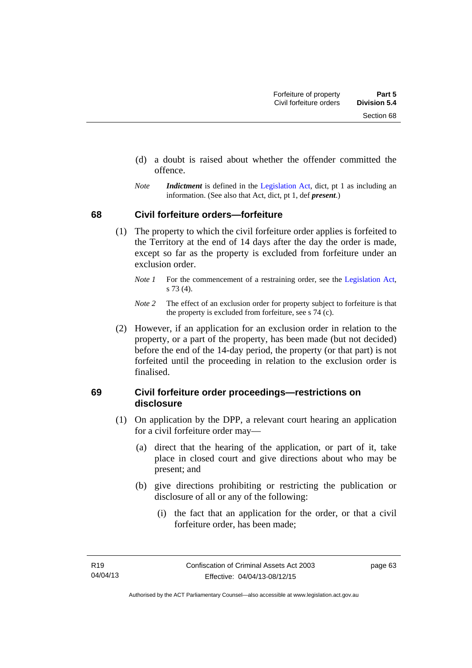- (d) a doubt is raised about whether the offender committed the offence.
- *Note Indictment* is defined in the [Legislation Act,](http://www.legislation.act.gov.au/a/2001-14) dict, pt 1 as including an information. (See also that Act, dict, pt 1, def *present*.)

#### **68 Civil forfeiture orders—forfeiture**

- (1) The property to which the civil forfeiture order applies is forfeited to the Territory at the end of 14 days after the day the order is made, except so far as the property is excluded from forfeiture under an exclusion order.
	- *Note 1* For the commencement of a restraining order, see the [Legislation Act,](http://www.legislation.act.gov.au/a/2001-14) s 73 (4).
	- *Note 2* The effect of an exclusion order for property subject to forfeiture is that the property is excluded from forfeiture, see s 74 (c).
- (2) However, if an application for an exclusion order in relation to the property, or a part of the property, has been made (but not decided) before the end of the 14-day period, the property (or that part) is not forfeited until the proceeding in relation to the exclusion order is finalised.

#### **69 Civil forfeiture order proceedings—restrictions on disclosure**

- (1) On application by the DPP, a relevant court hearing an application for a civil forfeiture order may—
	- (a) direct that the hearing of the application, or part of it, take place in closed court and give directions about who may be present; and
	- (b) give directions prohibiting or restricting the publication or disclosure of all or any of the following:
		- (i) the fact that an application for the order, or that a civil forfeiture order, has been made;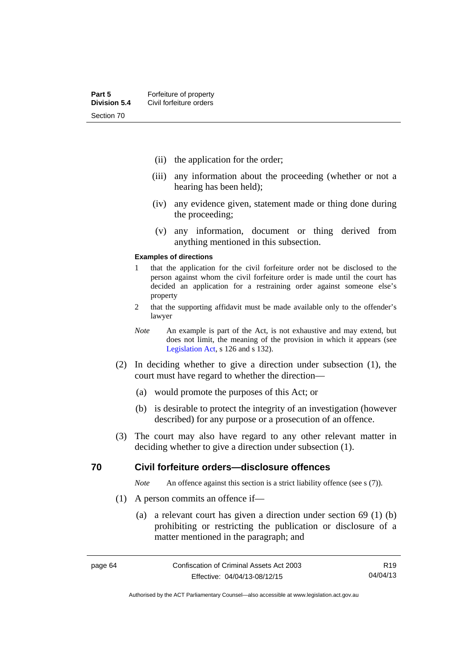- (ii) the application for the order;
- (iii) any information about the proceeding (whether or not a hearing has been held);
- (iv) any evidence given, statement made or thing done during the proceeding;
- (v) any information, document or thing derived from anything mentioned in this subsection.

#### **Examples of directions**

- 1 that the application for the civil forfeiture order not be disclosed to the person against whom the civil forfeiture order is made until the court has decided an application for a restraining order against someone else's property
- 2 that the supporting affidavit must be made available only to the offender's lawyer
- *Note* An example is part of the Act, is not exhaustive and may extend, but does not limit, the meaning of the provision in which it appears (see [Legislation Act,](http://www.legislation.act.gov.au/a/2001-14) s 126 and s 132).
- (2) In deciding whether to give a direction under subsection (1), the court must have regard to whether the direction—
	- (a) would promote the purposes of this Act; or
	- (b) is desirable to protect the integrity of an investigation (however described) for any purpose or a prosecution of an offence.
- (3) The court may also have regard to any other relevant matter in deciding whether to give a direction under subsection (1).

#### **70 Civil forfeiture orders—disclosure offences**

*Note* An offence against this section is a strict liability offence (see s (7)).

- (1) A person commits an offence if—
	- (a) a relevant court has given a direction under section 69 (1) (b) prohibiting or restricting the publication or disclosure of a matter mentioned in the paragraph; and

R19 04/04/13

Authorised by the ACT Parliamentary Counsel—also accessible at www.legislation.act.gov.au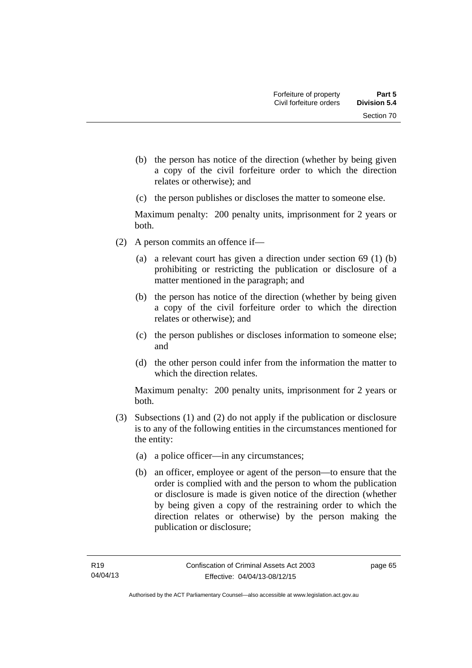- (b) the person has notice of the direction (whether by being given a copy of the civil forfeiture order to which the direction relates or otherwise); and
- (c) the person publishes or discloses the matter to someone else.

Maximum penalty: 200 penalty units, imprisonment for 2 years or both.

- (2) A person commits an offence if—
	- (a) a relevant court has given a direction under section 69 (1) (b) prohibiting or restricting the publication or disclosure of a matter mentioned in the paragraph; and
	- (b) the person has notice of the direction (whether by being given a copy of the civil forfeiture order to which the direction relates or otherwise); and
	- (c) the person publishes or discloses information to someone else; and
	- (d) the other person could infer from the information the matter to which the direction relates.

Maximum penalty: 200 penalty units, imprisonment for 2 years or both.

- (3) Subsections (1) and (2) do not apply if the publication or disclosure is to any of the following entities in the circumstances mentioned for the entity:
	- (a) a police officer—in any circumstances;
	- (b) an officer, employee or agent of the person—to ensure that the order is complied with and the person to whom the publication or disclosure is made is given notice of the direction (whether by being given a copy of the restraining order to which the direction relates or otherwise) by the person making the publication or disclosure;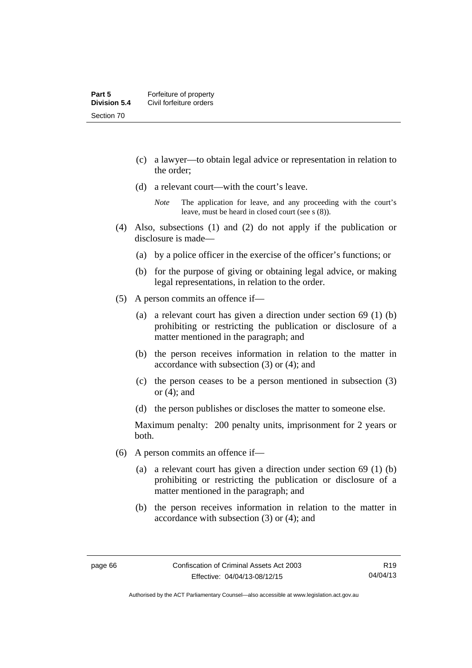- (c) a lawyer—to obtain legal advice or representation in relation to the order;
- (d) a relevant court—with the court's leave.

- (4) Also, subsections (1) and (2) do not apply if the publication or disclosure is made—
	- (a) by a police officer in the exercise of the officer's functions; or
	- (b) for the purpose of giving or obtaining legal advice, or making legal representations, in relation to the order.
- (5) A person commits an offence if—
	- (a) a relevant court has given a direction under section 69 (1) (b) prohibiting or restricting the publication or disclosure of a matter mentioned in the paragraph; and
	- (b) the person receives information in relation to the matter in accordance with subsection (3) or (4); and
	- (c) the person ceases to be a person mentioned in subsection (3) or (4); and
	- (d) the person publishes or discloses the matter to someone else.

Maximum penalty: 200 penalty units, imprisonment for 2 years or both.

- (6) A person commits an offence if—
	- (a) a relevant court has given a direction under section 69 (1) (b) prohibiting or restricting the publication or disclosure of a matter mentioned in the paragraph; and
	- (b) the person receives information in relation to the matter in accordance with subsection (3) or (4); and

*Note* The application for leave, and any proceeding with the court's leave, must be heard in closed court (see s (8)).

Authorised by the ACT Parliamentary Counsel—also accessible at www.legislation.act.gov.au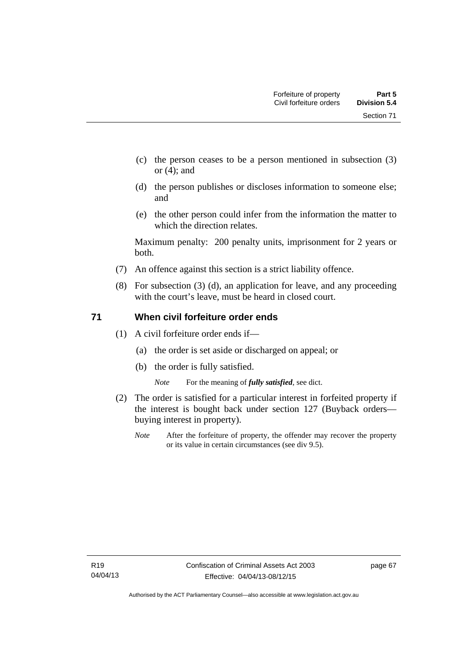Section 71

- (c) the person ceases to be a person mentioned in subsection (3) or (4); and
- (d) the person publishes or discloses information to someone else; and
- (e) the other person could infer from the information the matter to which the direction relates.

Maximum penalty: 200 penalty units, imprisonment for 2 years or both.

- (7) An offence against this section is a strict liability offence.
- (8) For subsection (3) (d), an application for leave, and any proceeding with the court's leave, must be heard in closed court.

#### **71 When civil forfeiture order ends**

- (1) A civil forfeiture order ends if—
	- (a) the order is set aside or discharged on appeal; or
	- (b) the order is fully satisfied.

*Note* For the meaning of *fully satisfied*, see dict.

- (2) The order is satisfied for a particular interest in forfeited property if the interest is bought back under section 127 (Buyback orders buying interest in property).
	- *Note* After the forfeiture of property, the offender may recover the property or its value in certain circumstances (see div 9.5).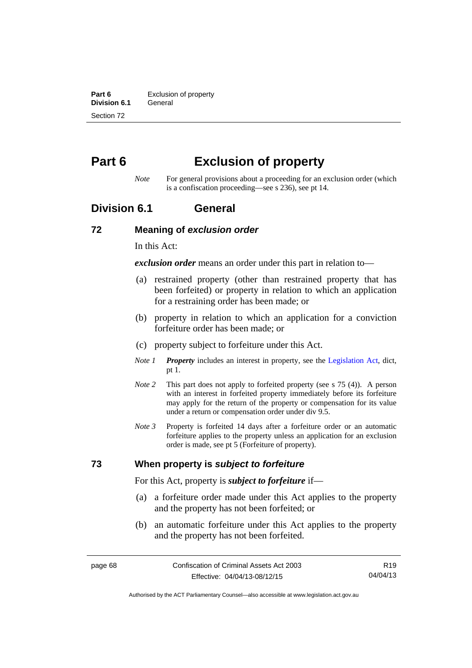**Part 6 Exclusion of property**<br>**Division 6.1 General Division 6.1** Section 72

# **Part 6 Exclusion of property**

*Note* For general provisions about a proceeding for an exclusion order (which is a confiscation proceeding—see s 236), see pt 14.

## **Division 6.1 General**

#### **72 Meaning of** *exclusion order*

In this Act:

*exclusion order* means an order under this part in relation to—

- (a) restrained property (other than restrained property that has been forfeited) or property in relation to which an application for a restraining order has been made; or
- (b) property in relation to which an application for a conviction forfeiture order has been made; or
- (c) property subject to forfeiture under this Act.
- *Note 1 Property* includes an interest in property, see the [Legislation Act,](http://www.legislation.act.gov.au/a/2001-14) dict, pt 1.
- *Note 2* This part does not apply to forfeited property (see s 75 (4)). A person with an interest in forfeited property immediately before its forfeiture may apply for the return of the property or compensation for its value under a return or compensation order under div 9.5.
- *Note 3* Property is forfeited 14 days after a forfeiture order or an automatic forfeiture applies to the property unless an application for an exclusion order is made, see pt 5 (Forfeiture of property).

#### **73 When property is** *subject to forfeiture*

For this Act, property is *subject to forfeiture* if—

- (a) a forfeiture order made under this Act applies to the property and the property has not been forfeited; or
- (b) an automatic forfeiture under this Act applies to the property and the property has not been forfeited.

R19 04/04/13

Authorised by the ACT Parliamentary Counsel—also accessible at www.legislation.act.gov.au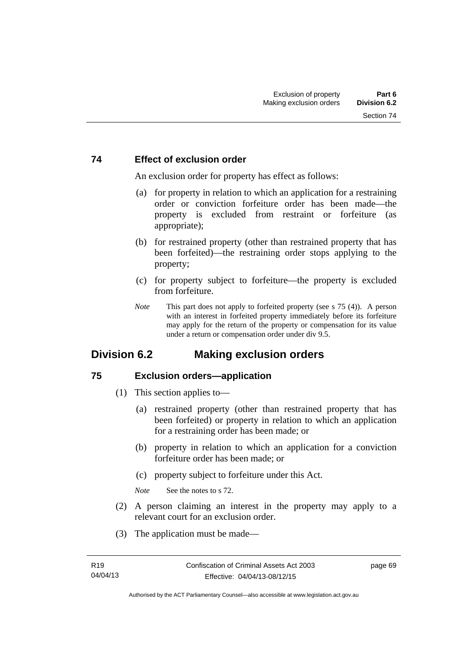#### **74 Effect of exclusion order**

An exclusion order for property has effect as follows:

- (a) for property in relation to which an application for a restraining order or conviction forfeiture order has been made—the property is excluded from restraint or forfeiture (as appropriate);
- (b) for restrained property (other than restrained property that has been forfeited)—the restraining order stops applying to the property;
- (c) for property subject to forfeiture—the property is excluded from forfeiture.
- *Note* This part does not apply to forfeited property (see s 75 (4)). A person with an interest in forfeited property immediately before its forfeiture may apply for the return of the property or compensation for its value under a return or compensation order under div 9.5.

## **Division 6.2 Making exclusion orders**

#### **75 Exclusion orders—application**

- (1) This section applies to—
	- (a) restrained property (other than restrained property that has been forfeited) or property in relation to which an application for a restraining order has been made; or
	- (b) property in relation to which an application for a conviction forfeiture order has been made; or
	- (c) property subject to forfeiture under this Act.

*Note* See the notes to s 72.

- (2) A person claiming an interest in the property may apply to a relevant court for an exclusion order.
- (3) The application must be made—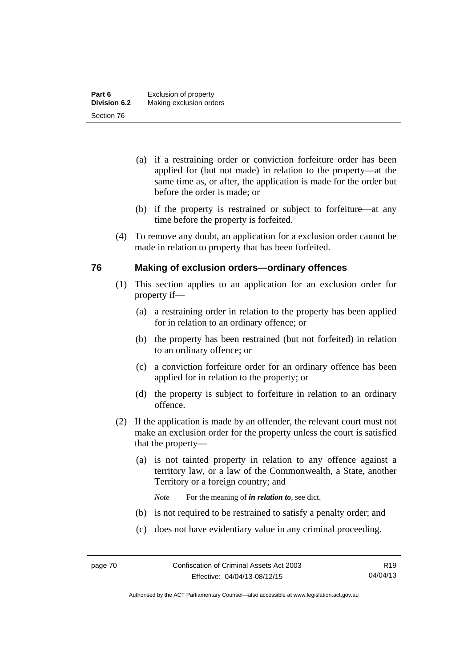- (a) if a restraining order or conviction forfeiture order has been applied for (but not made) in relation to the property—at the same time as, or after, the application is made for the order but before the order is made; or
- (b) if the property is restrained or subject to forfeiture—at any time before the property is forfeited.
- (4) To remove any doubt, an application for a exclusion order cannot be made in relation to property that has been forfeited.

#### **76 Making of exclusion orders—ordinary offences**

- (1) This section applies to an application for an exclusion order for property if—
	- (a) a restraining order in relation to the property has been applied for in relation to an ordinary offence; or
	- (b) the property has been restrained (but not forfeited) in relation to an ordinary offence; or
	- (c) a conviction forfeiture order for an ordinary offence has been applied for in relation to the property; or
	- (d) the property is subject to forfeiture in relation to an ordinary offence.
- (2) If the application is made by an offender, the relevant court must not make an exclusion order for the property unless the court is satisfied that the property—
	- (a) is not tainted property in relation to any offence against a territory law, or a law of the Commonwealth, a State, another Territory or a foreign country; and
		- *Note* For the meaning of *in relation to*, see dict.
	- (b) is not required to be restrained to satisfy a penalty order; and
	- (c) does not have evidentiary value in any criminal proceeding.

Authorised by the ACT Parliamentary Counsel—also accessible at www.legislation.act.gov.au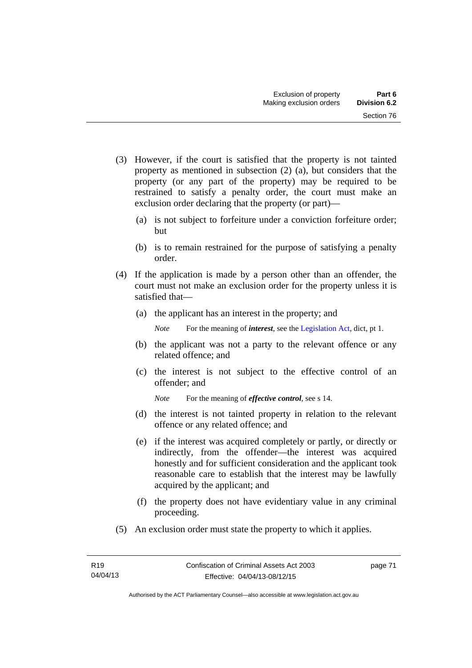- (3) However, if the court is satisfied that the property is not tainted property as mentioned in subsection (2) (a), but considers that the property (or any part of the property) may be required to be restrained to satisfy a penalty order, the court must make an exclusion order declaring that the property (or part)—
	- (a) is not subject to forfeiture under a conviction forfeiture order; but
	- (b) is to remain restrained for the purpose of satisfying a penalty order.
- (4) If the application is made by a person other than an offender, the court must not make an exclusion order for the property unless it is satisfied that—
	- (a) the applicant has an interest in the property; and

*Note* For the meaning of *interest*, see the [Legislation Act](http://www.legislation.act.gov.au/a/2001-14), dict, pt 1.

- (b) the applicant was not a party to the relevant offence or any related offence; and
- (c) the interest is not subject to the effective control of an offender; and
	- *Note* For the meaning of *effective control*, see s 14.
- (d) the interest is not tainted property in relation to the relevant offence or any related offence; and
- (e) if the interest was acquired completely or partly, or directly or indirectly, from the offender—the interest was acquired honestly and for sufficient consideration and the applicant took reasonable care to establish that the interest may be lawfully acquired by the applicant; and
- (f) the property does not have evidentiary value in any criminal proceeding.
- (5) An exclusion order must state the property to which it applies.

page 71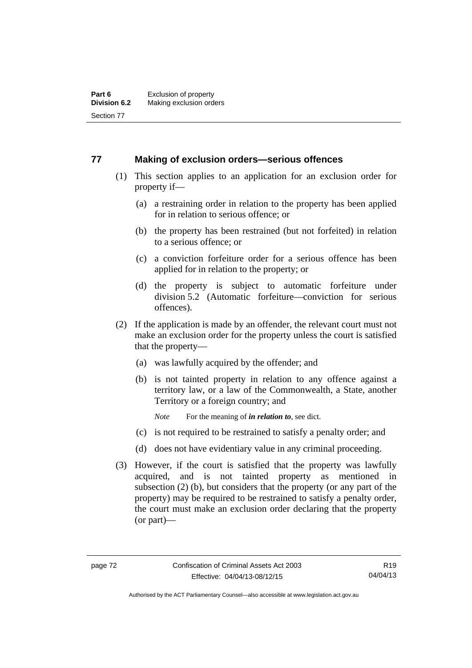#### **77 Making of exclusion orders—serious offences**

- (1) This section applies to an application for an exclusion order for property if—
	- (a) a restraining order in relation to the property has been applied for in relation to serious offence; or
	- (b) the property has been restrained (but not forfeited) in relation to a serious offence; or
	- (c) a conviction forfeiture order for a serious offence has been applied for in relation to the property; or
	- (d) the property is subject to automatic forfeiture under division 5.2 (Automatic forfeiture—conviction for serious offences).
- (2) If the application is made by an offender, the relevant court must not make an exclusion order for the property unless the court is satisfied that the property—
	- (a) was lawfully acquired by the offender; and
	- (b) is not tainted property in relation to any offence against a territory law, or a law of the Commonwealth, a State, another Territory or a foreign country; and
		- *Note* For the meaning of *in relation to*, see dict.
	- (c) is not required to be restrained to satisfy a penalty order; and
	- (d) does not have evidentiary value in any criminal proceeding.
- (3) However, if the court is satisfied that the property was lawfully acquired, and is not tainted property as mentioned in subsection (2) (b), but considers that the property (or any part of the property) may be required to be restrained to satisfy a penalty order, the court must make an exclusion order declaring that the property (or part)—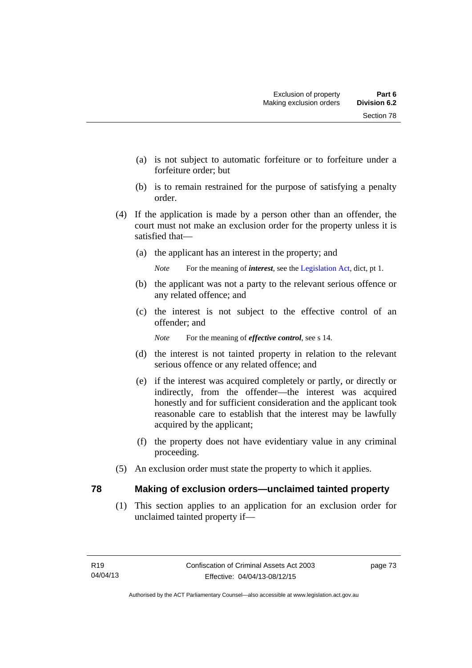- (a) is not subject to automatic forfeiture or to forfeiture under a forfeiture order; but
- (b) is to remain restrained for the purpose of satisfying a penalty order.
- (4) If the application is made by a person other than an offender, the court must not make an exclusion order for the property unless it is satisfied that—
	- (a) the applicant has an interest in the property; and

*Note* For the meaning of *interest*, see the [Legislation Act](http://www.legislation.act.gov.au/a/2001-14), dict, pt 1.

- (b) the applicant was not a party to the relevant serious offence or any related offence; and
- (c) the interest is not subject to the effective control of an offender; and

*Note* For the meaning of *effective control*, see s 14.

- (d) the interest is not tainted property in relation to the relevant serious offence or any related offence; and
- (e) if the interest was acquired completely or partly, or directly or indirectly, from the offender—the interest was acquired honestly and for sufficient consideration and the applicant took reasonable care to establish that the interest may be lawfully acquired by the applicant;
- (f) the property does not have evidentiary value in any criminal proceeding.
- (5) An exclusion order must state the property to which it applies.

#### **78 Making of exclusion orders—unclaimed tainted property**

 (1) This section applies to an application for an exclusion order for unclaimed tainted property if—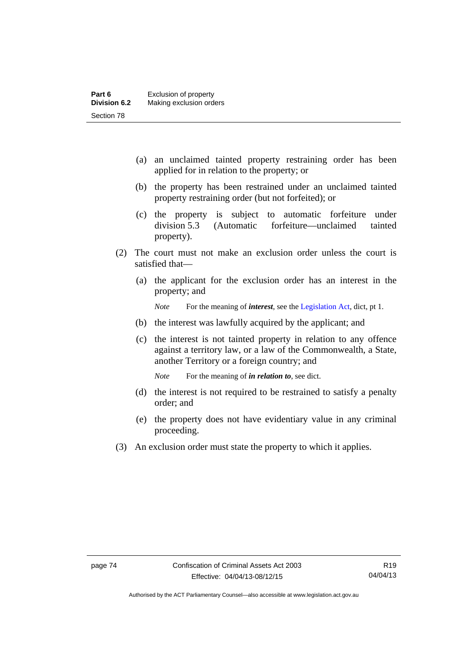- (a) an unclaimed tainted property restraining order has been applied for in relation to the property; or
- (b) the property has been restrained under an unclaimed tainted property restraining order (but not forfeited); or
- (c) the property is subject to automatic forfeiture under division 5.3 (Automatic forfeiture—unclaimed tainted property).
- (2) The court must not make an exclusion order unless the court is satisfied that—
	- (a) the applicant for the exclusion order has an interest in the property; and

*Note* For the meaning of *interest*, see the [Legislation Act](http://www.legislation.act.gov.au/a/2001-14), dict, pt 1.

- (b) the interest was lawfully acquired by the applicant; and
- (c) the interest is not tainted property in relation to any offence against a territory law, or a law of the Commonwealth, a State, another Territory or a foreign country; and

*Note* For the meaning of *in relation to*, see dict.

- (d) the interest is not required to be restrained to satisfy a penalty order; and
- (e) the property does not have evidentiary value in any criminal proceeding.
- (3) An exclusion order must state the property to which it applies.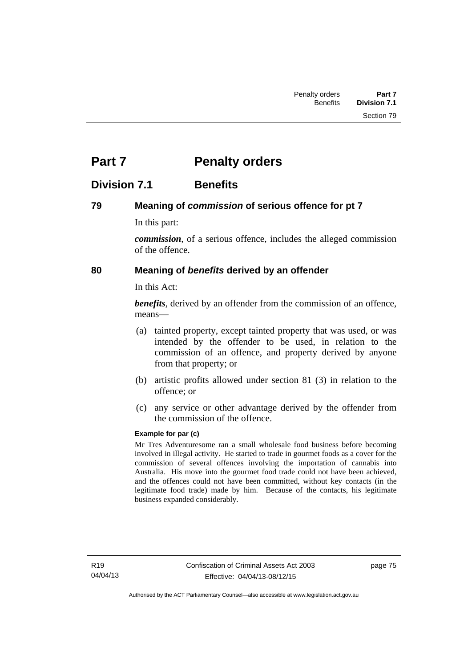# **Part 7** Penalty orders

## **Division 7.1 Benefits**

### **79 Meaning of** *commission* **of serious offence for pt 7**

In this part:

*commission*, of a serious offence, includes the alleged commission of the offence.

### **80 Meaning of** *benefits* **derived by an offender**

In this Act:

*benefits*, derived by an offender from the commission of an offence, means—

- (a) tainted property, except tainted property that was used, or was intended by the offender to be used, in relation to the commission of an offence, and property derived by anyone from that property; or
- (b) artistic profits allowed under section 81 (3) in relation to the offence; or
- (c) any service or other advantage derived by the offender from the commission of the offence.

#### **Example for par (c)**

Mr Tres Adventuresome ran a small wholesale food business before becoming involved in illegal activity. He started to trade in gourmet foods as a cover for the commission of several offences involving the importation of cannabis into Australia. His move into the gourmet food trade could not have been achieved, and the offences could not have been committed, without key contacts (in the legitimate food trade) made by him. Because of the contacts, his legitimate business expanded considerably.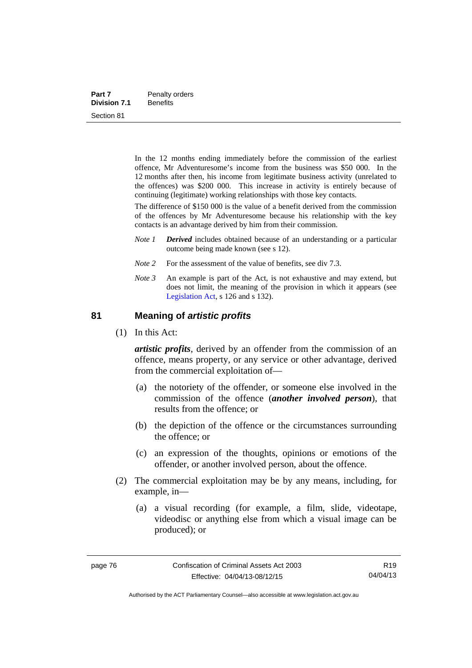| Part 7              | Penalty orders  |
|---------------------|-----------------|
| <b>Division 7.1</b> | <b>Benefits</b> |
| Section 81          |                 |

In the 12 months ending immediately before the commission of the earliest offence, Mr Adventuresome's income from the business was \$50 000. In the 12 months after then, his income from legitimate business activity (unrelated to the offences) was \$200 000. This increase in activity is entirely because of continuing (legitimate) working relationships with those key contacts.

The difference of \$150 000 is the value of a benefit derived from the commission of the offences by Mr Adventuresome because his relationship with the key contacts is an advantage derived by him from their commission.

- *Note 1 Derived* includes obtained because of an understanding or a particular outcome being made known (see s 12).
- *Note* 2 For the assessment of the value of benefits, see div 7.3.
- *Note 3* An example is part of the Act, is not exhaustive and may extend, but does not limit, the meaning of the provision in which it appears (see [Legislation Act,](http://www.legislation.act.gov.au/a/2001-14) s 126 and s 132).

#### **81 Meaning of** *artistic profits*

(1) In this Act:

*artistic profits*, derived by an offender from the commission of an offence, means property, or any service or other advantage, derived from the commercial exploitation of—

- (a) the notoriety of the offender, or someone else involved in the commission of the offence (*another involved person*), that results from the offence; or
- (b) the depiction of the offence or the circumstances surrounding the offence; or
- (c) an expression of the thoughts, opinions or emotions of the offender, or another involved person, about the offence.
- (2) The commercial exploitation may be by any means, including, for example, in—
	- (a) a visual recording (for example, a film, slide, videotape, videodisc or anything else from which a visual image can be produced); or

Authorised by the ACT Parliamentary Counsel—also accessible at www.legislation.act.gov.au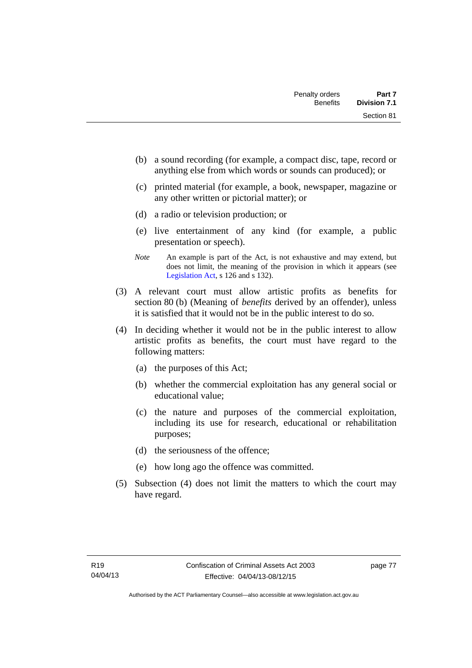- (b) a sound recording (for example, a compact disc, tape, record or anything else from which words or sounds can produced); or
- (c) printed material (for example, a book, newspaper, magazine or any other written or pictorial matter); or
- (d) a radio or television production; or
- (e) live entertainment of any kind (for example, a public presentation or speech).
- *Note* An example is part of the Act, is not exhaustive and may extend, but does not limit, the meaning of the provision in which it appears (see [Legislation Act,](http://www.legislation.act.gov.au/a/2001-14) s 126 and s 132).
- (3) A relevant court must allow artistic profits as benefits for section 80 (b) (Meaning of *benefits* derived by an offender), unless it is satisfied that it would not be in the public interest to do so.
- (4) In deciding whether it would not be in the public interest to allow artistic profits as benefits, the court must have regard to the following matters:
	- (a) the purposes of this Act;
	- (b) whether the commercial exploitation has any general social or educational value;
	- (c) the nature and purposes of the commercial exploitation, including its use for research, educational or rehabilitation purposes;
	- (d) the seriousness of the offence;
	- (e) how long ago the offence was committed.
- (5) Subsection (4) does not limit the matters to which the court may have regard.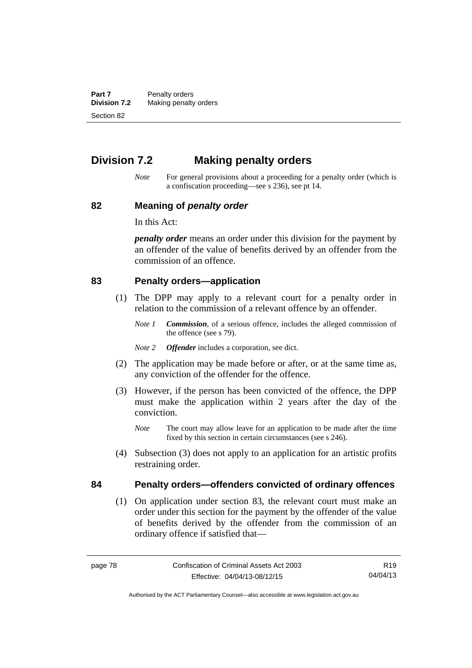**Part 7** Penalty orders<br>**Division 7.2** Making penalty **Making penalty orders** Section 82

## **Division 7.2 Making penalty orders**

*Note* For general provisions about a proceeding for a penalty order (which is a confiscation proceeding—see s 236), see pt 14.

#### **82 Meaning of** *penalty order*

In this Act:

*penalty order* means an order under this division for the payment by an offender of the value of benefits derived by an offender from the commission of an offence.

#### **83 Penalty orders—application**

- (1) The DPP may apply to a relevant court for a penalty order in relation to the commission of a relevant offence by an offender.
	- *Note 1 Commission*, of a serious offence, includes the alleged commission of the offence (see s 79).
	- *Note 2 Offender* includes a corporation, see dict.
- (2) The application may be made before or after, or at the same time as, any conviction of the offender for the offence.
- (3) However, if the person has been convicted of the offence, the DPP must make the application within 2 years after the day of the conviction.
	- *Note* The court may allow leave for an application to be made after the time fixed by this section in certain circumstances (see s 246).
- (4) Subsection (3) does not apply to an application for an artistic profits restraining order.

#### **84 Penalty orders—offenders convicted of ordinary offences**

(1) On application under section 83, the relevant court must make an order under this section for the payment by the offender of the value of benefits derived by the offender from the commission of an ordinary offence if satisfied that—

R19 04/04/13

Authorised by the ACT Parliamentary Counsel—also accessible at www.legislation.act.gov.au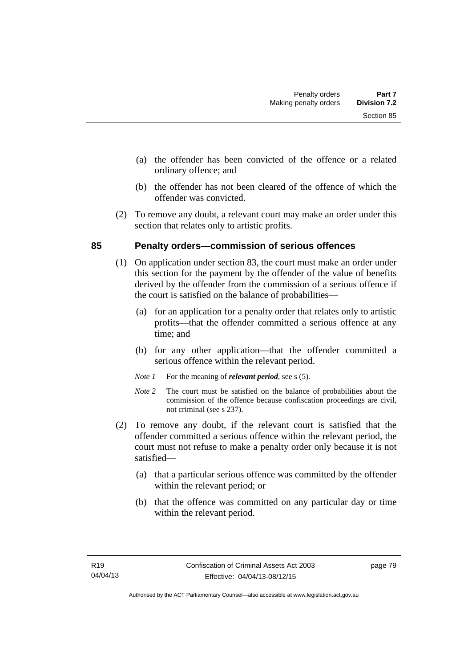- (a) the offender has been convicted of the offence or a related ordinary offence; and
- (b) the offender has not been cleared of the offence of which the offender was convicted.
- (2) To remove any doubt, a relevant court may make an order under this section that relates only to artistic profits.

### **85 Penalty orders—commission of serious offences**

- (1) On application under section 83, the court must make an order under this section for the payment by the offender of the value of benefits derived by the offender from the commission of a serious offence if the court is satisfied on the balance of probabilities—
	- (a) for an application for a penalty order that relates only to artistic profits—that the offender committed a serious offence at any time; and
	- (b) for any other application—that the offender committed a serious offence within the relevant period.
	- *Note 1* For the meaning of *relevant period*, see s (5).
	- *Note* 2 The court must be satisfied on the balance of probabilities about the commission of the offence because confiscation proceedings are civil, not criminal (see s 237).
- (2) To remove any doubt, if the relevant court is satisfied that the offender committed a serious offence within the relevant period, the court must not refuse to make a penalty order only because it is not satisfied—
	- (a) that a particular serious offence was committed by the offender within the relevant period; or
	- (b) that the offence was committed on any particular day or time within the relevant period.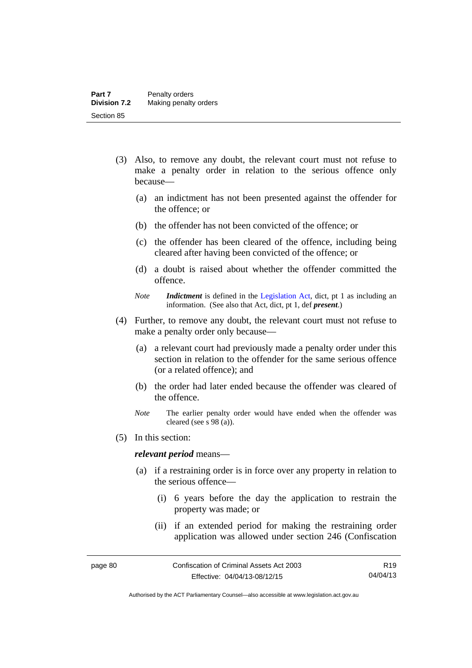- (3) Also, to remove any doubt, the relevant court must not refuse to make a penalty order in relation to the serious offence only because—
	- (a) an indictment has not been presented against the offender for the offence; or
	- (b) the offender has not been convicted of the offence; or
	- (c) the offender has been cleared of the offence, including being cleared after having been convicted of the offence; or
	- (d) a doubt is raised about whether the offender committed the offence.
	- *Note Indictment* is defined in the [Legislation Act,](http://www.legislation.act.gov.au/a/2001-14) dict, pt 1 as including an information. (See also that Act, dict, pt 1, def *present*.)
- (4) Further, to remove any doubt, the relevant court must not refuse to make a penalty order only because—
	- (a) a relevant court had previously made a penalty order under this section in relation to the offender for the same serious offence (or a related offence); and
	- (b) the order had later ended because the offender was cleared of the offence.
	- *Note* The earlier penalty order would have ended when the offender was cleared (see s 98 (a)).
- (5) In this section:

#### *relevant period* means—

- (a) if a restraining order is in force over any property in relation to the serious offence—
	- (i) 6 years before the day the application to restrain the property was made; or
	- (ii) if an extended period for making the restraining order application was allowed under section 246 (Confiscation

Authorised by the ACT Parliamentary Counsel—also accessible at www.legislation.act.gov.au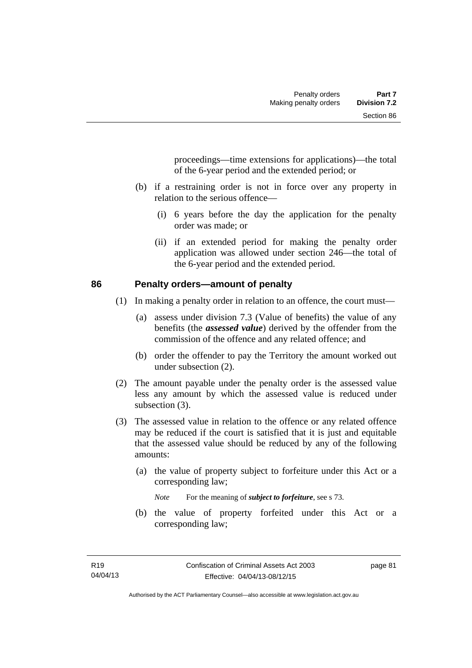proceedings—time extensions for applications)—the total of the 6-year period and the extended period; or

- (b) if a restraining order is not in force over any property in relation to the serious offence—
	- (i) 6 years before the day the application for the penalty order was made; or
	- (ii) if an extended period for making the penalty order application was allowed under section 246—the total of the 6-year period and the extended period.

#### **86 Penalty orders—amount of penalty**

- (1) In making a penalty order in relation to an offence, the court must—
	- (a) assess under division 7.3 (Value of benefits) the value of any benefits (the *assessed value*) derived by the offender from the commission of the offence and any related offence; and
	- (b) order the offender to pay the Territory the amount worked out under subsection (2).
- (2) The amount payable under the penalty order is the assessed value less any amount by which the assessed value is reduced under subsection  $(3)$ .
- (3) The assessed value in relation to the offence or any related offence may be reduced if the court is satisfied that it is just and equitable that the assessed value should be reduced by any of the following amounts:
	- (a) the value of property subject to forfeiture under this Act or a corresponding law;

*Note* For the meaning of *subject to forfeiture*, see s 73.

 (b) the value of property forfeited under this Act or a corresponding law;

page 81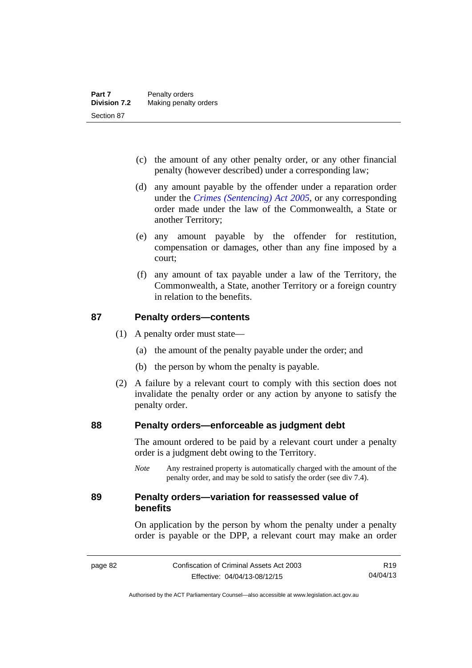- (c) the amount of any other penalty order, or any other financial penalty (however described) under a corresponding law;
- (d) any amount payable by the offender under a reparation order under the *[Crimes \(Sentencing\) Act 2005](http://www.legislation.act.gov.au/a/2005-58)*, or any corresponding order made under the law of the Commonwealth, a State or another Territory;
- (e) any amount payable by the offender for restitution, compensation or damages, other than any fine imposed by a court;
- (f) any amount of tax payable under a law of the Territory, the Commonwealth, a State, another Territory or a foreign country in relation to the benefits.

#### **87 Penalty orders—contents**

- (1) A penalty order must state—
	- (a) the amount of the penalty payable under the order; and
	- (b) the person by whom the penalty is payable.
- (2) A failure by a relevant court to comply with this section does not invalidate the penalty order or any action by anyone to satisfy the penalty order.

#### **88 Penalty orders—enforceable as judgment debt**

The amount ordered to be paid by a relevant court under a penalty order is a judgment debt owing to the Territory.

*Note* Any restrained property is automatically charged with the amount of the penalty order, and may be sold to satisfy the order (see div 7.4).

#### **89 Penalty orders—variation for reassessed value of benefits**

On application by the person by whom the penalty under a penalty order is payable or the DPP, a relevant court may make an order

Authorised by the ACT Parliamentary Counsel—also accessible at www.legislation.act.gov.au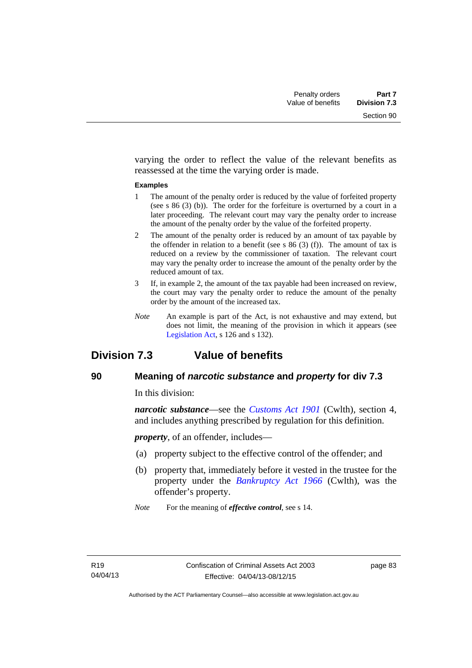varying the order to reflect the value of the relevant benefits as reassessed at the time the varying order is made.

#### **Examples**

- 1 The amount of the penalty order is reduced by the value of forfeited property (see s 86 (3) (b)). The order for the forfeiture is overturned by a court in a later proceeding. The relevant court may vary the penalty order to increase the amount of the penalty order by the value of the forfeited property.
- 2 The amount of the penalty order is reduced by an amount of tax payable by the offender in relation to a benefit (see s  $86(3)(f)$ ). The amount of tax is reduced on a review by the commissioner of taxation. The relevant court may vary the penalty order to increase the amount of the penalty order by the reduced amount of tax.
- 3 If, in example 2, the amount of the tax payable had been increased on review, the court may vary the penalty order to reduce the amount of the penalty order by the amount of the increased tax.
- *Note* An example is part of the Act, is not exhaustive and may extend, but does not limit, the meaning of the provision in which it appears (see [Legislation Act,](http://www.legislation.act.gov.au/a/2001-14) s 126 and s 132).

## **Division 7.3 Value of benefits**

### **90 Meaning of** *narcotic substance* **and** *property* **for div 7.3**

In this division:

*narcotic substance*—see the *[Customs Act 1901](http://www.comlaw.gov.au/Details/C2013C00064)* (Cwlth), section 4, and includes anything prescribed by regulation for this definition.

*property*, of an offender, includes—

- (a) property subject to the effective control of the offender; and
- (b) property that, immediately before it vested in the trustee for the property under the *[Bankruptcy Act 1966](http://www.comlaw.gov.au/Details/C2012C00173)* (Cwlth), was the offender's property.
- *Note* For the meaning of *effective control*, see s 14.

page 83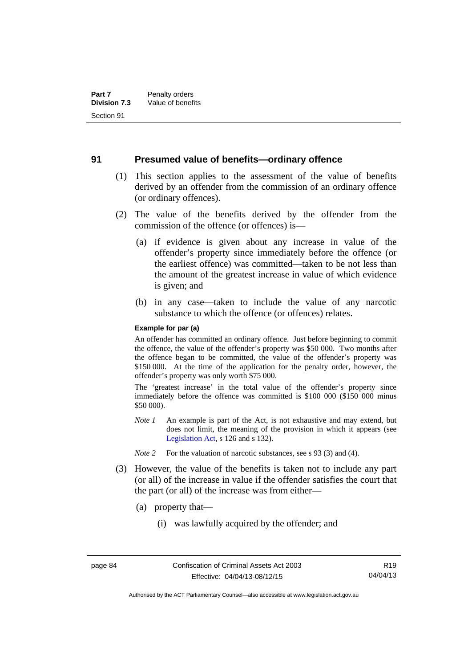#### **91 Presumed value of benefits—ordinary offence**

- (1) This section applies to the assessment of the value of benefits derived by an offender from the commission of an ordinary offence (or ordinary offences).
- (2) The value of the benefits derived by the offender from the commission of the offence (or offences) is—
	- (a) if evidence is given about any increase in value of the offender's property since immediately before the offence (or the earliest offence) was committed—taken to be not less than the amount of the greatest increase in value of which evidence is given; and
	- (b) in any case—taken to include the value of any narcotic substance to which the offence (or offences) relates.

#### **Example for par (a)**

An offender has committed an ordinary offence. Just before beginning to commit the offence, the value of the offender's property was \$50 000. Two months after the offence began to be committed, the value of the offender's property was \$150 000. At the time of the application for the penalty order, however, the offender's property was only worth \$75 000.

The 'greatest increase' in the total value of the offender's property since immediately before the offence was committed is \$100 000 (\$150 000 minus \$50 000).

- *Note 1* An example is part of the Act, is not exhaustive and may extend, but does not limit, the meaning of the provision in which it appears (see [Legislation Act,](http://www.legislation.act.gov.au/a/2001-14) s 126 and s 132).
- *Note 2* For the valuation of narcotic substances, see s 93 (3) and (4).
- (3) However, the value of the benefits is taken not to include any part (or all) of the increase in value if the offender satisfies the court that the part (or all) of the increase was from either—
	- (a) property that—
		- (i) was lawfully acquired by the offender; and

Authorised by the ACT Parliamentary Counsel—also accessible at www.legislation.act.gov.au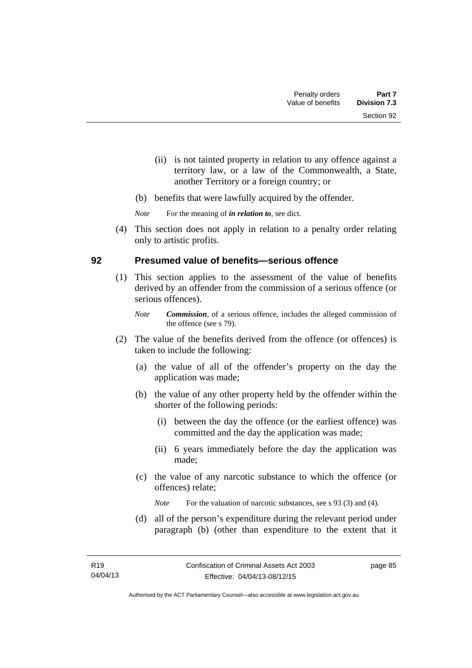- (ii) is not tainted property in relation to any offence against a territory law, or a law of the Commonwealth, a State, another Territory or a foreign country; or
- (b) benefits that were lawfully acquired by the offender.

*Note* For the meaning of *in relation to*, see dict.

 (4) This section does not apply in relation to a penalty order relating only to artistic profits.

#### **92 Presumed value of benefits—serious offence**

- (1) This section applies to the assessment of the value of benefits derived by an offender from the commission of a serious offence (or serious offences).
	- *Note Commission*, of a serious offence, includes the alleged commission of the offence (see s 79).
- (2) The value of the benefits derived from the offence (or offences) is taken to include the following:
	- (a) the value of all of the offender's property on the day the application was made;
	- (b) the value of any other property held by the offender within the shorter of the following periods:
		- (i) between the day the offence (or the earliest offence) was committed and the day the application was made;
		- (ii) 6 years immediately before the day the application was made;
	- (c) the value of any narcotic substance to which the offence (or offences) relate;

*Note* For the valuation of narcotic substances, see s 93 (3) and (4).

 (d) all of the person's expenditure during the relevant period under paragraph (b) (other than expenditure to the extent that it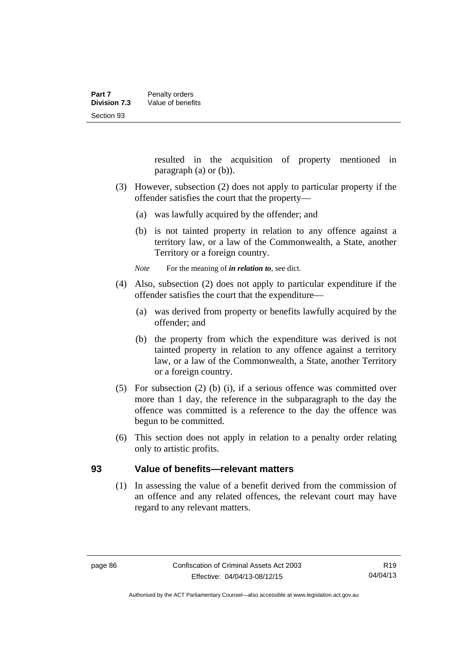resulted in the acquisition of property mentioned in paragraph (a) or (b)).

- (3) However, subsection (2) does not apply to particular property if the offender satisfies the court that the property—
	- (a) was lawfully acquired by the offender; and
	- (b) is not tainted property in relation to any offence against a territory law, or a law of the Commonwealth, a State, another Territory or a foreign country.

*Note* For the meaning of *in relation to*, see dict.

- (4) Also, subsection (2) does not apply to particular expenditure if the offender satisfies the court that the expenditure—
	- (a) was derived from property or benefits lawfully acquired by the offender; and
	- (b) the property from which the expenditure was derived is not tainted property in relation to any offence against a territory law, or a law of the Commonwealth, a State, another Territory or a foreign country.
- (5) For subsection (2) (b) (i), if a serious offence was committed over more than 1 day, the reference in the subparagraph to the day the offence was committed is a reference to the day the offence was begun to be committed.
- (6) This section does not apply in relation to a penalty order relating only to artistic profits.

#### **93 Value of benefits—relevant matters**

(1) In assessing the value of a benefit derived from the commission of an offence and any related offences, the relevant court may have regard to any relevant matters.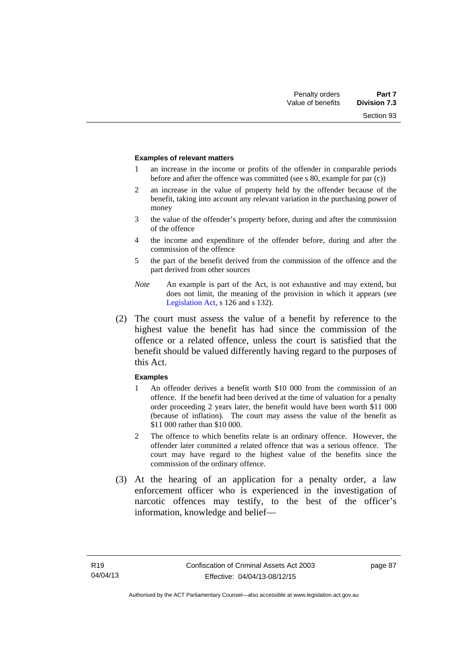Section 93

#### **Examples of relevant matters**

- 1 an increase in the income or profits of the offender in comparable periods before and after the offence was committed (see s 80, example for par (c))
- 2 an increase in the value of property held by the offender because of the benefit, taking into account any relevant variation in the purchasing power of money
- 3 the value of the offender's property before, during and after the commission of the offence
- 4 the income and expenditure of the offender before, during and after the commission of the offence
- 5 the part of the benefit derived from the commission of the offence and the part derived from other sources
- *Note* An example is part of the Act, is not exhaustive and may extend, but does not limit, the meaning of the provision in which it appears (see [Legislation Act,](http://www.legislation.act.gov.au/a/2001-14) s 126 and s 132).
- (2) The court must assess the value of a benefit by reference to the highest value the benefit has had since the commission of the offence or a related offence, unless the court is satisfied that the benefit should be valued differently having regard to the purposes of this Act.

#### **Examples**

- 1 An offender derives a benefit worth \$10 000 from the commission of an offence. If the benefit had been derived at the time of valuation for a penalty order proceeding 2 years later, the benefit would have been worth \$11 000 (because of inflation). The court may assess the value of the benefit as \$11 000 rather than \$10 000.
- 2 The offence to which benefits relate is an ordinary offence. However, the offender later committed a related offence that was a serious offence. The court may have regard to the highest value of the benefits since the commission of the ordinary offence.
- (3) At the hearing of an application for a penalty order, a law enforcement officer who is experienced in the investigation of narcotic offences may testify, to the best of the officer's information, knowledge and belief—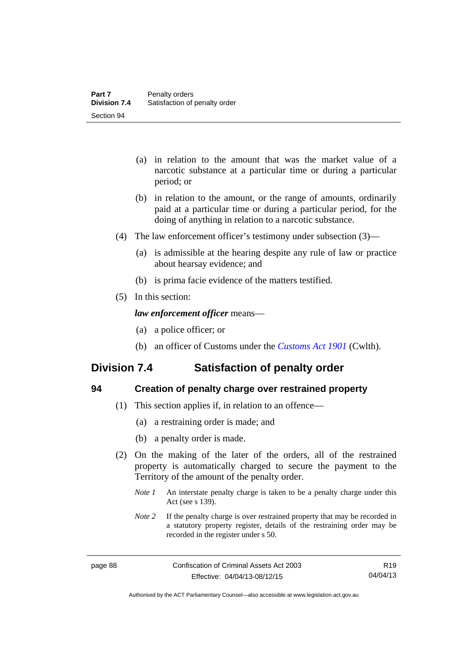- (a) in relation to the amount that was the market value of a narcotic substance at a particular time or during a particular period; or
- (b) in relation to the amount, or the range of amounts, ordinarily paid at a particular time or during a particular period, for the doing of anything in relation to a narcotic substance.
- (4) The law enforcement officer's testimony under subsection (3)—
	- (a) is admissible at the hearing despite any rule of law or practice about hearsay evidence; and
	- (b) is prima facie evidence of the matters testified.
- (5) In this section:

#### *law enforcement officer* means—

- (a) a police officer; or
- (b) an officer of Customs under the *[Customs Act 1901](http://www.comlaw.gov.au/Details/C2013C00064)* (Cwlth).

## **Division 7.4 Satisfaction of penalty order**

| ć                 |  |
|-------------------|--|
| ۰.<br>×<br>×<br>v |  |

#### **94 Creation of penalty charge over restrained property**

- (1) This section applies if, in relation to an offence—
	- (a) a restraining order is made; and
	- (b) a penalty order is made.
- (2) On the making of the later of the orders, all of the restrained property is automatically charged to secure the payment to the Territory of the amount of the penalty order.
	- *Note 1* An interstate penalty charge is taken to be a penalty charge under this Act (see s 139).
	- *Note 2* If the penalty charge is over restrained property that may be recorded in a statutory property register, details of the restraining order may be recorded in the register under s 50.

R19 04/04/13

Authorised by the ACT Parliamentary Counsel—also accessible at www.legislation.act.gov.au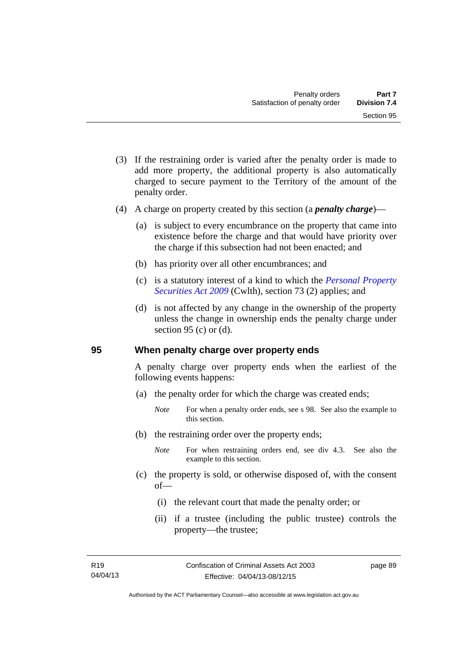- (3) If the restraining order is varied after the penalty order is made to add more property, the additional property is also automatically charged to secure payment to the Territory of the amount of the penalty order.
- (4) A charge on property created by this section (a *penalty charge*)—
	- (a) is subject to every encumbrance on the property that came into existence before the charge and that would have priority over the charge if this subsection had not been enacted; and
	- (b) has priority over all other encumbrances; and
	- (c) is a statutory interest of a kind to which the *[Personal Property](http://www.comlaw.gov.au/Details/C2012C00151)  [Securities Act 2009](http://www.comlaw.gov.au/Details/C2012C00151)* (Cwlth), section 73 (2) applies; and
	- (d) is not affected by any change in the ownership of the property unless the change in ownership ends the penalty charge under section 95 (c) or  $(d)$ .

#### **95 When penalty charge over property ends**

A penalty charge over property ends when the earliest of the following events happens:

- (a) the penalty order for which the charge was created ends;
	- *Note* For when a penalty order ends, see s 98. See also the example to this section.
- (b) the restraining order over the property ends;
	- *Note* For when restraining orders end, see div 4.3. See also the example to this section.
- (c) the property is sold, or otherwise disposed of, with the consent of—
	- (i) the relevant court that made the penalty order; or
	- (ii) if a trustee (including the public trustee) controls the property—the trustee;

page 89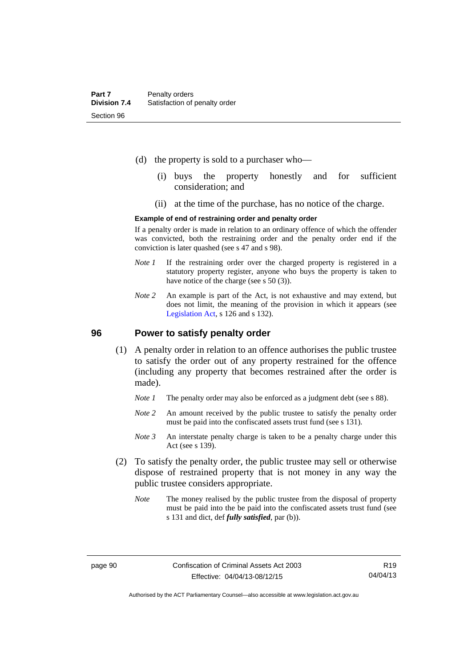- (d) the property is sold to a purchaser who—
	- (i) buys the property honestly and for sufficient consideration; and
	- (ii) at the time of the purchase, has no notice of the charge.

#### **Example of end of restraining order and penalty order**

If a penalty order is made in relation to an ordinary offence of which the offender was convicted, both the restraining order and the penalty order end if the conviction is later quashed (see s 47 and s 98).

- *Note 1* If the restraining order over the charged property is registered in a statutory property register, anyone who buys the property is taken to have notice of the charge (see s 50 (3)).
- *Note* 2 An example is part of the Act, is not exhaustive and may extend, but does not limit, the meaning of the provision in which it appears (see [Legislation Act,](http://www.legislation.act.gov.au/a/2001-14) s 126 and s 132).

#### **96 Power to satisfy penalty order**

- (1) A penalty order in relation to an offence authorises the public trustee to satisfy the order out of any property restrained for the offence (including any property that becomes restrained after the order is made).
	- *Note 1* The penalty order may also be enforced as a judgment debt (see s 88).
	- *Note* 2 An amount received by the public trustee to satisfy the penalty order must be paid into the confiscated assets trust fund (see s 131).
	- *Note 3* An interstate penalty charge is taken to be a penalty charge under this Act (see s 139).
- (2) To satisfy the penalty order, the public trustee may sell or otherwise dispose of restrained property that is not money in any way the public trustee considers appropriate.
	- *Note* The money realised by the public trustee from the disposal of property must be paid into the be paid into the confiscated assets trust fund (see s 131 and dict, def *fully satisfied*, par (b)).

Authorised by the ACT Parliamentary Counsel—also accessible at www.legislation.act.gov.au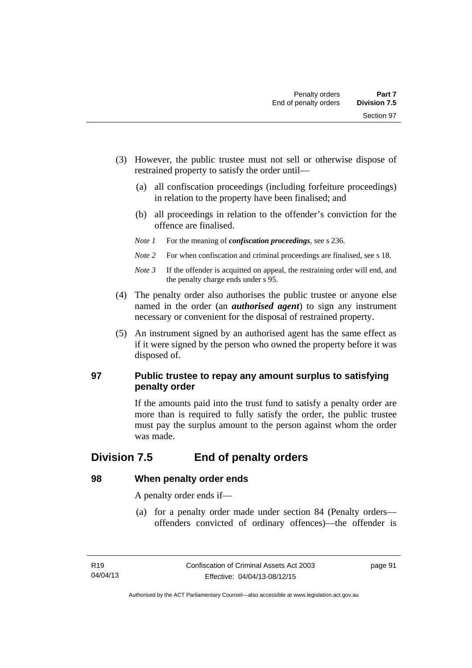- (3) However, the public trustee must not sell or otherwise dispose of restrained property to satisfy the order until—
	- (a) all confiscation proceedings (including forfeiture proceedings) in relation to the property have been finalised; and
	- (b) all proceedings in relation to the offender's conviction for the offence are finalised.
	- *Note 1* For the meaning of *confiscation proceedings*, see s 236.
	- *Note 2* For when confiscation and criminal proceedings are finalised, see s 18.
	- *Note 3* If the offender is acquitted on appeal, the restraining order will end, and the penalty charge ends under s 95.
- (4) The penalty order also authorises the public trustee or anyone else named in the order (an *authorised agent*) to sign any instrument necessary or convenient for the disposal of restrained property.
- (5) An instrument signed by an authorised agent has the same effect as if it were signed by the person who owned the property before it was disposed of.

### **97 Public trustee to repay any amount surplus to satisfying penalty order**

If the amounts paid into the trust fund to satisfy a penalty order are more than is required to fully satisfy the order, the public trustee must pay the surplus amount to the person against whom the order was made.

## **Division 7.5 End of penalty orders**

### **98 When penalty order ends**

A penalty order ends if—

 (a) for a penalty order made under section 84 (Penalty orders offenders convicted of ordinary offences)—the offender is

page 91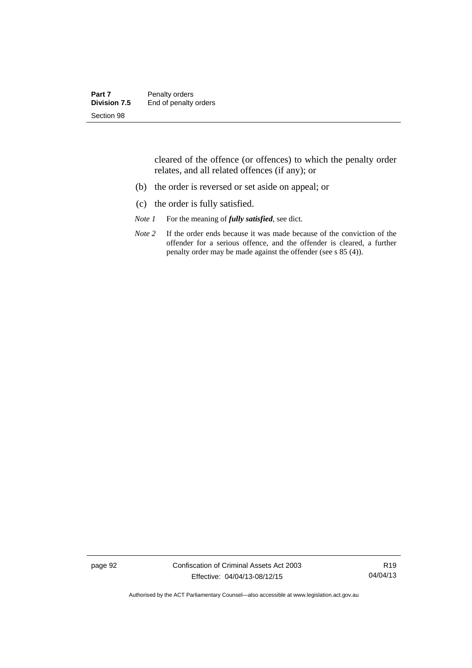| Part 7       | Penalty orders        |
|--------------|-----------------------|
| Division 7.5 | End of penalty orders |
| Section 98   |                       |

cleared of the offence (or offences) to which the penalty order relates, and all related offences (if any); or

- (b) the order is reversed or set aside on appeal; or
- (c) the order is fully satisfied.
- *Note 1* For the meaning of *fully satisfied*, see dict.
- *Note* 2 If the order ends because it was made because of the conviction of the offender for a serious offence, and the offender is cleared, a further penalty order may be made against the offender (see s 85 (4)).

page 92 Confiscation of Criminal Assets Act 2003 Effective: 04/04/13-08/12/15

R19 04/04/13

Authorised by the ACT Parliamentary Counsel—also accessible at www.legislation.act.gov.au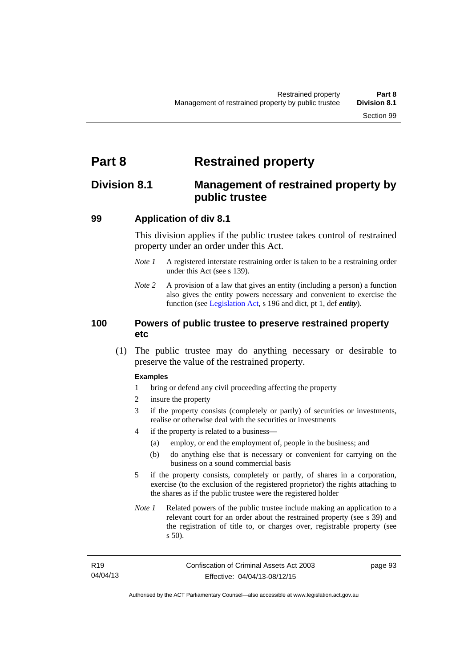# **Part 8 Restrained property**

## **Division 8.1 Management of restrained property by public trustee**

#### **99 Application of div 8.1**

This division applies if the public trustee takes control of restrained property under an order under this Act.

- *Note 1* A registered interstate restraining order is taken to be a restraining order under this Act (see s 139).
- *Note 2* A provision of a law that gives an entity (including a person) a function also gives the entity powers necessary and convenient to exercise the function (see [Legislation Act](http://www.legislation.act.gov.au/a/2001-14), s 196 and dict, pt 1, def *entity*).

#### **100 Powers of public trustee to preserve restrained property etc**

 (1) The public trustee may do anything necessary or desirable to preserve the value of the restrained property.

#### **Examples**

- 1 bring or defend any civil proceeding affecting the property
- 2 insure the property
- 3 if the property consists (completely or partly) of securities or investments, realise or otherwise deal with the securities or investments
- 4 if the property is related to a business—
	- (a) employ, or end the employment of, people in the business; and
	- (b) do anything else that is necessary or convenient for carrying on the business on a sound commercial basis
- 5 if the property consists, completely or partly, of shares in a corporation, exercise (to the exclusion of the registered proprietor) the rights attaching to the shares as if the public trustee were the registered holder
- *Note 1* Related powers of the public trustee include making an application to a relevant court for an order about the restrained property (see s 39) and the registration of title to, or charges over, registrable property (see s 50).

page 93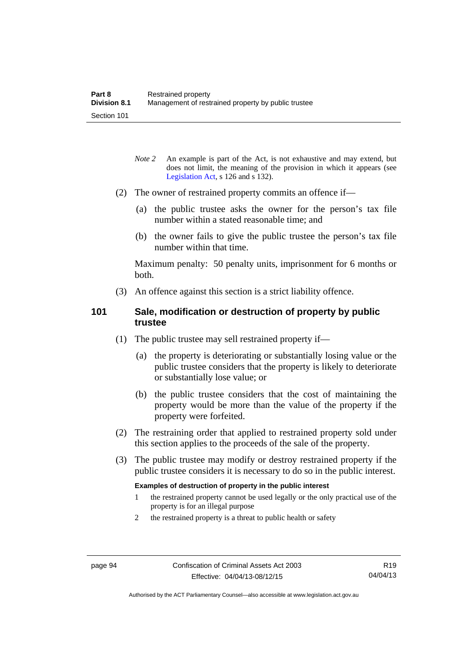- *Note* 2 An example is part of the Act, is not exhaustive and may extend, but does not limit, the meaning of the provision in which it appears (see [Legislation Act,](http://www.legislation.act.gov.au/a/2001-14) s 126 and s 132).
- (2) The owner of restrained property commits an offence if—
	- (a) the public trustee asks the owner for the person's tax file number within a stated reasonable time; and
	- (b) the owner fails to give the public trustee the person's tax file number within that time.

Maximum penalty: 50 penalty units, imprisonment for 6 months or both.

(3) An offence against this section is a strict liability offence.

#### **101 Sale, modification or destruction of property by public trustee**

- (1) The public trustee may sell restrained property if—
	- (a) the property is deteriorating or substantially losing value or the public trustee considers that the property is likely to deteriorate or substantially lose value; or
	- (b) the public trustee considers that the cost of maintaining the property would be more than the value of the property if the property were forfeited.
- (2) The restraining order that applied to restrained property sold under this section applies to the proceeds of the sale of the property.
- (3) The public trustee may modify or destroy restrained property if the public trustee considers it is necessary to do so in the public interest.

#### **Examples of destruction of property in the public interest**

- 1 the restrained property cannot be used legally or the only practical use of the property is for an illegal purpose
- 2 the restrained property is a threat to public health or safety

Authorised by the ACT Parliamentary Counsel—also accessible at www.legislation.act.gov.au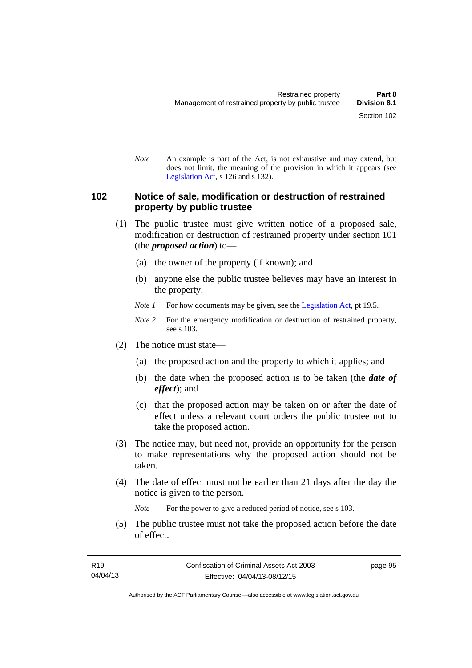*Note* An example is part of the Act, is not exhaustive and may extend, but does not limit, the meaning of the provision in which it appears (see [Legislation Act,](http://www.legislation.act.gov.au/a/2001-14) s 126 and s 132).

#### **102 Notice of sale, modification or destruction of restrained property by public trustee**

- (1) The public trustee must give written notice of a proposed sale, modification or destruction of restrained property under section 101 (the *proposed action*) to—
	- (a) the owner of the property (if known); and
	- (b) anyone else the public trustee believes may have an interest in the property.
	- *Note 1* For how documents may be given, see the [Legislation Act,](http://www.legislation.act.gov.au/a/2001-14) pt 19.5.
	- *Note 2* For the emergency modification or destruction of restrained property, see s 103.
- (2) The notice must state—
	- (a) the proposed action and the property to which it applies; and
	- (b) the date when the proposed action is to be taken (the *date of effect*); and
	- (c) that the proposed action may be taken on or after the date of effect unless a relevant court orders the public trustee not to take the proposed action.
- (3) The notice may, but need not, provide an opportunity for the person to make representations why the proposed action should not be taken.
- (4) The date of effect must not be earlier than 21 days after the day the notice is given to the person.

*Note* For the power to give a reduced period of notice, see s 103.

 (5) The public trustee must not take the proposed action before the date of effect.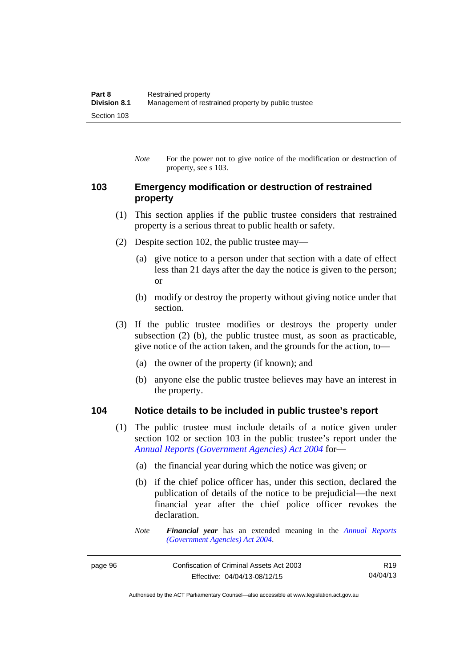*Note* For the power not to give notice of the modification or destruction of property, see s 103.

# **103 Emergency modification or destruction of restrained property**

- (1) This section applies if the public trustee considers that restrained property is a serious threat to public health or safety.
- (2) Despite section 102, the public trustee may—
	- (a) give notice to a person under that section with a date of effect less than 21 days after the day the notice is given to the person; or
	- (b) modify or destroy the property without giving notice under that section.
- (3) If the public trustee modifies or destroys the property under subsection (2) (b), the public trustee must, as soon as practicable, give notice of the action taken, and the grounds for the action, to—
	- (a) the owner of the property (if known); and
	- (b) anyone else the public trustee believes may have an interest in the property.

#### **104 Notice details to be included in public trustee's report**

- (1) The public trustee must include details of a notice given under section 102 or section 103 in the public trustee's report under the *[Annual Reports \(Government Agencies\) Act 2004](http://www.legislation.act.gov.au/a/2004-8)* for—
	- (a) the financial year during which the notice was given; or
	- (b) if the chief police officer has, under this section, declared the publication of details of the notice to be prejudicial—the next financial year after the chief police officer revokes the declaration.
	- *Note Financial year* has an extended meaning in the *[Annual Reports](http://www.legislation.act.gov.au/a/2004-8)  [\(Government Agencies\) Act 2004](http://www.legislation.act.gov.au/a/2004-8)*.

R19 04/04/13

Authorised by the ACT Parliamentary Counsel—also accessible at www.legislation.act.gov.au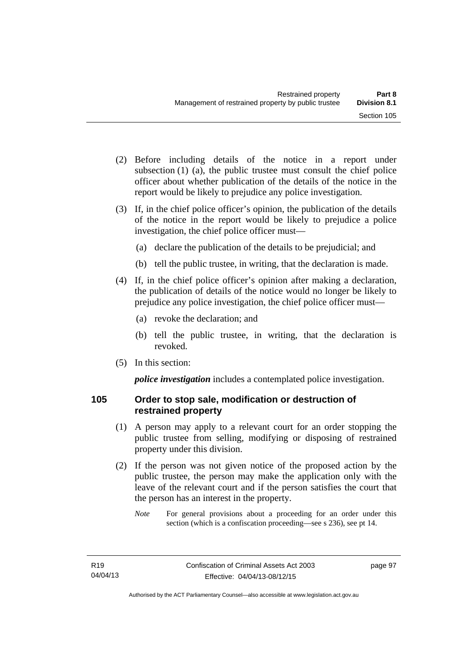- (2) Before including details of the notice in a report under subsection (1) (a), the public trustee must consult the chief police officer about whether publication of the details of the notice in the report would be likely to prejudice any police investigation.
- (3) If, in the chief police officer's opinion, the publication of the details of the notice in the report would be likely to prejudice a police investigation, the chief police officer must—
	- (a) declare the publication of the details to be prejudicial; and
	- (b) tell the public trustee, in writing, that the declaration is made.
- (4) If, in the chief police officer's opinion after making a declaration, the publication of details of the notice would no longer be likely to prejudice any police investigation, the chief police officer must—
	- (a) revoke the declaration; and
	- (b) tell the public trustee, in writing, that the declaration is revoked.
- (5) In this section:

*police investigation* includes a contemplated police investigation.

# **105 Order to stop sale, modification or destruction of restrained property**

- (1) A person may apply to a relevant court for an order stopping the public trustee from selling, modifying or disposing of restrained property under this division.
- (2) If the person was not given notice of the proposed action by the public trustee, the person may make the application only with the leave of the relevant court and if the person satisfies the court that the person has an interest in the property.
	- *Note* For general provisions about a proceeding for an order under this section (which is a confiscation proceeding—see s 236), see pt 14.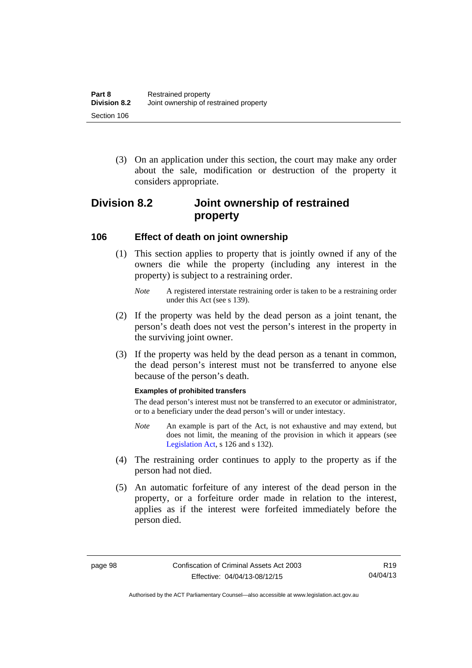(3) On an application under this section, the court may make any order about the sale, modification or destruction of the property it considers appropriate.

# **Division 8.2 Joint ownership of restrained property**

### **106 Effect of death on joint ownership**

- (1) This section applies to property that is jointly owned if any of the owners die while the property (including any interest in the property) is subject to a restraining order.
	- *Note* A registered interstate restraining order is taken to be a restraining order under this Act (see s 139).
- (2) If the property was held by the dead person as a joint tenant, the person's death does not vest the person's interest in the property in the surviving joint owner.
- (3) If the property was held by the dead person as a tenant in common, the dead person's interest must not be transferred to anyone else because of the person's death.

#### **Examples of prohibited transfers**

The dead person's interest must not be transferred to an executor or administrator, or to a beneficiary under the dead person's will or under intestacy.

- *Note* An example is part of the Act, is not exhaustive and may extend, but does not limit, the meaning of the provision in which it appears (see [Legislation Act,](http://www.legislation.act.gov.au/a/2001-14) s 126 and s 132).
- (4) The restraining order continues to apply to the property as if the person had not died.
- (5) An automatic forfeiture of any interest of the dead person in the property, or a forfeiture order made in relation to the interest, applies as if the interest were forfeited immediately before the person died.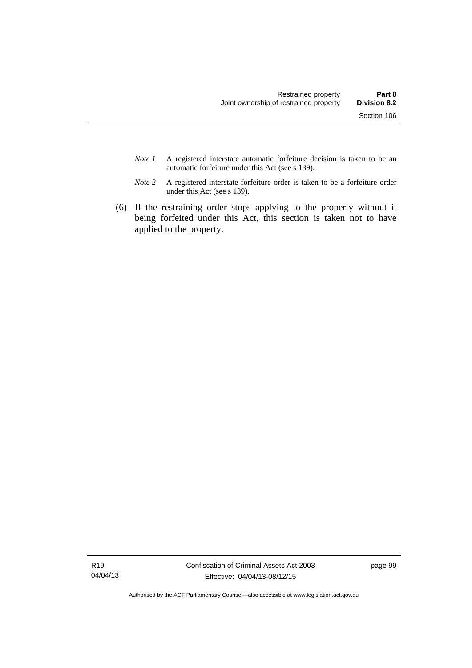- *Note 1* A registered interstate automatic forfeiture decision is taken to be an automatic forfeiture under this Act (see s 139).
- *Note 2* A registered interstate forfeiture order is taken to be a forfeiture order under this Act (see s 139).
- (6) If the restraining order stops applying to the property without it being forfeited under this Act, this section is taken not to have applied to the property.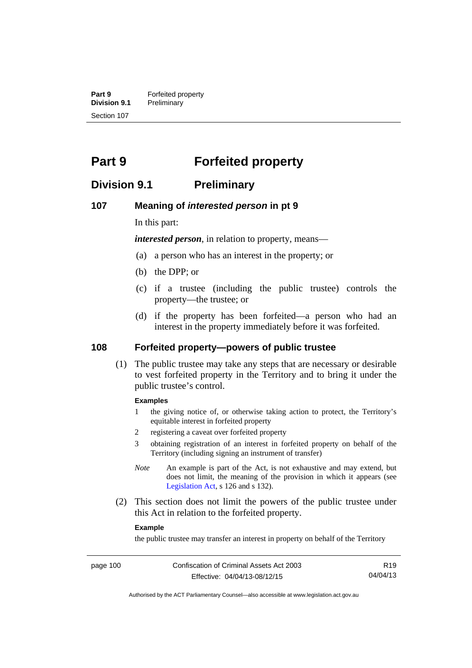**Part 9 Forfeited property**<br>**Division 9.1 Preliminary Division 9.1** Preliminary Section 107

# **Part 9 Forfeited property**

# **Division 9.1 Preliminary**

#### **107 Meaning of** *interested person* **in pt 9**

In this part:

*interested person*, in relation to property, means—

- (a) a person who has an interest in the property; or
- (b) the DPP; or
- (c) if a trustee (including the public trustee) controls the property—the trustee; or
- (d) if the property has been forfeited—a person who had an interest in the property immediately before it was forfeited.

#### **108 Forfeited property—powers of public trustee**

(1) The public trustee may take any steps that are necessary or desirable to vest forfeited property in the Territory and to bring it under the public trustee's control.

#### **Examples**

- 1 the giving notice of, or otherwise taking action to protect, the Territory's equitable interest in forfeited property
- 2 registering a caveat over forfeited property
- 3 obtaining registration of an interest in forfeited property on behalf of the Territory (including signing an instrument of transfer)
- *Note* An example is part of the Act, is not exhaustive and may extend, but does not limit, the meaning of the provision in which it appears (see [Legislation Act,](http://www.legislation.act.gov.au/a/2001-14) s 126 and s 132).
- (2) This section does not limit the powers of the public trustee under this Act in relation to the forfeited property.

#### **Example**

the public trustee may transfer an interest in property on behalf of the Territory

R19 04/04/13

Authorised by the ACT Parliamentary Counsel—also accessible at www.legislation.act.gov.au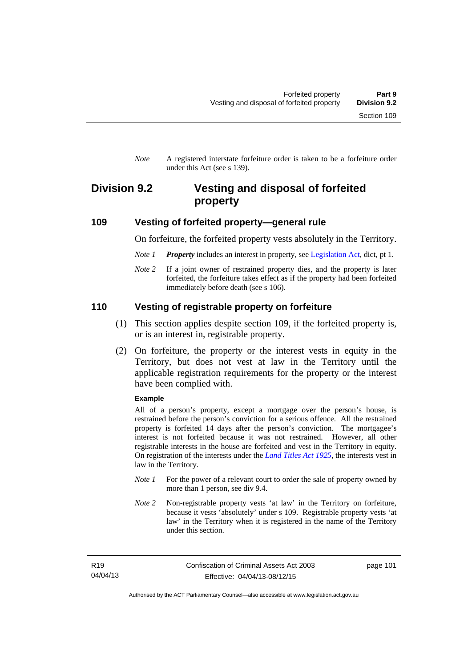*Note* A registered interstate forfeiture order is taken to be a forfeiture order under this Act (see s 139).

# **Division 9.2 Vesting and disposal of forfeited property**

### **109 Vesting of forfeited property—general rule**

On forfeiture, the forfeited property vests absolutely in the Territory.

- *Note 1 Property* includes an interest in property, see [Legislation Act](http://www.legislation.act.gov.au/a/2001-14), dict, pt 1.
- *Note* 2 If a joint owner of restrained property dies, and the property is later forfeited, the forfeiture takes effect as if the property had been forfeited immediately before death (see s 106).

# **110 Vesting of registrable property on forfeiture**

- (1) This section applies despite section 109, if the forfeited property is, or is an interest in, registrable property.
- (2) On forfeiture, the property or the interest vests in equity in the Territory, but does not vest at law in the Territory until the applicable registration requirements for the property or the interest have been complied with.

#### **Example**

All of a person's property, except a mortgage over the person's house, is restrained before the person's conviction for a serious offence. All the restrained property is forfeited 14 days after the person's conviction. The mortgagee's interest is not forfeited because it was not restrained. However, all other registrable interests in the house are forfeited and vest in the Territory in equity. On registration of the interests under the *[Land Titles Act 1925](http://www.legislation.act.gov.au/a/1925-1)*, the interests vest in law in the Territory.

- *Note 1* For the power of a relevant court to order the sale of property owned by more than 1 person, see div 9.4.
- *Note 2* Non-registrable property vests 'at law' in the Territory on forfeiture, because it vests 'absolutely' under s 109. Registrable property vests 'at law' in the Territory when it is registered in the name of the Territory under this section.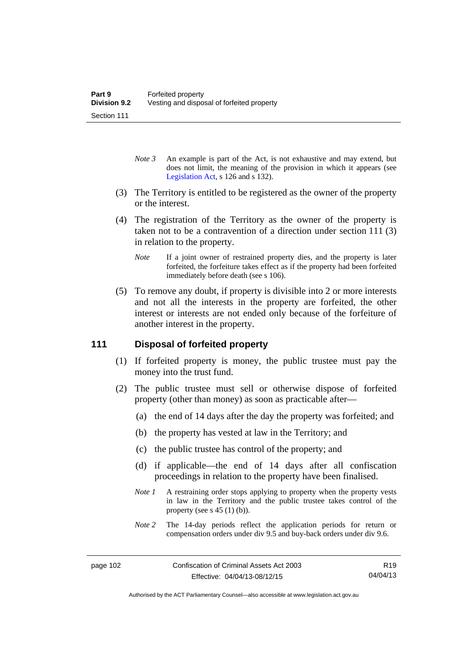- *Note 3* An example is part of the Act, is not exhaustive and may extend, but does not limit, the meaning of the provision in which it appears (see [Legislation Act,](http://www.legislation.act.gov.au/a/2001-14) s 126 and s 132).
- (3) The Territory is entitled to be registered as the owner of the property or the interest.
- (4) The registration of the Territory as the owner of the property is taken not to be a contravention of a direction under section 111 (3) in relation to the property.
	- *Note* If a joint owner of restrained property dies, and the property is later forfeited, the forfeiture takes effect as if the property had been forfeited immediately before death (see s 106).
- (5) To remove any doubt, if property is divisible into 2 or more interests and not all the interests in the property are forfeited, the other interest or interests are not ended only because of the forfeiture of another interest in the property.

## **111 Disposal of forfeited property**

- (1) If forfeited property is money, the public trustee must pay the money into the trust fund.
- (2) The public trustee must sell or otherwise dispose of forfeited property (other than money) as soon as practicable after—
	- (a) the end of 14 days after the day the property was forfeited; and
	- (b) the property has vested at law in the Territory; and
	- (c) the public trustee has control of the property; and
	- (d) if applicable—the end of 14 days after all confiscation proceedings in relation to the property have been finalised.
	- *Note 1* A restraining order stops applying to property when the property vests in law in the Territory and the public trustee takes control of the property (see s  $45(1)(b)$ ).
	- *Note 2* The 14-day periods reflect the application periods for return or compensation orders under div 9.5 and buy-back orders under div 9.6.

R19 04/04/13

Authorised by the ACT Parliamentary Counsel—also accessible at www.legislation.act.gov.au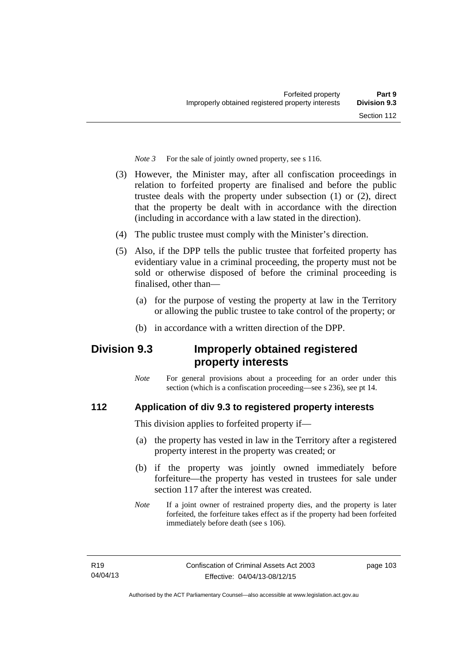*Note 3* For the sale of jointly owned property, see s 116.

- (3) However, the Minister may, after all confiscation proceedings in relation to forfeited property are finalised and before the public trustee deals with the property under subsection (1) or (2), direct that the property be dealt with in accordance with the direction (including in accordance with a law stated in the direction).
- (4) The public trustee must comply with the Minister's direction.
- (5) Also, if the DPP tells the public trustee that forfeited property has evidentiary value in a criminal proceeding, the property must not be sold or otherwise disposed of before the criminal proceeding is finalised, other than-
	- (a) for the purpose of vesting the property at law in the Territory or allowing the public trustee to take control of the property; or
	- (b) in accordance with a written direction of the DPP.

# **Division 9.3 Improperly obtained registered property interests**

*Note* For general provisions about a proceeding for an order under this section (which is a confiscation proceeding—see s 236), see pt 14.

# **112 Application of div 9.3 to registered property interests**

This division applies to forfeited property if—

- (a) the property has vested in law in the Territory after a registered property interest in the property was created; or
- (b) if the property was jointly owned immediately before forfeiture—the property has vested in trustees for sale under section 117 after the interest was created.
- *Note* If a joint owner of restrained property dies, and the property is later forfeited, the forfeiture takes effect as if the property had been forfeited immediately before death (see s 106).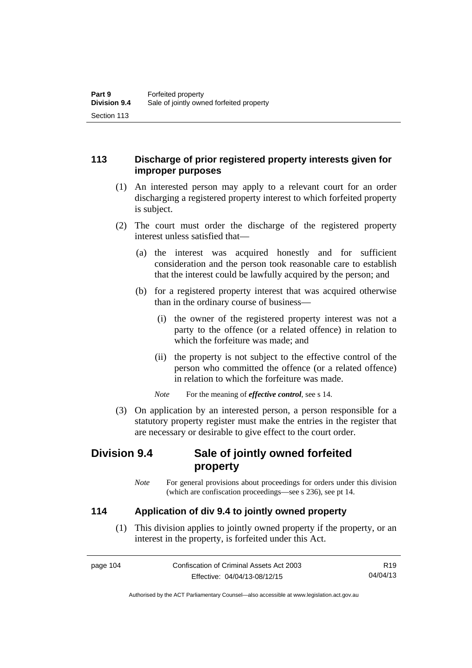# **113 Discharge of prior registered property interests given for improper purposes**

- (1) An interested person may apply to a relevant court for an order discharging a registered property interest to which forfeited property is subject.
- (2) The court must order the discharge of the registered property interest unless satisfied that—
	- (a) the interest was acquired honestly and for sufficient consideration and the person took reasonable care to establish that the interest could be lawfully acquired by the person; and
	- (b) for a registered property interest that was acquired otherwise than in the ordinary course of business—
		- (i) the owner of the registered property interest was not a party to the offence (or a related offence) in relation to which the forfeiture was made; and
		- (ii) the property is not subject to the effective control of the person who committed the offence (or a related offence) in relation to which the forfeiture was made.

*Note* For the meaning of *effective control*, see s 14.

 (3) On application by an interested person, a person responsible for a statutory property register must make the entries in the register that are necessary or desirable to give effect to the court order.

# **Division 9.4 Sale of jointly owned forfeited property**

*Note* For general provisions about proceedings for orders under this division (which are confiscation proceedings—see s 236), see pt 14.

# **114 Application of div 9.4 to jointly owned property**

 (1) This division applies to jointly owned property if the property, or an interest in the property, is forfeited under this Act.

page 104 Confiscation of Criminal Assets Act 2003 Effective: 04/04/13-08/12/15 R19 04/04/13

Authorised by the ACT Parliamentary Counsel—also accessible at www.legislation.act.gov.au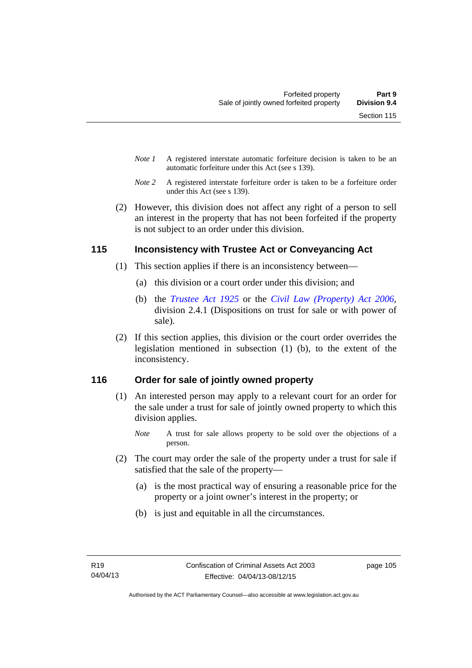- *Note 1* A registered interstate automatic forfeiture decision is taken to be an automatic forfeiture under this Act (see s 139).
- *Note 2* A registered interstate forfeiture order is taken to be a forfeiture order under this Act (see s 139).
- (2) However, this division does not affect any right of a person to sell an interest in the property that has not been forfeited if the property is not subject to an order under this division.

# **115 Inconsistency with Trustee Act or Conveyancing Act**

- (1) This section applies if there is an inconsistency between—
	- (a) this division or a court order under this division; and
	- (b) the *[Trustee Act 1925](http://www.legislation.act.gov.au/a/1925-14)* or the *[Civil Law \(Property\) Act 2006](http://www.legislation.act.gov.au/a/2006-38)*, division 2.4.1 (Dispositions on trust for sale or with power of sale).
- (2) If this section applies, this division or the court order overrides the legislation mentioned in subsection (1) (b), to the extent of the inconsistency.

# **116 Order for sale of jointly owned property**

- (1) An interested person may apply to a relevant court for an order for the sale under a trust for sale of jointly owned property to which this division applies.
	- *Note* A trust for sale allows property to be sold over the objections of a person.
- (2) The court may order the sale of the property under a trust for sale if satisfied that the sale of the property—
	- (a) is the most practical way of ensuring a reasonable price for the property or a joint owner's interest in the property; or
	- (b) is just and equitable in all the circumstances.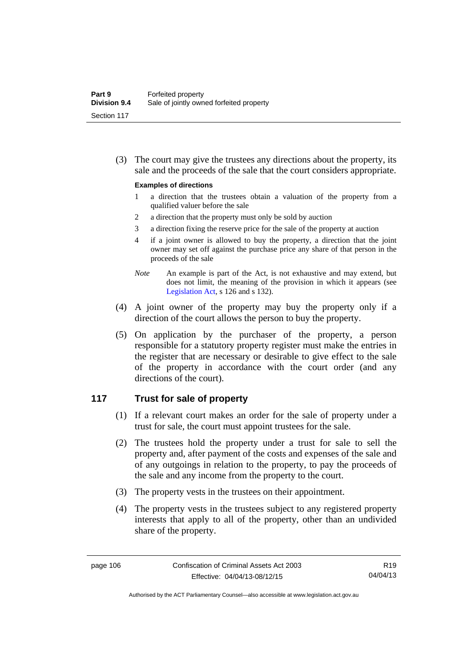(3) The court may give the trustees any directions about the property, its sale and the proceeds of the sale that the court considers appropriate.

#### **Examples of directions**

- 1 a direction that the trustees obtain a valuation of the property from a qualified valuer before the sale
- 2 a direction that the property must only be sold by auction
- 3 a direction fixing the reserve price for the sale of the property at auction
- 4 if a joint owner is allowed to buy the property, a direction that the joint owner may set off against the purchase price any share of that person in the proceeds of the sale
- *Note* An example is part of the Act, is not exhaustive and may extend, but does not limit, the meaning of the provision in which it appears (see [Legislation Act,](http://www.legislation.act.gov.au/a/2001-14) s 126 and s 132).
- (4) A joint owner of the property may buy the property only if a direction of the court allows the person to buy the property.
- (5) On application by the purchaser of the property, a person responsible for a statutory property register must make the entries in the register that are necessary or desirable to give effect to the sale of the property in accordance with the court order (and any directions of the court).

### **117 Trust for sale of property**

- (1) If a relevant court makes an order for the sale of property under a trust for sale, the court must appoint trustees for the sale.
- (2) The trustees hold the property under a trust for sale to sell the property and, after payment of the costs and expenses of the sale and of any outgoings in relation to the property, to pay the proceeds of the sale and any income from the property to the court.
- (3) The property vests in the trustees on their appointment.
- (4) The property vests in the trustees subject to any registered property interests that apply to all of the property, other than an undivided share of the property.

R19 04/04/13

Authorised by the ACT Parliamentary Counsel—also accessible at www.legislation.act.gov.au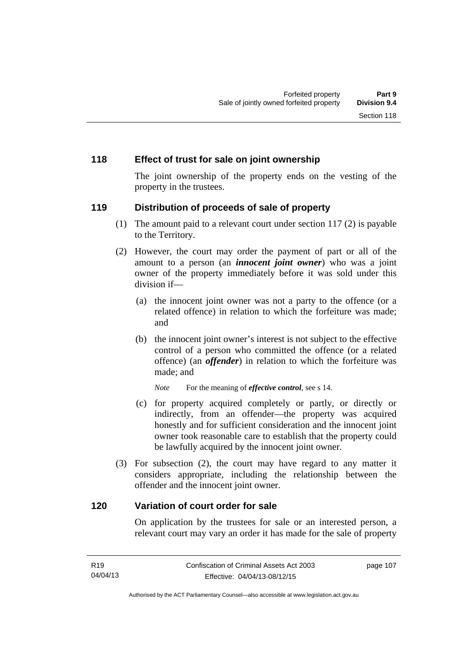### **118 Effect of trust for sale on joint ownership**

The joint ownership of the property ends on the vesting of the property in the trustees.

### **119 Distribution of proceeds of sale of property**

- (1) The amount paid to a relevant court under section 117 (2) is payable to the Territory.
- (2) However, the court may order the payment of part or all of the amount to a person (an *innocent joint owner*) who was a joint owner of the property immediately before it was sold under this division if—
	- (a) the innocent joint owner was not a party to the offence (or a related offence) in relation to which the forfeiture was made; and
	- (b) the innocent joint owner's interest is not subject to the effective control of a person who committed the offence (or a related offence) (an *offender*) in relation to which the forfeiture was made; and

*Note* For the meaning of *effective control*, see s 14.

- (c) for property acquired completely or partly, or directly or indirectly, from an offender—the property was acquired honestly and for sufficient consideration and the innocent joint owner took reasonable care to establish that the property could be lawfully acquired by the innocent joint owner.
- (3) For subsection (2), the court may have regard to any matter it considers appropriate, including the relationship between the offender and the innocent joint owner.

#### **120 Variation of court order for sale**

On application by the trustees for sale or an interested person, a relevant court may vary an order it has made for the sale of property

107

| R <sub>19</sub> | Confiscation of Criminal Assets Act 2003 | page |
|-----------------|------------------------------------------|------|
| 04/04/13        | Effective: 04/04/13-08/12/15             |      |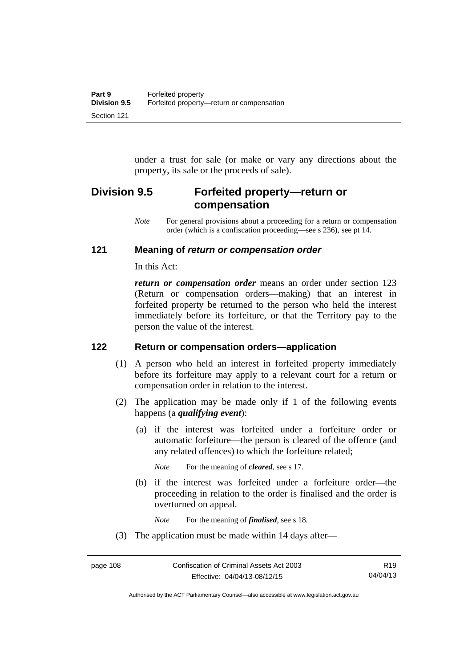under a trust for sale (or make or vary any directions about the property, its sale or the proceeds of sale).

# **Division 9.5 Forfeited property—return or compensation**

*Note* For general provisions about a proceeding for a return or compensation order (which is a confiscation proceeding—see s 236), see pt 14.

## **121 Meaning of** *return or compensation order*

In this Act:

*return or compensation order* means an order under section 123 (Return or compensation orders—making) that an interest in forfeited property be returned to the person who held the interest immediately before its forfeiture, or that the Territory pay to the person the value of the interest.

# **122 Return or compensation orders—application**

- (1) A person who held an interest in forfeited property immediately before its forfeiture may apply to a relevant court for a return or compensation order in relation to the interest.
- (2) The application may be made only if 1 of the following events happens (a *qualifying event*):
	- (a) if the interest was forfeited under a forfeiture order or automatic forfeiture—the person is cleared of the offence (and any related offences) to which the forfeiture related;

*Note* For the meaning of *cleared*, see s 17.

 (b) if the interest was forfeited under a forfeiture order—the proceeding in relation to the order is finalised and the order is overturned on appeal.

*Note* For the meaning of *finalised*, see s 18.

(3) The application must be made within 14 days after—

Authorised by the ACT Parliamentary Counsel—also accessible at www.legislation.act.gov.au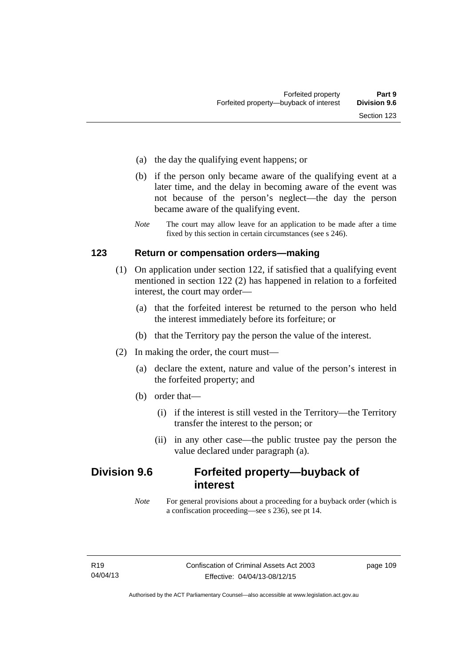- (a) the day the qualifying event happens; or
- (b) if the person only became aware of the qualifying event at a later time, and the delay in becoming aware of the event was not because of the person's neglect—the day the person became aware of the qualifying event.
- *Note* The court may allow leave for an application to be made after a time fixed by this section in certain circumstances (see s 246).

### **123 Return or compensation orders—making**

- (1) On application under section 122, if satisfied that a qualifying event mentioned in section 122 (2) has happened in relation to a forfeited interest, the court may order—
	- (a) that the forfeited interest be returned to the person who held the interest immediately before its forfeiture; or
	- (b) that the Territory pay the person the value of the interest.
- (2) In making the order, the court must—
	- (a) declare the extent, nature and value of the person's interest in the forfeited property; and
	- (b) order that—
		- (i) if the interest is still vested in the Territory—the Territory transfer the interest to the person; or
		- (ii) in any other case—the public trustee pay the person the value declared under paragraph (a).

# **Division 9.6 Forfeited property—buyback of interest**

*Note* For general provisions about a proceeding for a buyback order (which is a confiscation proceeding—see s 236), see pt 14.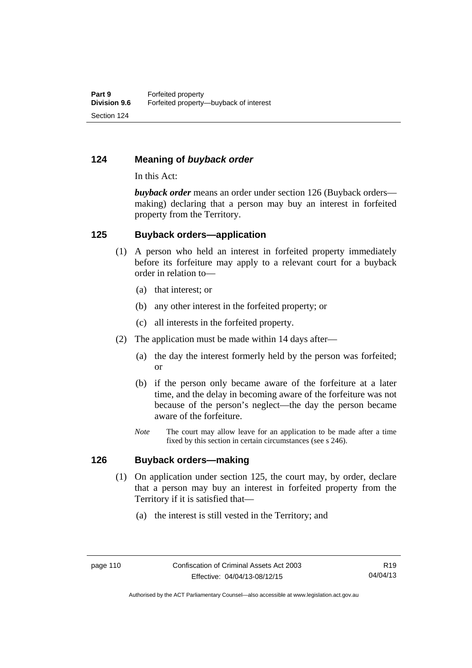# **124 Meaning of** *buyback order*

In this Act:

*buyback order* means an order under section 126 (Buyback orders making) declaring that a person may buy an interest in forfeited property from the Territory.

### **125 Buyback orders—application**

- (1) A person who held an interest in forfeited property immediately before its forfeiture may apply to a relevant court for a buyback order in relation to—
	- (a) that interest; or
	- (b) any other interest in the forfeited property; or
	- (c) all interests in the forfeited property.
- (2) The application must be made within 14 days after—
	- (a) the day the interest formerly held by the person was forfeited; or
	- (b) if the person only became aware of the forfeiture at a later time, and the delay in becoming aware of the forfeiture was not because of the person's neglect—the day the person became aware of the forfeiture.
	- *Note* The court may allow leave for an application to be made after a time fixed by this section in certain circumstances (see s 246).

### **126 Buyback orders—making**

- (1) On application under section 125, the court may, by order, declare that a person may buy an interest in forfeited property from the Territory if it is satisfied that—
	- (a) the interest is still vested in the Territory; and

Authorised by the ACT Parliamentary Counsel—also accessible at www.legislation.act.gov.au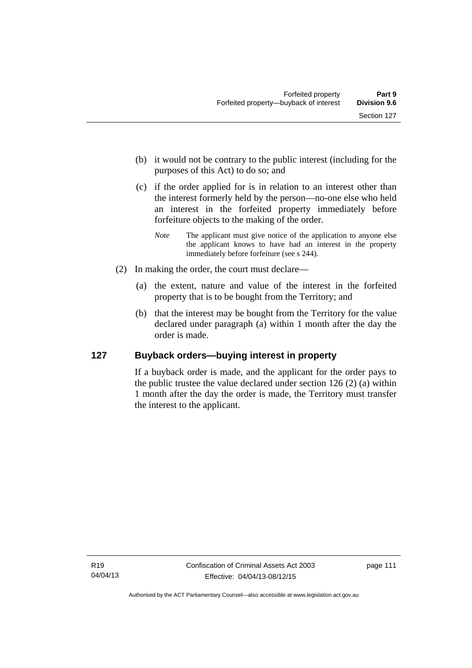- (b) it would not be contrary to the public interest (including for the purposes of this Act) to do so; and
- (c) if the order applied for is in relation to an interest other than the interest formerly held by the person—no-one else who held an interest in the forfeited property immediately before forfeiture objects to the making of the order.
	- *Note* The applicant must give notice of the application to anyone else the applicant knows to have had an interest in the property immediately before forfeiture (see s 244).
- (2) In making the order, the court must declare—
	- (a) the extent, nature and value of the interest in the forfeited property that is to be bought from the Territory; and
	- (b) that the interest may be bought from the Territory for the value declared under paragraph (a) within 1 month after the day the order is made.

# **127 Buyback orders—buying interest in property**

If a buyback order is made, and the applicant for the order pays to the public trustee the value declared under section 126 (2) (a) within 1 month after the day the order is made, the Territory must transfer the interest to the applicant.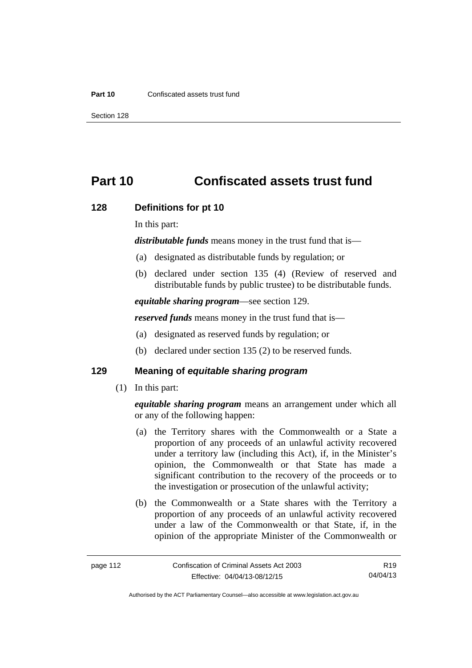#### **Part 10** Confiscated assets trust fund

Section 128

# **Part 10 Confiscated assets trust fund**

#### **128 Definitions for pt 10**

In this part:

*distributable funds* means money in the trust fund that is—

- (a) designated as distributable funds by regulation; or
- (b) declared under section 135 (4) (Review of reserved and distributable funds by public trustee) to be distributable funds.

*equitable sharing program*—see section 129.

*reserved funds* means money in the trust fund that is—

- (a) designated as reserved funds by regulation; or
- (b) declared under section 135 (2) to be reserved funds.

# **129 Meaning of** *equitable sharing program*

(1) In this part:

*equitable sharing program* means an arrangement under which all or any of the following happen:

- (a) the Territory shares with the Commonwealth or a State a proportion of any proceeds of an unlawful activity recovered under a territory law (including this Act), if, in the Minister's opinion, the Commonwealth or that State has made a significant contribution to the recovery of the proceeds or to the investigation or prosecution of the unlawful activity;
- (b) the Commonwealth or a State shares with the Territory a proportion of any proceeds of an unlawful activity recovered under a law of the Commonwealth or that State, if, in the opinion of the appropriate Minister of the Commonwealth or

Authorised by the ACT Parliamentary Counsel—also accessible at www.legislation.act.gov.au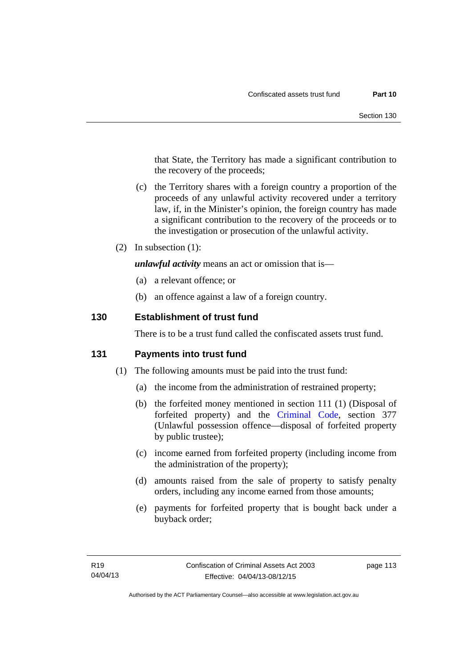that State, the Territory has made a significant contribution to the recovery of the proceeds;

- (c) the Territory shares with a foreign country a proportion of the proceeds of any unlawful activity recovered under a territory law, if, in the Minister's opinion, the foreign country has made a significant contribution to the recovery of the proceeds or to the investigation or prosecution of the unlawful activity.
- (2) In subsection (1):

*unlawful activity* means an act or omission that is—

- (a) a relevant offence; or
- (b) an offence against a law of a foreign country.

## **130 Establishment of trust fund**

There is to be a trust fund called the confiscated assets trust fund.

### **131 Payments into trust fund**

- (1) The following amounts must be paid into the trust fund:
	- (a) the income from the administration of restrained property;
	- (b) the forfeited money mentioned in section 111 (1) (Disposal of forfeited property) and the [Criminal Code,](http://www.legislation.act.gov.au/a/2002-51) section 377 (Unlawful possession offence—disposal of forfeited property by public trustee);
	- (c) income earned from forfeited property (including income from the administration of the property);
	- (d) amounts raised from the sale of property to satisfy penalty orders, including any income earned from those amounts;
	- (e) payments for forfeited property that is bought back under a buyback order;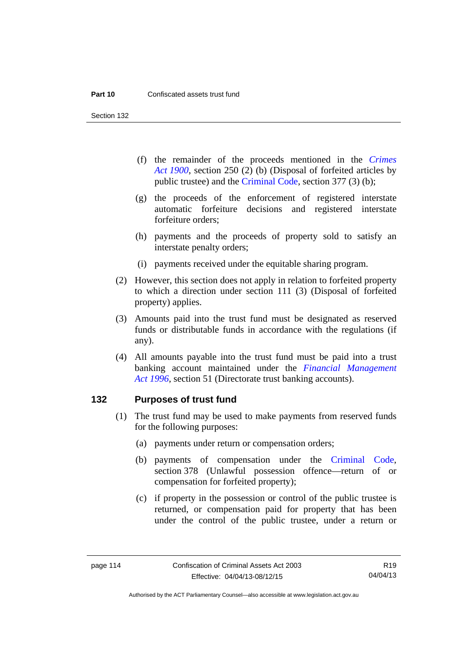Section 132

- (f) the remainder of the proceeds mentioned in the *[Crimes](http://www.legislation.act.gov.au/a/1900-40)  [Act 1900](http://www.legislation.act.gov.au/a/1900-40)*, section 250 (2) (b) (Disposal of forfeited articles by public trustee) and the [Criminal Code,](http://www.legislation.act.gov.au/a/2002-51) section 377 (3) (b);
- (g) the proceeds of the enforcement of registered interstate automatic forfeiture decisions and registered interstate forfeiture orders;
- (h) payments and the proceeds of property sold to satisfy an interstate penalty orders;
- (i) payments received under the equitable sharing program.
- (2) However, this section does not apply in relation to forfeited property to which a direction under section 111 (3) (Disposal of forfeited property) applies.
- (3) Amounts paid into the trust fund must be designated as reserved funds or distributable funds in accordance with the regulations (if any).
- (4) All amounts payable into the trust fund must be paid into a trust banking account maintained under the *[Financial Management](http://www.legislation.act.gov.au/a/1996-22)  [Act 1996](http://www.legislation.act.gov.au/a/1996-22)*, section 51 (Directorate trust banking accounts).

#### **132 Purposes of trust fund**

- (1) The trust fund may be used to make payments from reserved funds for the following purposes:
	- (a) payments under return or compensation orders;
	- (b) payments of compensation under the [Criminal Code](http://www.legislation.act.gov.au/a/2002-51), section 378 (Unlawful possession offence—return of or compensation for forfeited property);
	- (c) if property in the possession or control of the public trustee is returned, or compensation paid for property that has been under the control of the public trustee, under a return or

R19 04/04/13

Authorised by the ACT Parliamentary Counsel—also accessible at www.legislation.act.gov.au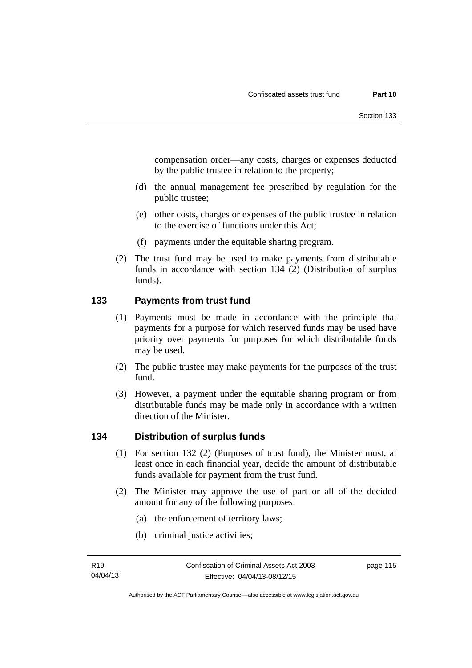compensation order—any costs, charges or expenses deducted by the public trustee in relation to the property;

- (d) the annual management fee prescribed by regulation for the public trustee;
- (e) other costs, charges or expenses of the public trustee in relation to the exercise of functions under this Act;
- (f) payments under the equitable sharing program.
- (2) The trust fund may be used to make payments from distributable funds in accordance with section 134 (2) (Distribution of surplus funds).

# **133 Payments from trust fund**

- (1) Payments must be made in accordance with the principle that payments for a purpose for which reserved funds may be used have priority over payments for purposes for which distributable funds may be used.
- (2) The public trustee may make payments for the purposes of the trust fund.
- (3) However, a payment under the equitable sharing program or from distributable funds may be made only in accordance with a written direction of the Minister.

# **134 Distribution of surplus funds**

- (1) For section 132 (2) (Purposes of trust fund), the Minister must, at least once in each financial year, decide the amount of distributable funds available for payment from the trust fund.
- (2) The Minister may approve the use of part or all of the decided amount for any of the following purposes:
	- (a) the enforcement of territory laws;
	- (b) criminal justice activities;

Authorised by the ACT Parliamentary Counsel—also accessible at www.legislation.act.gov.au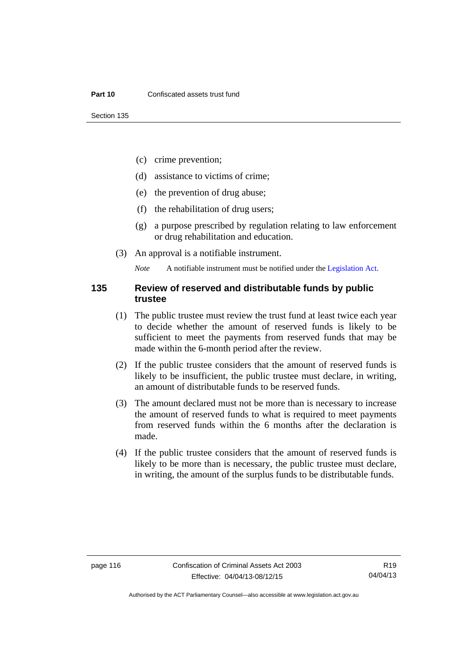- (c) crime prevention;
- (d) assistance to victims of crime;
- (e) the prevention of drug abuse;
- (f) the rehabilitation of drug users;
- (g) a purpose prescribed by regulation relating to law enforcement or drug rehabilitation and education.
- (3) An approval is a notifiable instrument.

*Note* A notifiable instrument must be notified under the [Legislation Act](http://www.legislation.act.gov.au/a/2001-14).

#### **135 Review of reserved and distributable funds by public trustee**

- (1) The public trustee must review the trust fund at least twice each year to decide whether the amount of reserved funds is likely to be sufficient to meet the payments from reserved funds that may be made within the 6-month period after the review.
- (2) If the public trustee considers that the amount of reserved funds is likely to be insufficient, the public trustee must declare, in writing, an amount of distributable funds to be reserved funds.
- (3) The amount declared must not be more than is necessary to increase the amount of reserved funds to what is required to meet payments from reserved funds within the 6 months after the declaration is made.
- (4) If the public trustee considers that the amount of reserved funds is likely to be more than is necessary, the public trustee must declare, in writing, the amount of the surplus funds to be distributable funds.

R19 04/04/13

Authorised by the ACT Parliamentary Counsel—also accessible at www.legislation.act.gov.au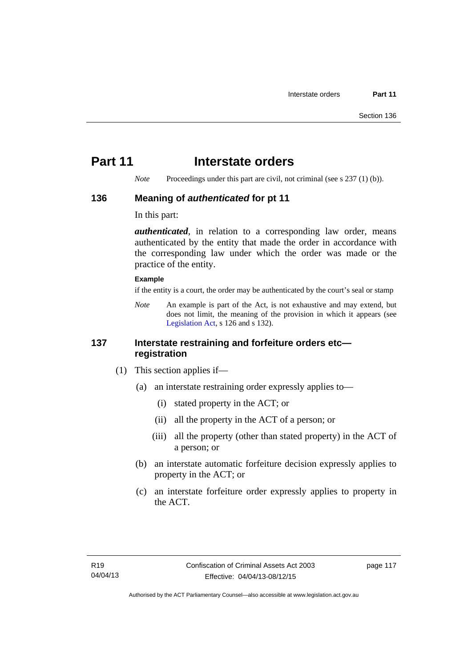# **Part 11** Interstate orders

*Note* Proceedings under this part are civil, not criminal (see s 237 (1) (b)).

### **136 Meaning of** *authenticated* **for pt 11**

In this part:

*authenticated*, in relation to a corresponding law order, means authenticated by the entity that made the order in accordance with the corresponding law under which the order was made or the practice of the entity.

#### **Example**

if the entity is a court, the order may be authenticated by the court's seal or stamp

*Note* An example is part of the Act, is not exhaustive and may extend, but does not limit, the meaning of the provision in which it appears (see [Legislation Act,](http://www.legislation.act.gov.au/a/2001-14) s 126 and s 132).

# **137 Interstate restraining and forfeiture orders etc registration**

- (1) This section applies if—
	- (a) an interstate restraining order expressly applies to—
		- (i) stated property in the ACT; or
		- (ii) all the property in the ACT of a person; or
		- (iii) all the property (other than stated property) in the ACT of a person; or
	- (b) an interstate automatic forfeiture decision expressly applies to property in the ACT; or
	- (c) an interstate forfeiture order expressly applies to property in the ACT.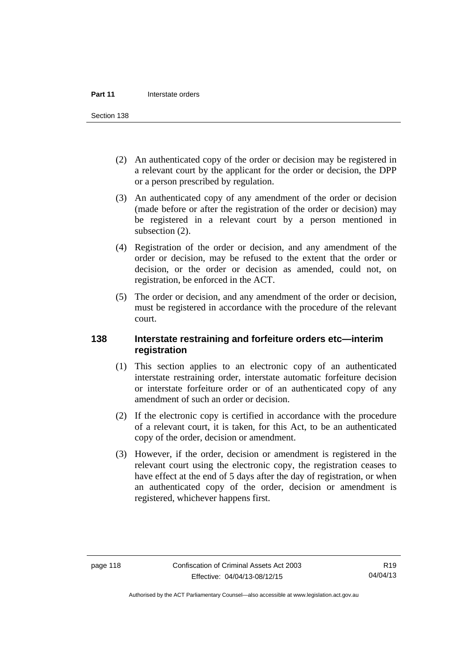Section 138

- (2) An authenticated copy of the order or decision may be registered in a relevant court by the applicant for the order or decision, the DPP or a person prescribed by regulation.
- (3) An authenticated copy of any amendment of the order or decision (made before or after the registration of the order or decision) may be registered in a relevant court by a person mentioned in subsection  $(2)$ .
- (4) Registration of the order or decision, and any amendment of the order or decision, may be refused to the extent that the order or decision, or the order or decision as amended, could not, on registration, be enforced in the ACT.
- (5) The order or decision, and any amendment of the order or decision, must be registered in accordance with the procedure of the relevant court.

# **138 Interstate restraining and forfeiture orders etc—interim registration**

- (1) This section applies to an electronic copy of an authenticated interstate restraining order, interstate automatic forfeiture decision or interstate forfeiture order or of an authenticated copy of any amendment of such an order or decision.
- (2) If the electronic copy is certified in accordance with the procedure of a relevant court, it is taken, for this Act, to be an authenticated copy of the order, decision or amendment.
- (3) However, if the order, decision or amendment is registered in the relevant court using the electronic copy, the registration ceases to have effect at the end of 5 days after the day of registration, or when an authenticated copy of the order, decision or amendment is registered, whichever happens first.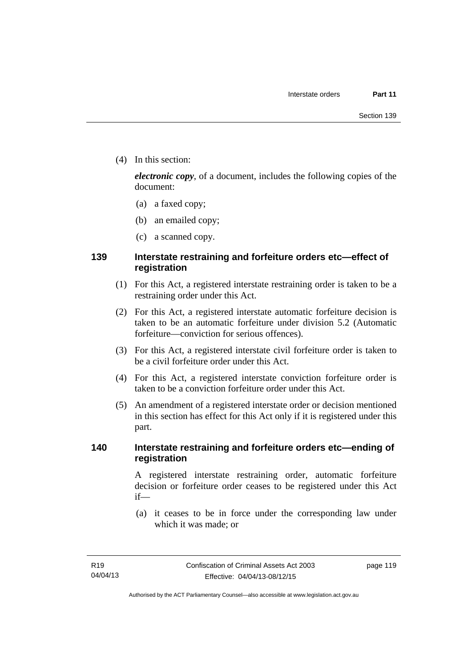(4) In this section:

*electronic copy*, of a document, includes the following copies of the document:

- (a) a faxed copy;
- (b) an emailed copy;
- (c) a scanned copy.

# **139 Interstate restraining and forfeiture orders etc—effect of registration**

- (1) For this Act, a registered interstate restraining order is taken to be a restraining order under this Act.
- (2) For this Act, a registered interstate automatic forfeiture decision is taken to be an automatic forfeiture under division 5.2 (Automatic forfeiture—conviction for serious offences).
- (3) For this Act, a registered interstate civil forfeiture order is taken to be a civil forfeiture order under this Act.
- (4) For this Act, a registered interstate conviction forfeiture order is taken to be a conviction forfeiture order under this Act.
- (5) An amendment of a registered interstate order or decision mentioned in this section has effect for this Act only if it is registered under this part.

## **140 Interstate restraining and forfeiture orders etc—ending of registration**

A registered interstate restraining order, automatic forfeiture decision or forfeiture order ceases to be registered under this Act if—

 (a) it ceases to be in force under the corresponding law under which it was made; or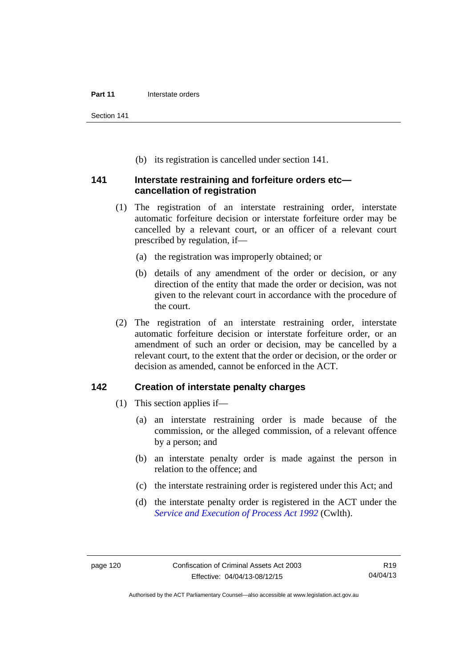Section 141

(b) its registration is cancelled under section 141.

### **141 Interstate restraining and forfeiture orders etc cancellation of registration**

- (1) The registration of an interstate restraining order, interstate automatic forfeiture decision or interstate forfeiture order may be cancelled by a relevant court, or an officer of a relevant court prescribed by regulation, if—
	- (a) the registration was improperly obtained; or
	- (b) details of any amendment of the order or decision, or any direction of the entity that made the order or decision, was not given to the relevant court in accordance with the procedure of the court.
- (2) The registration of an interstate restraining order, interstate automatic forfeiture decision or interstate forfeiture order, or an amendment of such an order or decision, may be cancelled by a relevant court, to the extent that the order or decision, or the order or decision as amended, cannot be enforced in the ACT.

### **142 Creation of interstate penalty charges**

- (1) This section applies if—
	- (a) an interstate restraining order is made because of the commission, or the alleged commission, of a relevant offence by a person; and
	- (b) an interstate penalty order is made against the person in relation to the offence; and
	- (c) the interstate restraining order is registered under this Act; and
	- (d) the interstate penalty order is registered in the ACT under the *[Service and Execution of Process Act 1992](http://www.comlaw.gov.au/Details/C2011C00436)* (Cwlth).

Authorised by the ACT Parliamentary Counsel—also accessible at www.legislation.act.gov.au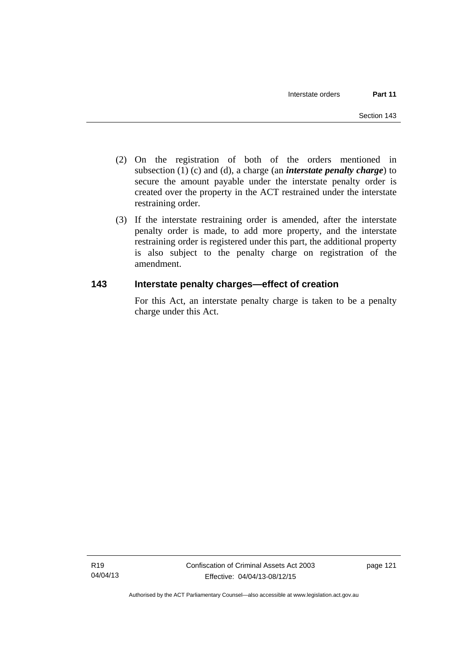- (2) On the registration of both of the orders mentioned in subsection (1) (c) and (d), a charge (an *interstate penalty charge*) to secure the amount payable under the interstate penalty order is created over the property in the ACT restrained under the interstate restraining order.
- (3) If the interstate restraining order is amended, after the interstate penalty order is made, to add more property, and the interstate restraining order is registered under this part, the additional property is also subject to the penalty charge on registration of the amendment.

# **143 Interstate penalty charges—effect of creation**

For this Act, an interstate penalty charge is taken to be a penalty charge under this Act.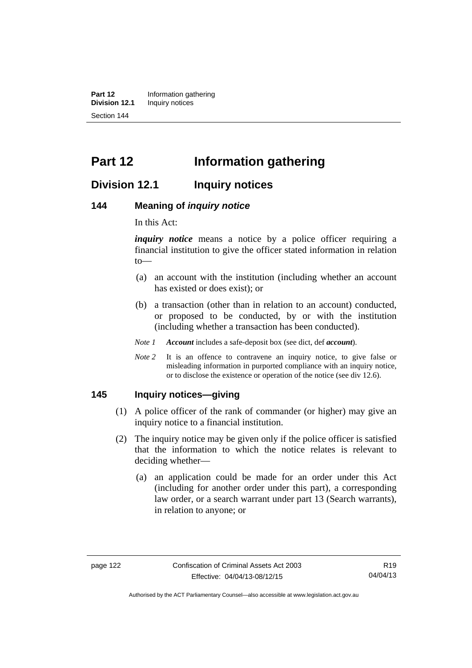**Part 12** Information gathering<br>**Division 12.1** Inquiry notices **Inquiry notices** Section 144

# **Part 12 Information gathering**

# **Division 12.1 Inquiry notices**

#### **144 Meaning of** *inquiry notice*

In this Act:

*inquiry notice* means a notice by a police officer requiring a financial institution to give the officer stated information in relation to—

- (a) an account with the institution (including whether an account has existed or does exist); or
- (b) a transaction (other than in relation to an account) conducted, or proposed to be conducted, by or with the institution (including whether a transaction has been conducted).
- *Note 1 Account* includes a safe-deposit box (see dict, def *account*).
- *Note* 2 It is an offence to contravene an inquiry notice, to give false or misleading information in purported compliance with an inquiry notice, or to disclose the existence or operation of the notice (see div 12.6).

#### **145 Inquiry notices—giving**

- (1) A police officer of the rank of commander (or higher) may give an inquiry notice to a financial institution.
- (2) The inquiry notice may be given only if the police officer is satisfied that the information to which the notice relates is relevant to deciding whether—
	- (a) an application could be made for an order under this Act (including for another order under this part), a corresponding law order, or a search warrant under part 13 (Search warrants), in relation to anyone; or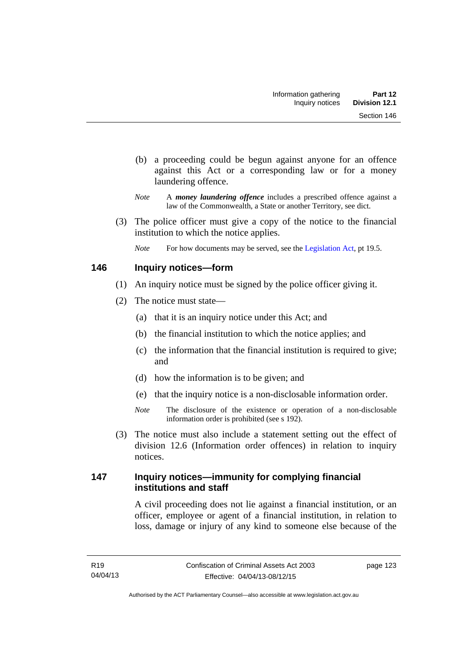- (b) a proceeding could be begun against anyone for an offence against this Act or a corresponding law or for a money laundering offence.
- *Note* A *money laundering offence* includes a prescribed offence against a law of the Commonwealth, a State or another Territory, see dict.
- (3) The police officer must give a copy of the notice to the financial institution to which the notice applies.
	- *Note* For how documents may be served, see the [Legislation Act,](http://www.legislation.act.gov.au/a/2001-14) pt 19.5.

# **146 Inquiry notices—form**

- (1) An inquiry notice must be signed by the police officer giving it.
- (2) The notice must state—
	- (a) that it is an inquiry notice under this Act; and
	- (b) the financial institution to which the notice applies; and
	- (c) the information that the financial institution is required to give; and
	- (d) how the information is to be given; and
	- (e) that the inquiry notice is a non-disclosable information order.
	- *Note* The disclosure of the existence or operation of a non-disclosable information order is prohibited (see s 192).
- (3) The notice must also include a statement setting out the effect of division 12.6 (Information order offences) in relation to inquiry notices.

# **147 Inquiry notices—immunity for complying financial institutions and staff**

A civil proceeding does not lie against a financial institution, or an officer, employee or agent of a financial institution, in relation to loss, damage or injury of any kind to someone else because of the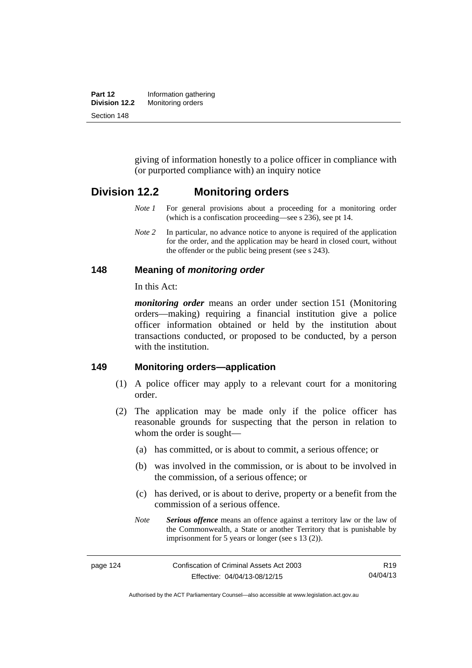| Part 12       | Information gathering |
|---------------|-----------------------|
| Division 12.2 | Monitoring orders     |
| Section 148   |                       |

giving of information honestly to a police officer in compliance with (or purported compliance with) an inquiry notice

# **Division 12.2 Monitoring orders**

- *Note 1* For general provisions about a proceeding for a monitoring order (which is a confiscation proceeding—see s 236), see pt 14.
- *Note 2* In particular, no advance notice to anyone is required of the application for the order, and the application may be heard in closed court, without the offender or the public being present (see s 243).

#### **148 Meaning of** *monitoring order*

In this Act:

*monitoring order* means an order under section 151 (Monitoring orders—making) requiring a financial institution give a police officer information obtained or held by the institution about transactions conducted, or proposed to be conducted, by a person with the institution.

#### **149 Monitoring orders—application**

- (1) A police officer may apply to a relevant court for a monitoring order.
- (2) The application may be made only if the police officer has reasonable grounds for suspecting that the person in relation to whom the order is sought—
	- (a) has committed, or is about to commit, a serious offence; or
	- (b) was involved in the commission, or is about to be involved in the commission, of a serious offence; or
	- (c) has derived, or is about to derive, property or a benefit from the commission of a serious offence.
	- *Note Serious offence* means an offence against a territory law or the law of the Commonwealth, a State or another Territory that is punishable by imprisonment for 5 years or longer (see s 13 (2)).

Authorised by the ACT Parliamentary Counsel—also accessible at www.legislation.act.gov.au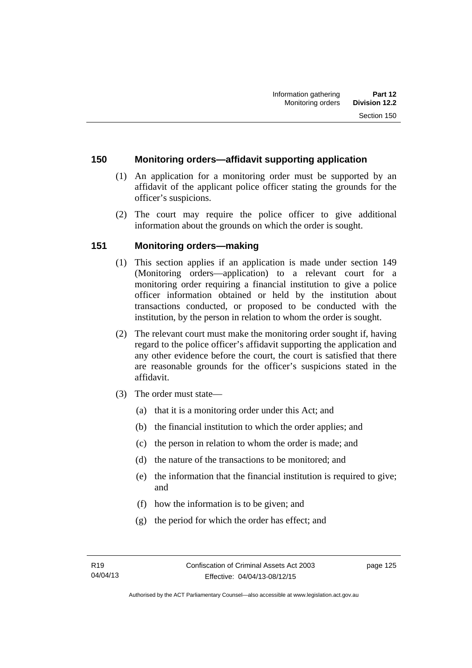## **150 Monitoring orders—affidavit supporting application**

- (1) An application for a monitoring order must be supported by an affidavit of the applicant police officer stating the grounds for the officer's suspicions.
- (2) The court may require the police officer to give additional information about the grounds on which the order is sought.

# **151 Monitoring orders—making**

- (1) This section applies if an application is made under section 149 (Monitoring orders—application) to a relevant court for a monitoring order requiring a financial institution to give a police officer information obtained or held by the institution about transactions conducted, or proposed to be conducted with the institution, by the person in relation to whom the order is sought.
- (2) The relevant court must make the monitoring order sought if, having regard to the police officer's affidavit supporting the application and any other evidence before the court, the court is satisfied that there are reasonable grounds for the officer's suspicions stated in the affidavit.
- (3) The order must state—
	- (a) that it is a monitoring order under this Act; and
	- (b) the financial institution to which the order applies; and
	- (c) the person in relation to whom the order is made; and
	- (d) the nature of the transactions to be monitored; and
	- (e) the information that the financial institution is required to give; and
	- (f) how the information is to be given; and
	- (g) the period for which the order has effect; and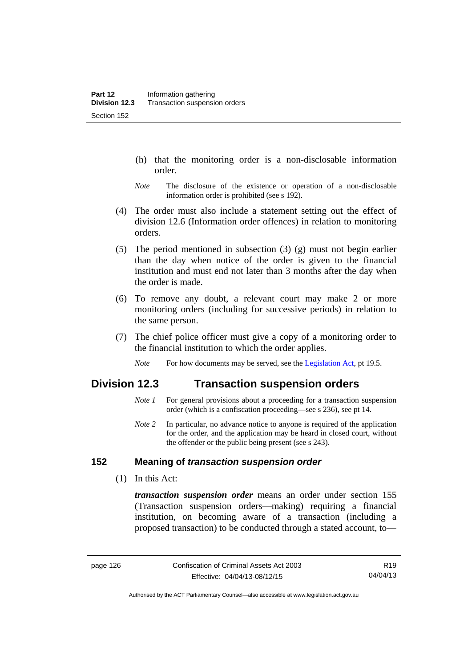- (h) that the monitoring order is a non-disclosable information order.
- *Note* The disclosure of the existence or operation of a non-disclosable information order is prohibited (see s 192).
- (4) The order must also include a statement setting out the effect of division 12.6 (Information order offences) in relation to monitoring orders.
- (5) The period mentioned in subsection (3) (g) must not begin earlier than the day when notice of the order is given to the financial institution and must end not later than 3 months after the day when the order is made.
- (6) To remove any doubt, a relevant court may make 2 or more monitoring orders (including for successive periods) in relation to the same person.
- (7) The chief police officer must give a copy of a monitoring order to the financial institution to which the order applies.
	- *Note* For how documents may be served, see the [Legislation Act,](http://www.legislation.act.gov.au/a/2001-14) pt 19.5.

# **Division 12.3 Transaction suspension orders**

- *Note 1* For general provisions about a proceeding for a transaction suspension order (which is a confiscation proceeding—see s 236), see pt 14.
- *Note 2* In particular, no advance notice to anyone is required of the application for the order, and the application may be heard in closed court, without the offender or the public being present (see s 243).

## **152 Meaning of** *transaction suspension order*

(1) In this Act:

*transaction suspension order* means an order under section 155 (Transaction suspension orders—making) requiring a financial institution, on becoming aware of a transaction (including a proposed transaction) to be conducted through a stated account, to—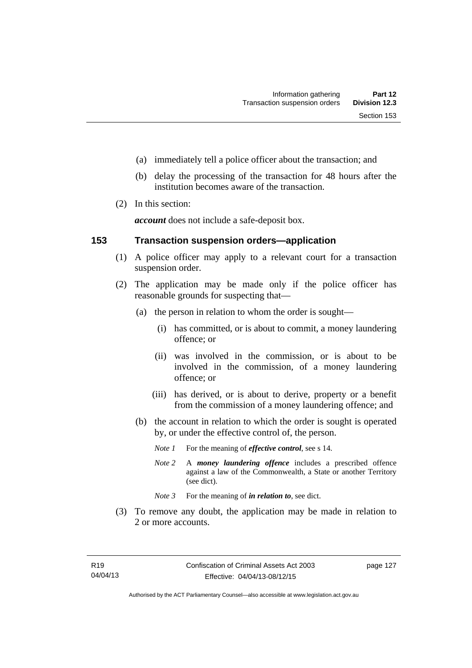- (a) immediately tell a police officer about the transaction; and
- (b) delay the processing of the transaction for 48 hours after the institution becomes aware of the transaction.
- (2) In this section:

*account* does not include a safe-deposit box.

#### **153 Transaction suspension orders—application**

- (1) A police officer may apply to a relevant court for a transaction suspension order.
- (2) The application may be made only if the police officer has reasonable grounds for suspecting that—
	- (a) the person in relation to whom the order is sought—
		- (i) has committed, or is about to commit, a money laundering offence; or
		- (ii) was involved in the commission, or is about to be involved in the commission, of a money laundering offence; or
		- (iii) has derived, or is about to derive, property or a benefit from the commission of a money laundering offence; and
	- (b) the account in relation to which the order is sought is operated by, or under the effective control of, the person.
		- *Note 1* For the meaning of *effective control*, see s 14.
		- *Note 2* A *money laundering offence* includes a prescribed offence against a law of the Commonwealth, a State or another Territory (see dict).
		- *Note* 3 For the meaning of *in relation to*, see dict.
- (3) To remove any doubt, the application may be made in relation to 2 or more accounts.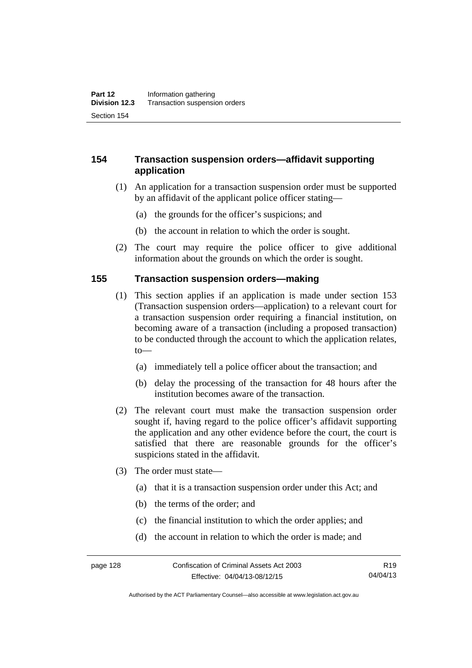# **154 Transaction suspension orders—affidavit supporting application**

- (1) An application for a transaction suspension order must be supported by an affidavit of the applicant police officer stating—
	- (a) the grounds for the officer's suspicions; and
	- (b) the account in relation to which the order is sought.
- (2) The court may require the police officer to give additional information about the grounds on which the order is sought.

#### **155 Transaction suspension orders—making**

- (1) This section applies if an application is made under section 153 (Transaction suspension orders—application) to a relevant court for a transaction suspension order requiring a financial institution, on becoming aware of a transaction (including a proposed transaction) to be conducted through the account to which the application relates, to—
	- (a) immediately tell a police officer about the transaction; and
	- (b) delay the processing of the transaction for 48 hours after the institution becomes aware of the transaction.
- (2) The relevant court must make the transaction suspension order sought if, having regard to the police officer's affidavit supporting the application and any other evidence before the court, the court is satisfied that there are reasonable grounds for the officer's suspicions stated in the affidavit.
- (3) The order must state—
	- (a) that it is a transaction suspension order under this Act; and
	- (b) the terms of the order; and
	- (c) the financial institution to which the order applies; and
	- (d) the account in relation to which the order is made; and

Authorised by the ACT Parliamentary Counsel—also accessible at www.legislation.act.gov.au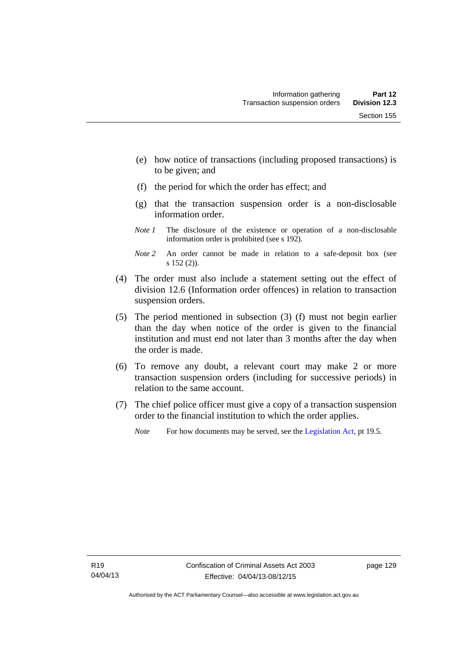- (e) how notice of transactions (including proposed transactions) is to be given; and
- (f) the period for which the order has effect; and
- (g) that the transaction suspension order is a non-disclosable information order.
- *Note 1* The disclosure of the existence or operation of a non-disclosable information order is prohibited (see s 192).
- *Note 2* An order cannot be made in relation to a safe-deposit box (see s 152 (2)).
- (4) The order must also include a statement setting out the effect of division 12.6 (Information order offences) in relation to transaction suspension orders.
- (5) The period mentioned in subsection (3) (f) must not begin earlier than the day when notice of the order is given to the financial institution and must end not later than 3 months after the day when the order is made.
- (6) To remove any doubt, a relevant court may make 2 or more transaction suspension orders (including for successive periods) in relation to the same account.
- (7) The chief police officer must give a copy of a transaction suspension order to the financial institution to which the order applies.
	- *Note* For how documents may be served, see the [Legislation Act,](http://www.legislation.act.gov.au/a/2001-14) pt 19.5.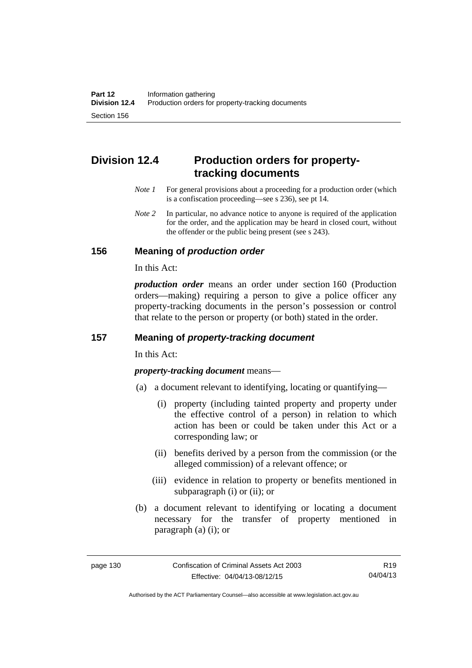# **Division 12.4 Production orders for propertytracking documents**

- *Note 1* For general provisions about a proceeding for a production order (which is a confiscation proceeding—see s 236), see pt 14.
- *Note* 2 In particular, no advance notice to anyone is required of the application for the order, and the application may be heard in closed court, without the offender or the public being present (see s 243).

# **156 Meaning of** *production order*

In this Act:

*production order* means an order under section 160 (Production orders—making) requiring a person to give a police officer any property-tracking documents in the person's possession or control that relate to the person or property (or both) stated in the order.

# **157 Meaning of** *property-tracking document*

In this Act:

*property-tracking document* means—

- (a) a document relevant to identifying, locating or quantifying—
	- (i) property (including tainted property and property under the effective control of a person) in relation to which action has been or could be taken under this Act or a corresponding law; or
	- (ii) benefits derived by a person from the commission (or the alleged commission) of a relevant offence; or
	- (iii) evidence in relation to property or benefits mentioned in subparagraph (i) or (ii); or
- (b) a document relevant to identifying or locating a document necessary for the transfer of property mentioned in paragraph (a) (i); or

Authorised by the ACT Parliamentary Counsel—also accessible at www.legislation.act.gov.au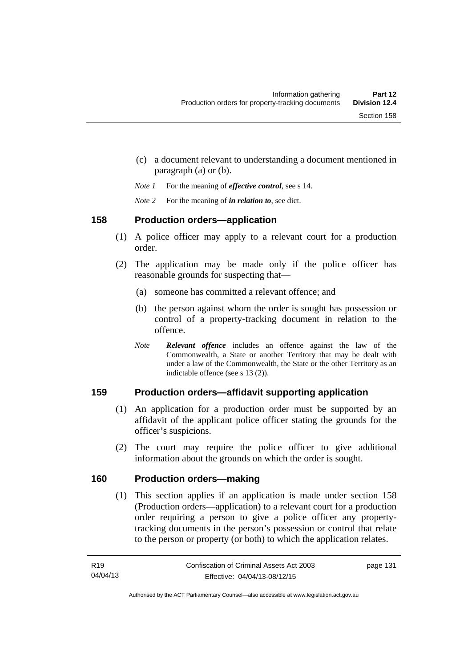- (c) a document relevant to understanding a document mentioned in paragraph (a) or (b).
- *Note 1* For the meaning of *effective control*, see s 14.
- *Note 2* For the meaning of *in relation to*, see dict.

#### **158 Production orders—application**

- (1) A police officer may apply to a relevant court for a production order.
- (2) The application may be made only if the police officer has reasonable grounds for suspecting that—
	- (a) someone has committed a relevant offence; and
	- (b) the person against whom the order is sought has possession or control of a property-tracking document in relation to the offence.
	- *Note Relevant offence* includes an offence against the law of the Commonwealth, a State or another Territory that may be dealt with under a law of the Commonwealth, the State or the other Territory as an indictable offence (see s 13 (2)).

### **159 Production orders—affidavit supporting application**

- (1) An application for a production order must be supported by an affidavit of the applicant police officer stating the grounds for the officer's suspicions.
- (2) The court may require the police officer to give additional information about the grounds on which the order is sought.

### **160 Production orders—making**

(1) This section applies if an application is made under section 158 (Production orders—application) to a relevant court for a production order requiring a person to give a police officer any propertytracking documents in the person's possession or control that relate to the person or property (or both) to which the application relates.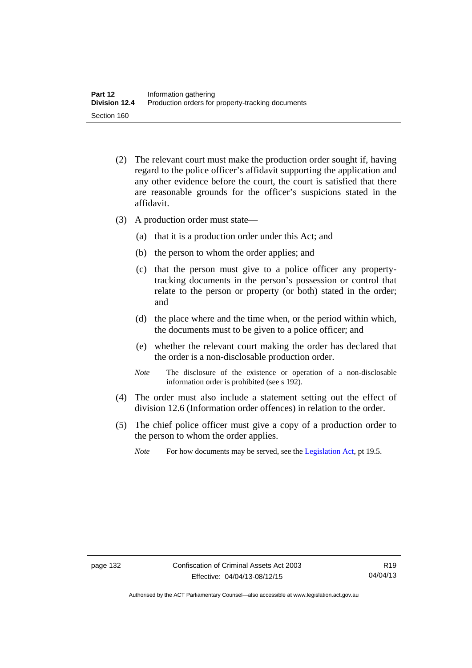- (2) The relevant court must make the production order sought if, having regard to the police officer's affidavit supporting the application and any other evidence before the court, the court is satisfied that there are reasonable grounds for the officer's suspicions stated in the affidavit.
- (3) A production order must state—
	- (a) that it is a production order under this Act; and
	- (b) the person to whom the order applies; and
	- (c) that the person must give to a police officer any propertytracking documents in the person's possession or control that relate to the person or property (or both) stated in the order; and
	- (d) the place where and the time when, or the period within which, the documents must to be given to a police officer; and
	- (e) whether the relevant court making the order has declared that the order is a non-disclosable production order.
	- *Note* The disclosure of the existence or operation of a non-disclosable information order is prohibited (see s 192).
- (4) The order must also include a statement setting out the effect of division 12.6 (Information order offences) in relation to the order.
- (5) The chief police officer must give a copy of a production order to the person to whom the order applies.
	- *Note* For how documents may be served, see the [Legislation Act,](http://www.legislation.act.gov.au/a/2001-14) pt 19.5.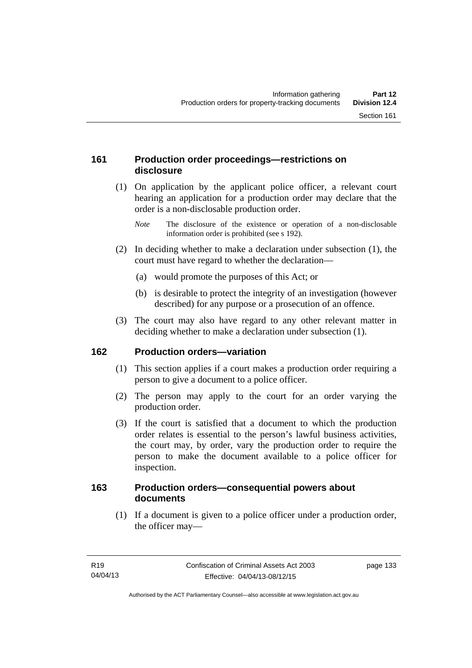### **161 Production order proceedings—restrictions on disclosure**

 (1) On application by the applicant police officer, a relevant court hearing an application for a production order may declare that the order is a non-disclosable production order.

- (2) In deciding whether to make a declaration under subsection (1), the court must have regard to whether the declaration—
	- (a) would promote the purposes of this Act; or
	- (b) is desirable to protect the integrity of an investigation (however described) for any purpose or a prosecution of an offence.
- (3) The court may also have regard to any other relevant matter in deciding whether to make a declaration under subsection (1).

### **162 Production orders—variation**

- (1) This section applies if a court makes a production order requiring a person to give a document to a police officer.
- (2) The person may apply to the court for an order varying the production order.
- (3) If the court is satisfied that a document to which the production order relates is essential to the person's lawful business activities, the court may, by order, vary the production order to require the person to make the document available to a police officer for inspection.

### **163 Production orders—consequential powers about documents**

 (1) If a document is given to a police officer under a production order, the officer may—

*Note* The disclosure of the existence or operation of a non-disclosable information order is prohibited (see s 192).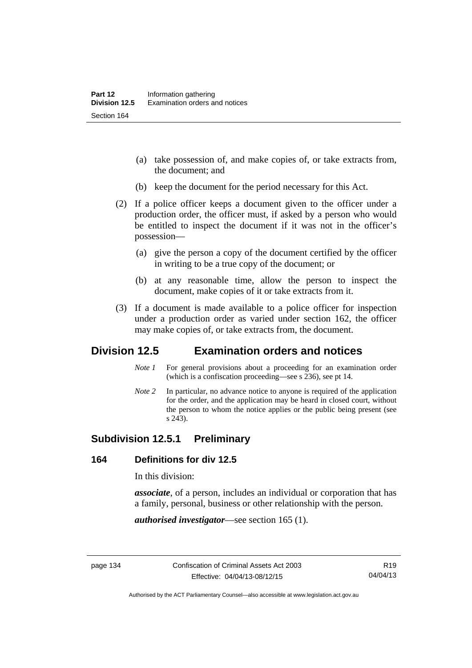- (a) take possession of, and make copies of, or take extracts from, the document; and
- (b) keep the document for the period necessary for this Act.
- (2) If a police officer keeps a document given to the officer under a production order, the officer must, if asked by a person who would be entitled to inspect the document if it was not in the officer's possession—
	- (a) give the person a copy of the document certified by the officer in writing to be a true copy of the document; or
	- (b) at any reasonable time, allow the person to inspect the document, make copies of it or take extracts from it.
- (3) If a document is made available to a police officer for inspection under a production order as varied under section 162, the officer may make copies of, or take extracts from, the document.

# **Division 12.5 Examination orders and notices**

- *Note 1* For general provisions about a proceeding for an examination order (which is a confiscation proceeding—see s 236), see pt 14.
- *Note 2* In particular, no advance notice to anyone is required of the application for the order, and the application may be heard in closed court, without the person to whom the notice applies or the public being present (see s 243).

### **Subdivision 12.5.1 Preliminary**

#### **164 Definitions for div 12.5**

In this division:

*associate*, of a person, includes an individual or corporation that has a family, personal, business or other relationship with the person.

*authorised investigator*—see section 165 (1).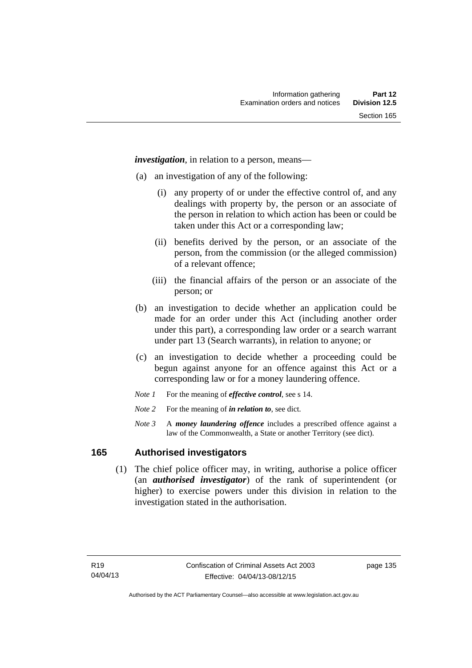*investigation*, in relation to a person, means—

- (a) an investigation of any of the following:
	- (i) any property of or under the effective control of, and any dealings with property by, the person or an associate of the person in relation to which action has been or could be taken under this Act or a corresponding law;
	- (ii) benefits derived by the person, or an associate of the person, from the commission (or the alleged commission) of a relevant offence;
	- (iii) the financial affairs of the person or an associate of the person; or
- (b) an investigation to decide whether an application could be made for an order under this Act (including another order under this part), a corresponding law order or a search warrant under part 13 (Search warrants), in relation to anyone; or
- (c) an investigation to decide whether a proceeding could be begun against anyone for an offence against this Act or a corresponding law or for a money laundering offence.
- *Note 1* For the meaning of *effective control*, see s 14.
- *Note* 2 For the meaning of *in relation to*, see dict.
- *Note 3* A *money laundering offence* includes a prescribed offence against a law of the Commonwealth, a State or another Territory (see dict).

#### **165 Authorised investigators**

 (1) The chief police officer may, in writing, authorise a police officer (an *authorised investigator*) of the rank of superintendent (or higher) to exercise powers under this division in relation to the investigation stated in the authorisation.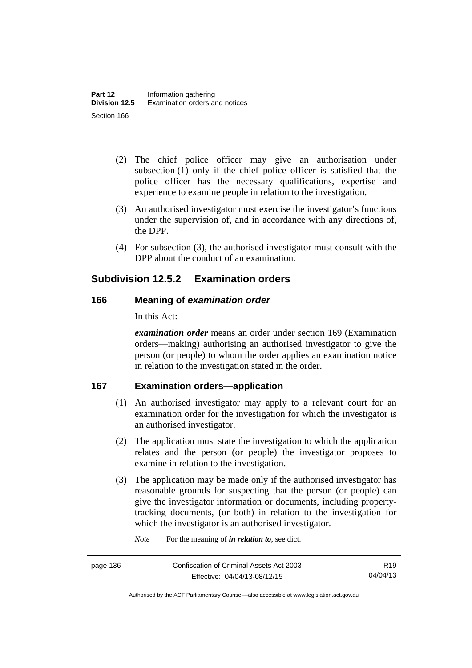- (2) The chief police officer may give an authorisation under subsection (1) only if the chief police officer is satisfied that the police officer has the necessary qualifications, expertise and experience to examine people in relation to the investigation.
- (3) An authorised investigator must exercise the investigator's functions under the supervision of, and in accordance with any directions of, the DPP.
- (4) For subsection (3), the authorised investigator must consult with the DPP about the conduct of an examination.

# **Subdivision 12.5.2 Examination orders**

### **166 Meaning of** *examination order*

In this Act:

*examination order* means an order under section 169 (Examination orders—making) authorising an authorised investigator to give the person (or people) to whom the order applies an examination notice in relation to the investigation stated in the order.

### **167 Examination orders—application**

- (1) An authorised investigator may apply to a relevant court for an examination order for the investigation for which the investigator is an authorised investigator.
- (2) The application must state the investigation to which the application relates and the person (or people) the investigator proposes to examine in relation to the investigation.
- (3) The application may be made only if the authorised investigator has reasonable grounds for suspecting that the person (or people) can give the investigator information or documents, including propertytracking documents, (or both) in relation to the investigation for which the investigator is an authorised investigator.

*Note* For the meaning of *in relation to*, see dict.

Authorised by the ACT Parliamentary Counsel—also accessible at www.legislation.act.gov.au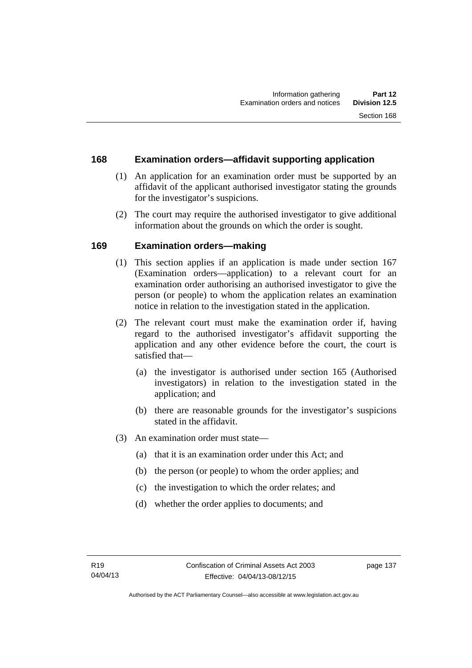### **168 Examination orders—affidavit supporting application**

- (1) An application for an examination order must be supported by an affidavit of the applicant authorised investigator stating the grounds for the investigator's suspicions.
- (2) The court may require the authorised investigator to give additional information about the grounds on which the order is sought.

### **169 Examination orders—making**

- (1) This section applies if an application is made under section 167 (Examination orders—application) to a relevant court for an examination order authorising an authorised investigator to give the person (or people) to whom the application relates an examination notice in relation to the investigation stated in the application.
- (2) The relevant court must make the examination order if, having regard to the authorised investigator's affidavit supporting the application and any other evidence before the court, the court is satisfied that—
	- (a) the investigator is authorised under section 165 (Authorised investigators) in relation to the investigation stated in the application; and
	- (b) there are reasonable grounds for the investigator's suspicions stated in the affidavit.
- (3) An examination order must state—
	- (a) that it is an examination order under this Act; and
	- (b) the person (or people) to whom the order applies; and
	- (c) the investigation to which the order relates; and
	- (d) whether the order applies to documents; and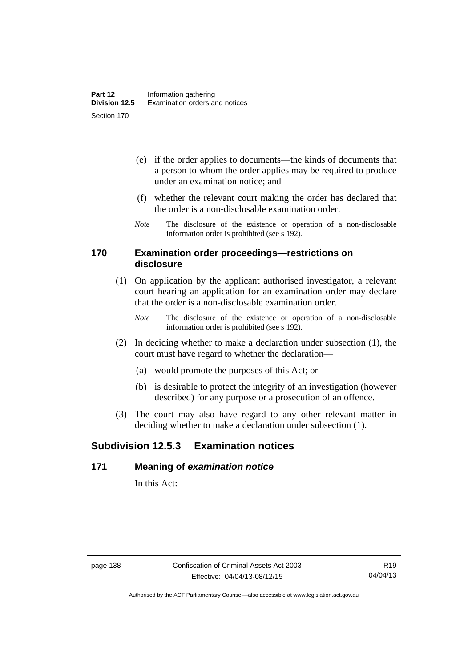- (e) if the order applies to documents—the kinds of documents that a person to whom the order applies may be required to produce under an examination notice; and
- (f) whether the relevant court making the order has declared that the order is a non-disclosable examination order.
- *Note* The disclosure of the existence or operation of a non-disclosable information order is prohibited (see s 192).

#### **170 Examination order proceedings—restrictions on disclosure**

- (1) On application by the applicant authorised investigator, a relevant court hearing an application for an examination order may declare that the order is a non-disclosable examination order.
	- *Note* The disclosure of the existence or operation of a non-disclosable information order is prohibited (see s 192).
- (2) In deciding whether to make a declaration under subsection (1), the court must have regard to whether the declaration—
	- (a) would promote the purposes of this Act; or
	- (b) is desirable to protect the integrity of an investigation (however described) for any purpose or a prosecution of an offence.
- (3) The court may also have regard to any other relevant matter in deciding whether to make a declaration under subsection (1).

# **Subdivision 12.5.3 Examination notices**

#### **171 Meaning of** *examination notice*

In this Act: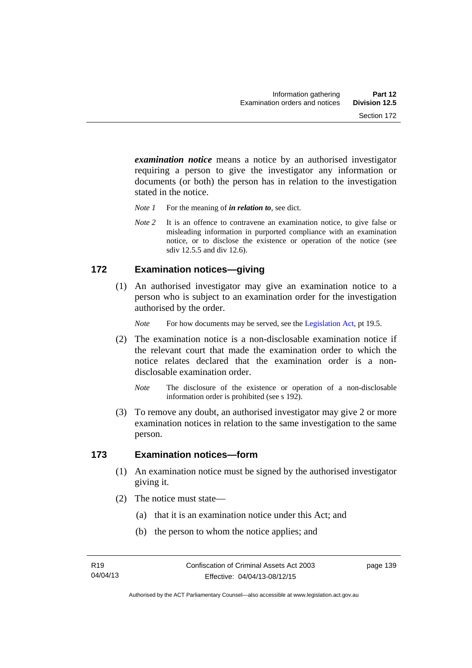*examination notice* means a notice by an authorised investigator requiring a person to give the investigator any information or documents (or both) the person has in relation to the investigation stated in the notice.

- *Note 1* For the meaning of *in relation to*, see dict.
- *Note* 2 It is an offence to contravene an examination notice, to give false or misleading information in purported compliance with an examination notice, or to disclose the existence or operation of the notice (see sdiv 12.5.5 and div 12.6).

### **172 Examination notices—giving**

 (1) An authorised investigator may give an examination notice to a person who is subject to an examination order for the investigation authorised by the order.

*Note* For how documents may be served, see the [Legislation Act,](http://www.legislation.act.gov.au/a/2001-14) pt 19.5.

- (2) The examination notice is a non-disclosable examination notice if the relevant court that made the examination order to which the notice relates declared that the examination order is a nondisclosable examination order.
	- *Note* The disclosure of the existence or operation of a non-disclosable information order is prohibited (see s 192).
- (3) To remove any doubt, an authorised investigator may give 2 or more examination notices in relation to the same investigation to the same person.

#### **173 Examination notices—form**

- (1) An examination notice must be signed by the authorised investigator giving it.
- (2) The notice must state—
	- (a) that it is an examination notice under this Act; and
	- (b) the person to whom the notice applies; and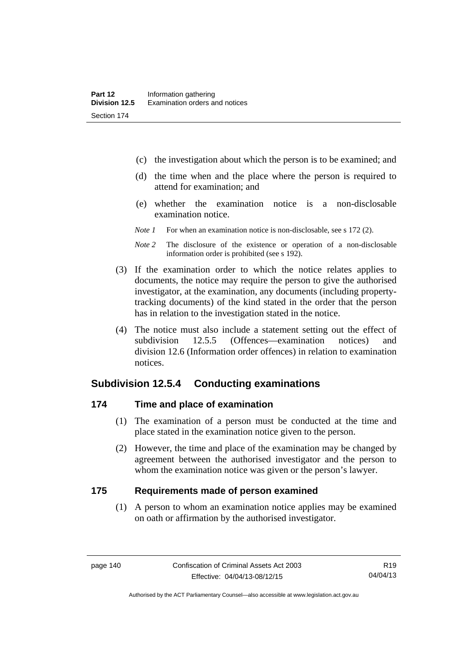- (c) the investigation about which the person is to be examined; and
- (d) the time when and the place where the person is required to attend for examination; and
- (e) whether the examination notice is a non-disclosable examination notice.
- *Note 1* For when an examination notice is non-disclosable, see s 172 (2).
- *Note 2* The disclosure of the existence or operation of a non-disclosable information order is prohibited (see s 192).
- (3) If the examination order to which the notice relates applies to documents, the notice may require the person to give the authorised investigator, at the examination, any documents (including propertytracking documents) of the kind stated in the order that the person has in relation to the investigation stated in the notice.
- (4) The notice must also include a statement setting out the effect of subdivision 12.5.5 (Offences—examination notices) and division 12.6 (Information order offences) in relation to examination notices.

### **Subdivision 12.5.4 Conducting examinations**

#### **174 Time and place of examination**

- (1) The examination of a person must be conducted at the time and place stated in the examination notice given to the person.
- (2) However, the time and place of the examination may be changed by agreement between the authorised investigator and the person to whom the examination notice was given or the person's lawyer.

#### **175 Requirements made of person examined**

(1) A person to whom an examination notice applies may be examined on oath or affirmation by the authorised investigator.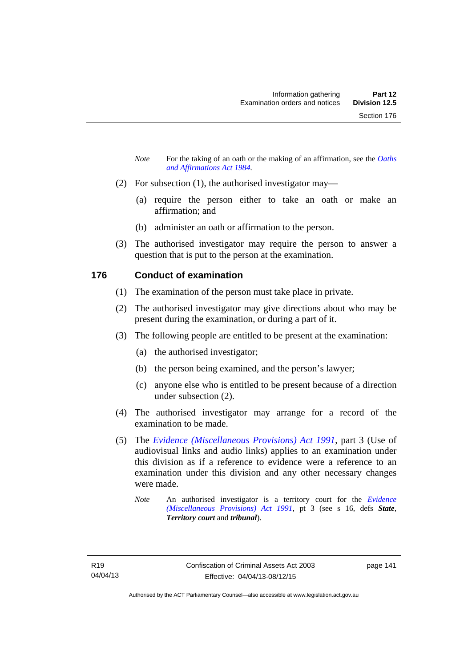- *Note* For the taking of an oath or the making of an affirmation, see the *Oaths [and Affirmations Act 1984.](http://www.legislation.act.gov.au/a/1984-79)*
- (2) For subsection (1), the authorised investigator may—
	- (a) require the person either to take an oath or make an affirmation; and
	- (b) administer an oath or affirmation to the person.
- (3) The authorised investigator may require the person to answer a question that is put to the person at the examination.

### **176 Conduct of examination**

- (1) The examination of the person must take place in private.
- (2) The authorised investigator may give directions about who may be present during the examination, or during a part of it.
- (3) The following people are entitled to be present at the examination:
	- (a) the authorised investigator;
	- (b) the person being examined, and the person's lawyer;
	- (c) anyone else who is entitled to be present because of a direction under subsection (2).
- (4) The authorised investigator may arrange for a record of the examination to be made.
- (5) The *[Evidence \(Miscellaneous Provisions\) Act 1991](http://www.legislation.act.gov.au/a/1991-34)*, part 3 (Use of audiovisual links and audio links) applies to an examination under this division as if a reference to evidence were a reference to an examination under this division and any other necessary changes were made.
	- *Note* An authorised investigator is a territory court for the *[Evidence](http://www.legislation.act.gov.au/a/1991-34)  [\(Miscellaneous Provisions\) Act 1991](http://www.legislation.act.gov.au/a/1991-34)*, pt 3 (see s 16, defs *State*, *Territory court* and *tribunal*).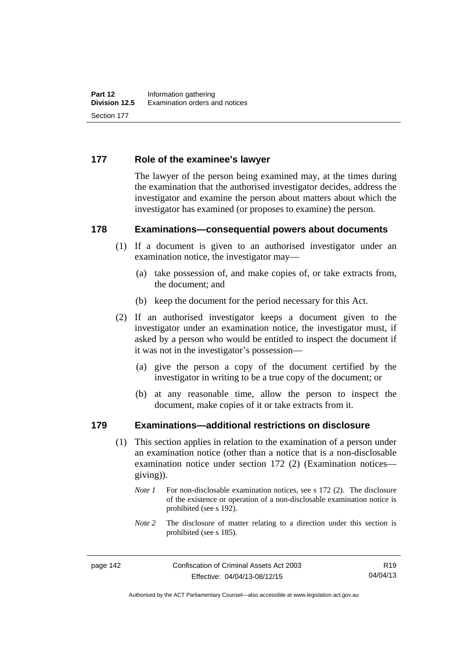### **177 Role of the examinee's lawyer**

The lawyer of the person being examined may, at the times during the examination that the authorised investigator decides, address the investigator and examine the person about matters about which the investigator has examined (or proposes to examine) the person.

#### **178 Examinations—consequential powers about documents**

- (1) If a document is given to an authorised investigator under an examination notice, the investigator may—
	- (a) take possession of, and make copies of, or take extracts from, the document; and
	- (b) keep the document for the period necessary for this Act.
- (2) If an authorised investigator keeps a document given to the investigator under an examination notice, the investigator must, if asked by a person who would be entitled to inspect the document if it was not in the investigator's possession—
	- (a) give the person a copy of the document certified by the investigator in writing to be a true copy of the document; or
	- (b) at any reasonable time, allow the person to inspect the document, make copies of it or take extracts from it.

#### **179 Examinations—additional restrictions on disclosure**

- (1) This section applies in relation to the examination of a person under an examination notice (other than a notice that is a non-disclosable examination notice under section 172 (2) (Examination notices giving)).
	- *Note 1* For non-disclosable examination notices, see s 172 (2). The disclosure of the existence or operation of a non-disclosable examination notice is prohibited (see s 192).
	- *Note* 2 The disclosure of matter relating to a direction under this section is prohibited (see s 185).

R19 04/04/13

Authorised by the ACT Parliamentary Counsel—also accessible at www.legislation.act.gov.au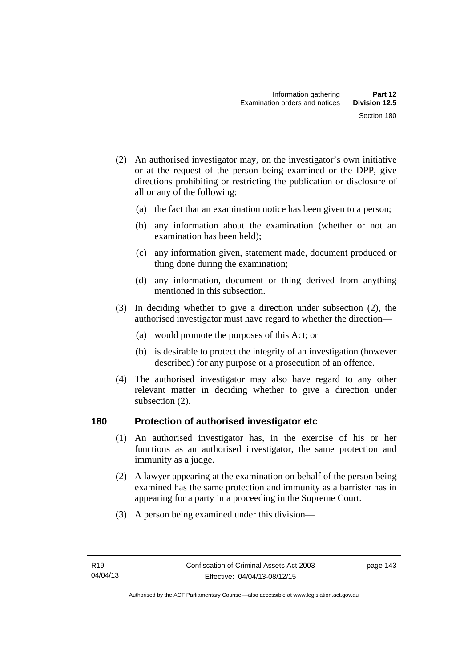- (2) An authorised investigator may, on the investigator's own initiative or at the request of the person being examined or the DPP, give directions prohibiting or restricting the publication or disclosure of all or any of the following:
	- (a) the fact that an examination notice has been given to a person;
	- (b) any information about the examination (whether or not an examination has been held);
	- (c) any information given, statement made, document produced or thing done during the examination;
	- (d) any information, document or thing derived from anything mentioned in this subsection.
- (3) In deciding whether to give a direction under subsection (2), the authorised investigator must have regard to whether the direction—
	- (a) would promote the purposes of this Act; or
	- (b) is desirable to protect the integrity of an investigation (however described) for any purpose or a prosecution of an offence.
- (4) The authorised investigator may also have regard to any other relevant matter in deciding whether to give a direction under subsection (2).

#### **180 Protection of authorised investigator etc**

- (1) An authorised investigator has, in the exercise of his or her functions as an authorised investigator, the same protection and immunity as a judge.
- (2) A lawyer appearing at the examination on behalf of the person being examined has the same protection and immunity as a barrister has in appearing for a party in a proceeding in the Supreme Court.
- (3) A person being examined under this division—

page 143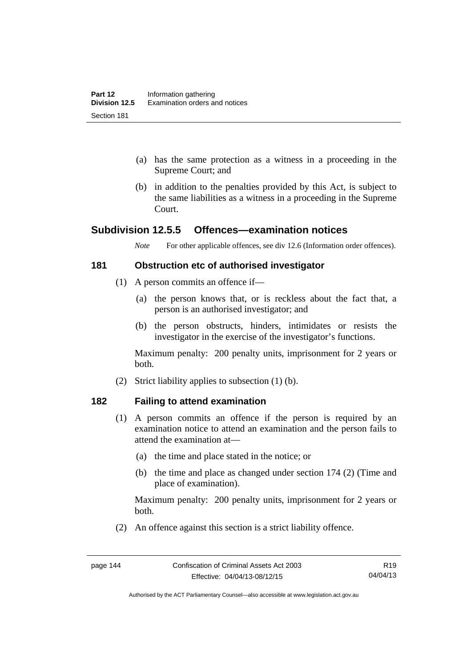- (a) has the same protection as a witness in a proceeding in the Supreme Court; and
- (b) in addition to the penalties provided by this Act, is subject to the same liabilities as a witness in a proceeding in the Supreme Court.

### **Subdivision 12.5.5 Offences—examination notices**

*Note* For other applicable offences, see div 12.6 (Information order offences).

#### **181 Obstruction etc of authorised investigator**

- (1) A person commits an offence if—
	- (a) the person knows that, or is reckless about the fact that, a person is an authorised investigator; and
	- (b) the person obstructs, hinders, intimidates or resists the investigator in the exercise of the investigator's functions.

Maximum penalty: 200 penalty units, imprisonment for 2 years or both.

(2) Strict liability applies to subsection (1) (b).

#### **182 Failing to attend examination**

- (1) A person commits an offence if the person is required by an examination notice to attend an examination and the person fails to attend the examination at—
	- (a) the time and place stated in the notice; or
	- (b) the time and place as changed under section 174 (2) (Time and place of examination).

Maximum penalty: 200 penalty units, imprisonment for 2 years or both.

(2) An offence against this section is a strict liability offence.

Authorised by the ACT Parliamentary Counsel—also accessible at www.legislation.act.gov.au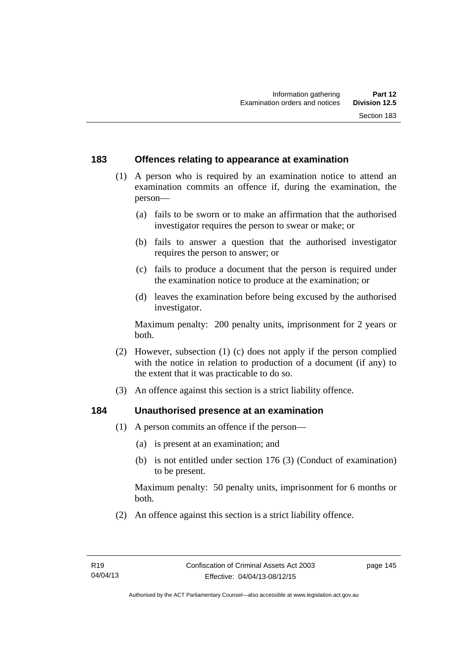### **183 Offences relating to appearance at examination**

- (1) A person who is required by an examination notice to attend an examination commits an offence if, during the examination, the person—
	- (a) fails to be sworn or to make an affirmation that the authorised investigator requires the person to swear or make; or
	- (b) fails to answer a question that the authorised investigator requires the person to answer; or
	- (c) fails to produce a document that the person is required under the examination notice to produce at the examination; or
	- (d) leaves the examination before being excused by the authorised investigator.

Maximum penalty: 200 penalty units, imprisonment for 2 years or both.

- (2) However, subsection (1) (c) does not apply if the person complied with the notice in relation to production of a document (if any) to the extent that it was practicable to do so.
- (3) An offence against this section is a strict liability offence.

#### **184 Unauthorised presence at an examination**

- (1) A person commits an offence if the person—
	- (a) is present at an examination; and
	- (b) is not entitled under section 176 (3) (Conduct of examination) to be present.

Maximum penalty: 50 penalty units, imprisonment for 6 months or both.

(2) An offence against this section is a strict liability offence.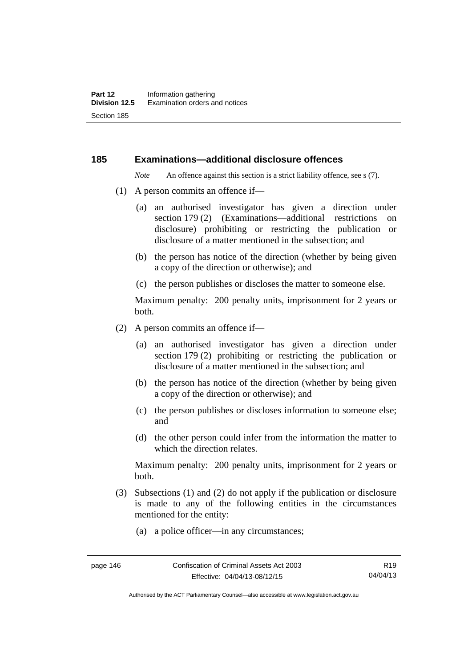#### **185 Examinations—additional disclosure offences**

*Note* An offence against this section is a strict liability offence, see s (7).

- (1) A person commits an offence if—
	- (a) an authorised investigator has given a direction under section 179 (2) (Examinations—additional restrictions on disclosure) prohibiting or restricting the publication or disclosure of a matter mentioned in the subsection; and
	- (b) the person has notice of the direction (whether by being given a copy of the direction or otherwise); and
	- (c) the person publishes or discloses the matter to someone else.

Maximum penalty: 200 penalty units, imprisonment for 2 years or both.

- (2) A person commits an offence if—
	- (a) an authorised investigator has given a direction under section 179 (2) prohibiting or restricting the publication or disclosure of a matter mentioned in the subsection; and
	- (b) the person has notice of the direction (whether by being given a copy of the direction or otherwise); and
	- (c) the person publishes or discloses information to someone else; and
	- (d) the other person could infer from the information the matter to which the direction relates.

Maximum penalty: 200 penalty units, imprisonment for 2 years or both.

- (3) Subsections (1) and (2) do not apply if the publication or disclosure is made to any of the following entities in the circumstances mentioned for the entity:
	- (a) a police officer—in any circumstances;

R19 04/04/13

Authorised by the ACT Parliamentary Counsel—also accessible at www.legislation.act.gov.au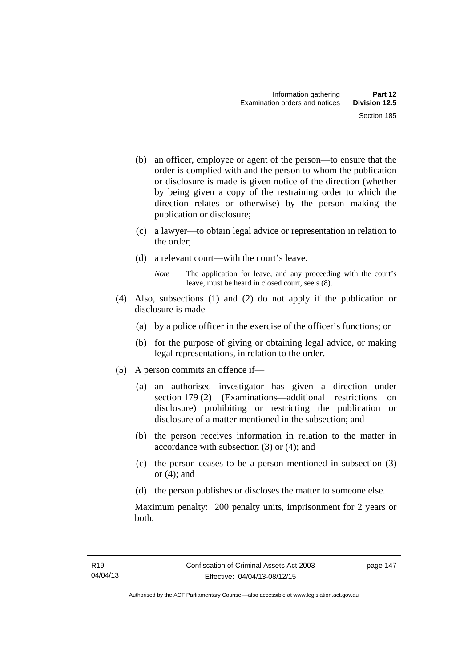- (b) an officer, employee or agent of the person—to ensure that the order is complied with and the person to whom the publication or disclosure is made is given notice of the direction (whether by being given a copy of the restraining order to which the direction relates or otherwise) by the person making the publication or disclosure;
- (c) a lawyer—to obtain legal advice or representation in relation to the order;
- (d) a relevant court—with the court's leave.
	- *Note* The application for leave, and any proceeding with the court's leave, must be heard in closed court, see s (8).
- (4) Also, subsections (1) and (2) do not apply if the publication or disclosure is made—
	- (a) by a police officer in the exercise of the officer's functions; or
	- (b) for the purpose of giving or obtaining legal advice, or making legal representations, in relation to the order.
- (5) A person commits an offence if—
	- (a) an authorised investigator has given a direction under section 179 (2) (Examinations—additional restrictions on disclosure) prohibiting or restricting the publication or disclosure of a matter mentioned in the subsection; and
	- (b) the person receives information in relation to the matter in accordance with subsection (3) or (4); and
	- (c) the person ceases to be a person mentioned in subsection (3) or  $(4)$ ; and
	- (d) the person publishes or discloses the matter to someone else.

Maximum penalty: 200 penalty units, imprisonment for 2 years or both.

page 147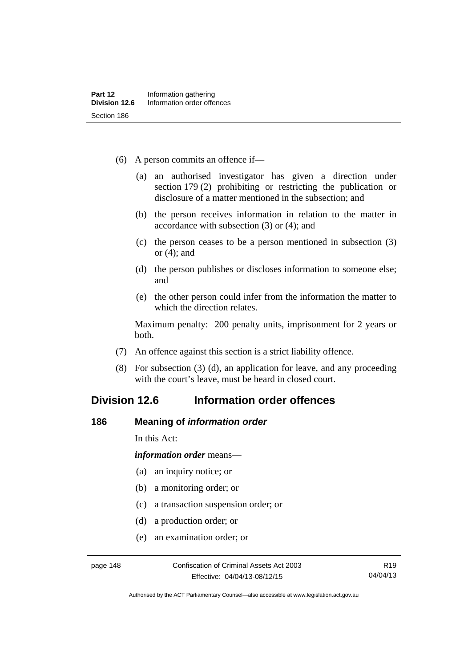- (6) A person commits an offence if—
	- (a) an authorised investigator has given a direction under section 179 (2) prohibiting or restricting the publication or disclosure of a matter mentioned in the subsection; and
	- (b) the person receives information in relation to the matter in accordance with subsection (3) or (4); and
	- (c) the person ceases to be a person mentioned in subsection (3) or (4); and
	- (d) the person publishes or discloses information to someone else; and
	- (e) the other person could infer from the information the matter to which the direction relates.

Maximum penalty: 200 penalty units, imprisonment for 2 years or both.

- (7) An offence against this section is a strict liability offence.
- (8) For subsection (3) (d), an application for leave, and any proceeding with the court's leave, must be heard in closed court.

# **Division 12.6 Information order offences**

#### **186 Meaning of** *information order*

In this Act:

*information order* means—

- (a) an inquiry notice; or
- (b) a monitoring order; or
- (c) a transaction suspension order; or
- (d) a production order; or
- (e) an examination order; or

Authorised by the ACT Parliamentary Counsel—also accessible at www.legislation.act.gov.au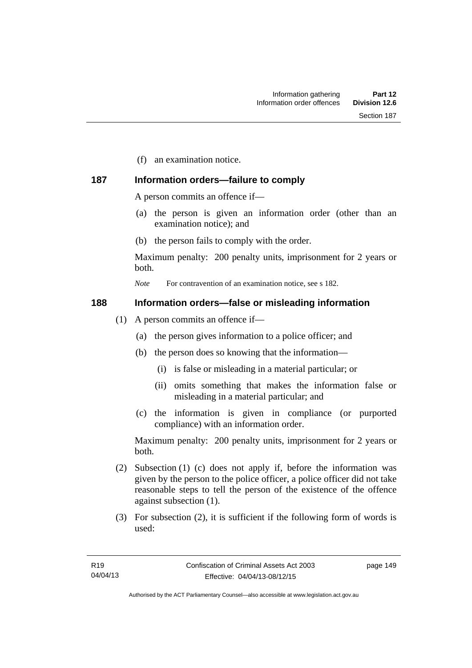(f) an examination notice.

### **187 Information orders—failure to comply**

A person commits an offence if—

- (a) the person is given an information order (other than an examination notice); and
- (b) the person fails to comply with the order.

Maximum penalty: 200 penalty units, imprisonment for 2 years or both.

*Note* For contravention of an examination notice, see s 182.

#### **188 Information orders—false or misleading information**

- (1) A person commits an offence if—
	- (a) the person gives information to a police officer; and
	- (b) the person does so knowing that the information—
		- (i) is false or misleading in a material particular; or
		- (ii) omits something that makes the information false or misleading in a material particular; and
	- (c) the information is given in compliance (or purported compliance) with an information order.

Maximum penalty: 200 penalty units, imprisonment for 2 years or both.

- (2) Subsection (1) (c) does not apply if, before the information was given by the person to the police officer, a police officer did not take reasonable steps to tell the person of the existence of the offence against subsection (1).
- (3) For subsection (2), it is sufficient if the following form of words is used:

page 149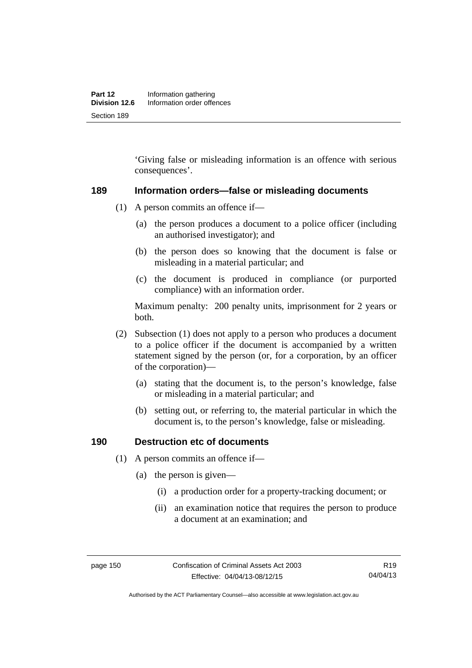'Giving false or misleading information is an offence with serious consequences'.

#### **189 Information orders—false or misleading documents**

- (1) A person commits an offence if—
	- (a) the person produces a document to a police officer (including an authorised investigator); and
	- (b) the person does so knowing that the document is false or misleading in a material particular; and
	- (c) the document is produced in compliance (or purported compliance) with an information order.

Maximum penalty: 200 penalty units, imprisonment for 2 years or both.

- (2) Subsection (1) does not apply to a person who produces a document to a police officer if the document is accompanied by a written statement signed by the person (or, for a corporation, by an officer of the corporation)—
	- (a) stating that the document is, to the person's knowledge, false or misleading in a material particular; and
	- (b) setting out, or referring to, the material particular in which the document is, to the person's knowledge, false or misleading.

#### **190 Destruction etc of documents**

- (1) A person commits an offence if—
	- (a) the person is given—
		- (i) a production order for a property-tracking document; or
		- (ii) an examination notice that requires the person to produce a document at an examination; and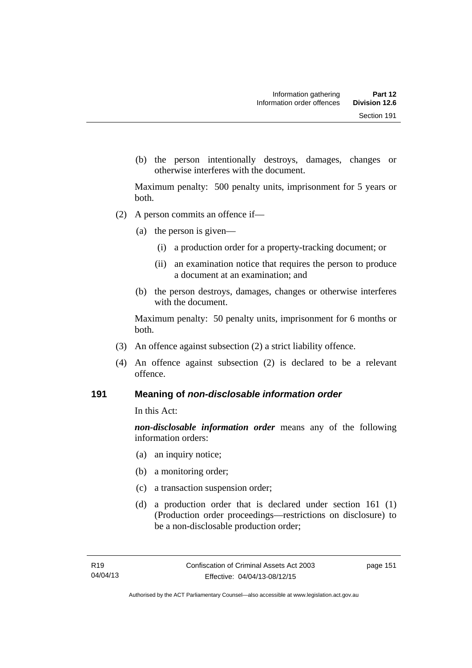(b) the person intentionally destroys, damages, changes or otherwise interferes with the document.

Maximum penalty: 500 penalty units, imprisonment for 5 years or both.

- (2) A person commits an offence if—
	- (a) the person is given—
		- (i) a production order for a property-tracking document; or
		- (ii) an examination notice that requires the person to produce a document at an examination; and
	- (b) the person destroys, damages, changes or otherwise interferes with the document.

Maximum penalty: 50 penalty units, imprisonment for 6 months or both.

- (3) An offence against subsection (2) a strict liability offence.
- (4) An offence against subsection (2) is declared to be a relevant offence.

#### **191 Meaning of** *non-disclosable information order*

In this Act:

*non-disclosable information order* means any of the following information orders:

- (a) an inquiry notice;
- (b) a monitoring order;
- (c) a transaction suspension order;
- (d) a production order that is declared under section 161 (1) (Production order proceedings—restrictions on disclosure) to be a non-disclosable production order;

page 151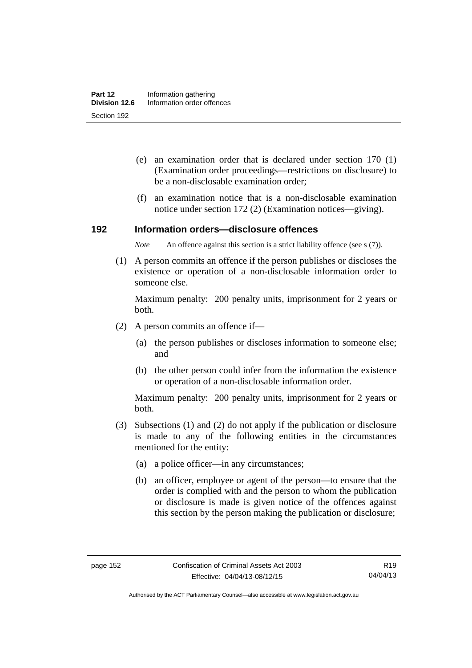- (e) an examination order that is declared under section 170 (1) (Examination order proceedings—restrictions on disclosure) to be a non-disclosable examination order;
- (f) an examination notice that is a non-disclosable examination notice under section 172 (2) (Examination notices—giving).

#### **192 Information orders—disclosure offences**

*Note* An offence against this section is a strict liability offence (see s (7)).

 (1) A person commits an offence if the person publishes or discloses the existence or operation of a non-disclosable information order to someone else.

Maximum penalty: 200 penalty units, imprisonment for 2 years or both.

- (2) A person commits an offence if—
	- (a) the person publishes or discloses information to someone else; and
	- (b) the other person could infer from the information the existence or operation of a non-disclosable information order.

Maximum penalty: 200 penalty units, imprisonment for 2 years or both.

- (3) Subsections (1) and (2) do not apply if the publication or disclosure is made to any of the following entities in the circumstances mentioned for the entity:
	- (a) a police officer—in any circumstances;
	- (b) an officer, employee or agent of the person—to ensure that the order is complied with and the person to whom the publication or disclosure is made is given notice of the offences against this section by the person making the publication or disclosure;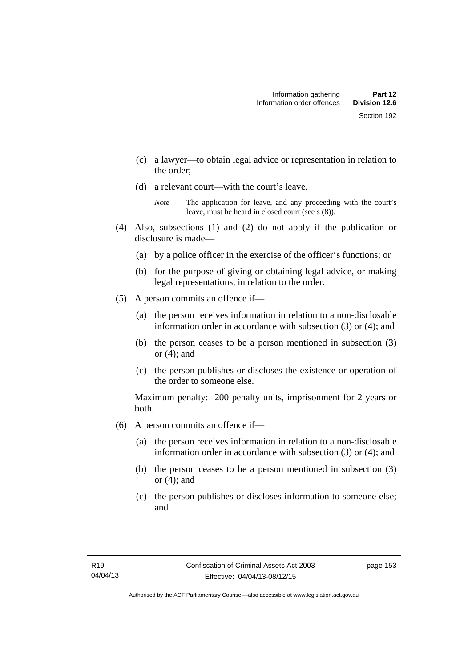- (c) a lawyer—to obtain legal advice or representation in relation to the order;
- (d) a relevant court—with the court's leave.

- (4) Also, subsections (1) and (2) do not apply if the publication or disclosure is made—
	- (a) by a police officer in the exercise of the officer's functions; or
	- (b) for the purpose of giving or obtaining legal advice, or making legal representations, in relation to the order.
- (5) A person commits an offence if—
	- (a) the person receives information in relation to a non-disclosable information order in accordance with subsection (3) or (4); and
	- (b) the person ceases to be a person mentioned in subsection (3) or  $(4)$ ; and
	- (c) the person publishes or discloses the existence or operation of the order to someone else.

Maximum penalty: 200 penalty units, imprisonment for 2 years or both.

- (6) A person commits an offence if—
	- (a) the person receives information in relation to a non-disclosable information order in accordance with subsection (3) or (4); and
	- (b) the person ceases to be a person mentioned in subsection (3) or  $(4)$ ; and
	- (c) the person publishes or discloses information to someone else; and

*Note* The application for leave, and any proceeding with the court's leave, must be heard in closed court (see s (8)).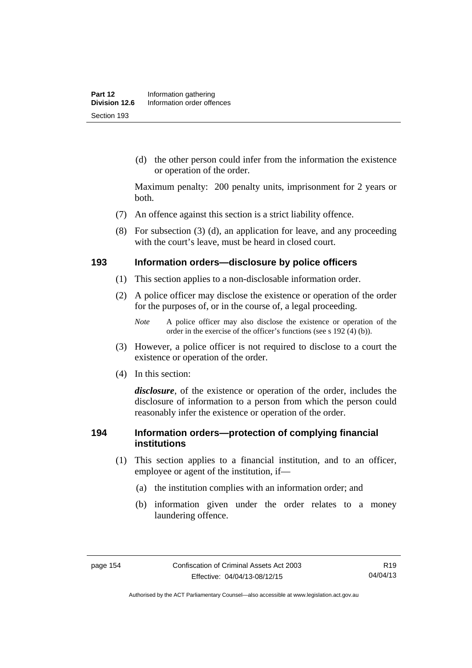(d) the other person could infer from the information the existence or operation of the order.

Maximum penalty: 200 penalty units, imprisonment for 2 years or both.

- (7) An offence against this section is a strict liability offence.
- (8) For subsection (3) (d), an application for leave, and any proceeding with the court's leave, must be heard in closed court.

#### **193 Information orders—disclosure by police officers**

- (1) This section applies to a non-disclosable information order.
- (2) A police officer may disclose the existence or operation of the order for the purposes of, or in the course of, a legal proceeding.

- (3) However, a police officer is not required to disclose to a court the existence or operation of the order.
- (4) In this section:

*disclosure*, of the existence or operation of the order, includes the disclosure of information to a person from which the person could reasonably infer the existence or operation of the order.

#### **194 Information orders—protection of complying financial institutions**

- (1) This section applies to a financial institution, and to an officer, employee or agent of the institution, if—
	- (a) the institution complies with an information order; and
	- (b) information given under the order relates to a money laundering offence.

*Note* A police officer may also disclose the existence or operation of the order in the exercise of the officer's functions (see s 192 (4) (b)).

Authorised by the ACT Parliamentary Counsel—also accessible at www.legislation.act.gov.au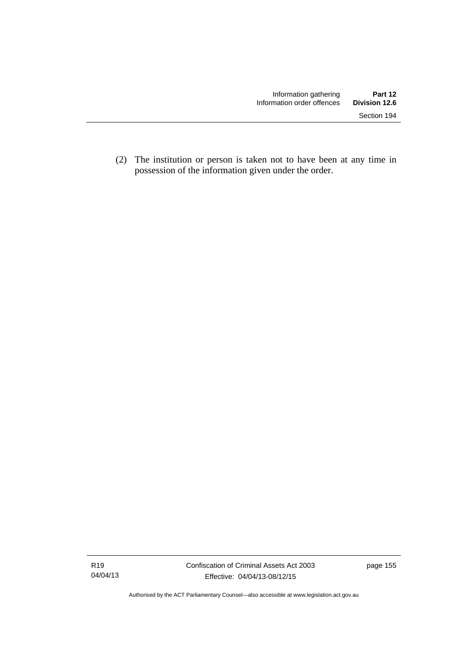(2) The institution or person is taken not to have been at any time in possession of the information given under the order.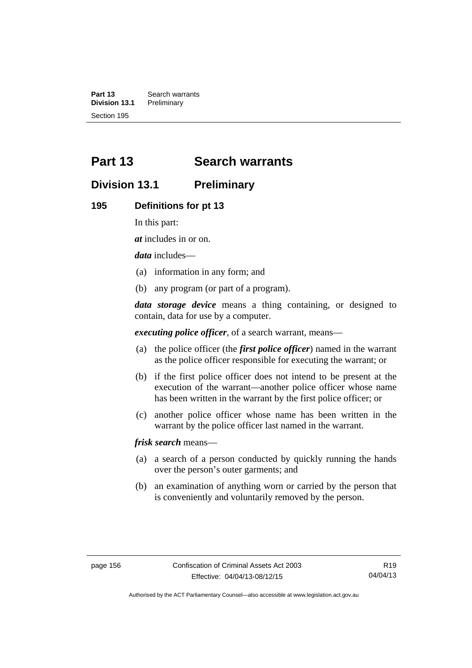**Part 13 Search warrants**<br>**Division 13.1 Preliminary Division 13.1** Section 195

# **Part 13 Search warrants**

# **Division 13.1 Preliminary**

#### **195 Definitions for pt 13**

In this part:

*at* includes in or on.

*data* includes—

- (a) information in any form; and
- (b) any program (or part of a program).

*data storage device* means a thing containing, or designed to contain, data for use by a computer.

*executing police officer*, of a search warrant, means—

- (a) the police officer (the *first police officer*) named in the warrant as the police officer responsible for executing the warrant; or
- (b) if the first police officer does not intend to be present at the execution of the warrant—another police officer whose name has been written in the warrant by the first police officer; or
- (c) another police officer whose name has been written in the warrant by the police officer last named in the warrant.

*frisk search* means—

- (a) a search of a person conducted by quickly running the hands over the person's outer garments; and
- (b) an examination of anything worn or carried by the person that is conveniently and voluntarily removed by the person.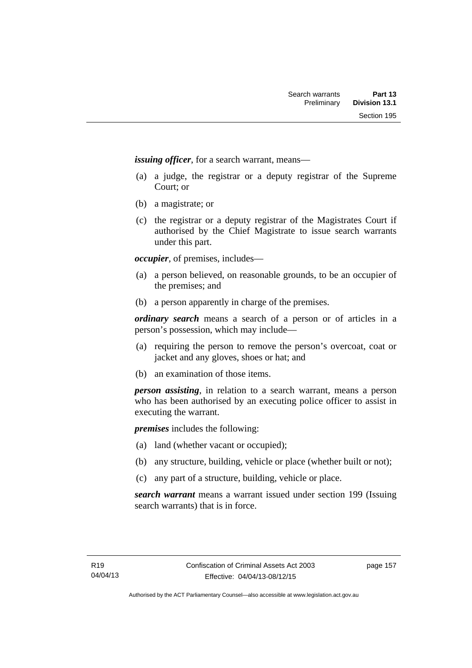*issuing officer*, for a search warrant, means—

- (a) a judge, the registrar or a deputy registrar of the Supreme Court; or
- (b) a magistrate; or
- (c) the registrar or a deputy registrar of the Magistrates Court if authorised by the Chief Magistrate to issue search warrants under this part.

*occupier*, of premises, includes—

- (a) a person believed, on reasonable grounds, to be an occupier of the premises; and
- (b) a person apparently in charge of the premises.

*ordinary search* means a search of a person or of articles in a person's possession, which may include—

- (a) requiring the person to remove the person's overcoat, coat or jacket and any gloves, shoes or hat; and
- (b) an examination of those items.

*person assisting*, in relation to a search warrant, means a person who has been authorised by an executing police officer to assist in executing the warrant.

*premises* includes the following:

- (a) land (whether vacant or occupied);
- (b) any structure, building, vehicle or place (whether built or not);
- (c) any part of a structure, building, vehicle or place.

*search warrant* means a warrant issued under section 199 (Issuing search warrants) that is in force.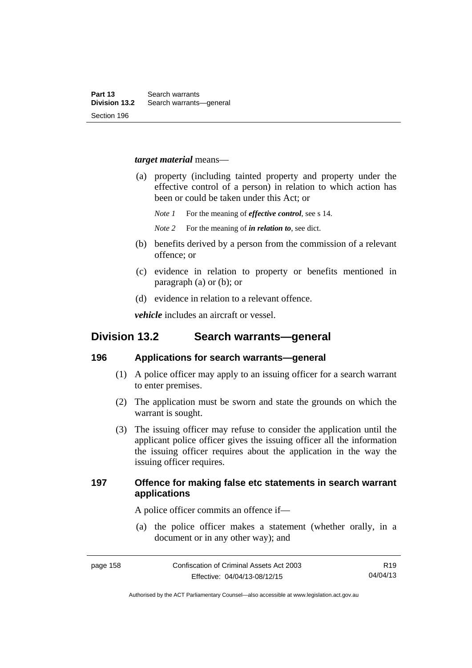#### *target material* means—

- (a) property (including tainted property and property under the effective control of a person) in relation to which action has been or could be taken under this Act; or
	- *Note 1* For the meaning of *effective control*, see s 14.
	- *Note 2* For the meaning of *in relation to*, see dict.
- (b) benefits derived by a person from the commission of a relevant offence; or
- (c) evidence in relation to property or benefits mentioned in paragraph (a) or (b); or
- (d) evidence in relation to a relevant offence.

*vehicle* includes an aircraft or vessel.

# **Division 13.2 Search warrants—general**

#### **196 Applications for search warrants—general**

- (1) A police officer may apply to an issuing officer for a search warrant to enter premises.
- (2) The application must be sworn and state the grounds on which the warrant is sought.
- (3) The issuing officer may refuse to consider the application until the applicant police officer gives the issuing officer all the information the issuing officer requires about the application in the way the issuing officer requires.

### **197 Offence for making false etc statements in search warrant applications**

A police officer commits an offence if—

 (a) the police officer makes a statement (whether orally, in a document or in any other way); and

R19 04/04/13

Authorised by the ACT Parliamentary Counsel—also accessible at www.legislation.act.gov.au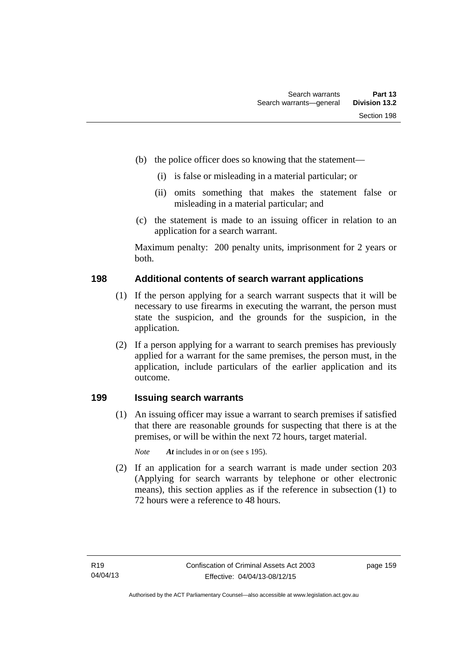- (b) the police officer does so knowing that the statement—
	- (i) is false or misleading in a material particular; or
	- (ii) omits something that makes the statement false or misleading in a material particular; and
- (c) the statement is made to an issuing officer in relation to an application for a search warrant.

Maximum penalty: 200 penalty units, imprisonment for 2 years or both.

#### **198 Additional contents of search warrant applications**

- (1) If the person applying for a search warrant suspects that it will be necessary to use firearms in executing the warrant, the person must state the suspicion, and the grounds for the suspicion, in the application.
- (2) If a person applying for a warrant to search premises has previously applied for a warrant for the same premises, the person must, in the application, include particulars of the earlier application and its outcome.

### **199 Issuing search warrants**

(1) An issuing officer may issue a warrant to search premises if satisfied that there are reasonable grounds for suspecting that there is at the premises, or will be within the next 72 hours, target material.

*Note At* includes in or on (see s 195).

 (2) If an application for a search warrant is made under section 203 (Applying for search warrants by telephone or other electronic means), this section applies as if the reference in subsection (1) to 72 hours were a reference to 48 hours.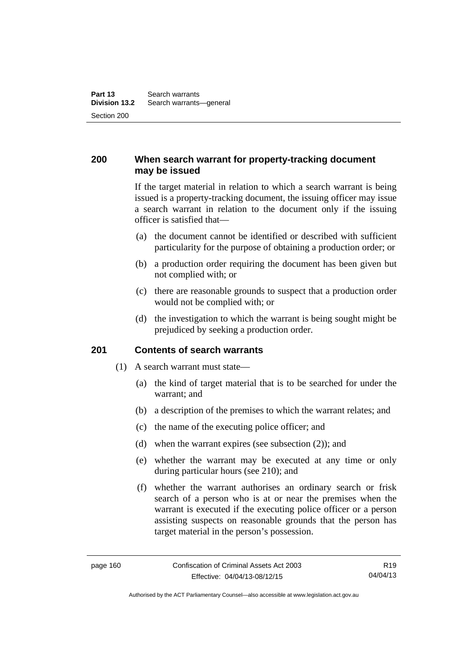### **200 When search warrant for property-tracking document may be issued**

If the target material in relation to which a search warrant is being issued is a property-tracking document, the issuing officer may issue a search warrant in relation to the document only if the issuing officer is satisfied that—

- (a) the document cannot be identified or described with sufficient particularity for the purpose of obtaining a production order; or
- (b) a production order requiring the document has been given but not complied with; or
- (c) there are reasonable grounds to suspect that a production order would not be complied with; or
- (d) the investigation to which the warrant is being sought might be prejudiced by seeking a production order.

#### **201 Contents of search warrants**

- (1) A search warrant must state—
	- (a) the kind of target material that is to be searched for under the warrant; and
	- (b) a description of the premises to which the warrant relates; and
	- (c) the name of the executing police officer; and
	- (d) when the warrant expires (see subsection (2)); and
	- (e) whether the warrant may be executed at any time or only during particular hours (see 210); and
	- (f) whether the warrant authorises an ordinary search or frisk search of a person who is at or near the premises when the warrant is executed if the executing police officer or a person assisting suspects on reasonable grounds that the person has target material in the person's possession.

Authorised by the ACT Parliamentary Counsel—also accessible at www.legislation.act.gov.au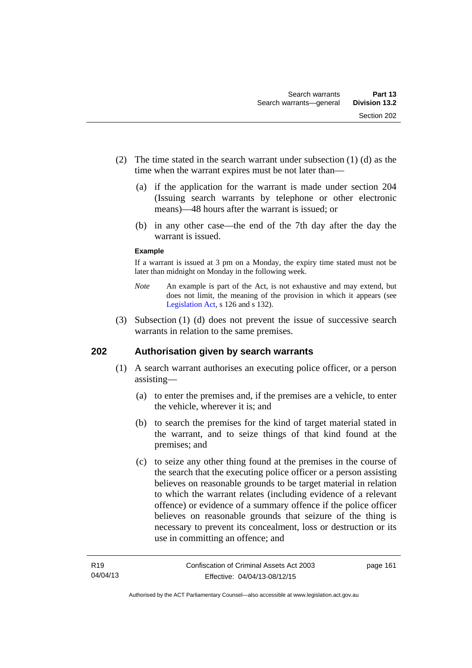- (2) The time stated in the search warrant under subsection (1) (d) as the time when the warrant expires must be not later than—
	- (a) if the application for the warrant is made under section 204 (Issuing search warrants by telephone or other electronic means)—48 hours after the warrant is issued; or
	- (b) in any other case—the end of the 7th day after the day the warrant is issued.

#### **Example**

If a warrant is issued at 3 pm on a Monday, the expiry time stated must not be later than midnight on Monday in the following week.

- *Note* An example is part of the Act, is not exhaustive and may extend, but does not limit, the meaning of the provision in which it appears (see [Legislation Act,](http://www.legislation.act.gov.au/a/2001-14) s 126 and s 132).
- (3) Subsection (1) (d) does not prevent the issue of successive search warrants in relation to the same premises.

### **202 Authorisation given by search warrants**

- (1) A search warrant authorises an executing police officer, or a person assisting—
	- (a) to enter the premises and, if the premises are a vehicle, to enter the vehicle, wherever it is; and
	- (b) to search the premises for the kind of target material stated in the warrant, and to seize things of that kind found at the premises; and
	- (c) to seize any other thing found at the premises in the course of the search that the executing police officer or a person assisting believes on reasonable grounds to be target material in relation to which the warrant relates (including evidence of a relevant offence) or evidence of a summary offence if the police officer believes on reasonable grounds that seizure of the thing is necessary to prevent its concealment, loss or destruction or its use in committing an offence; and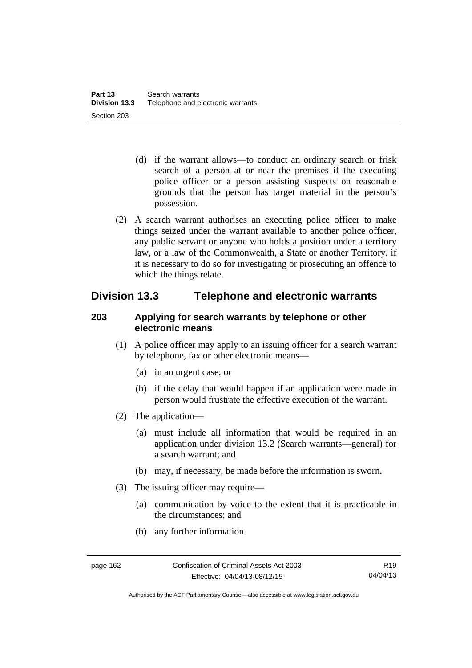- (d) if the warrant allows—to conduct an ordinary search or frisk search of a person at or near the premises if the executing police officer or a person assisting suspects on reasonable grounds that the person has target material in the person's possession.
- (2) A search warrant authorises an executing police officer to make things seized under the warrant available to another police officer, any public servant or anyone who holds a position under a territory law, or a law of the Commonwealth, a State or another Territory, if it is necessary to do so for investigating or prosecuting an offence to which the things relate.

# **Division 13.3 Telephone and electronic warrants**

### **203 Applying for search warrants by telephone or other electronic means**

- (1) A police officer may apply to an issuing officer for a search warrant by telephone, fax or other electronic means—
	- (a) in an urgent case; or
	- (b) if the delay that would happen if an application were made in person would frustrate the effective execution of the warrant.
- (2) The application—
	- (a) must include all information that would be required in an application under division 13.2 (Search warrants—general) for a search warrant; and
	- (b) may, if necessary, be made before the information is sworn.
- (3) The issuing officer may require—
	- (a) communication by voice to the extent that it is practicable in the circumstances; and
	- (b) any further information.

Authorised by the ACT Parliamentary Counsel—also accessible at www.legislation.act.gov.au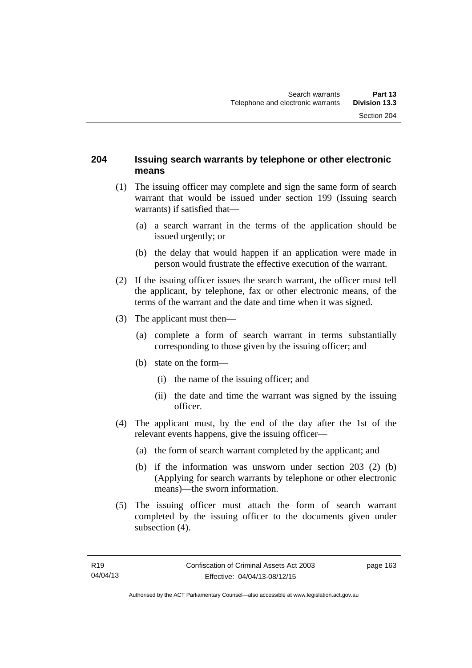### **204 Issuing search warrants by telephone or other electronic means**

- (1) The issuing officer may complete and sign the same form of search warrant that would be issued under section 199 (Issuing search warrants) if satisfied that—
	- (a) a search warrant in the terms of the application should be issued urgently; or
	- (b) the delay that would happen if an application were made in person would frustrate the effective execution of the warrant.
- (2) If the issuing officer issues the search warrant, the officer must tell the applicant, by telephone, fax or other electronic means, of the terms of the warrant and the date and time when it was signed.
- (3) The applicant must then—
	- (a) complete a form of search warrant in terms substantially corresponding to those given by the issuing officer; and
	- (b) state on the form—
		- (i) the name of the issuing officer; and
		- (ii) the date and time the warrant was signed by the issuing officer.
- (4) The applicant must, by the end of the day after the 1st of the relevant events happens, give the issuing officer—
	- (a) the form of search warrant completed by the applicant; and
	- (b) if the information was unsworn under section 203 (2) (b) (Applying for search warrants by telephone or other electronic means)—the sworn information.
- (5) The issuing officer must attach the form of search warrant completed by the issuing officer to the documents given under subsection  $(4)$ .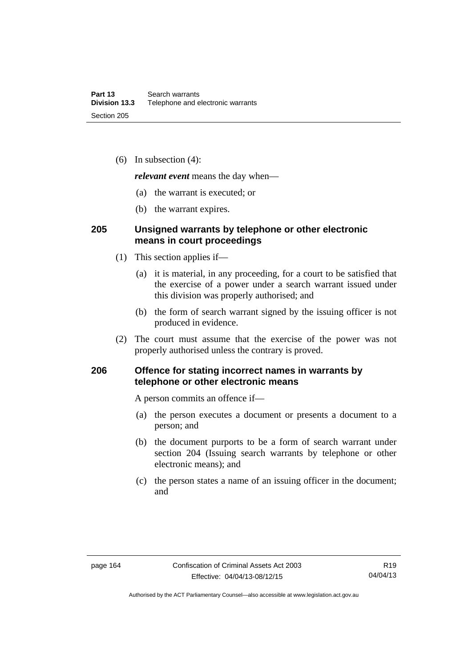(6) In subsection (4):

*relevant event* means the day when—

- (a) the warrant is executed; or
- (b) the warrant expires.

### **205 Unsigned warrants by telephone or other electronic means in court proceedings**

- (1) This section applies if—
	- (a) it is material, in any proceeding, for a court to be satisfied that the exercise of a power under a search warrant issued under this division was properly authorised; and
	- (b) the form of search warrant signed by the issuing officer is not produced in evidence.
- (2) The court must assume that the exercise of the power was not properly authorised unless the contrary is proved.

### **206 Offence for stating incorrect names in warrants by telephone or other electronic means**

A person commits an offence if—

- (a) the person executes a document or presents a document to a person; and
- (b) the document purports to be a form of search warrant under section 204 (Issuing search warrants by telephone or other electronic means); and
- (c) the person states a name of an issuing officer in the document; and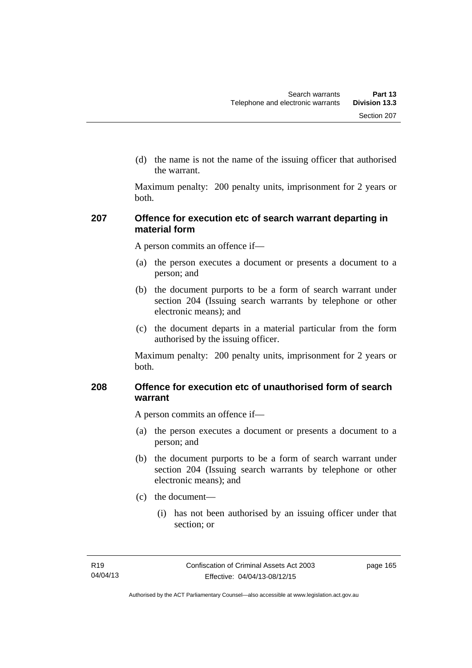(d) the name is not the name of the issuing officer that authorised the warrant.

Maximum penalty: 200 penalty units, imprisonment for 2 years or both.

### **207 Offence for execution etc of search warrant departing in material form**

A person commits an offence if—

- (a) the person executes a document or presents a document to a person; and
- (b) the document purports to be a form of search warrant under section 204 (Issuing search warrants by telephone or other electronic means); and
- (c) the document departs in a material particular from the form authorised by the issuing officer.

Maximum penalty: 200 penalty units, imprisonment for 2 years or both.

### **208 Offence for execution etc of unauthorised form of search warrant**

A person commits an offence if—

- (a) the person executes a document or presents a document to a person; and
- (b) the document purports to be a form of search warrant under section 204 (Issuing search warrants by telephone or other electronic means); and
- (c) the document—
	- (i) has not been authorised by an issuing officer under that section; or

page 165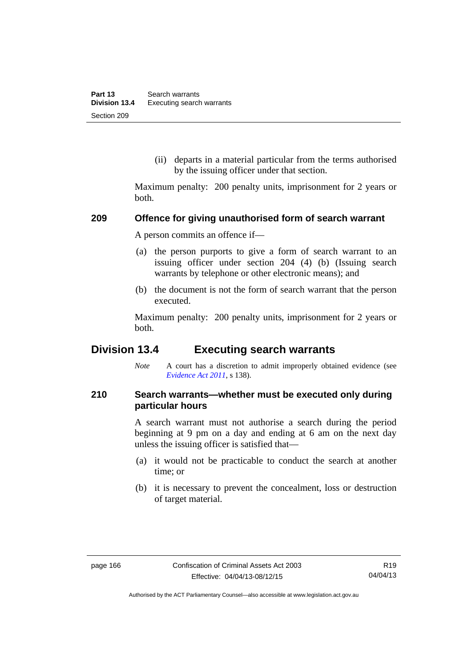(ii) departs in a material particular from the terms authorised by the issuing officer under that section.

Maximum penalty: 200 penalty units, imprisonment for 2 years or both.

#### **209 Offence for giving unauthorised form of search warrant**

A person commits an offence if—

- (a) the person purports to give a form of search warrant to an issuing officer under section 204 (4) (b) (Issuing search warrants by telephone or other electronic means); and
- (b) the document is not the form of search warrant that the person executed.

Maximum penalty: 200 penalty units, imprisonment for 2 years or both.

# **Division 13.4 Executing search warrants**

*Note* A court has a discretion to admit improperly obtained evidence (see *[Evidence Act 2011](http://www.legislation.act.gov.au/a/2011-12)*, s 138).

### **210 Search warrants—whether must be executed only during particular hours**

A search warrant must not authorise a search during the period beginning at 9 pm on a day and ending at 6 am on the next day unless the issuing officer is satisfied that—

- (a) it would not be practicable to conduct the search at another time; or
- (b) it is necessary to prevent the concealment, loss or destruction of target material.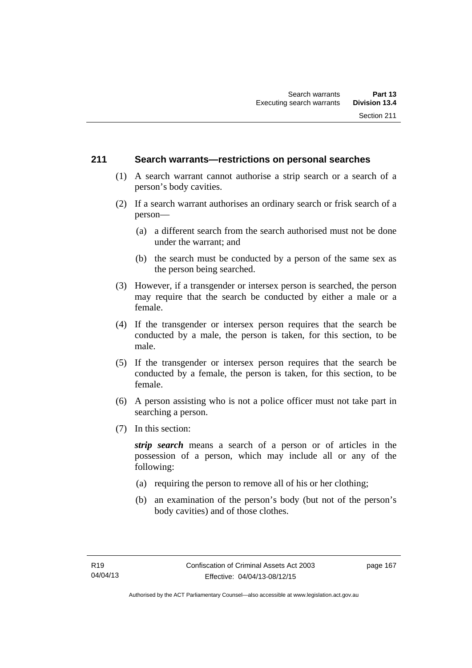### **211 Search warrants—restrictions on personal searches**

- (1) A search warrant cannot authorise a strip search or a search of a person's body cavities.
- (2) If a search warrant authorises an ordinary search or frisk search of a person—
	- (a) a different search from the search authorised must not be done under the warrant; and
	- (b) the search must be conducted by a person of the same sex as the person being searched.
- (3) However, if a transgender or intersex person is searched, the person may require that the search be conducted by either a male or a female.
- (4) If the transgender or intersex person requires that the search be conducted by a male, the person is taken, for this section, to be male.
- (5) If the transgender or intersex person requires that the search be conducted by a female, the person is taken, for this section, to be female.
- (6) A person assisting who is not a police officer must not take part in searching a person.
- (7) In this section:

*strip search* means a search of a person or of articles in the possession of a person, which may include all or any of the following:

- (a) requiring the person to remove all of his or her clothing;
- (b) an examination of the person's body (but not of the person's body cavities) and of those clothes.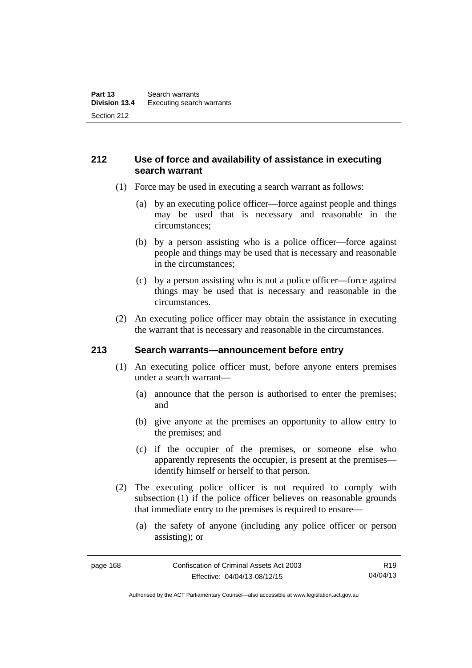## **212 Use of force and availability of assistance in executing search warrant**

- (1) Force may be used in executing a search warrant as follows:
	- (a) by an executing police officer—force against people and things may be used that is necessary and reasonable in the circumstances;
	- (b) by a person assisting who is a police officer—force against people and things may be used that is necessary and reasonable in the circumstances;
	- (c) by a person assisting who is not a police officer—force against things may be used that is necessary and reasonable in the circumstances.
- (2) An executing police officer may obtain the assistance in executing the warrant that is necessary and reasonable in the circumstances.

### **213 Search warrants—announcement before entry**

- (1) An executing police officer must, before anyone enters premises under a search warrant—
	- (a) announce that the person is authorised to enter the premises; and
	- (b) give anyone at the premises an opportunity to allow entry to the premises; and
	- (c) if the occupier of the premises, or someone else who apparently represents the occupier, is present at the premises identify himself or herself to that person.
- (2) The executing police officer is not required to comply with subsection (1) if the police officer believes on reasonable grounds that immediate entry to the premises is required to ensure—
	- (a) the safety of anyone (including any police officer or person assisting); or

R19 04/04/13

Authorised by the ACT Parliamentary Counsel—also accessible at www.legislation.act.gov.au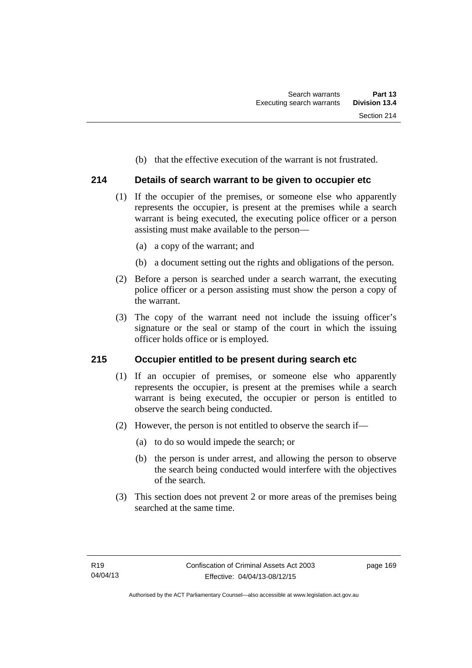(b) that the effective execution of the warrant is not frustrated.

## **214 Details of search warrant to be given to occupier etc**

- (1) If the occupier of the premises, or someone else who apparently represents the occupier, is present at the premises while a search warrant is being executed, the executing police officer or a person assisting must make available to the person—
	- (a) a copy of the warrant; and
	- (b) a document setting out the rights and obligations of the person.
- (2) Before a person is searched under a search warrant, the executing police officer or a person assisting must show the person a copy of the warrant.
- (3) The copy of the warrant need not include the issuing officer's signature or the seal or stamp of the court in which the issuing officer holds office or is employed.

### **215 Occupier entitled to be present during search etc**

- (1) If an occupier of premises, or someone else who apparently represents the occupier, is present at the premises while a search warrant is being executed, the occupier or person is entitled to observe the search being conducted.
- (2) However, the person is not entitled to observe the search if—
	- (a) to do so would impede the search; or
	- (b) the person is under arrest, and allowing the person to observe the search being conducted would interfere with the objectives of the search.
- (3) This section does not prevent 2 or more areas of the premises being searched at the same time.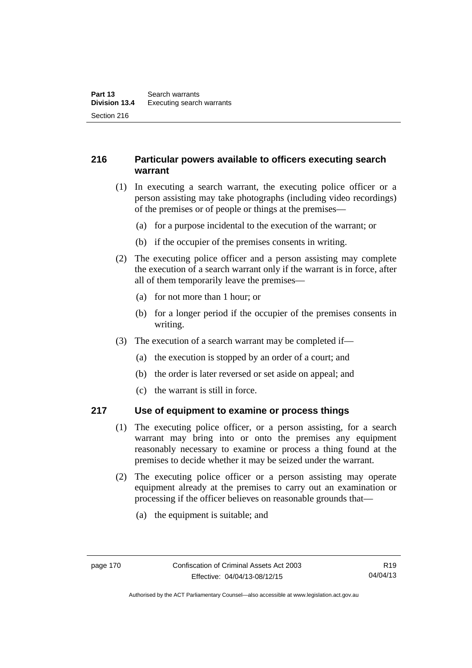## **216 Particular powers available to officers executing search warrant**

- (1) In executing a search warrant, the executing police officer or a person assisting may take photographs (including video recordings) of the premises or of people or things at the premises—
	- (a) for a purpose incidental to the execution of the warrant; or
	- (b) if the occupier of the premises consents in writing.
- (2) The executing police officer and a person assisting may complete the execution of a search warrant only if the warrant is in force, after all of them temporarily leave the premises—
	- (a) for not more than 1 hour; or
	- (b) for a longer period if the occupier of the premises consents in writing.
- (3) The execution of a search warrant may be completed if—
	- (a) the execution is stopped by an order of a court; and
	- (b) the order is later reversed or set aside on appeal; and
	- (c) the warrant is still in force.

## **217 Use of equipment to examine or process things**

- (1) The executing police officer, or a person assisting, for a search warrant may bring into or onto the premises any equipment reasonably necessary to examine or process a thing found at the premises to decide whether it may be seized under the warrant.
- (2) The executing police officer or a person assisting may operate equipment already at the premises to carry out an examination or processing if the officer believes on reasonable grounds that—
	- (a) the equipment is suitable; and

Authorised by the ACT Parliamentary Counsel—also accessible at www.legislation.act.gov.au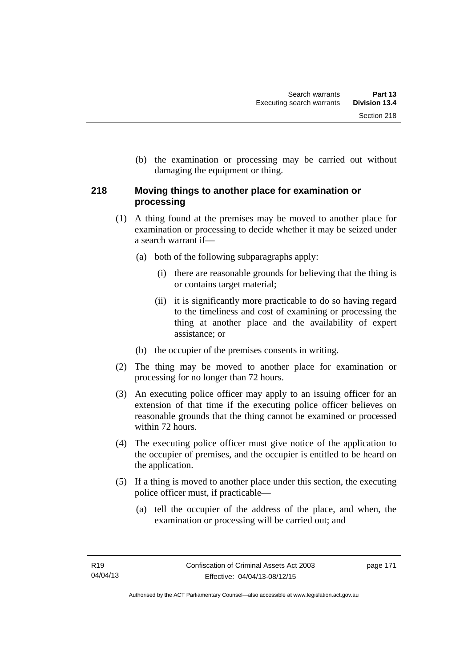(b) the examination or processing may be carried out without damaging the equipment or thing.

## **218 Moving things to another place for examination or processing**

- (1) A thing found at the premises may be moved to another place for examination or processing to decide whether it may be seized under a search warrant if—
	- (a) both of the following subparagraphs apply:
		- (i) there are reasonable grounds for believing that the thing is or contains target material;
		- (ii) it is significantly more practicable to do so having regard to the timeliness and cost of examining or processing the thing at another place and the availability of expert assistance; or
	- (b) the occupier of the premises consents in writing.
- (2) The thing may be moved to another place for examination or processing for no longer than 72 hours.
- (3) An executing police officer may apply to an issuing officer for an extension of that time if the executing police officer believes on reasonable grounds that the thing cannot be examined or processed within 72 hours.
- (4) The executing police officer must give notice of the application to the occupier of premises, and the occupier is entitled to be heard on the application.
- (5) If a thing is moved to another place under this section, the executing police officer must, if practicable—
	- (a) tell the occupier of the address of the place, and when, the examination or processing will be carried out; and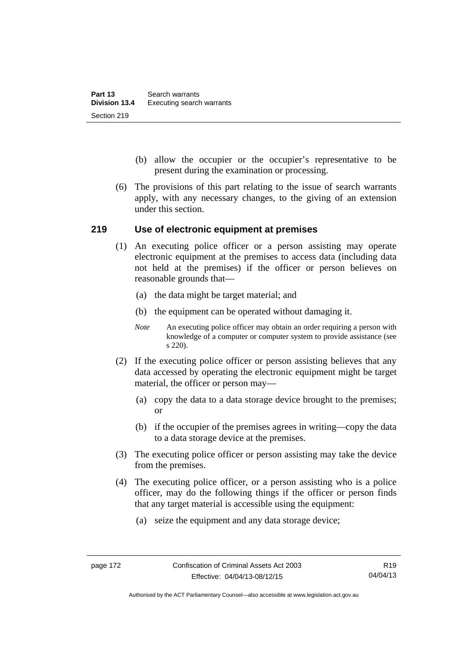- (b) allow the occupier or the occupier's representative to be present during the examination or processing.
- (6) The provisions of this part relating to the issue of search warrants apply, with any necessary changes, to the giving of an extension under this section.

### **219 Use of electronic equipment at premises**

- (1) An executing police officer or a person assisting may operate electronic equipment at the premises to access data (including data not held at the premises) if the officer or person believes on reasonable grounds that—
	- (a) the data might be target material; and
	- (b) the equipment can be operated without damaging it.
	- *Note* An executing police officer may obtain an order requiring a person with knowledge of a computer or computer system to provide assistance (see s 220).
- (2) If the executing police officer or person assisting believes that any data accessed by operating the electronic equipment might be target material, the officer or person may—
	- (a) copy the data to a data storage device brought to the premises; or
	- (b) if the occupier of the premises agrees in writing—copy the data to a data storage device at the premises.
- (3) The executing police officer or person assisting may take the device from the premises.
- (4) The executing police officer, or a person assisting who is a police officer, may do the following things if the officer or person finds that any target material is accessible using the equipment:
	- (a) seize the equipment and any data storage device;

Authorised by the ACT Parliamentary Counsel—also accessible at www.legislation.act.gov.au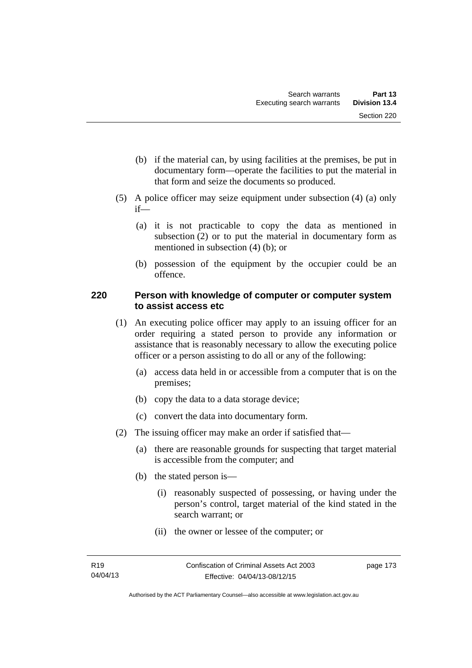- (b) if the material can, by using facilities at the premises, be put in documentary form—operate the facilities to put the material in that form and seize the documents so produced.
- (5) A police officer may seize equipment under subsection (4) (a) only if—
	- (a) it is not practicable to copy the data as mentioned in subsection (2) or to put the material in documentary form as mentioned in subsection (4) (b); or
	- (b) possession of the equipment by the occupier could be an offence.

## **220 Person with knowledge of computer or computer system to assist access etc**

- (1) An executing police officer may apply to an issuing officer for an order requiring a stated person to provide any information or assistance that is reasonably necessary to allow the executing police officer or a person assisting to do all or any of the following:
	- (a) access data held in or accessible from a computer that is on the premises;
	- (b) copy the data to a data storage device;
	- (c) convert the data into documentary form.
- (2) The issuing officer may make an order if satisfied that—
	- (a) there are reasonable grounds for suspecting that target material is accessible from the computer; and
	- (b) the stated person is—
		- (i) reasonably suspected of possessing, or having under the person's control, target material of the kind stated in the search warrant; or
		- (ii) the owner or lessee of the computer; or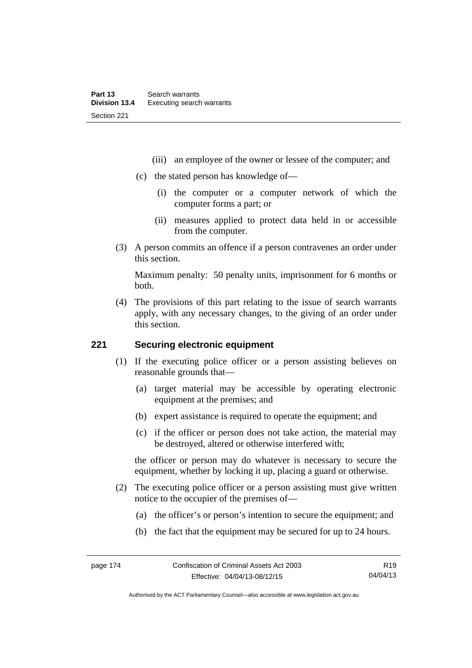- (iii) an employee of the owner or lessee of the computer; and
- (c) the stated person has knowledge of—
	- (i) the computer or a computer network of which the computer forms a part; or
	- (ii) measures applied to protect data held in or accessible from the computer.
- (3) A person commits an offence if a person contravenes an order under this section.

Maximum penalty: 50 penalty units, imprisonment for 6 months or both.

 (4) The provisions of this part relating to the issue of search warrants apply, with any necessary changes, to the giving of an order under this section.

## **221 Securing electronic equipment**

- (1) If the executing police officer or a person assisting believes on reasonable grounds that—
	- (a) target material may be accessible by operating electronic equipment at the premises; and
	- (b) expert assistance is required to operate the equipment; and
	- (c) if the officer or person does not take action, the material may be destroyed, altered or otherwise interfered with;

the officer or person may do whatever is necessary to secure the equipment, whether by locking it up, placing a guard or otherwise.

- (2) The executing police officer or a person assisting must give written notice to the occupier of the premises of—
	- (a) the officer's or person's intention to secure the equipment; and
	- (b) the fact that the equipment may be secured for up to 24 hours.

Authorised by the ACT Parliamentary Counsel—also accessible at www.legislation.act.gov.au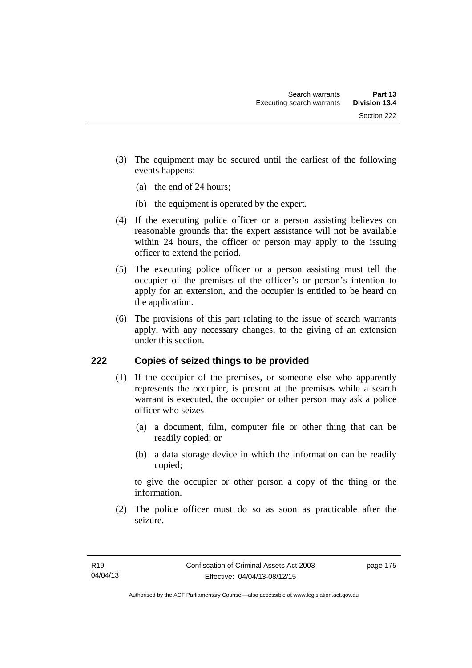- (3) The equipment may be secured until the earliest of the following events happens:
	- (a) the end of 24 hours;
	- (b) the equipment is operated by the expert.
- (4) If the executing police officer or a person assisting believes on reasonable grounds that the expert assistance will not be available within 24 hours, the officer or person may apply to the issuing officer to extend the period.
- (5) The executing police officer or a person assisting must tell the occupier of the premises of the officer's or person's intention to apply for an extension, and the occupier is entitled to be heard on the application.
- (6) The provisions of this part relating to the issue of search warrants apply, with any necessary changes, to the giving of an extension under this section.

## **222 Copies of seized things to be provided**

- (1) If the occupier of the premises, or someone else who apparently represents the occupier, is present at the premises while a search warrant is executed, the occupier or other person may ask a police officer who seizes—
	- (a) a document, film, computer file or other thing that can be readily copied; or
	- (b) a data storage device in which the information can be readily copied;

to give the occupier or other person a copy of the thing or the information.

 (2) The police officer must do so as soon as practicable after the seizure.

page 175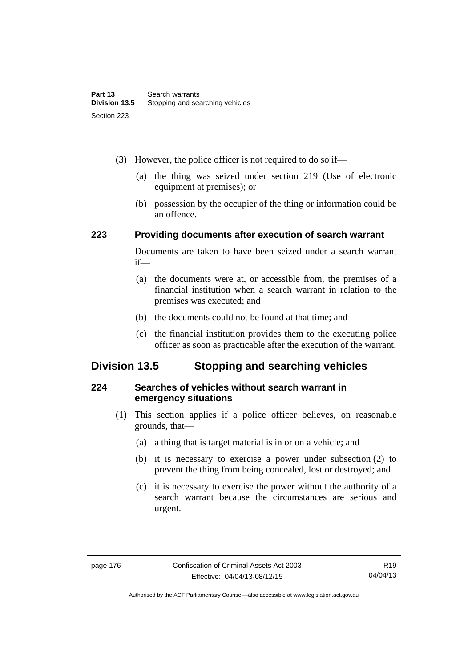- (3) However, the police officer is not required to do so if—
	- (a) the thing was seized under section 219 (Use of electronic equipment at premises); or
	- (b) possession by the occupier of the thing or information could be an offence.

## **223 Providing documents after execution of search warrant**

Documents are taken to have been seized under a search warrant if—

- (a) the documents were at, or accessible from, the premises of a financial institution when a search warrant in relation to the premises was executed; and
- (b) the documents could not be found at that time; and
- (c) the financial institution provides them to the executing police officer as soon as practicable after the execution of the warrant.

# **Division 13.5 Stopping and searching vehicles**

## **224 Searches of vehicles without search warrant in emergency situations**

- (1) This section applies if a police officer believes, on reasonable grounds, that—
	- (a) a thing that is target material is in or on a vehicle; and
	- (b) it is necessary to exercise a power under subsection (2) to prevent the thing from being concealed, lost or destroyed; and
	- (c) it is necessary to exercise the power without the authority of a search warrant because the circumstances are serious and urgent.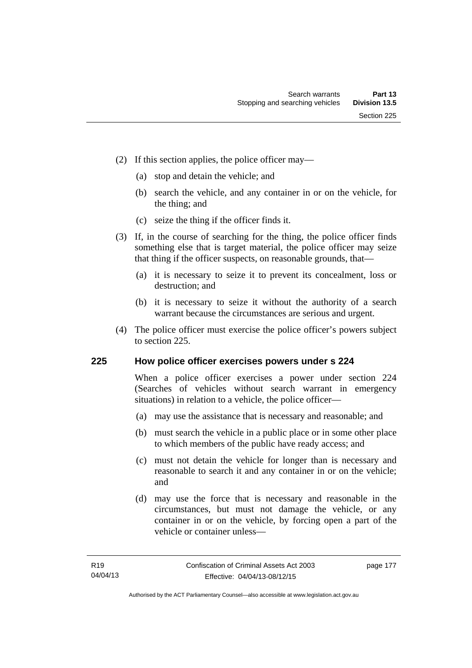- (2) If this section applies, the police officer may—
	- (a) stop and detain the vehicle; and
	- (b) search the vehicle, and any container in or on the vehicle, for the thing; and
	- (c) seize the thing if the officer finds it.
- (3) If, in the course of searching for the thing, the police officer finds something else that is target material, the police officer may seize that thing if the officer suspects, on reasonable grounds, that—
	- (a) it is necessary to seize it to prevent its concealment, loss or destruction; and
	- (b) it is necessary to seize it without the authority of a search warrant because the circumstances are serious and urgent.
- (4) The police officer must exercise the police officer's powers subject to section 225.

### **225 How police officer exercises powers under s 224**

When a police officer exercises a power under section 224 (Searches of vehicles without search warrant in emergency situations) in relation to a vehicle, the police officer—

- (a) may use the assistance that is necessary and reasonable; and
- (b) must search the vehicle in a public place or in some other place to which members of the public have ready access; and
- (c) must not detain the vehicle for longer than is necessary and reasonable to search it and any container in or on the vehicle; and
- (d) may use the force that is necessary and reasonable in the circumstances, but must not damage the vehicle, or any container in or on the vehicle, by forcing open a part of the vehicle or container unless—

page 177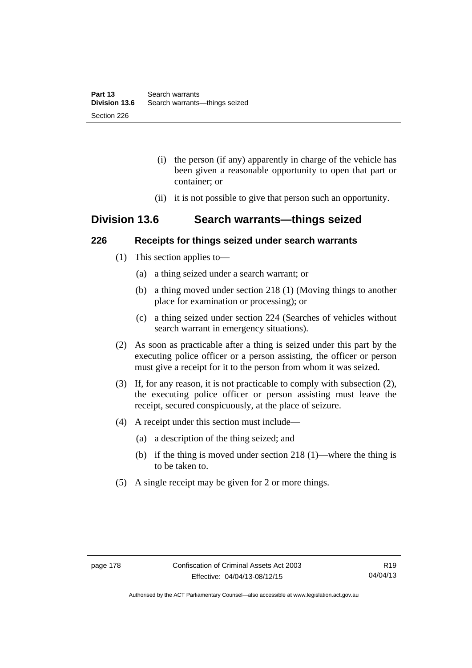- (i) the person (if any) apparently in charge of the vehicle has been given a reasonable opportunity to open that part or container; or
- (ii) it is not possible to give that person such an opportunity.

## **Division 13.6 Search warrants—things seized**

### **226 Receipts for things seized under search warrants**

- (1) This section applies to—
	- (a) a thing seized under a search warrant; or
	- (b) a thing moved under section 218 (1) (Moving things to another place for examination or processing); or
	- (c) a thing seized under section 224 (Searches of vehicles without search warrant in emergency situations).
- (2) As soon as practicable after a thing is seized under this part by the executing police officer or a person assisting, the officer or person must give a receipt for it to the person from whom it was seized.
- (3) If, for any reason, it is not practicable to comply with subsection (2), the executing police officer or person assisting must leave the receipt, secured conspicuously, at the place of seizure.
- (4) A receipt under this section must include—
	- (a) a description of the thing seized; and
	- (b) if the thing is moved under section 218 (1)—where the thing is to be taken to.
- (5) A single receipt may be given for 2 or more things.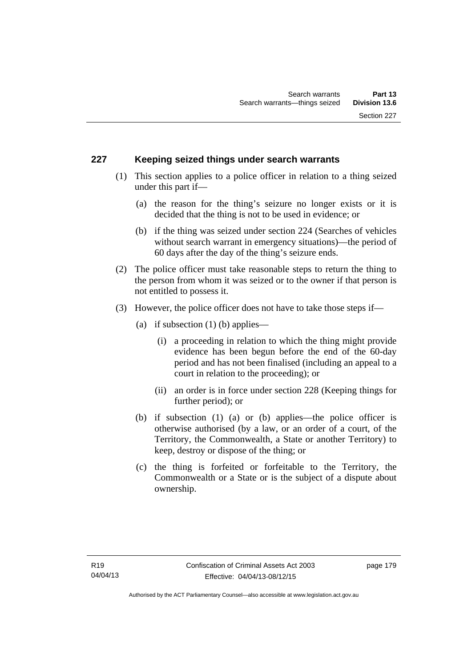## **227 Keeping seized things under search warrants**

- (1) This section applies to a police officer in relation to a thing seized under this part if—
	- (a) the reason for the thing's seizure no longer exists or it is decided that the thing is not to be used in evidence; or
	- (b) if the thing was seized under section 224 (Searches of vehicles without search warrant in emergency situations)—the period of 60 days after the day of the thing's seizure ends.
- (2) The police officer must take reasonable steps to return the thing to the person from whom it was seized or to the owner if that person is not entitled to possess it.
- (3) However, the police officer does not have to take those steps if—
	- (a) if subsection  $(1)$  (b) applies—
		- (i) a proceeding in relation to which the thing might provide evidence has been begun before the end of the 60-day period and has not been finalised (including an appeal to a court in relation to the proceeding); or
		- (ii) an order is in force under section 228 (Keeping things for further period); or
	- (b) if subsection (1) (a) or (b) applies—the police officer is otherwise authorised (by a law, or an order of a court, of the Territory, the Commonwealth, a State or another Territory) to keep, destroy or dispose of the thing; or
	- (c) the thing is forfeited or forfeitable to the Territory, the Commonwealth or a State or is the subject of a dispute about ownership.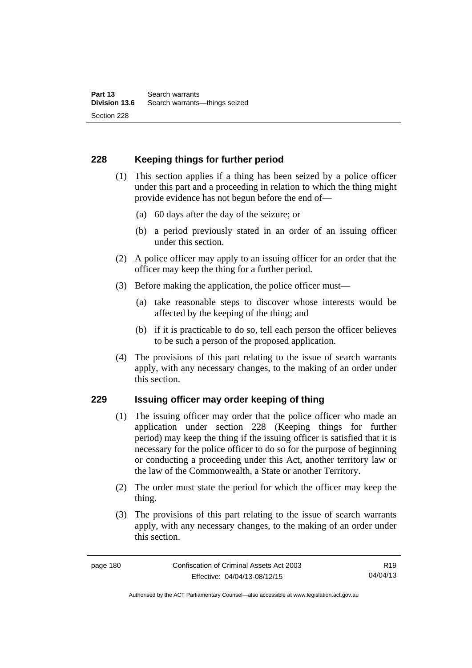## **228 Keeping things for further period**

- (1) This section applies if a thing has been seized by a police officer under this part and a proceeding in relation to which the thing might provide evidence has not begun before the end of—
	- (a) 60 days after the day of the seizure; or
	- (b) a period previously stated in an order of an issuing officer under this section.
- (2) A police officer may apply to an issuing officer for an order that the officer may keep the thing for a further period.
- (3) Before making the application, the police officer must—
	- (a) take reasonable steps to discover whose interests would be affected by the keeping of the thing; and
	- (b) if it is practicable to do so, tell each person the officer believes to be such a person of the proposed application.
- (4) The provisions of this part relating to the issue of search warrants apply, with any necessary changes, to the making of an order under this section.

### **229 Issuing officer may order keeping of thing**

- (1) The issuing officer may order that the police officer who made an application under section 228 (Keeping things for further period) may keep the thing if the issuing officer is satisfied that it is necessary for the police officer to do so for the purpose of beginning or conducting a proceeding under this Act, another territory law or the law of the Commonwealth, a State or another Territory.
- (2) The order must state the period for which the officer may keep the thing.
- (3) The provisions of this part relating to the issue of search warrants apply, with any necessary changes, to the making of an order under this section.

Authorised by the ACT Parliamentary Counsel—also accessible at www.legislation.act.gov.au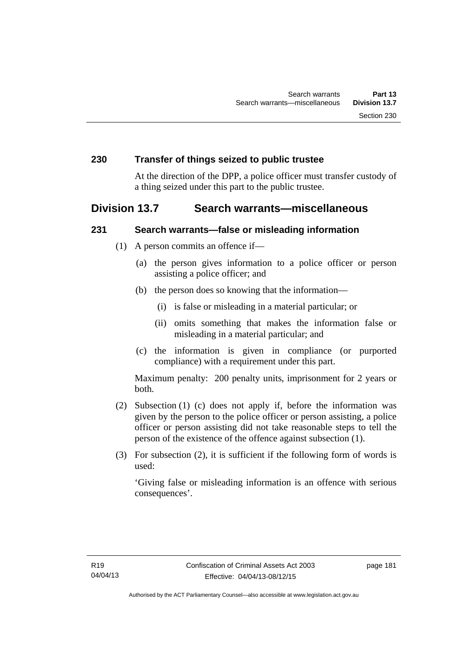### **230 Transfer of things seized to public trustee**

At the direction of the DPP, a police officer must transfer custody of a thing seized under this part to the public trustee.

## **Division 13.7 Search warrants—miscellaneous**

### **231 Search warrants—false or misleading information**

- (1) A person commits an offence if—
	- (a) the person gives information to a police officer or person assisting a police officer; and
	- (b) the person does so knowing that the information—
		- (i) is false or misleading in a material particular; or
		- (ii) omits something that makes the information false or misleading in a material particular; and
	- (c) the information is given in compliance (or purported compliance) with a requirement under this part.

Maximum penalty: 200 penalty units, imprisonment for 2 years or both.

- (2) Subsection (1) (c) does not apply if, before the information was given by the person to the police officer or person assisting, a police officer or person assisting did not take reasonable steps to tell the person of the existence of the offence against subsection (1).
- (3) For subsection (2), it is sufficient if the following form of words is used:

'Giving false or misleading information is an offence with serious consequences'.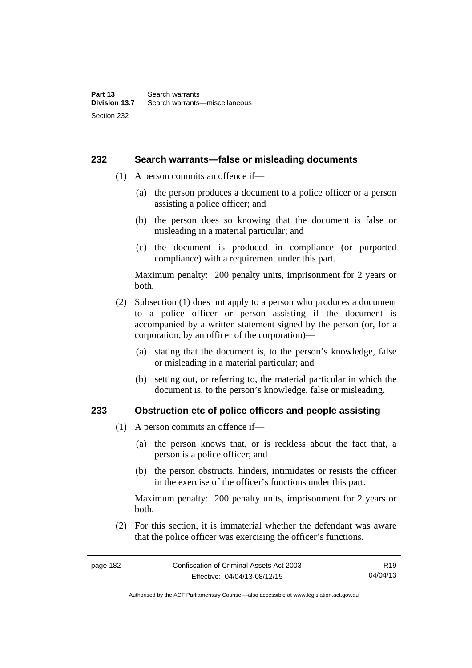### **232 Search warrants—false or misleading documents**

- (1) A person commits an offence if—
	- (a) the person produces a document to a police officer or a person assisting a police officer; and
	- (b) the person does so knowing that the document is false or misleading in a material particular; and
	- (c) the document is produced in compliance (or purported compliance) with a requirement under this part.

Maximum penalty: 200 penalty units, imprisonment for 2 years or both.

- (2) Subsection (1) does not apply to a person who produces a document to a police officer or person assisting if the document is accompanied by a written statement signed by the person (or, for a corporation, by an officer of the corporation)—
	- (a) stating that the document is, to the person's knowledge, false or misleading in a material particular; and
	- (b) setting out, or referring to, the material particular in which the document is, to the person's knowledge, false or misleading.

### **233 Obstruction etc of police officers and people assisting**

- (1) A person commits an offence if—
	- (a) the person knows that, or is reckless about the fact that, a person is a police officer; and
	- (b) the person obstructs, hinders, intimidates or resists the officer in the exercise of the officer's functions under this part.

Maximum penalty: 200 penalty units, imprisonment for 2 years or both.

 (2) For this section, it is immaterial whether the defendant was aware that the police officer was exercising the officer's functions.

Authorised by the ACT Parliamentary Counsel—also accessible at www.legislation.act.gov.au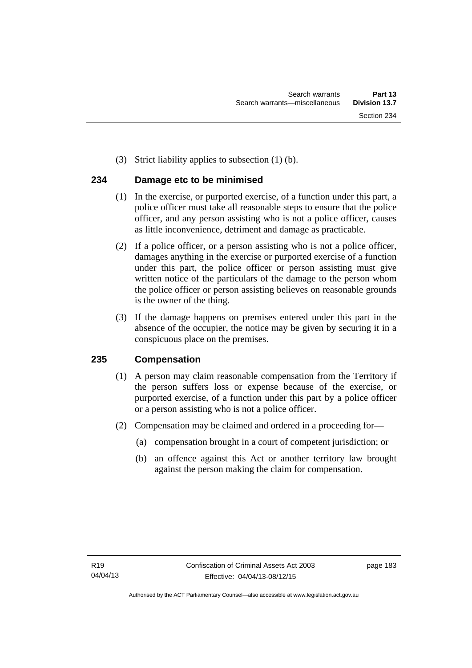(3) Strict liability applies to subsection (1) (b).

## **234 Damage etc to be minimised**

- (1) In the exercise, or purported exercise, of a function under this part, a police officer must take all reasonable steps to ensure that the police officer, and any person assisting who is not a police officer, causes as little inconvenience, detriment and damage as practicable.
- (2) If a police officer, or a person assisting who is not a police officer, damages anything in the exercise or purported exercise of a function under this part, the police officer or person assisting must give written notice of the particulars of the damage to the person whom the police officer or person assisting believes on reasonable grounds is the owner of the thing.
- (3) If the damage happens on premises entered under this part in the absence of the occupier, the notice may be given by securing it in a conspicuous place on the premises.

## **235 Compensation**

- (1) A person may claim reasonable compensation from the Territory if the person suffers loss or expense because of the exercise, or purported exercise, of a function under this part by a police officer or a person assisting who is not a police officer.
- (2) Compensation may be claimed and ordered in a proceeding for—
	- (a) compensation brought in a court of competent jurisdiction; or
	- (b) an offence against this Act or another territory law brought against the person making the claim for compensation.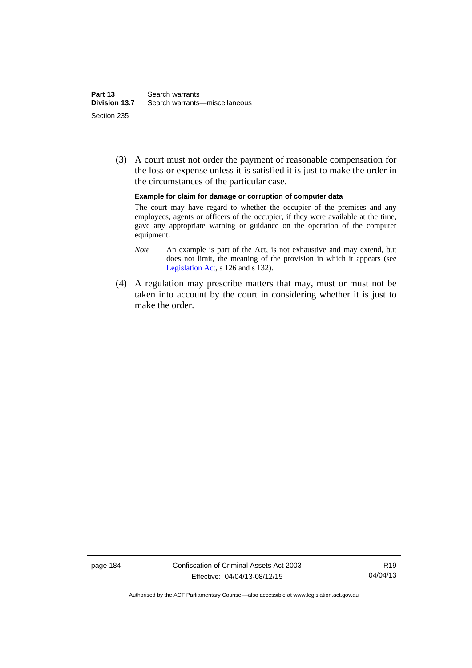(3) A court must not order the payment of reasonable compensation for the loss or expense unless it is satisfied it is just to make the order in the circumstances of the particular case.

#### **Example for claim for damage or corruption of computer data**

The court may have regard to whether the occupier of the premises and any employees, agents or officers of the occupier, if they were available at the time, gave any appropriate warning or guidance on the operation of the computer equipment.

- *Note* An example is part of the Act, is not exhaustive and may extend, but does not limit, the meaning of the provision in which it appears (see [Legislation Act,](http://www.legislation.act.gov.au/a/2001-14) s 126 and s 132).
- (4) A regulation may prescribe matters that may, must or must not be taken into account by the court in considering whether it is just to make the order.

page 184 Confiscation of Criminal Assets Act 2003 Effective: 04/04/13-08/12/15

R19 04/04/13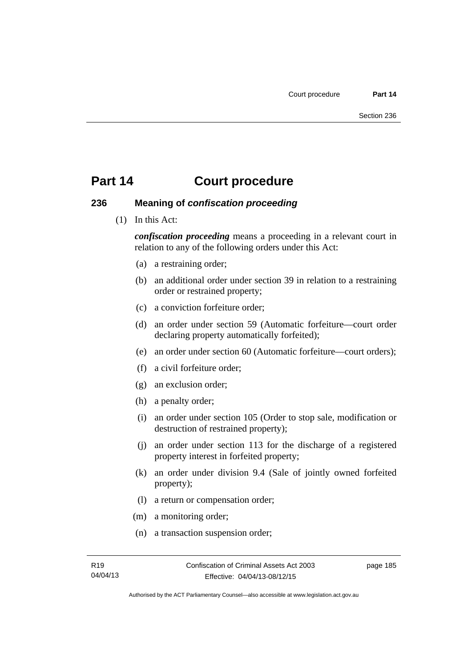### **236 Meaning of** *confiscation proceeding*

(1) In this Act:

*confiscation proceeding* means a proceeding in a relevant court in relation to any of the following orders under this Act:

- (a) a restraining order;
- (b) an additional order under section 39 in relation to a restraining order or restrained property;
- (c) a conviction forfeiture order;
- (d) an order under section 59 (Automatic forfeiture—court order declaring property automatically forfeited);
- (e) an order under section 60 (Automatic forfeiture—court orders);
- (f) a civil forfeiture order;
- (g) an exclusion order;
- (h) a penalty order;
- (i) an order under section 105 (Order to stop sale, modification or destruction of restrained property);
- (j) an order under section 113 for the discharge of a registered property interest in forfeited property;
- (k) an order under division 9.4 (Sale of jointly owned forfeited property);
- (l) a return or compensation order;
- (m) a monitoring order;
- (n) a transaction suspension order;

page 185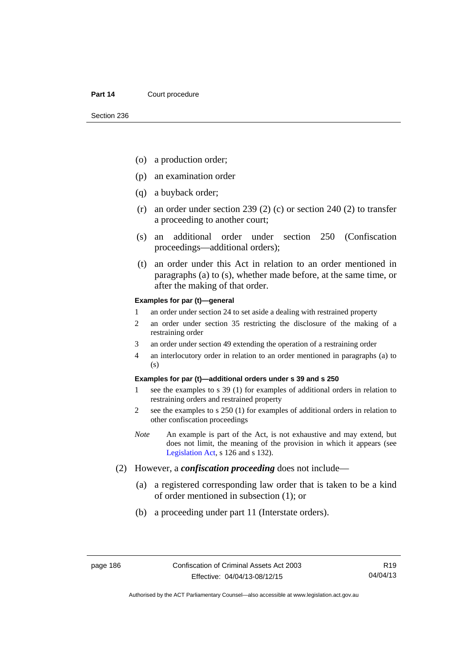- (o) a production order;
- (p) an examination order
- (q) a buyback order;
- (r) an order under section 239 (2) (c) or section 240 (2) to transfer a proceeding to another court;
- (s) an additional order under section 250 (Confiscation proceedings—additional orders);
- (t) an order under this Act in relation to an order mentioned in paragraphs (a) to (s), whether made before, at the same time, or after the making of that order.

#### **Examples for par (t)—general**

- 1 an order under section 24 to set aside a dealing with restrained property
- 2 an order under section 35 restricting the disclosure of the making of a restraining order
- 3 an order under section 49 extending the operation of a restraining order
- 4 an interlocutory order in relation to an order mentioned in paragraphs (a) to (s)

### **Examples for par (t)—additional orders under s 39 and s 250**

- 1 see the examples to s 39 (1) for examples of additional orders in relation to restraining orders and restrained property
- 2 see the examples to s 250 (1) for examples of additional orders in relation to other confiscation proceedings
- *Note* An example is part of the Act, is not exhaustive and may extend, but does not limit, the meaning of the provision in which it appears (see [Legislation Act,](http://www.legislation.act.gov.au/a/2001-14) s 126 and s 132).
- (2) However, a *confiscation proceeding* does not include—
	- (a) a registered corresponding law order that is taken to be a kind of order mentioned in subsection (1); or
	- (b) a proceeding under part 11 (Interstate orders).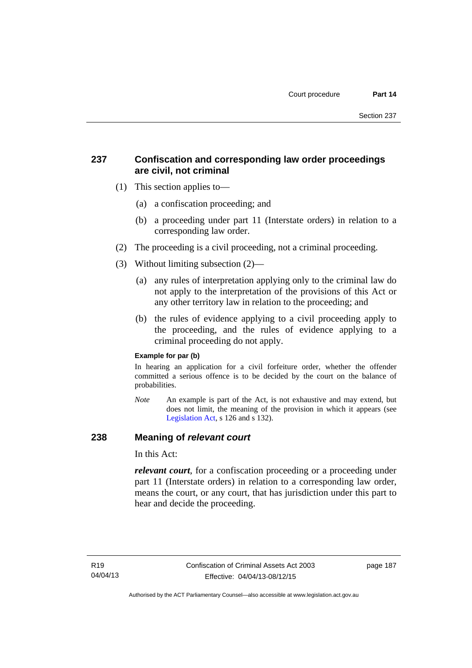## **237 Confiscation and corresponding law order proceedings are civil, not criminal**

- (1) This section applies to—
	- (a) a confiscation proceeding; and
	- (b) a proceeding under part 11 (Interstate orders) in relation to a corresponding law order.
- (2) The proceeding is a civil proceeding, not a criminal proceeding.
- (3) Without limiting subsection (2)—
	- (a) any rules of interpretation applying only to the criminal law do not apply to the interpretation of the provisions of this Act or any other territory law in relation to the proceeding; and
	- (b) the rules of evidence applying to a civil proceeding apply to the proceeding, and the rules of evidence applying to a criminal proceeding do not apply.

### **Example for par (b)**

In hearing an application for a civil forfeiture order, whether the offender committed a serious offence is to be decided by the court on the balance of probabilities.

*Note* An example is part of the Act, is not exhaustive and may extend, but does not limit, the meaning of the provision in which it appears (see [Legislation Act,](http://www.legislation.act.gov.au/a/2001-14) s 126 and s 132).

### **238 Meaning of** *relevant court*

In this Act:

*relevant court*, for a confiscation proceeding or a proceeding under part 11 (Interstate orders) in relation to a corresponding law order, means the court, or any court, that has jurisdiction under this part to hear and decide the proceeding.

page 187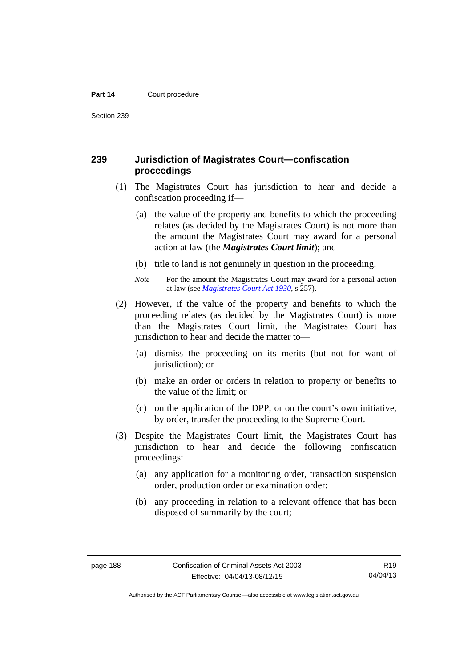Section 239

## **239 Jurisdiction of Magistrates Court—confiscation proceedings**

- (1) The Magistrates Court has jurisdiction to hear and decide a confiscation proceeding if—
	- (a) the value of the property and benefits to which the proceeding relates (as decided by the Magistrates Court) is not more than the amount the Magistrates Court may award for a personal action at law (the *Magistrates Court limit*); and
	- (b) title to land is not genuinely in question in the proceeding.
	- *Note* For the amount the Magistrates Court may award for a personal action at law (see *[Magistrates Court Act 1930](http://www.legislation.act.gov.au/a/1930-21)*, s 257).
- (2) However, if the value of the property and benefits to which the proceeding relates (as decided by the Magistrates Court) is more than the Magistrates Court limit, the Magistrates Court has jurisdiction to hear and decide the matter to—
	- (a) dismiss the proceeding on its merits (but not for want of jurisdiction); or
	- (b) make an order or orders in relation to property or benefits to the value of the limit; or
	- (c) on the application of the DPP, or on the court's own initiative, by order, transfer the proceeding to the Supreme Court.
- (3) Despite the Magistrates Court limit, the Magistrates Court has jurisdiction to hear and decide the following confiscation proceedings:
	- (a) any application for a monitoring order, transaction suspension order, production order or examination order;
	- (b) any proceeding in relation to a relevant offence that has been disposed of summarily by the court;

R19 04/04/13

Authorised by the ACT Parliamentary Counsel—also accessible at www.legislation.act.gov.au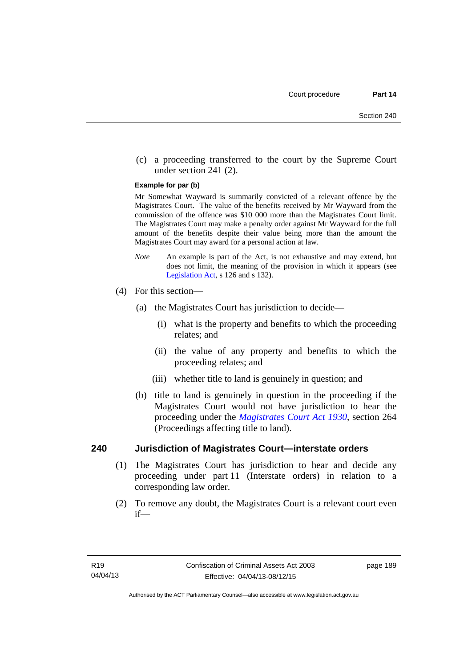(c) a proceeding transferred to the court by the Supreme Court under section 241 (2).

#### **Example for par (b)**

Mr Somewhat Wayward is summarily convicted of a relevant offence by the Magistrates Court. The value of the benefits received by Mr Wayward from the commission of the offence was \$10 000 more than the Magistrates Court limit. The Magistrates Court may make a penalty order against Mr Wayward for the full amount of the benefits despite their value being more than the amount the Magistrates Court may award for a personal action at law.

- *Note* An example is part of the Act, is not exhaustive and may extend, but does not limit, the meaning of the provision in which it appears (see [Legislation Act,](http://www.legislation.act.gov.au/a/2001-14) s 126 and s 132).
- (4) For this section—
	- (a) the Magistrates Court has jurisdiction to decide—
		- (i) what is the property and benefits to which the proceeding relates; and
		- (ii) the value of any property and benefits to which the proceeding relates; and
		- (iii) whether title to land is genuinely in question; and
	- (b) title to land is genuinely in question in the proceeding if the Magistrates Court would not have jurisdiction to hear the proceeding under the *[Magistrates Court Act 1930](http://www.legislation.act.gov.au/a/1930-21)*, section 264 (Proceedings affecting title to land).

### **240 Jurisdiction of Magistrates Court—interstate orders**

- (1) The Magistrates Court has jurisdiction to hear and decide any proceeding under part 11 (Interstate orders) in relation to a corresponding law order.
- (2) To remove any doubt, the Magistrates Court is a relevant court even if—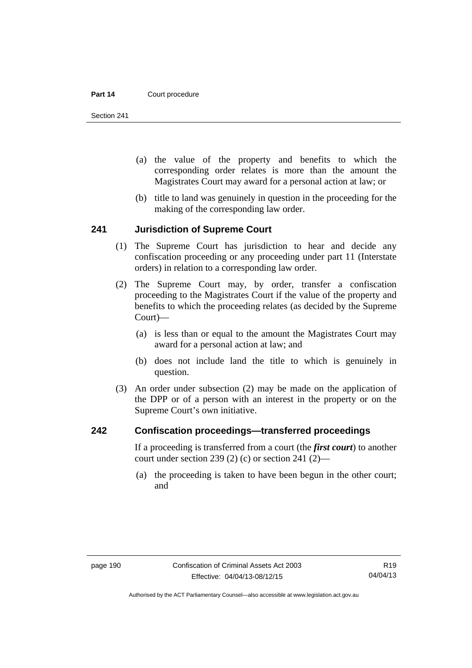Section 241

- (a) the value of the property and benefits to which the corresponding order relates is more than the amount the Magistrates Court may award for a personal action at law; or
- (b) title to land was genuinely in question in the proceeding for the making of the corresponding law order.

### **241 Jurisdiction of Supreme Court**

- (1) The Supreme Court has jurisdiction to hear and decide any confiscation proceeding or any proceeding under part 11 (Interstate orders) in relation to a corresponding law order.
- (2) The Supreme Court may, by order, transfer a confiscation proceeding to the Magistrates Court if the value of the property and benefits to which the proceeding relates (as decided by the Supreme Court)—
	- (a) is less than or equal to the amount the Magistrates Court may award for a personal action at law; and
	- (b) does not include land the title to which is genuinely in question.
- (3) An order under subsection (2) may be made on the application of the DPP or of a person with an interest in the property or on the Supreme Court's own initiative.

### **242 Confiscation proceedings—transferred proceedings**

If a proceeding is transferred from a court (the *first court*) to another court under section 239 (2) (c) or section 241 (2)—

 (a) the proceeding is taken to have been begun in the other court; and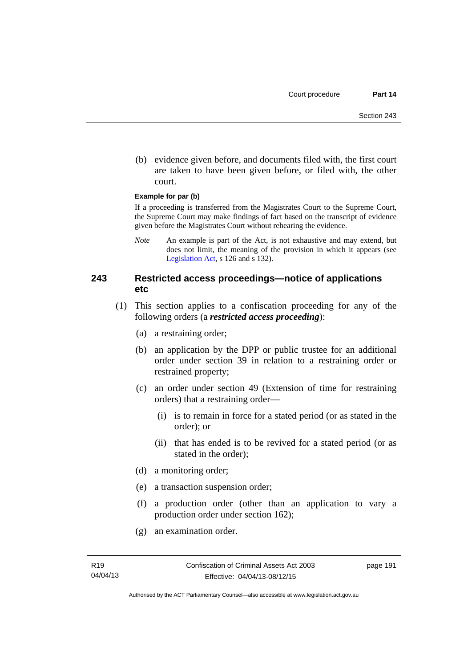(b) evidence given before, and documents filed with, the first court are taken to have been given before, or filed with, the other court.

### **Example for par (b)**

If a proceeding is transferred from the Magistrates Court to the Supreme Court, the Supreme Court may make findings of fact based on the transcript of evidence given before the Magistrates Court without rehearing the evidence.

*Note* An example is part of the Act, is not exhaustive and may extend, but does not limit, the meaning of the provision in which it appears (see [Legislation Act,](http://www.legislation.act.gov.au/a/2001-14) s 126 and s 132).

### **243 Restricted access proceedings—notice of applications etc**

- (1) This section applies to a confiscation proceeding for any of the following orders (a *restricted access proceeding*):
	- (a) a restraining order;
	- (b) an application by the DPP or public trustee for an additional order under section 39 in relation to a restraining order or restrained property;
	- (c) an order under section 49 (Extension of time for restraining orders) that a restraining order—
		- (i) is to remain in force for a stated period (or as stated in the order); or
		- (ii) that has ended is to be revived for a stated period (or as stated in the order);
	- (d) a monitoring order;
	- (e) a transaction suspension order;
	- (f) a production order (other than an application to vary a production order under section 162);
	- (g) an examination order.

page 191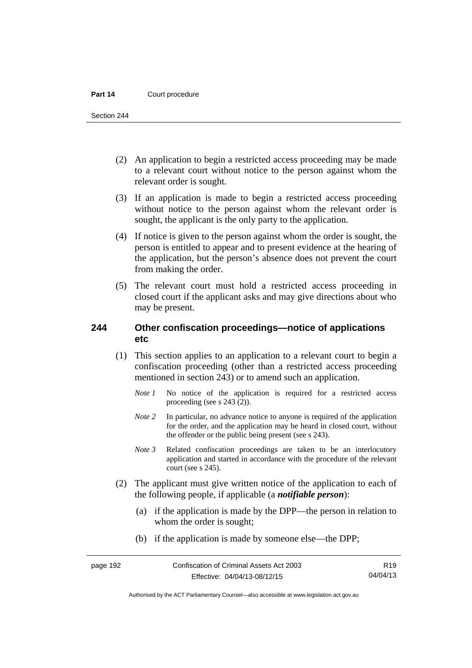Section 244

- (2) An application to begin a restricted access proceeding may be made to a relevant court without notice to the person against whom the relevant order is sought.
- (3) If an application is made to begin a restricted access proceeding without notice to the person against whom the relevant order is sought, the applicant is the only party to the application.
- (4) If notice is given to the person against whom the order is sought, the person is entitled to appear and to present evidence at the hearing of the application, but the person's absence does not prevent the court from making the order.
- (5) The relevant court must hold a restricted access proceeding in closed court if the applicant asks and may give directions about who may be present.

## **244 Other confiscation proceedings—notice of applications etc**

- (1) This section applies to an application to a relevant court to begin a confiscation proceeding (other than a restricted access proceeding mentioned in section 243) or to amend such an application.
	- *Note 1* No notice of the application is required for a restricted access proceeding (see s 243 (2)).
	- *Note 2* In particular, no advance notice to anyone is required of the application for the order, and the application may be heard in closed court, without the offender or the public being present (see s 243).
	- *Note 3* Related confiscation proceedings are taken to be an interlocutory application and started in accordance with the procedure of the relevant court (see s 245).
- (2) The applicant must give written notice of the application to each of the following people, if applicable (a *notifiable person*):
	- (a) if the application is made by the DPP—the person in relation to whom the order is sought;
	- (b) if the application is made by someone else—the DPP;

Authorised by the ACT Parliamentary Counsel—also accessible at www.legislation.act.gov.au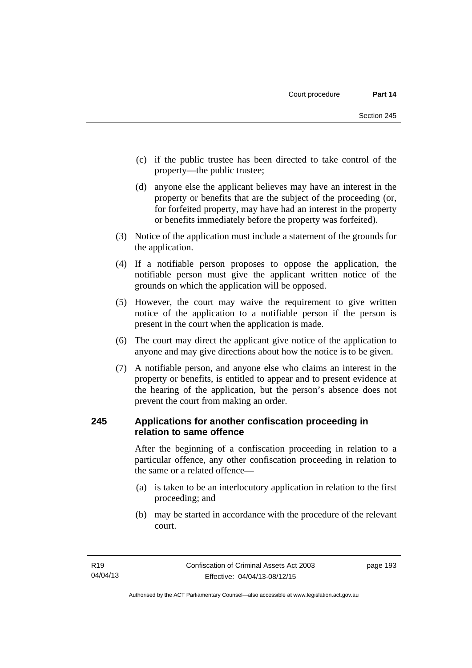- (c) if the public trustee has been directed to take control of the property—the public trustee;
- (d) anyone else the applicant believes may have an interest in the property or benefits that are the subject of the proceeding (or, for forfeited property, may have had an interest in the property or benefits immediately before the property was forfeited).
- (3) Notice of the application must include a statement of the grounds for the application.
- (4) If a notifiable person proposes to oppose the application, the notifiable person must give the applicant written notice of the grounds on which the application will be opposed.
- (5) However, the court may waive the requirement to give written notice of the application to a notifiable person if the person is present in the court when the application is made.
- (6) The court may direct the applicant give notice of the application to anyone and may give directions about how the notice is to be given.
- (7) A notifiable person, and anyone else who claims an interest in the property or benefits, is entitled to appear and to present evidence at the hearing of the application, but the person's absence does not prevent the court from making an order.

## **245 Applications for another confiscation proceeding in relation to same offence**

After the beginning of a confiscation proceeding in relation to a particular offence, any other confiscation proceeding in relation to the same or a related offence—

- (a) is taken to be an interlocutory application in relation to the first proceeding; and
- (b) may be started in accordance with the procedure of the relevant court.

page 193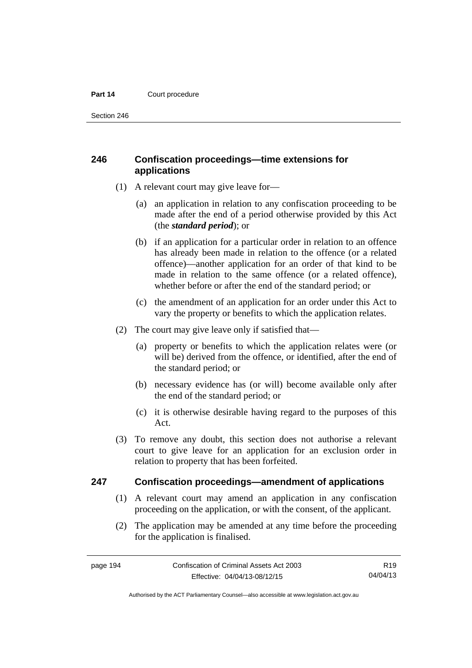Section 246

## **246 Confiscation proceedings—time extensions for applications**

- (1) A relevant court may give leave for—
	- (a) an application in relation to any confiscation proceeding to be made after the end of a period otherwise provided by this Act (the *standard period*); or
	- (b) if an application for a particular order in relation to an offence has already been made in relation to the offence (or a related offence)—another application for an order of that kind to be made in relation to the same offence (or a related offence), whether before or after the end of the standard period; or
	- (c) the amendment of an application for an order under this Act to vary the property or benefits to which the application relates.
- (2) The court may give leave only if satisfied that—
	- (a) property or benefits to which the application relates were (or will be) derived from the offence, or identified, after the end of the standard period; or
	- (b) necessary evidence has (or will) become available only after the end of the standard period; or
	- (c) it is otherwise desirable having regard to the purposes of this Act.
- (3) To remove any doubt, this section does not authorise a relevant court to give leave for an application for an exclusion order in relation to property that has been forfeited.

### **247 Confiscation proceedings—amendment of applications**

- (1) A relevant court may amend an application in any confiscation proceeding on the application, or with the consent, of the applicant.
- (2) The application may be amended at any time before the proceeding for the application is finalised.

R19 04/04/13

Authorised by the ACT Parliamentary Counsel—also accessible at www.legislation.act.gov.au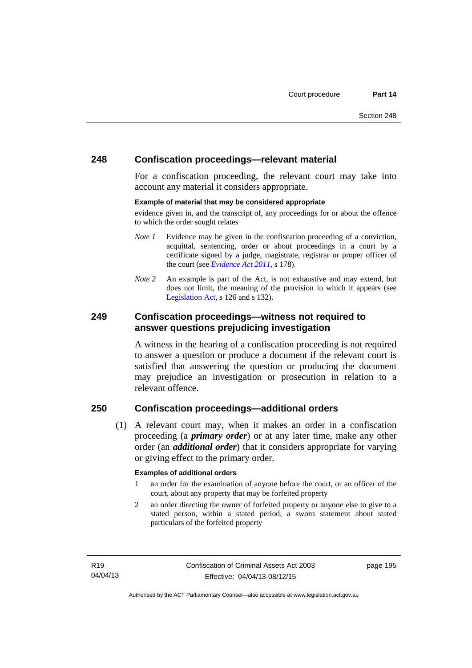## **248 Confiscation proceedings—relevant material**

For a confiscation proceeding, the relevant court may take into account any material it considers appropriate.

### **Example of material that may be considered appropriate**

evidence given in, and the transcript of, any proceedings for or about the offence to which the order sought relates

- *Note 1* Evidence may be given in the confiscation proceeding of a conviction, acquittal, sentencing, order or about proceedings in a court by a certificate signed by a judge, magistrate, registrar or proper officer of the court (see *[Evidence Act 2011](http://www.legislation.act.gov.au/a/2011-12)*, s 178).
- *Note* 2 An example is part of the Act, is not exhaustive and may extend, but does not limit, the meaning of the provision in which it appears (see [Legislation Act,](http://www.legislation.act.gov.au/a/2001-14) s 126 and s 132).

## **249 Confiscation proceedings—witness not required to answer questions prejudicing investigation**

A witness in the hearing of a confiscation proceeding is not required to answer a question or produce a document if the relevant court is satisfied that answering the question or producing the document may prejudice an investigation or prosecution in relation to a relevant offence.

## **250 Confiscation proceedings—additional orders**

 (1) A relevant court may, when it makes an order in a confiscation proceeding (a *primary order*) or at any later time, make any other order (an *additional order*) that it considers appropriate for varying or giving effect to the primary order.

### **Examples of additional orders**

- 1 an order for the examination of anyone before the court, or an officer of the court, about any property that may be forfeited property
- 2 an order directing the owner of forfeited property or anyone else to give to a stated person, within a stated period, a sworn statement about stated particulars of the forfeited property

page 195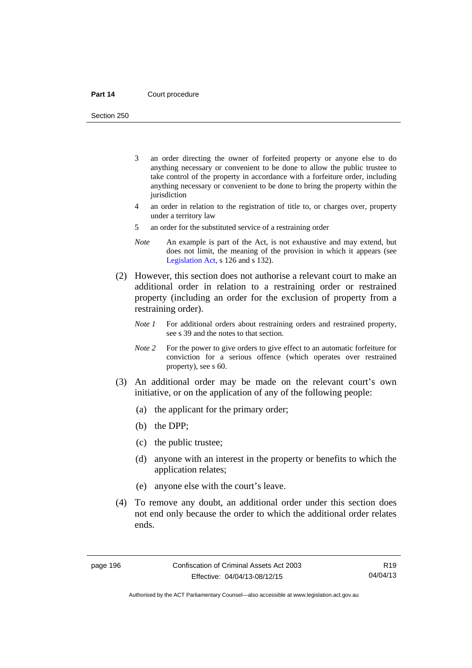Section 250

- 3 an order directing the owner of forfeited property or anyone else to do anything necessary or convenient to be done to allow the public trustee to take control of the property in accordance with a forfeiture order, including anything necessary or convenient to be done to bring the property within the jurisdiction
- 4 an order in relation to the registration of title to, or charges over, property under a territory law
- 5 an order for the substituted service of a restraining order
- *Note* An example is part of the Act, is not exhaustive and may extend, but does not limit, the meaning of the provision in which it appears (see [Legislation Act,](http://www.legislation.act.gov.au/a/2001-14) s 126 and s 132).
- (2) However, this section does not authorise a relevant court to make an additional order in relation to a restraining order or restrained property (including an order for the exclusion of property from a restraining order).
	- *Note 1* For additional orders about restraining orders and restrained property, see s 39 and the notes to that section.
	- *Note 2* For the power to give orders to give effect to an automatic forfeiture for conviction for a serious offence (which operates over restrained property), see s 60.
- (3) An additional order may be made on the relevant court's own initiative, or on the application of any of the following people:
	- (a) the applicant for the primary order;
	- (b) the DPP;
	- (c) the public trustee;
	- (d) anyone with an interest in the property or benefits to which the application relates;
	- (e) anyone else with the court's leave.
- (4) To remove any doubt, an additional order under this section does not end only because the order to which the additional order relates ends.

R19 04/04/13

Authorised by the ACT Parliamentary Counsel—also accessible at www.legislation.act.gov.au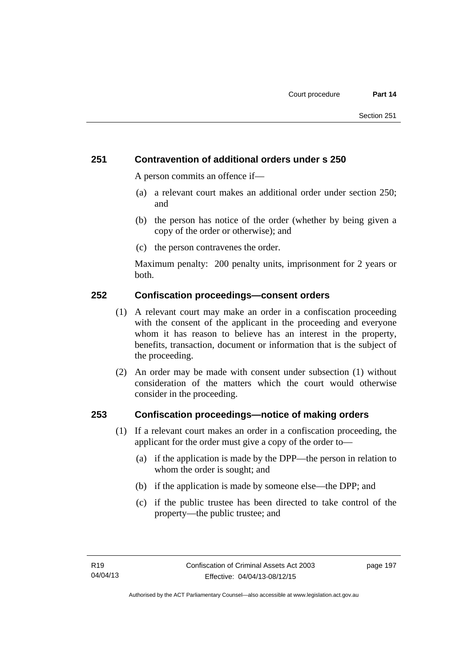## **251 Contravention of additional orders under s 250**

A person commits an offence if—

- (a) a relevant court makes an additional order under section 250; and
- (b) the person has notice of the order (whether by being given a copy of the order or otherwise); and
- (c) the person contravenes the order.

Maximum penalty: 200 penalty units, imprisonment for 2 years or both.

### **252 Confiscation proceedings—consent orders**

- (1) A relevant court may make an order in a confiscation proceeding with the consent of the applicant in the proceeding and everyone whom it has reason to believe has an interest in the property, benefits, transaction, document or information that is the subject of the proceeding.
- (2) An order may be made with consent under subsection (1) without consideration of the matters which the court would otherwise consider in the proceeding.

### **253 Confiscation proceedings—notice of making orders**

- (1) If a relevant court makes an order in a confiscation proceeding, the applicant for the order must give a copy of the order to—
	- (a) if the application is made by the DPP—the person in relation to whom the order is sought; and
	- (b) if the application is made by someone else—the DPP; and
	- (c) if the public trustee has been directed to take control of the property—the public trustee; and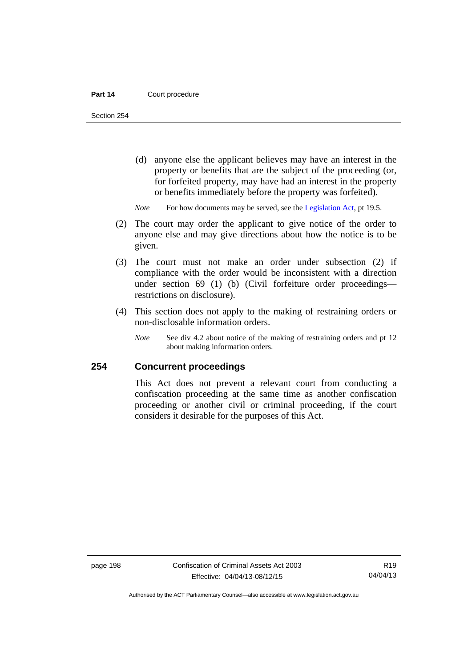Section 254

- (d) anyone else the applicant believes may have an interest in the property or benefits that are the subject of the proceeding (or, for forfeited property, may have had an interest in the property or benefits immediately before the property was forfeited).
- *Note* For how documents may be served, see the [Legislation Act,](http://www.legislation.act.gov.au/a/2001-14) pt 19.5.
- (2) The court may order the applicant to give notice of the order to anyone else and may give directions about how the notice is to be given.
- (3) The court must not make an order under subsection (2) if compliance with the order would be inconsistent with a direction under section 69 (1) (b) (Civil forfeiture order proceedings restrictions on disclosure).
- (4) This section does not apply to the making of restraining orders or non-disclosable information orders.
	- *Note* See div 4.2 about notice of the making of restraining orders and pt 12 about making information orders.

## **254 Concurrent proceedings**

This Act does not prevent a relevant court from conducting a confiscation proceeding at the same time as another confiscation proceeding or another civil or criminal proceeding, if the court considers it desirable for the purposes of this Act.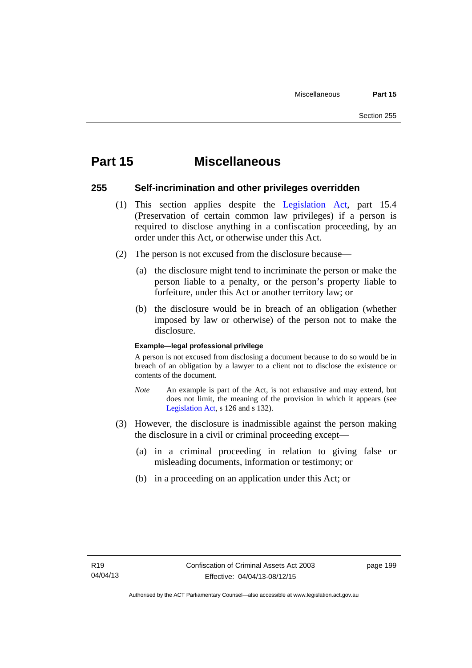# **Part 15 Miscellaneous**

### **255 Self-incrimination and other privileges overridden**

- (1) This section applies despite the [Legislation Act](http://www.legislation.act.gov.au/a/2001-14), part 15.4 (Preservation of certain common law privileges) if a person is required to disclose anything in a confiscation proceeding, by an order under this Act, or otherwise under this Act.
- (2) The person is not excused from the disclosure because—
	- (a) the disclosure might tend to incriminate the person or make the person liable to a penalty, or the person's property liable to forfeiture, under this Act or another territory law; or
	- (b) the disclosure would be in breach of an obligation (whether imposed by law or otherwise) of the person not to make the disclosure.

### **Example—legal professional privilege**

A person is not excused from disclosing a document because to do so would be in breach of an obligation by a lawyer to a client not to disclose the existence or contents of the document.

- *Note* An example is part of the Act, is not exhaustive and may extend, but does not limit, the meaning of the provision in which it appears (see [Legislation Act,](http://www.legislation.act.gov.au/a/2001-14) s 126 and s 132).
- (3) However, the disclosure is inadmissible against the person making the disclosure in a civil or criminal proceeding except—
	- (a) in a criminal proceeding in relation to giving false or misleading documents, information or testimony; or
	- (b) in a proceeding on an application under this Act; or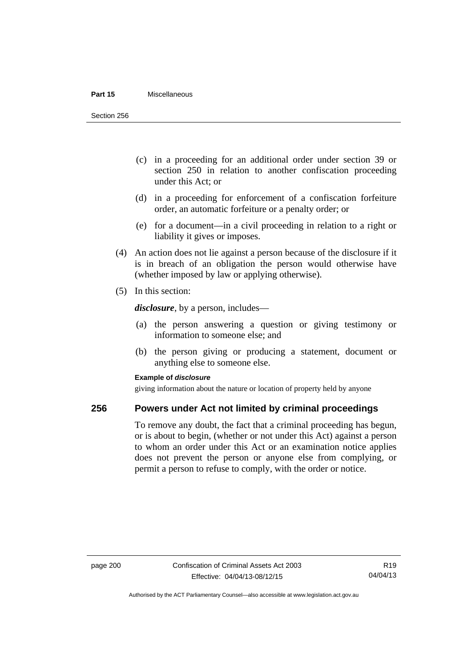#### **Part 15** Miscellaneous

Section 256

- (c) in a proceeding for an additional order under section 39 or section 250 in relation to another confiscation proceeding under this Act; or
- (d) in a proceeding for enforcement of a confiscation forfeiture order, an automatic forfeiture or a penalty order; or
- (e) for a document—in a civil proceeding in relation to a right or liability it gives or imposes.
- (4) An action does not lie against a person because of the disclosure if it is in breach of an obligation the person would otherwise have (whether imposed by law or applying otherwise).
- (5) In this section:

*disclosure*, by a person, includes—

- (a) the person answering a question or giving testimony or information to someone else; and
- (b) the person giving or producing a statement, document or anything else to someone else.

### **Example of** *disclosure*

giving information about the nature or location of property held by anyone

### **256 Powers under Act not limited by criminal proceedings**

To remove any doubt, the fact that a criminal proceeding has begun, or is about to begin, (whether or not under this Act) against a person to whom an order under this Act or an examination notice applies does not prevent the person or anyone else from complying, or permit a person to refuse to comply, with the order or notice.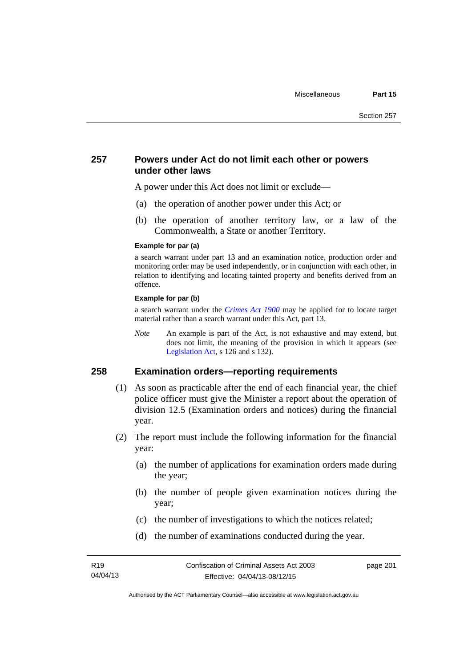### **257 Powers under Act do not limit each other or powers under other laws**

A power under this Act does not limit or exclude—

- (a) the operation of another power under this Act; or
- (b) the operation of another territory law, or a law of the Commonwealth, a State or another Territory.

#### **Example for par (a)**

a search warrant under part 13 and an examination notice, production order and monitoring order may be used independently, or in conjunction with each other, in relation to identifying and locating tainted property and benefits derived from an offence.

### **Example for par (b)**

a search warrant under the *[Crimes Act 1900](http://www.legislation.act.gov.au/a/1900-40)* may be applied for to locate target material rather than a search warrant under this Act, part 13.

*Note* An example is part of the Act, is not exhaustive and may extend, but does not limit, the meaning of the provision in which it appears (see [Legislation Act,](http://www.legislation.act.gov.au/a/2001-14) s 126 and s 132).

## **258 Examination orders—reporting requirements**

- (1) As soon as practicable after the end of each financial year, the chief police officer must give the Minister a report about the operation of division 12.5 (Examination orders and notices) during the financial year.
- (2) The report must include the following information for the financial year:
	- (a) the number of applications for examination orders made during the year;
	- (b) the number of people given examination notices during the year;
	- (c) the number of investigations to which the notices related;
	- (d) the number of examinations conducted during the year.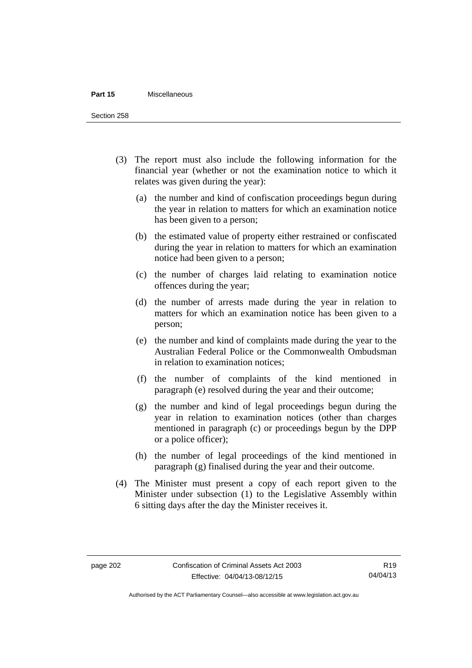#### **Part 15** Miscellaneous

Section 258

- (3) The report must also include the following information for the financial year (whether or not the examination notice to which it relates was given during the year):
	- (a) the number and kind of confiscation proceedings begun during the year in relation to matters for which an examination notice has been given to a person;
	- (b) the estimated value of property either restrained or confiscated during the year in relation to matters for which an examination notice had been given to a person;
	- (c) the number of charges laid relating to examination notice offences during the year;
	- (d) the number of arrests made during the year in relation to matters for which an examination notice has been given to a person;
	- (e) the number and kind of complaints made during the year to the Australian Federal Police or the Commonwealth Ombudsman in relation to examination notices;
	- (f) the number of complaints of the kind mentioned in paragraph (e) resolved during the year and their outcome;
	- (g) the number and kind of legal proceedings begun during the year in relation to examination notices (other than charges mentioned in paragraph (c) or proceedings begun by the DPP or a police officer);
	- (h) the number of legal proceedings of the kind mentioned in paragraph (g) finalised during the year and their outcome.
- (4) The Minister must present a copy of each report given to the Minister under subsection (1) to the Legislative Assembly within 6 sitting days after the day the Minister receives it.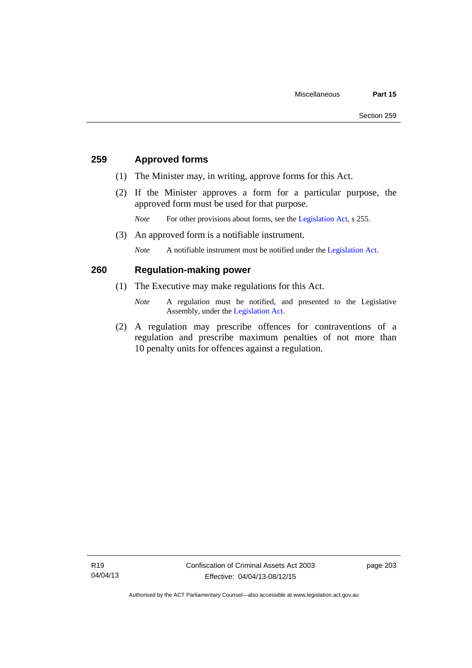## **259 Approved forms**

- (1) The Minister may, in writing, approve forms for this Act.
- (2) If the Minister approves a form for a particular purpose, the approved form must be used for that purpose.

*Note* For other provisions about forms, see the [Legislation Act,](http://www.legislation.act.gov.au/a/2001-14) s 255.

(3) An approved form is a notifiable instrument.

*Note* A notifiable instrument must be notified under the [Legislation Act](http://www.legislation.act.gov.au/a/2001-14).

## **260 Regulation-making power**

- (1) The Executive may make regulations for this Act.
	- *Note* A regulation must be notified, and presented to the Legislative Assembly, under the [Legislation Act](http://www.legislation.act.gov.au/a/2001-14).
- (2) A regulation may prescribe offences for contraventions of a regulation and prescribe maximum penalties of not more than 10 penalty units for offences against a regulation.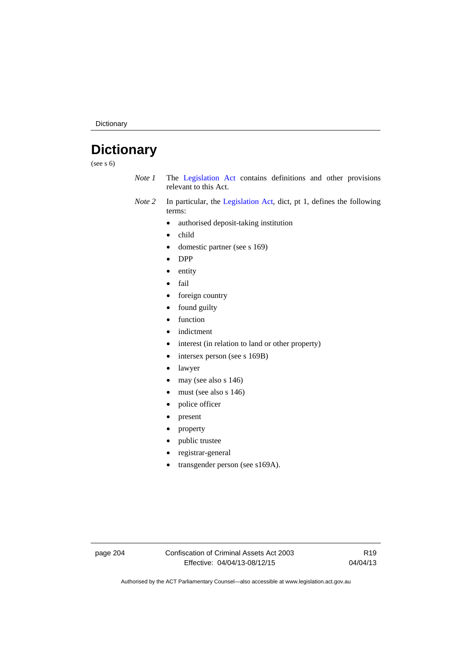Dictionary

# **Dictionary**

(see s 6)

- *Note 1* The [Legislation Act](http://www.legislation.act.gov.au/a/2001-14) contains definitions and other provisions relevant to this Act.
- *Note 2* In particular, the [Legislation Act,](http://www.legislation.act.gov.au/a/2001-14) dict, pt 1, defines the following terms:
	- authorised deposit-taking institution
	- child
	- domestic partner (see s 169)
	- DPP
	- entity
	- fail
	- foreign country
	- found guilty
	- function
	- indictment
	- interest (in relation to land or other property)
	- intersex person (see s 169B)
	- lawyer
	- $\bullet$  may (see also s 146)
	- must (see also s 146)
	- police officer
	- present
	- property
	- public trustee
	- registrar-general
	- transgender person (see s169A).

page 204 Confiscation of Criminal Assets Act 2003 Effective: 04/04/13-08/12/15

R19 04/04/13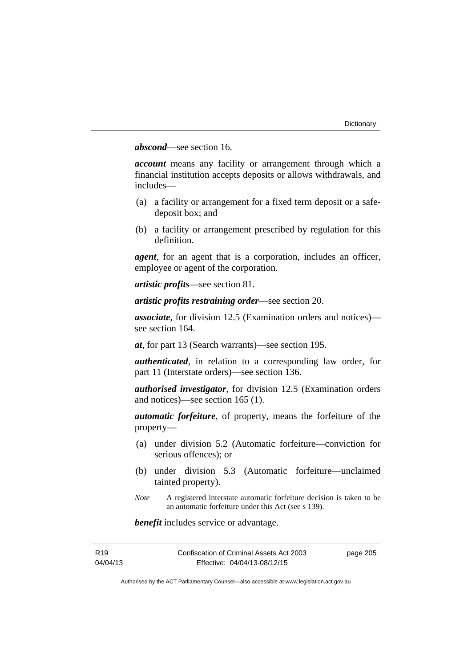## *abscond*—see section 16.

*account* means any facility or arrangement through which a financial institution accepts deposits or allows withdrawals, and includes—

- (a) a facility or arrangement for a fixed term deposit or a safedeposit box; and
- (b) a facility or arrangement prescribed by regulation for this definition.

*agent*, for an agent that is a corporation, includes an officer, employee or agent of the corporation.

*artistic profits*—see section 81.

*artistic profits restraining order*—see section 20.

*associate*, for division 12.5 (Examination orders and notices) see section 164.

*at*, for part 13 (Search warrants)—see section 195.

*authenticated*, in relation to a corresponding law order, for part 11 (Interstate orders)—see section 136.

*authorised investigator*, for division 12.5 (Examination orders and notices)—see section 165 (1).

*automatic forfeiture*, of property, means the forfeiture of the property—

- (a) under division 5.2 (Automatic forfeiture—conviction for serious offences); or
- (b) under division 5.3 (Automatic forfeiture—unclaimed tainted property).
- *Note* A registered interstate automatic forfeiture decision is taken to be an automatic forfeiture under this Act (see s 139).

*benefit* includes service or advantage.

| R <sub>19</sub> | Confiscation of Criminal Assets Act 2003 | page 205 |
|-----------------|------------------------------------------|----------|
| 04/04/13        | Effective: 04/04/13-08/12/15             |          |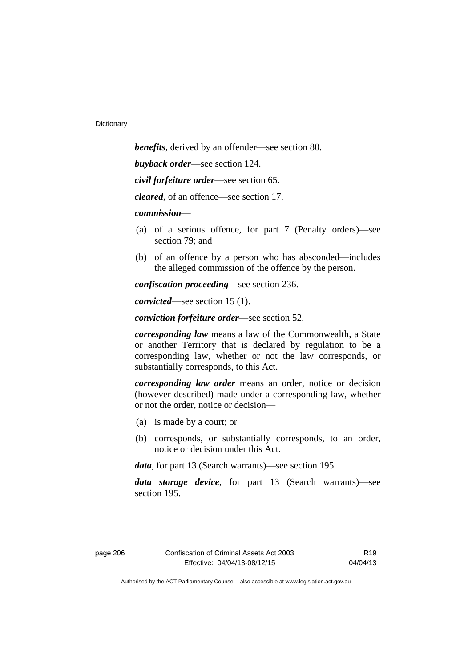*benefits*, derived by an offender—see section 80. *buyback order*—see section 124. *civil forfeiture order*—see section 65. *cleared*, of an offence—see section 17. *commission*— (a) of a serious offence, for part 7 (Penalty orders)—see section 79; and (b) of an offence by a person who has absconded—includes the alleged commission of the offence by the person. *confiscation proceeding*—see section 236.

*convicted*—see section 15 (1).

*conviction forfeiture order*—see section 52.

*corresponding law* means a law of the Commonwealth, a State or another Territory that is declared by regulation to be a corresponding law, whether or not the law corresponds, or substantially corresponds, to this Act.

*corresponding law order* means an order, notice or decision (however described) made under a corresponding law, whether or not the order, notice or decision—

- (a) is made by a court; or
- (b) corresponds, or substantially corresponds, to an order, notice or decision under this Act.

*data*, for part 13 (Search warrants)—see section 195.

*data storage device*, for part 13 (Search warrants)—see section 195.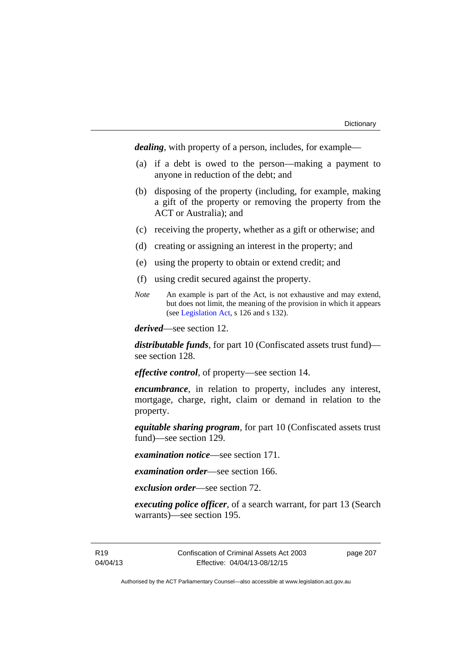*dealing*, with property of a person, includes, for example—

- (a) if a debt is owed to the person—making a payment to anyone in reduction of the debt; and
- (b) disposing of the property (including, for example, making a gift of the property or removing the property from the ACT or Australia); and
- (c) receiving the property, whether as a gift or otherwise; and
- (d) creating or assigning an interest in the property; and
- (e) using the property to obtain or extend credit; and
- (f) using credit secured against the property.
- *Note* An example is part of the Act, is not exhaustive and may extend, but does not limit, the meaning of the provision in which it appears (see [Legislation Act,](http://www.legislation.act.gov.au/a/2001-14) s 126 and s 132).

*derived*—see section 12.

*distributable funds*, for part 10 (Confiscated assets trust fund) see section 128.

*effective control*, of property—see section 14.

*encumbrance*, in relation to property, includes any interest, mortgage, charge, right, claim or demand in relation to the property.

*equitable sharing program*, for part 10 (Confiscated assets trust fund)—see section 129.

*examination notice*—see section 171.

*examination order*—see section 166.

*exclusion order*—see section 72.

*executing police officer*, of a search warrant, for part 13 (Search warrants)—see section 195.

R19 04/04/13 Confiscation of Criminal Assets Act 2003 Effective: 04/04/13-08/12/15

page 207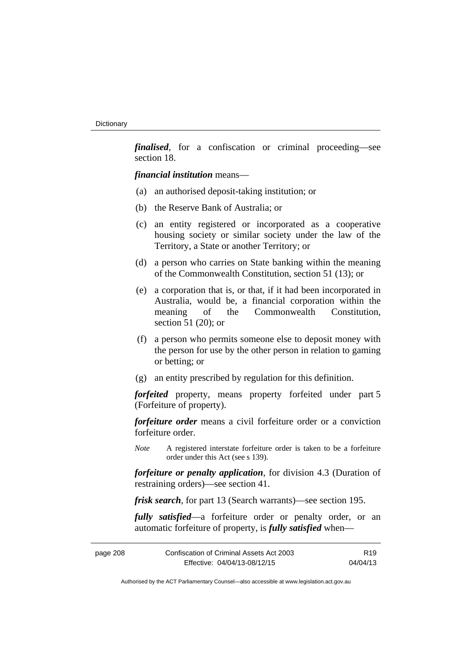*finalised*, for a confiscation or criminal proceeding—see section 18.

*financial institution* means—

- (a) an authorised deposit-taking institution; or
- (b) the Reserve Bank of Australia; or
- (c) an entity registered or incorporated as a cooperative housing society or similar society under the law of the Territory, a State or another Territory; or
- (d) a person who carries on State banking within the meaning of the Commonwealth Constitution, section 51 (13); or
- (e) a corporation that is, or that, if it had been incorporated in Australia, would be, a financial corporation within the meaning of the Commonwealth Constitution, section 51 (20); or
- (f) a person who permits someone else to deposit money with the person for use by the other person in relation to gaming or betting; or
- (g) an entity prescribed by regulation for this definition.

*forfeited* property, means property forfeited under part 5 (Forfeiture of property).

*forfeiture order* means a civil forfeiture order or a conviction forfeiture order.

*Note* A registered interstate forfeiture order is taken to be a forfeiture order under this Act (see s 139).

*forfeiture or penalty application*, for division 4.3 (Duration of restraining orders)—see section 41.

*frisk search*, for part 13 (Search warrants)—see section 195.

*fully satisfied*—a forfeiture order or penalty order, or an automatic forfeiture of property, is *fully satisfied* when—

| page 208 | Confiscation of Criminal Assets Act 2003 | R <sub>19</sub> |
|----------|------------------------------------------|-----------------|
|          | Effective: 04/04/13-08/12/15             | 04/04/13        |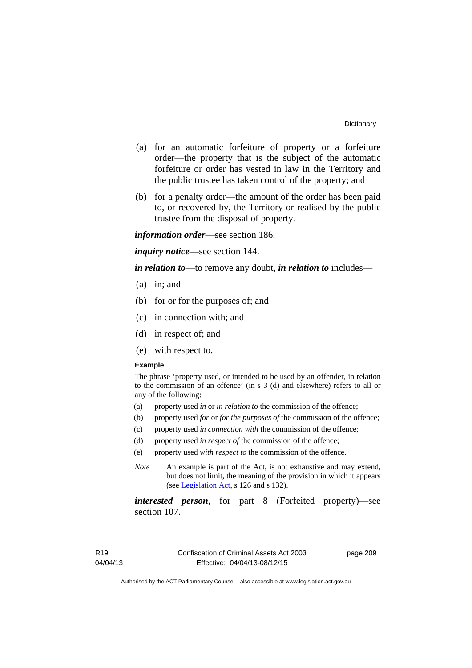- (a) for an automatic forfeiture of property or a forfeiture order—the property that is the subject of the automatic forfeiture or order has vested in law in the Territory and the public trustee has taken control of the property; and
- (b) for a penalty order—the amount of the order has been paid to, or recovered by, the Territory or realised by the public trustee from the disposal of property.

*information order*—see section 186.

*inquiry notice*—see section 144.

*in relation to*—to remove any doubt, *in relation to* includes—

- (a) in; and
- (b) for or for the purposes of; and
- (c) in connection with; and
- (d) in respect of; and
- (e) with respect to.

#### **Example**

The phrase 'property used, or intended to be used by an offender, in relation to the commission of an offence' (in s 3 (d) and elsewhere) refers to all or any of the following:

- (a) property used *in* or *in relation to* the commission of the offence;
- (b) property used *for* or *for the purposes of* the commission of the offence;
- (c) property used *in connection with* the commission of the offence;
- (d) property used *in respect of* the commission of the offence;
- (e) property used *with respect to* the commission of the offence.
- *Note* An example is part of the Act, is not exhaustive and may extend, but does not limit, the meaning of the provision in which it appears (see [Legislation Act,](http://www.legislation.act.gov.au/a/2001-14) s 126 and s 132).

*interested person*, for part 8 (Forfeited property)—see section 107.

page 209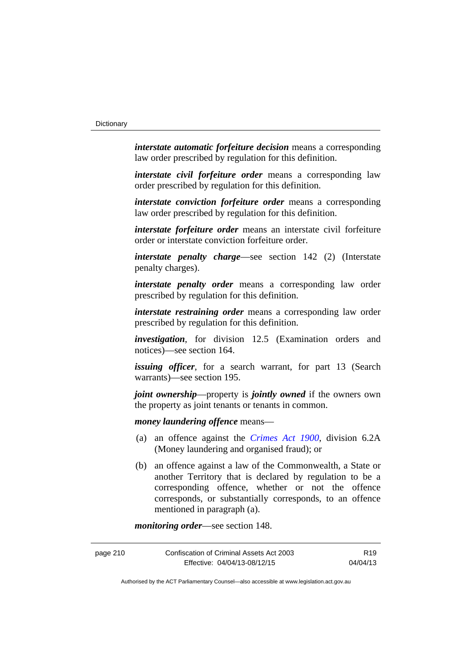*interstate automatic forfeiture decision* means a corresponding law order prescribed by regulation for this definition.

*interstate civil forfeiture order* means a corresponding law order prescribed by regulation for this definition.

*interstate conviction forfeiture order* means a corresponding law order prescribed by regulation for this definition.

*interstate forfeiture order* means an interstate civil forfeiture order or interstate conviction forfeiture order.

*interstate penalty charge*—see section 142 (2) (Interstate penalty charges).

*interstate penalty order* means a corresponding law order prescribed by regulation for this definition.

*interstate restraining order* means a corresponding law order prescribed by regulation for this definition.

*investigation*, for division 12.5 (Examination orders and notices)—see section 164.

*issuing officer*, for a search warrant, for part 13 (Search warrants)—see section 195.

*joint ownership*—property is *jointly owned* if the owners own the property as joint tenants or tenants in common.

*money laundering offence* means—

- (a) an offence against the *[Crimes Act 1900](http://www.legislation.act.gov.au/a/1900-40)*, division 6.2A (Money laundering and organised fraud); or
- (b) an offence against a law of the Commonwealth, a State or another Territory that is declared by regulation to be a corresponding offence, whether or not the offence corresponds, or substantially corresponds, to an offence mentioned in paragraph (a).

*monitoring order*—see section 148.

| page 210 | Confiscation of Criminal Assets Act 2003 | R <sub>19</sub> |
|----------|------------------------------------------|-----------------|
|          | Effective: 04/04/13-08/12/15             | 04/04/13        |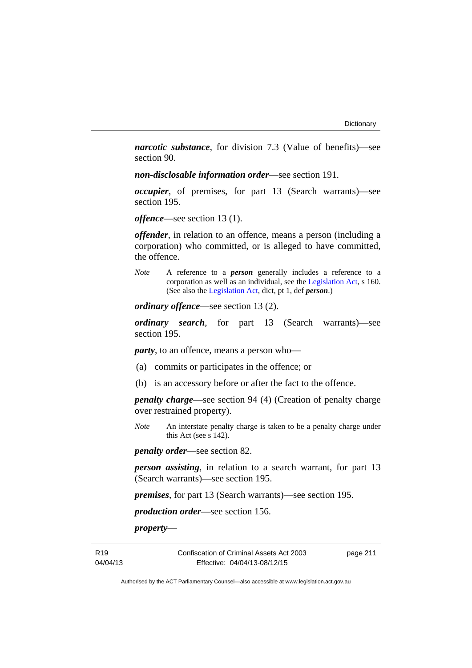*narcotic substance*, for division 7.3 (Value of benefits)—see section 90.

*non-disclosable information order*—see section 191.

*occupier*, of premises, for part 13 (Search warrants)—see section 195.

*offence*—see section 13 (1).

*offender*, in relation to an offence, means a person (including a corporation) who committed, or is alleged to have committed, the offence.

*Note* A reference to a *person* generally includes a reference to a corporation as well as an individual, see the [Legislation Act](http://www.legislation.act.gov.au/a/2001-14), s 160. (See also the [Legislation Act,](http://www.legislation.act.gov.au/a/2001-14) dict, pt 1, def *person*.)

*ordinary offence*—see section 13 (2).

*ordinary search*, for part 13 (Search warrants)—see section 195.

*party*, to an offence, means a person who—

- (a) commits or participates in the offence; or
- (b) is an accessory before or after the fact to the offence.

*penalty charge*—see section 94 (4) (Creation of penalty charge over restrained property).

*Note* An interstate penalty charge is taken to be a penalty charge under this Act (see s 142).

*penalty order*—see section 82.

*person assisting*, in relation to a search warrant, for part 13 (Search warrants)—see section 195.

*premises*, for part 13 (Search warrants)—see section 195.

*production order*—see section 156.

*property*—

R19 04/04/13 Confiscation of Criminal Assets Act 2003 Effective: 04/04/13-08/12/15

page 211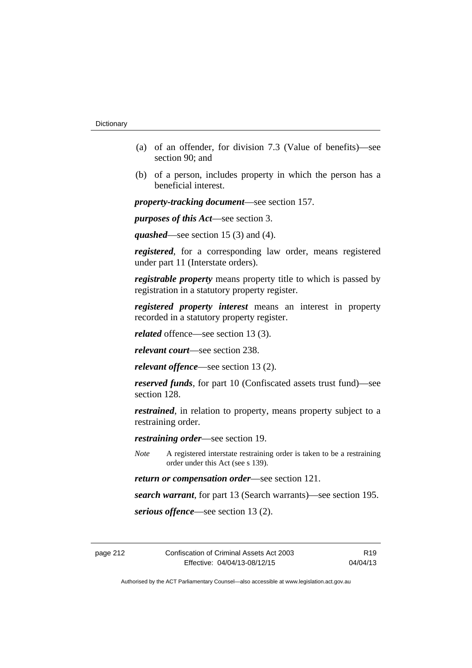- (a) of an offender, for division 7.3 (Value of benefits)—see section 90; and
- (b) of a person, includes property in which the person has a beneficial interest.

*property-tracking document*—see section 157.

*purposes of this Act*—see section 3.

*quashed*—see section 15 (3) and (4).

*registered*, for a corresponding law order, means registered under part 11 (Interstate orders).

*registrable property* means property title to which is passed by registration in a statutory property register.

*registered property interest* means an interest in property recorded in a statutory property register.

*related* offence—see section 13 (3).

*relevant court*—see section 238.

*relevant offence*—see section 13 (2).

*reserved funds*, for part 10 (Confiscated assets trust fund)—see section 128.

*restrained*, in relation to property, means property subject to a restraining order.

*restraining order*—see section 19.

*Note* A registered interstate restraining order is taken to be a restraining order under this Act (see s 139).

*return or compensation order*—see section 121.

*search warrant*, for part 13 (Search warrants)—see section 195.

*serious offence*—see section 13 (2).

R19 04/04/13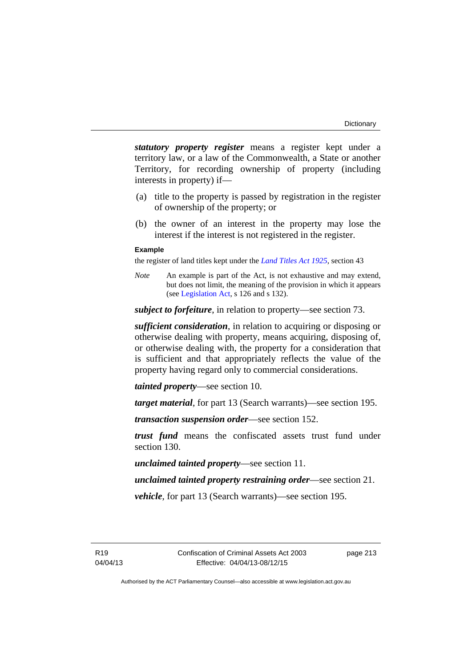*statutory property register* means a register kept under a territory law, or a law of the Commonwealth, a State or another Territory, for recording ownership of property (including interests in property) if—

- (a) title to the property is passed by registration in the register of ownership of the property; or
- (b) the owner of an interest in the property may lose the interest if the interest is not registered in the register.

## **Example**

the register of land titles kept under the *[Land Titles Act 1925](http://www.legislation.act.gov.au/a/1925-1)*, section 43

*Note* An example is part of the Act, is not exhaustive and may extend, but does not limit, the meaning of the provision in which it appears (see [Legislation Act,](http://www.legislation.act.gov.au/a/2001-14) s 126 and s 132).

*subject to forfeiture*, in relation to property—see section 73.

*sufficient consideration*, in relation to acquiring or disposing or otherwise dealing with property, means acquiring, disposing of, or otherwise dealing with, the property for a consideration that is sufficient and that appropriately reflects the value of the property having regard only to commercial considerations.

*tainted property*—see section 10.

*target material*, for part 13 (Search warrants)—see section 195.

*transaction suspension order*—see section 152.

*trust fund* means the confiscated assets trust fund under section 130.

*unclaimed tainted property*—see section 11.

*unclaimed tainted property restraining order*—see section 21.

*vehicle*, for part 13 (Search warrants)—see section 195.

page 213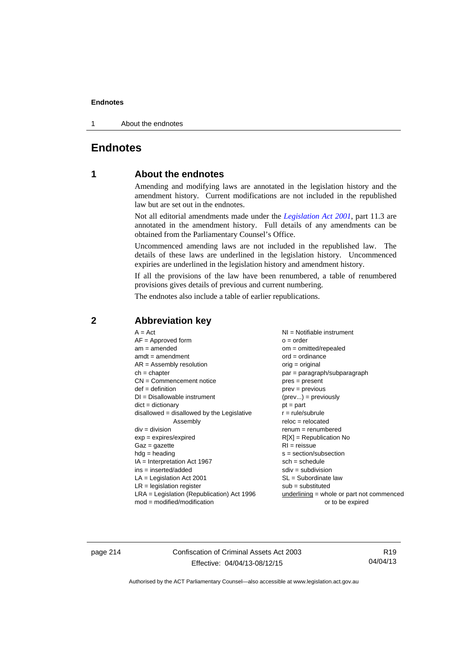1 About the endnotes

## **Endnotes**

## **1 About the endnotes**

Amending and modifying laws are annotated in the legislation history and the amendment history. Current modifications are not included in the republished law but are set out in the endnotes.

Not all editorial amendments made under the *[Legislation Act 2001](http://www.legislation.act.gov.au/a/2001-14)*, part 11.3 are annotated in the amendment history. Full details of any amendments can be obtained from the Parliamentary Counsel's Office.

Uncommenced amending laws are not included in the republished law. The details of these laws are underlined in the legislation history. Uncommenced expiries are underlined in the legislation history and amendment history.

If all the provisions of the law have been renumbered, a table of renumbered provisions gives details of previous and current numbering.

The endnotes also include a table of earlier republications.

## **2 Abbreviation key**

page 214 Confiscation of Criminal Assets Act 2003 Effective: 04/04/13-08/12/15

R19 04/04/13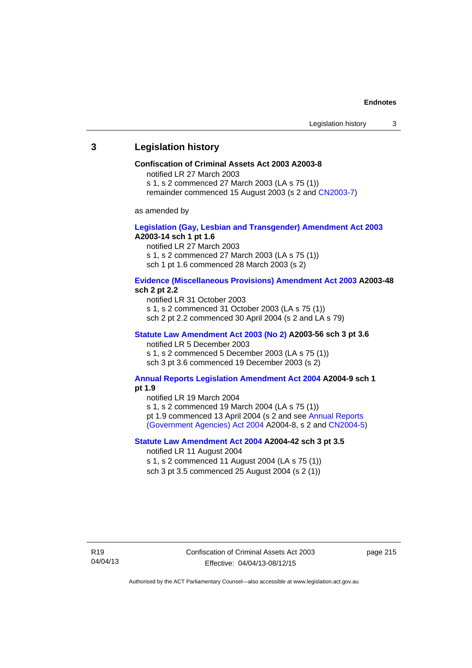## **3 Legislation history**

#### **Confiscation of Criminal Assets Act 2003 A2003-8**

notified LR 27 March 2003

s 1, s 2 commenced 27 March 2003 (LA s 75 (1))

remainder commenced 15 August 2003 (s 2 and [CN2003-7](http://www.legislation.act.gov.au/cn/2003-7/default.asp))

as amended by

## **[Legislation \(Gay, Lesbian and Transgender\) Amendment Act 2003](http://www.legislation.act.gov.au/a/2003-14) A2003-14 sch 1 pt 1.6**

notified LR 27 March 2003 s 1, s 2 commenced 27 March 2003 (LA s 75 (1)) sch 1 pt 1.6 commenced 28 March 2003 (s 2)

## **[Evidence \(Miscellaneous Provisions\) Amendment Act 2003](http://www.legislation.act.gov.au/a/2003-48) A2003-48 sch 2 pt 2.2**

notified LR 31 October 2003 s 1, s 2 commenced 31 October 2003 (LA s 75 (1)) sch 2 pt 2.2 commenced 30 April 2004 (s 2 and LA s 79)

## **[Statute Law Amendment Act 2003 \(No 2\)](http://www.legislation.act.gov.au/a/2003-56) A2003-56 sch 3 pt 3.6**  notified LR 5 December 2003

s 1, s 2 commenced 5 December 2003 (LA s 75 (1)) sch 3 pt 3.6 commenced 19 December 2003 (s 2)

## **[Annual Reports Legislation Amendment Act 2004](http://www.legislation.act.gov.au/a/2004-9) A2004-9 sch 1 pt 1.9**

notified LR 19 March 2004

s 1, s 2 commenced 19 March 2004 (LA s 75 (1))

pt 1.9 commenced 13 April 2004 (s 2 and see [Annual Reports](http://www.legislation.act.gov.au/a/2004-8)  [\(Government Agencies\) Act 2004](http://www.legislation.act.gov.au/a/2004-8) A2004-8, s 2 and [CN2004-5](http://www.legislation.act.gov.au/cn/2004-5/default.asp))

## **[Statute Law Amendment Act 2004](http://www.legislation.act.gov.au/a/2004-42) A2004-42 sch 3 pt 3.5**

notified LR 11 August 2004

s 1, s 2 commenced 11 August 2004 (LA s 75 (1)) sch 3 pt 3.5 commenced 25 August 2004 (s 2 (1))

page 215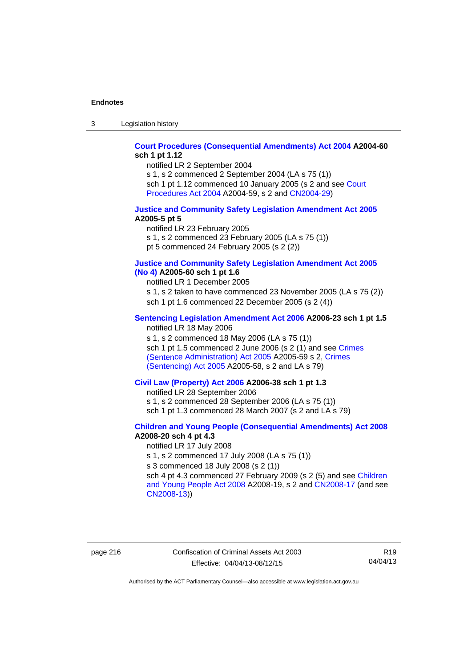3 Legislation history

## **[Court Procedures \(Consequential Amendments\) Act 2004](http://www.legislation.act.gov.au/a/2004-60) A2004-60 sch 1 pt 1.12**

notified LR 2 September 2004

s 1, s 2 commenced 2 September 2004 (LA s 75 (1)) sch 1 pt 1.12 commenced 10 January 2005 (s 2 and see Court [Procedures Act 2004](http://www.legislation.act.gov.au/a/2004-59) A2004-59, s 2 and [CN2004-29\)](http://www.legislation.act.gov.au/cn/2004-29/default.asp)

#### **[Justice and Community Safety Legislation Amendment Act 2005](http://www.legislation.act.gov.au/a/2005-5) A2005-5 pt 5**

notified LR 23 February 2005 s 1, s 2 commenced 23 February 2005 (LA s 75 (1)) pt 5 commenced 24 February 2005 (s 2 (2))

## **[Justice and Community Safety Legislation Amendment Act 2005](http://www.legislation.act.gov.au/a/2005-60)  [\(No 4\)](http://www.legislation.act.gov.au/a/2005-60) A2005-60 sch 1 pt 1.6**

notified LR 1 December 2005 s 1, s 2 taken to have commenced 23 November 2005 (LA s 75 (2)) sch 1 pt 1.6 commenced 22 December 2005 (s 2 (4))

## **[Sentencing Legislation Amendment Act 2006](http://www.legislation.act.gov.au/a/2006-23) A2006-23 sch 1 pt 1.5**

notified LR 18 May 2006

s 1, s 2 commenced 18 May 2006 (LA s 75 (1)) sch 1 pt 1.5 commenced 2 June 2006 (s 2 (1) and see [Crimes](http://www.legislation.act.gov.au/a/2005-59)  [\(Sentence Administration\) Act 2005](http://www.legislation.act.gov.au/a/2005-59) A2005-59 s 2, [Crimes](http://www.legislation.act.gov.au/a/2005-58)  [\(Sentencing\) Act 2005](http://www.legislation.act.gov.au/a/2005-58) A2005-58, s 2 and LA s 79)

## **[Civil Law \(Property\) Act 2006](http://www.legislation.act.gov.au/a/2006-38) A2006-38 sch 1 pt 1.3**

notified LR 28 September 2006

s 1, s 2 commenced 28 September 2006 (LA s 75 (1))

sch 1 pt 1.3 commenced 28 March 2007 (s 2 and LA s 79)

## **[Children and Young People \(Consequential Amendments\) Act 2008](http://www.legislation.act.gov.au/a/2008-20) A2008-20 sch 4 pt 4.3**

notified LR 17 July 2008

s 1, s 2 commenced 17 July 2008 (LA s 75 (1))

s 3 commenced 18 July 2008 (s 2 (1))

sch 4 pt 4.3 commenced 27 February 2009 (s 2 (5) and see [Children](http://www.legislation.act.gov.au/a/2008-19)  [and Young People Act 2008](http://www.legislation.act.gov.au/a/2008-19) A2008-19, s 2 and [CN2008-17 \(](http://www.legislation.act.gov.au/cn/2008-17/default.asp)and see [CN2008-13](http://www.legislation.act.gov.au/cn/2008-13/default.asp)))

page 216 Confiscation of Criminal Assets Act 2003 Effective: 04/04/13-08/12/15

R19 04/04/13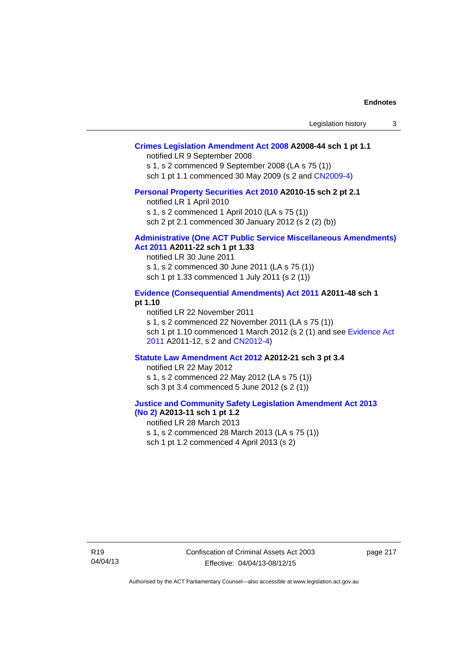| Legislation history |  |
|---------------------|--|
|---------------------|--|

## **[Crimes Legislation Amendment Act 2008](http://www.legislation.act.gov.au/a/2008-44) A2008-44 sch 1 pt 1.1**

notified LR 9 September 2008

s 1, s 2 commenced 9 September 2008 (LA s 75 (1))

sch 1 pt 1.1 commenced 30 May 2009 (s 2 and [CN2009-4\)](http://www.legislation.act.gov.au/cn/2009-4/default.asp)

#### **[Personal Property Securities Act 2010](http://www.legislation.act.gov.au/a/2010-15) A2010-15 sch 2 pt 2.1**

notified LR 1 April 2010

s 1, s 2 commenced 1 April 2010 (LA s 75 (1))

sch 2 pt 2.1 commenced 30 January 2012 (s 2 (2) (b))

#### **[Administrative \(One ACT Public Service Miscellaneous Amendments\)](http://www.legislation.act.gov.au/a/2011-22)  [Act 2011](http://www.legislation.act.gov.au/a/2011-22) A2011-22 sch 1 pt 1.33**

notified LR 30 June 2011 s 1, s 2 commenced 30 June 2011 (LA s 75 (1)) sch 1 pt 1.33 commenced 1 July 2011 (s 2 (1))

## **[Evidence \(Consequential Amendments\) Act 2011](http://www.legislation.act.gov.au/a/2011-48) A2011-48 sch 1 pt 1.10**

notified LR 22 November 2011 s 1, s 2 commenced 22 November 2011 (LA s 75 (1)) sch 1 pt 1.10 commenced 1 March 2012 (s 2 (1) and see [Evidence Act](http://www.legislation.act.gov.au/a/2011-12)  [2011](http://www.legislation.act.gov.au/a/2011-12) A2011-12, s 2 and [CN2012-4](http://www.legislation.act.gov.au/cn/2012-4/default.asp))

#### **[Statute Law Amendment Act 2012](http://www.legislation.act.gov.au/a/2012-21) A2012-21 sch 3 pt 3.4**

notified LR 22 May 2012 s 1, s 2 commenced 22 May 2012 (LA s 75 (1)) sch 3 pt 3.4 commenced 5 June 2012 (s 2 (1))

## **[Justice and Community Safety Legislation Amendment Act 2013](http://www.legislation.act.gov.au/a/2013-11)**

**[\(No 2\)](http://www.legislation.act.gov.au/a/2013-11) A2013-11 sch 1 pt 1.2**  notified LR 28 March 2013 s 1, s 2 commenced 28 March 2013 (LA s 75 (1)) sch 1 pt 1.2 commenced 4 April 2013 (s 2)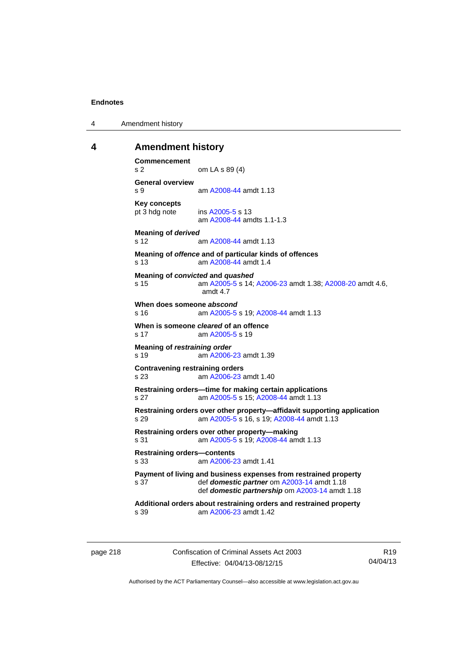4 Amendment history

## **4 Amendment history**

```
Commencement 
s 2 om LA s 89 (4) 
General overview 
s 9 am A2008-44 amdt 1.13
Key concepts 
pt 3 hdg note ins A2005-5 s 13 
                am A2008-44 amdts 1.1-1.3
Meaning of derived 
s 12 am A2008-44 amdt 1.13
Meaning of offence and of particular kinds of offences 
s 13 am A2008-44 amdt 1.4
Meaning of convicted and quashed
s 15 am A2005-5 s 14; A2006-23 amdt 1.38; A2008-20 amdt 4.6, 
                amdt 4.7 
When does someone abscond
s 16 am A2005-5 s 19; A2008-44 amdt 1.13
When is someone cleared of an offence 
 A2005-5 s 19
Meaning of restraining order 
s 19  A2006-23 amdt 1.39
Contravening restraining orders 
s 23 am A2006-23 amdt 1.40
Restraining orders—time for making certain applications 
s 27 am A2005-5 s 15; A2008-44 amdt 1.13
Restraining orders over other property—affidavit supporting application 
s 29 am A2005-5 s 16, s 19; A2008-44 amdt 1.13 
Restraining orders over other property—making 
s 31 am A2005-5 s 19; A2008-44 amdt 1.13
Restraining orders—contents 
s 33 am A2006-23 amdt 1.41
Payment of living and business expenses from restrained property 
s 37 def domestic partner om A2003-14 amdt 1.18 
                def domestic partnership om A2003-14 amdt 1.18 
Additional orders about restraining orders and restrained property 
s 39 am A2006-23 amdt 1.42
```
page 218 Confiscation of Criminal Assets Act 2003 Effective: 04/04/13-08/12/15

R19 04/04/13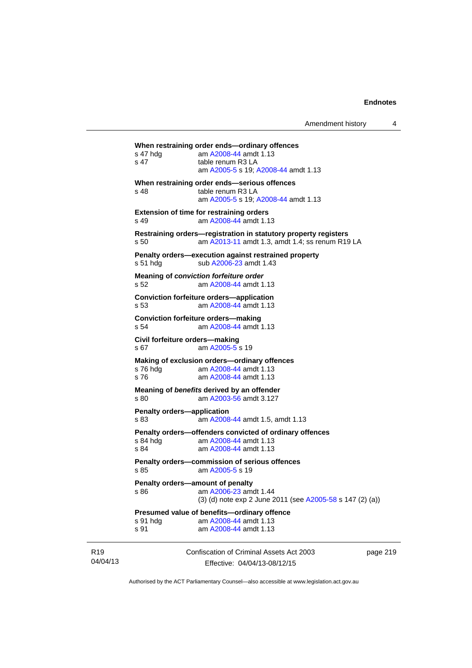| Amendment history |  |
|-------------------|--|
|-------------------|--|

Confiscation of Criminal Assets Act 2003 **When restraining order ends—ordinary offences**  s 47 hdg am [A2008-44](http://www.legislation.act.gov.au/a/2008-44) amdt 1.13 s 47 table renum R3 LA am [A2005-5](http://www.legislation.act.gov.au/a/2005-5) s 19; [A2008-44](http://www.legislation.act.gov.au/a/2008-44) amdt 1.13 **When restraining order ends—serious offences**  s 48 table renum R3 LA am [A2005-5](http://www.legislation.act.gov.au/a/2005-5) s 19; [A2008-44](http://www.legislation.act.gov.au/a/2008-44) amdt 1.13 **Extension of time for restraining orders**  s 49 am [A2008-44](http://www.legislation.act.gov.au/a/2008-44) amdt 1.13 **Restraining orders—registration in statutory property registers**  s 50 am [A2013-11](http://www.legislation.act.gov.au/a/2013-11) amdt 1.3, amdt 1.4; ss renum R19 LA **Penalty orders—execution against restrained property**  s 51 hdg sub [A2006-23](http://www.legislation.act.gov.au/a/2006-23) amdt 1.43 **Meaning of** *conviction forfeiture order*  s 52 am [A2008-44](http://www.legislation.act.gov.au/a/2008-44) amdt 1.13 **Conviction forfeiture orders—application** s 53 am [A2008-44](http://www.legislation.act.gov.au/a/2008-44) amdt 1.13 **Conviction forfeiture orders—making** s 54 am [A2008-44](http://www.legislation.act.gov.au/a/2008-44) amdt 1.13 **Civil forfeiture orders—making**  s 67 am [A2005-5](http://www.legislation.act.gov.au/a/2005-5) s 19 **Making of exclusion orders—ordinary offences**  s 76 hdg am [A2008-44](http://www.legislation.act.gov.au/a/2008-44) amdt 1.13 s 76 **am [A2008-44](http://www.legislation.act.gov.au/a/2008-44) amdt 1.13 Meaning of** *benefits* **derived by an offender**  s 80 am [A2003-56](http://www.legislation.act.gov.au/a/2003-56) amdt 3.127 **Penalty orders—application**  s 83 am [A2008-44](http://www.legislation.act.gov.au/a/2008-44) amdt 1.5, amdt 1.13 **Penalty orders—offenders convicted of ordinary offences**  s 84 hdg am [A2008-44](http://www.legislation.act.gov.au/a/2008-44) amdt 1.13 s 84 am [A2008-44](http://www.legislation.act.gov.au/a/2008-44) amdt 1.13 **Penalty orders—commission of serious offences**  s 85 am [A2005-5](http://www.legislation.act.gov.au/a/2005-5) s 19 **Penalty orders—amount of penalty**  s 86 **am [A2006-23](http://www.legislation.act.gov.au/a/2006-23)** amdt 1.44 (3) (d) note exp 2 June 2011 (see [A2005-58](http://www.legislation.act.gov.au/a/2005-58) s 147 (2) (a)) **Presumed value of benefits—ordinary offence**  s 91 hdg am [A2008-44](http://www.legislation.act.gov.au/a/2008-44) amdt 1.13 s 91 **am [A2008-44](http://www.legislation.act.gov.au/a/2008-44) amdt 1.13** 

R19 04/04/13

Effective: 04/04/13-08/12/15

page 219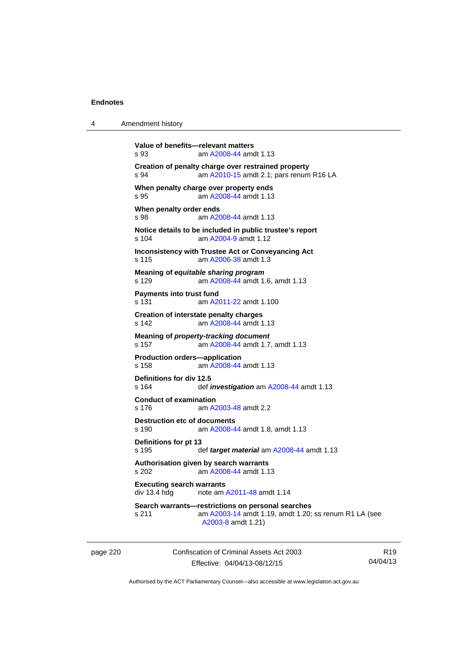| 4 | Amendment history |  |
|---|-------------------|--|
|---|-------------------|--|

```
Value of benefits—relevant matters 
s 93 am A2008-44 amdt 1.13
Creation of penalty charge over restrained property 
s 94 am A2010-15 amdt 2.1; pars renum R16 LA 
When penalty charge over property ends 
s 95 am A2008-44 amdt 1.13
When penalty order ends 
s 98 am A2008-44 amdt 1.13
Notice details to be included in public trustee's report 
s 104 am A2004-9 amdt 1.12 
Inconsistency with Trustee Act or Conveyancing Act 
s 115 am A2006-38 amdt 1.3
Meaning of equitable sharing program 
s 129 am A2008-44 amdt 1.6, amdt 1.13
Payments into trust fund 
s 131 am A2011-22 amdt 1.100
Creation of interstate penalty charges 
s 142 am A2008-44 amdt 1.13
Meaning of property-tracking document 
s 157 am A2008-44 amdt 1.7, amdt 1.13
Production orders—application 
s 158 am A2008-44 amdt 1.13
Definitions for div 12.5 
s 164 def investigation am A2008-44 amdt 1.13 
Conduct of examination 
s 176 am A2003-48 amdt 2.2
Destruction etc of documents
s 190 am A2008-44 amdt 1.8, amdt 1.13
Definitions for pt 13 
s 195 def target material am A2008-44 amdt 1.13 
Authorisation given by search warrants 
s 202 am A2008-44 amdt 1.13
Executing search warrants<br>div 13.4 hdg property
                A2011-48 amdt 1.14
Search warrants—restrictions on personal searches 
s 211 am A2003-14 amdt 1.19, amdt 1.20; ss renum R1 LA (see 
                 A2003-8 amdt 1.21)
```
page 220 Confiscation of Criminal Assets Act 2003 Effective: 04/04/13-08/12/15

R19 04/04/13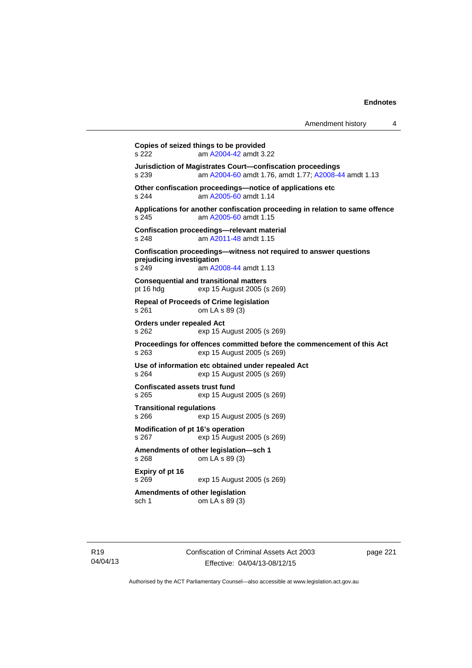| Amendment history |  |
|-------------------|--|
|-------------------|--|

**Copies of seized things to be provided**  s 222 am [A2004-42](http://www.legislation.act.gov.au/a/2004-42) amdt 3.22 **Jurisdiction of Magistrates Court—confiscation proceedings**  s 239 am [A2004-60](http://www.legislation.act.gov.au/a/2004-60) amdt 1.76, amdt 1.77; [A2008-44](http://www.legislation.act.gov.au/a/2008-44) amdt 1.13 **Other confiscation proceedings—notice of applications etc**  s 244 am [A2005-60](http://www.legislation.act.gov.au/a/2005-60) amdt 1.14 **Applications for another confiscation proceeding in relation to same offence**  s 245 am [A2005-60](http://www.legislation.act.gov.au/a/2005-60) amdt 1.15 **Confiscation proceedings—relevant material**  s 248 **am [A2011-48](http://www.legislation.act.gov.au/a/2011-48) amdt 1.15 Confiscation proceedings—witness not required to answer questions prejudicing investigation**  s 249 am [A2008-44](http://www.legislation.act.gov.au/a/2008-44) amdt 1.13 **Consequential and transitional matters**  pt 16 hdg exp 15 August 2005 (s 269) **Repeal of Proceeds of Crime legislation**  s 261 om LA s 89 (3) **Orders under repealed Act**  s 262 exp 15 August 2005 (s 269) **Proceedings for offences committed before the commencement of this Act**  s 263 exp 15 August 2005 (s 269) **Use of information etc obtained under repealed Act**  s 264 exp 15 August 2005 (s 269) **Confiscated assets trust fund**  s 265 exp 15 August 2005 (s 269) **Transitional regulations**  s 266 exp 15 August 2005 (s 269) **Modification of pt 16's operation**  s 267 exp 15 August 2005 (s 269) **Amendments of other legislation—sch 1**  s 268 om LA s 89 (3) **Expiry of pt 16**  s 269 exp 15 August 2005 (s 269) **Amendments of other legislation**  sch 1 om LA s 89 (3)

R19 04/04/13 Confiscation of Criminal Assets Act 2003 Effective: 04/04/13-08/12/15

page 221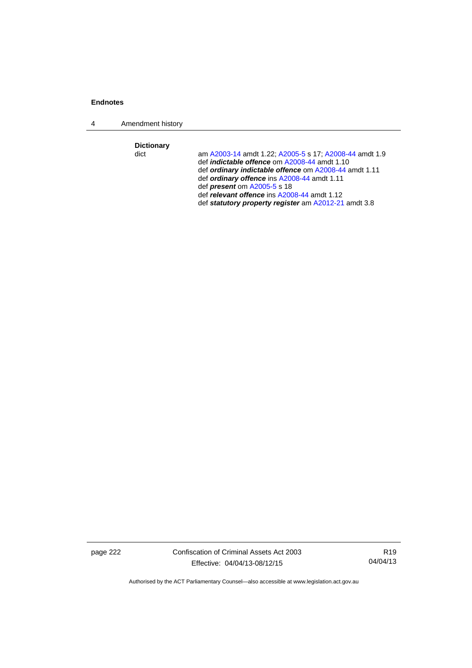4 Amendment history

**Dictionary** 

am [A2003-14](http://www.legislation.act.gov.au/a/2003-14) amdt 1.22; [A2005-5](http://www.legislation.act.gov.au/a/2005-5) s 17; [A2008-44](http://www.legislation.act.gov.au/a/2008-44) amdt 1.9 def *indictable offence* om [A2008-44](http://www.legislation.act.gov.au/a/2008-44) amdt 1.10 def *ordinary indictable offence* om [A2008-44](http://www.legislation.act.gov.au/a/2008-44) amdt 1.11 def *ordinary offence* ins [A2008-44](http://www.legislation.act.gov.au/a/2008-44) amdt 1.11 def *present* om [A2005-5](http://www.legislation.act.gov.au/a/2005-5) s 18 def *relevant offence* ins [A2008-44](http://www.legislation.act.gov.au/a/2008-44) amdt 1.12 def *statutory property register* am [A2012-21](http://www.legislation.act.gov.au/a/2012-21) amdt 3.8

page 222 Confiscation of Criminal Assets Act 2003 Effective: 04/04/13-08/12/15

R19 04/04/13